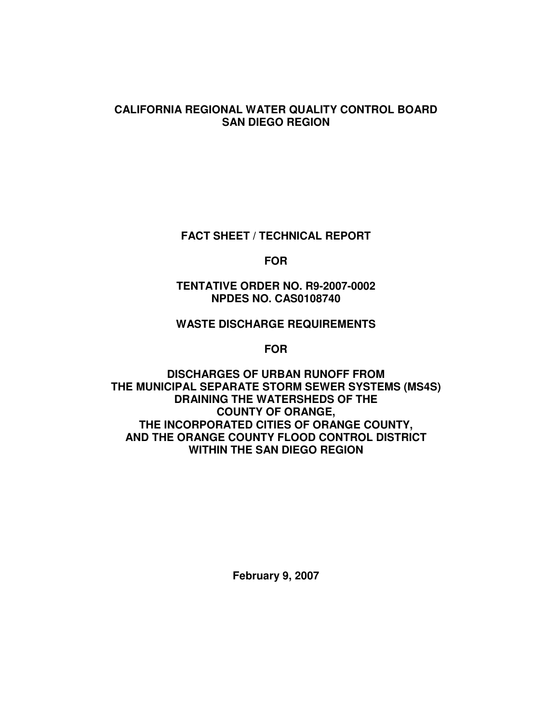## **CALIFORNIA REGIONAL WATER QUALITY CONTROL BOARD SAN DIEGO REGION**

**FACT SHEET / TECHNICAL REPORT**

**FOR**

**TENTATIVE ORDER NO. R9-2007-0002 NPDES NO. CAS0108740**

## **WASTE DISCHARGE REQUIREMENTS**

**FOR**

**DISCHARGES OF URBAN RUNOFF FROM THE MUNICIPAL SEPARATE STORM SEWER SYSTEMS (MS4S) DRAINING THE WATERSHEDS OF THE COUNTY OF ORANGE, THE INCORPORATED CITIES OF ORANGE COUNTY, AND THE ORANGE COUNTY FLOOD CONTROL DISTRICT WITHIN THE SAN DIEGO REGION**

**February 9, 2007**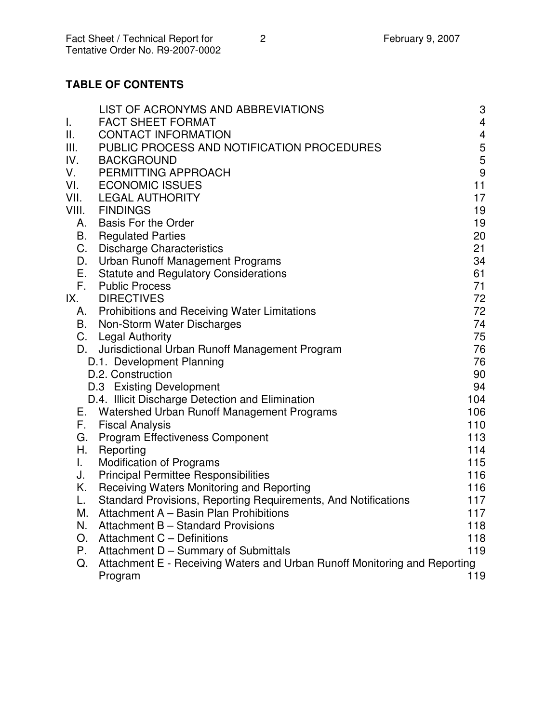# **TABLE OF CONTENTS**

| I.    | LIST OF ACRONYMS AND ABBREVIATIONS<br><b>FACT SHEET FORMAT</b>            | 3<br>$\overline{4}$     |
|-------|---------------------------------------------------------------------------|-------------------------|
| Ш.    | <b>CONTACT INFORMATION</b>                                                | $\overline{\mathbf{4}}$ |
| Ш.    | PUBLIC PROCESS AND NOTIFICATION PROCEDURES                                | 5                       |
| IV.   | <b>BACKGROUND</b>                                                         | $\mathbf 5$             |
| V.    | PERMITTING APPROACH                                                       | 9                       |
| VI.   | <b>ECONOMIC ISSUES</b>                                                    | 11                      |
| VII.  | <b>LEGAL AUTHORITY</b>                                                    | 17                      |
| VIII. | <b>FINDINGS</b>                                                           | 19                      |
| А.    | <b>Basis For the Order</b>                                                | 19                      |
| Β.    | <b>Regulated Parties</b>                                                  | 20                      |
| C.    | <b>Discharge Characteristics</b>                                          | 21                      |
| D.    | <b>Urban Runoff Management Programs</b>                                   | 34                      |
| Е.    | <b>Statute and Regulatory Considerations</b>                              | 61                      |
| F.    | <b>Public Process</b>                                                     | 71                      |
| IX.   | <b>DIRECTIVES</b>                                                         | 72                      |
| А.    | <b>Prohibitions and Receiving Water Limitations</b>                       | 72                      |
|       | B. Non-Storm Water Discharges                                             | 74                      |
|       | C. Legal Authority                                                        | 75                      |
| D.    | Jurisdictional Urban Runoff Management Program                            | 76                      |
|       | D.1. Development Planning                                                 | 76                      |
|       | D.2. Construction                                                         | 90                      |
|       | D.3 Existing Development                                                  | 94                      |
|       | D.4. Illicit Discharge Detection and Elimination                          | 104                     |
| Е.    | Watershed Urban Runoff Management Programs                                | 106                     |
| F.    | <b>Fiscal Analysis</b>                                                    | 110                     |
| G.    | <b>Program Effectiveness Component</b>                                    | 113                     |
| Н.    | Reporting                                                                 | 114                     |
| L.    | <b>Modification of Programs</b>                                           | 115                     |
| J.    | <b>Principal Permittee Responsibilities</b>                               | 116                     |
| Κ.    | Receiving Waters Monitoring and Reporting                                 | 116                     |
| L.    | Standard Provisions, Reporting Requirements, And Notifications            | 117                     |
| Μ.    | Attachment A - Basin Plan Prohibitions                                    | 117                     |
| N.    | Attachment B - Standard Provisions                                        | 118                     |
| O.    | Attachment C - Definitions                                                | 118                     |
| Р.    | Attachment D - Summary of Submittals                                      | 119                     |
| Q.    | Attachment E - Receiving Waters and Urban Runoff Monitoring and Reporting |                         |
|       | Program                                                                   | 119                     |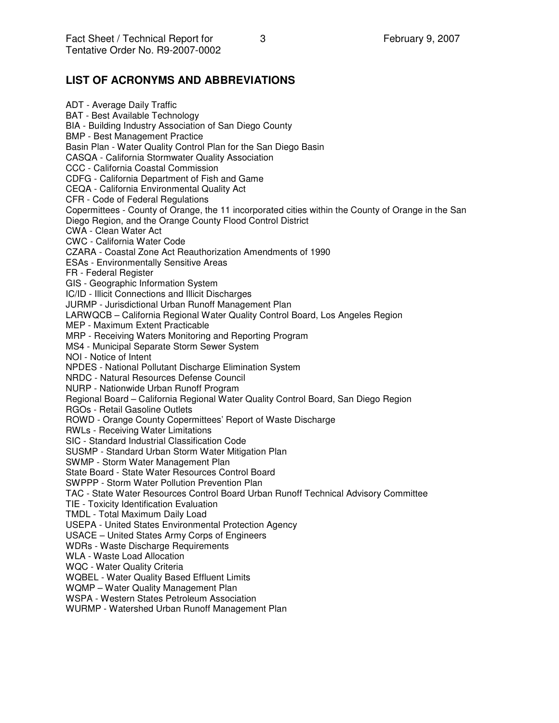# **LIST OF ACRONYMS AND ABBREVIATIONS**

ADT - Average Daily Traffic BAT - Best Available Technology BIA - Building Industry Association of San Diego County BMP - Best Management Practice Basin Plan - Water Quality Control Plan for the San Diego Basin CASQA - California Stormwater Quality Association CCC - California Coastal Commission CDFG - California Department of Fish and Game CEQA - California Environmental Quality Act CFR - Code of Federal Regulations Copermittees - County of Orange, the 11 incorporated cities within the County of Orange in the San Diego Region, and the Orange County Flood Control District CWA - Clean Water Act CWC - California Water Code CZARA - Coastal Zone Act Reauthorization Amendments of 1990 ESAs - Environmentally Sensitive Areas FR - Federal Register GIS - Geographic Information System IC/ID - Illicit Connections and Illicit Discharges JURMP - Jurisdictional Urban Runoff Management Plan LARWQCB – California Regional Water Quality Control Board, Los Angeles Region MEP - Maximum Extent Practicable MRP - Receiving Waters Monitoring and Reporting Program MS4 - Municipal Separate Storm Sewer System NOI - Notice of Intent NPDES - National Pollutant Discharge Elimination System NRDC - Natural Resources Defense Council NURP - Nationwide Urban Runoff Program Regional Board – California Regional Water Quality Control Board, San Diego Region RGOs - Retail Gasoline Outlets ROWD - Orange County Copermittees' Report of Waste Discharge RWLs - Receiving Water Limitations SIC - Standard Industrial Classification Code SUSMP - Standard Urban Storm Water Mitigation Plan SWMP - Storm Water Management Plan State Board - State Water Resources Control Board SWPPP - Storm Water Pollution Prevention Plan TAC - State Water Resources Control Board Urban Runoff Technical Advisory Committee TIE - Toxicity Identification Evaluation TMDL - Total Maximum Daily Load USEPA - United States Environmental Protection Agency USACE – United States Army Corps of Engineers WDRs - Waste Discharge Requirements WLA - Waste Load Allocation WQC - Water Quality Criteria WQBEL - Water Quality Based Effluent Limits WQMP – Water Quality Management Plan WSPA - Western States Petroleum Association WURMP - Watershed Urban Runoff Management Plan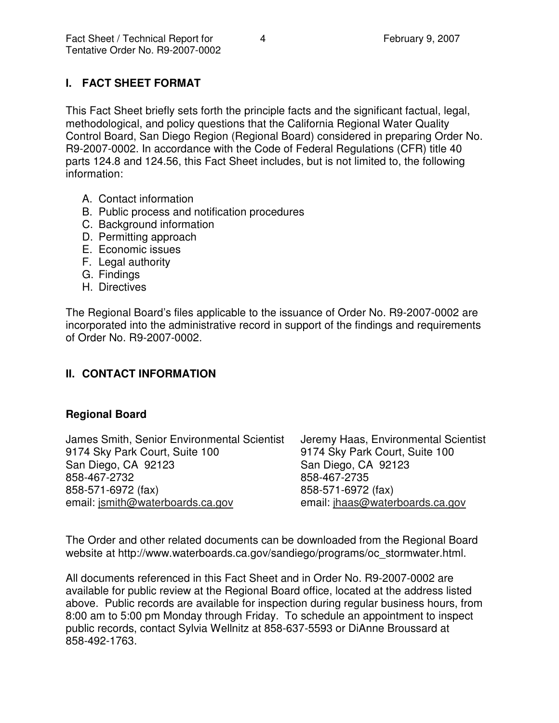# **I. FACT SHEET FORMAT**

This Fact Sheet briefly sets forth the principle facts and the significant factual, legal, methodological, and policy questions that the California Regional Water Quality Control Board, San Diego Region (Regional Board) considered in preparing Order No. R9-2007-0002. In accordance with the Code of Federal Regulations (CFR) title 40 parts 124.8 and 124.56, this Fact Sheet includes, but is not limited to, the following information:

- A. Contact information
- B. Public process and notification procedures
- C. Background information
- D. Permitting approach
- E. Economic issues
- F. Legal authority
- G. Findings
- H. Directives

The Regional Board's files applicable to the issuance of Order No. R9-2007-0002 are incorporated into the administrative record in support of the findings and requirements of Order No. R9-2007-0002.

# **II. CONTACT INFORMATION**

## **Regional Board**

| James Smith, Senior Environmental Scientist | Jeremy Haas, Environmental Scientist |
|---------------------------------------------|--------------------------------------|
| 9174 Sky Park Court, Suite 100              | 9174 Sky Park Court, Suite 100       |
| San Diego, CA 92123                         | San Diego, CA 92123                  |
| 858-467-2732                                | 858-467-2735                         |
| 858-571-6972 (fax)                          | 858-571-6972 (fax)                   |
| email: jsmith@waterboards.ca.gov            | email: jhaas@waterboards.ca.gov      |

The Order and other related documents can be downloaded from the Regional Board website at http://www.waterboards.ca.gov/sandiego/programs/oc\_stormwater.html.

All documents referenced in this Fact Sheet and in Order No. R9-2007-0002 are available for public review at the Regional Board office, located at the address listed above. Public records are available for inspection during regular business hours, from 8:00 am to 5:00 pm Monday through Friday. To schedule an appointment to inspect public records, contact Sylvia Wellnitz at 858-637-5593 or DiAnne Broussard at 858-492-1763.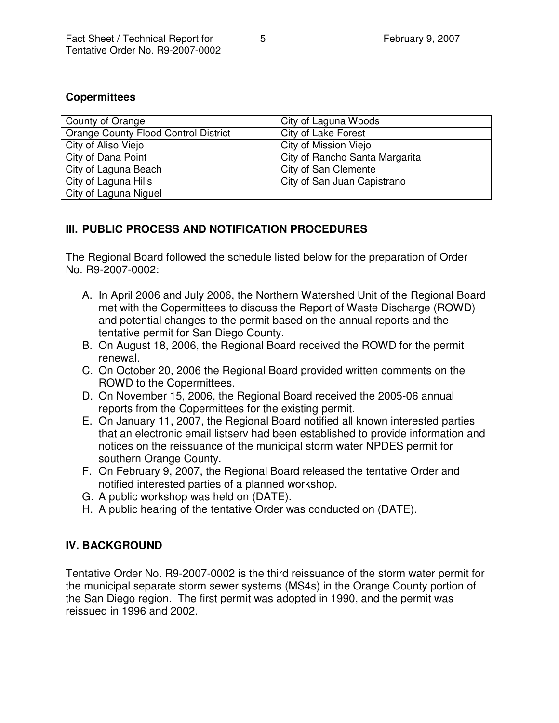## **Copermittees**

| County of Orange                            | City of Laguna Woods           |
|---------------------------------------------|--------------------------------|
| <b>Orange County Flood Control District</b> | City of Lake Forest            |
| City of Aliso Viejo                         | City of Mission Viejo          |
| City of Dana Point                          | City of Rancho Santa Margarita |
| City of Laguna Beach                        | City of San Clemente           |
| City of Laguna Hills                        | City of San Juan Capistrano    |
| City of Laguna Niguel                       |                                |

# **III. PUBLIC PROCESS AND NOTIFICATION PROCEDURES**

The Regional Board followed the schedule listed below for the preparation of Order No. R9-2007-0002:

- A. In April 2006 and July 2006, the Northern Watershed Unit of the Regional Board met with the Copermittees to discuss the Report of Waste Discharge (ROWD) and potential changes to the permit based on the annual reports and the tentative permit for San Diego County.
- B. On August 18, 2006, the Regional Board received the ROWD for the permit renewal.
- C. On October 20, 2006 the Regional Board provided written comments on the ROWD to the Copermittees.
- D. On November 15, 2006, the Regional Board received the 2005-06 annual reports from the Copermittees for the existing permit.
- E. On January 11, 2007, the Regional Board notified all known interested parties that an electronic email listserv had been established to provide information and notices on the reissuance of the municipal storm water NPDES permit for southern Orange County.
- F. On February 9, 2007, the Regional Board released the tentative Order and notified interested parties of a planned workshop.
- G. A public workshop was held on (DATE).
- H. A public hearing of the tentative Order was conducted on (DATE).

# **IV. BACKGROUND**

Tentative Order No. R9-2007-0002 is the third reissuance of the storm water permit for the municipal separate storm sewer systems (MS4s) in the Orange County portion of the San Diego region. The first permit was adopted in 1990, and the permit was reissued in 1996 and 2002.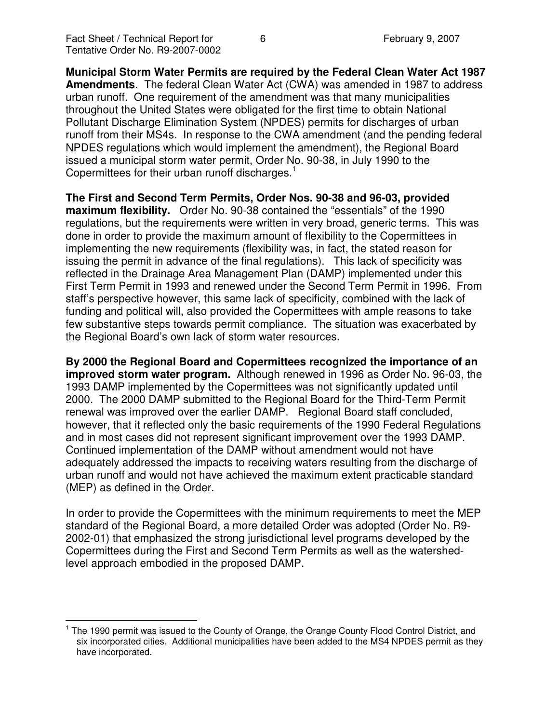**Municipal Storm Water Permits are required by the Federal Clean Water Act 1987 Amendments**. The federal Clean Water Act (CWA) was amended in 1987 to address urban runoff. One requirement of the amendment was that many municipalities throughout the United States were obligated for the first time to obtain National Pollutant Discharge Elimination System (NPDES) permits for discharges of urban runoff from their MS4s. In response to the CWA amendment (and the pending federal NPDES regulations which would implement the amendment), the Regional Board issued a municipal storm water permit, Order No. 90-38, in July 1990 to the Copermittees for their urban runoff discharges.<sup>1</sup>

**The First and Second Term Permits, Order Nos. 90-38 and 96-03, provided maximum flexibility.** Order No. 90-38 contained the "essentials" of the 1990 regulations, but the requirements were written in very broad, generic terms. This was done in order to provide the maximum amount of flexibility to the Copermittees in implementing the new requirements (flexibility was, in fact, the stated reason for issuing the permit in advance of the final regulations). This lack of specificity was reflected in the Drainage Area Management Plan (DAMP) implemented under this First Term Permit in 1993 and renewed under the Second Term Permit in 1996. From staff's perspective however, this same lack of specificity, combined with the lack of funding and political will, also provided the Copermittees with ample reasons to take few substantive steps towards permit compliance. The situation was exacerbated by the Regional Board's own lack of storm water resources.

**By 2000 the Regional Board and Copermittees recognized the importance of an improved storm water program.** Although renewed in 1996 as Order No. 96-03, the 1993 DAMP implemented by the Copermittees was not significantly updated until 2000. The 2000 DAMP submitted to the Regional Board for the Third-Term Permit renewal was improved over the earlier DAMP. Regional Board staff concluded, however, that it reflected only the basic requirements of the 1990 Federal Regulations and in most cases did not represent significant improvement over the 1993 DAMP. Continued implementation of the DAMP without amendment would not have adequately addressed the impacts to receiving waters resulting from the discharge of urban runoff and would not have achieved the maximum extent practicable standard (MEP) as defined in the Order.

In order to provide the Copermittees with the minimum requirements to meet the MEP standard of the Regional Board, a more detailed Order was adopted (Order No. R9- 2002-01) that emphasized the strong jurisdictional level programs developed by the Copermittees during the First and Second Term Permits as well as the watershedlevel approach embodied in the proposed DAMP.

<sup>&</sup>lt;sup>1</sup> The 1990 permit was issued to the County of Orange, the Orange County Flood Control District, and six incorporated cities. Additional municipalities have been added to the MS4 NPDES permit as they have incorporated.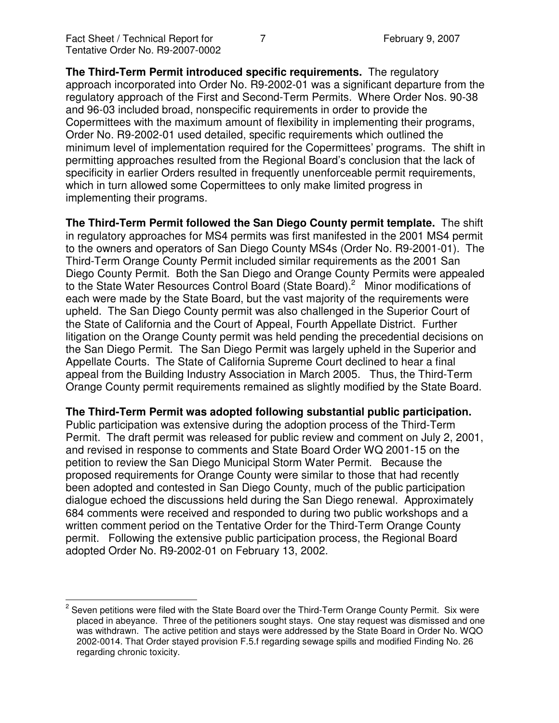**The Third-Term Permit introduced specific requirements.** The regulatory approach incorporated into Order No. R9-2002-01 was a significant departure from the regulatory approach of the First and Second-Term Permits. Where Order Nos. 90-38 and 96-03 included broad, nonspecific requirements in order to provide the Copermittees with the maximum amount of flexibility in implementing their programs, Order No. R9-2002-01 used detailed, specific requirements which outlined the minimum level of implementation required for the Copermittees' programs. The shift in permitting approaches resulted from the Regional Board's conclusion that the lack of specificity in earlier Orders resulted in frequently unenforceable permit requirements, which in turn allowed some Copermittees to only make limited progress in implementing their programs.

**The Third-Term Permit followed the San Diego County permit template.** The shift in regulatory approaches for MS4 permits was first manifested in the 2001 MS4 permit to the owners and operators of San Diego County MS4s (Order No. R9-2001-01). The Third-Term Orange County Permit included similar requirements as the 2001 San Diego County Permit. Both the San Diego and Orange County Permits were appealed to the State Water Resources Control Board (State Board).<sup>2</sup> Minor modifications of each were made by the State Board, but the vast majority of the requirements were upheld. The San Diego County permit was also challenged in the Superior Court of the State of California and the Court of Appeal, Fourth Appellate District. Further litigation on the Orange County permit was held pending the precedential decisions on the San Diego Permit. The San Diego Permit was largely upheld in the Superior and Appellate Courts. The State of California Supreme Court declined to hear a final appeal from the Building Industry Association in March 2005. Thus, the Third-Term Orange County permit requirements remained as slightly modified by the State Board.

#### **The Third-Term Permit was adopted following substantial public participation.**

Public participation was extensive during the adoption process of the Third-Term Permit. The draft permit was released for public review and comment on July 2, 2001, and revised in response to comments and State Board Order WQ 2001-15 on the petition to review the San Diego Municipal Storm Water Permit. Because the proposed requirements for Orange County were similar to those that had recently been adopted and contested in San Diego County, much of the public participation dialogue echoed the discussions held during the San Diego renewal. Approximately 684 comments were received and responded to during two public workshops and a written comment period on the Tentative Order for the Third-Term Orange County permit. Following the extensive public participation process, the Regional Board adopted Order No. R9-2002-01 on February 13, 2002.

 $2$  Seven petitions were filed with the State Board over the Third-Term Orange County Permit. Six were placed in abeyance. Three of the petitioners sought stays. One stay request was dismissed and one was withdrawn. The active petition and stays were addressed by the State Board in Order No. WQO 2002-0014. That Order stayed provision F.5.f regarding sewage spills and modified Finding No. 26 regarding chronic toxicity.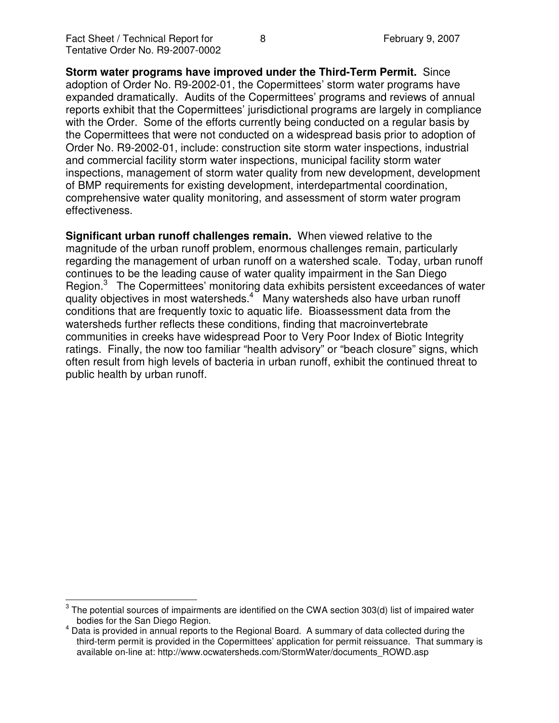**Storm water programs have improved under the Third-Term Permit.** Since adoption of Order No. R9-2002-01, the Copermittees' storm water programs have expanded dramatically. Audits of the Copermittees' programs and reviews of annual reports exhibit that the Copermittees' jurisdictional programs are largely in compliance with the Order. Some of the efforts currently being conducted on a regular basis by the Copermittees that were not conducted on a widespread basis prior to adoption of Order No. R9-2002-01, include: construction site storm water inspections, industrial and commercial facility storm water inspections, municipal facility storm water inspections, management of storm water quality from new development, development of BMP requirements for existing development, interdepartmental coordination, comprehensive water quality monitoring, and assessment of storm water program effectiveness.

**Significant urban runoff challenges remain.** When viewed relative to the magnitude of the urban runoff problem, enormous challenges remain, particularly regarding the management of urban runoff on a watershed scale. Today, urban runoff continues to be the leading cause of water quality impairment in the San Diego Region.<sup>3</sup> The Copermittees' monitoring data exhibits persistent exceedances of water quality objectives in most watersheds.<sup>4</sup> Many watersheds also have urban runoff conditions that are frequently toxic to aquatic life. Bioassessment data from the watersheds further reflects these conditions, finding that macroinvertebrate communities in creeks have widespread Poor to Very Poor Index of Biotic Integrity ratings. Finally, the now too familiar "health advisory" or "beach closure" signs, which often result from high levels of bacteria in urban runoff, exhibit the continued threat to public health by urban runoff.

 $^{\text{3}}$  The potential sources of impairments are identified on the CWA section 303(d) list of impaired water bodies for the San Diego Region.

 $<sup>4</sup>$  Data is provided in annual reports to the Regional Board. A summary of data collected during the</sup> third-term permit is provided in the Copermittees' application for permit reissuance. That summary is available on-line at: http://www.ocwatersheds.com/StormWater/documents\_ROWD.asp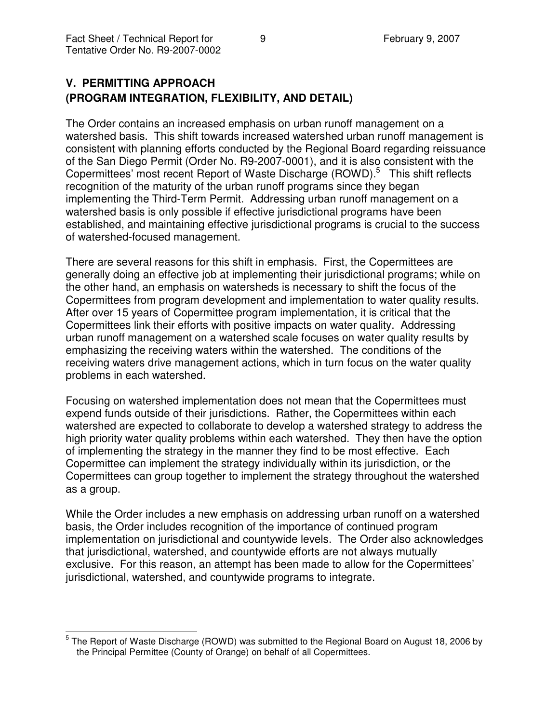# **V. PERMITTING APPROACH (PROGRAM INTEGRATION, FLEXIBILITY, AND DETAIL)**

The Order contains an increased emphasis on urban runoff management on a watershed basis. This shift towards increased watershed urban runoff management is consistent with planning efforts conducted by the Regional Board regarding reissuance of the San Diego Permit (Order No. R9-2007-0001), and it is also consistent with the Copermittees' most recent Report of Waste Discharge (ROWD).<sup>5</sup> This shift reflects recognition of the maturity of the urban runoff programs since they began implementing the Third-Term Permit. Addressing urban runoff management on a watershed basis is only possible if effective jurisdictional programs have been established, and maintaining effective jurisdictional programs is crucial to the success of watershed-focused management.

There are several reasons for this shift in emphasis. First, the Copermittees are generally doing an effective job at implementing their jurisdictional programs; while on the other hand, an emphasis on watersheds is necessary to shift the focus of the Copermittees from program development and implementation to water quality results. After over 15 years of Copermittee program implementation, it is critical that the Copermittees link their efforts with positive impacts on water quality. Addressing urban runoff management on a watershed scale focuses on water quality results by emphasizing the receiving waters within the watershed. The conditions of the receiving waters drive management actions, which in turn focus on the water quality problems in each watershed.

Focusing on watershed implementation does not mean that the Copermittees must expend funds outside of their jurisdictions. Rather, the Copermittees within each watershed are expected to collaborate to develop a watershed strategy to address the high priority water quality problems within each watershed. They then have the option of implementing the strategy in the manner they find to be most effective. Each Copermittee can implement the strategy individually within its jurisdiction, or the Copermittees can group together to implement the strategy throughout the watershed as a group.

While the Order includes a new emphasis on addressing urban runoff on a watershed basis, the Order includes recognition of the importance of continued program implementation on jurisdictional and countywide levels. The Order also acknowledges that jurisdictional, watershed, and countywide efforts are not always mutually exclusive. For this reason, an attempt has been made to allow for the Copermittees' jurisdictional, watershed, and countywide programs to integrate.

<sup>&</sup>lt;sup>5</sup> The Report of Waste Discharge (ROWD) was submitted to the Regional Board on August 18, 2006 by the Principal Permittee (County of Orange) on behalf of all Copermittees.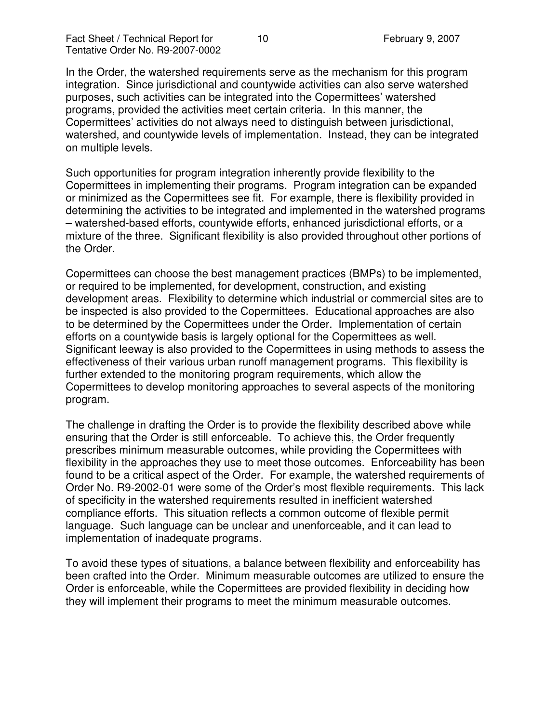In the Order, the watershed requirements serve as the mechanism for this program integration. Since jurisdictional and countywide activities can also serve watershed purposes, such activities can be integrated into the Copermittees' watershed programs, provided the activities meet certain criteria. In this manner, the Copermittees' activities do not always need to distinguish between jurisdictional, watershed, and countywide levels of implementation. Instead, they can be integrated on multiple levels.

Such opportunities for program integration inherently provide flexibility to the Copermittees in implementing their programs. Program integration can be expanded or minimized as the Copermittees see fit. For example, there is flexibility provided in determining the activities to be integrated and implemented in the watershed programs – watershed-based efforts, countywide efforts, enhanced jurisdictional efforts, or a mixture of the three. Significant flexibility is also provided throughout other portions of the Order.

Copermittees can choose the best management practices (BMPs) to be implemented, or required to be implemented, for development, construction, and existing development areas. Flexibility to determine which industrial or commercial sites are to be inspected is also provided to the Copermittees. Educational approaches are also to be determined by the Copermittees under the Order. Implementation of certain efforts on a countywide basis is largely optional for the Copermittees as well. Significant leeway is also provided to the Copermittees in using methods to assess the effectiveness of their various urban runoff management programs. This flexibility is further extended to the monitoring program requirements, which allow the Copermittees to develop monitoring approaches to several aspects of the monitoring program.

The challenge in drafting the Order is to provide the flexibility described above while ensuring that the Order is still enforceable. To achieve this, the Order frequently prescribes minimum measurable outcomes, while providing the Copermittees with flexibility in the approaches they use to meet those outcomes. Enforceability has been found to be a critical aspect of the Order. For example, the watershed requirements of Order No. R9-2002-01 were some of the Order's most flexible requirements. This lack of specificity in the watershed requirements resulted in inefficient watershed compliance efforts. This situation reflects a common outcome of flexible permit language. Such language can be unclear and unenforceable, and it can lead to implementation of inadequate programs.

To avoid these types of situations, a balance between flexibility and enforceability has been crafted into the Order. Minimum measurable outcomes are utilized to ensure the Order is enforceable, while the Copermittees are provided flexibility in deciding how they will implement their programs to meet the minimum measurable outcomes.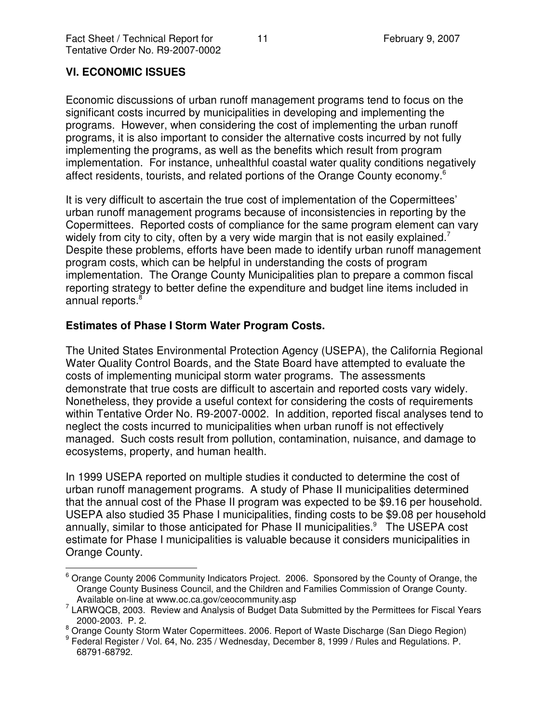## **VI. ECONOMIC ISSUES**

Economic discussions of urban runoff management programs tend to focus on the significant costs incurred by municipalities in developing and implementing the programs. However, when considering the cost of implementing the urban runoff programs, it is also important to consider the alternative costs incurred by not fully implementing the programs, as well as the benefits which result from program implementation. For instance, unhealthful coastal water quality conditions negatively affect residents, tourists, and related portions of the Orange County economy.<sup>6</sup>

It is very difficult to ascertain the true cost of implementation of the Copermittees' urban runoff management programs because of inconsistencies in reporting by the Copermittees. Reported costs of compliance for the same program element can vary widely from city to city, often by a very wide margin that is not easily explained.<sup>7</sup> Despite these problems, efforts have been made to identify urban runoff management program costs, which can be helpful in understanding the costs of program implementation. The Orange County Municipalities plan to prepare a common fiscal reporting strategy to better define the expenditure and budget line items included in annual reports. 8

#### **Estimates of Phase I Storm Water Program Costs.**

The United States Environmental Protection Agency (USEPA), the California Regional Water Quality Control Boards, and the State Board have attempted to evaluate the costs of implementing municipal storm water programs. The assessments demonstrate that true costs are difficult to ascertain and reported costs vary widely. Nonetheless, they provide a useful context for considering the costs of requirements within Tentative Order No. R9-2007-0002. In addition, reported fiscal analyses tend to neglect the costs incurred to municipalities when urban runoff is not effectively managed. Such costs result from pollution, contamination, nuisance, and damage to ecosystems, property, and human health.

In 1999 USEPA reported on multiple studies it conducted to determine the cost of urban runoff management programs. A study of Phase II municipalities determined that the annual cost of the Phase II program was expected to be \$9.16 per household. USEPA also studied 35 Phase I municipalities, finding costs to be \$9.08 per household annually, similar to those anticipated for Phase II municipalities.<sup>9</sup> The USEPA cost estimate for Phase I municipalities is valuable because it considers municipalities in Orange County.

<sup>&</sup>lt;sup>6</sup> Orange County 2006 Community Indicators Project. 2006. Sponsored by the County of Orange, the Orange County Business Council, and the Children and Families Commission of Orange County. Available on-line at www.oc.ca.gov/ceocommunity.asp

<sup>&</sup>lt;sup>7</sup> LARWQCB, 2003. Review and Analysis of Budget Data Submitted by the Permittees for Fiscal Years 2000-2003. P. 2.

<sup>&</sup>lt;sup>8</sup> Orange County Storm Water Copermittees. 2006. Report of Waste Discharge (San Diego Region)

<sup>9</sup> Federal Register / Vol. 64, No. 235 / Wednesday, December 8, 1999 / Rules and Regulations. P. 68791-68792.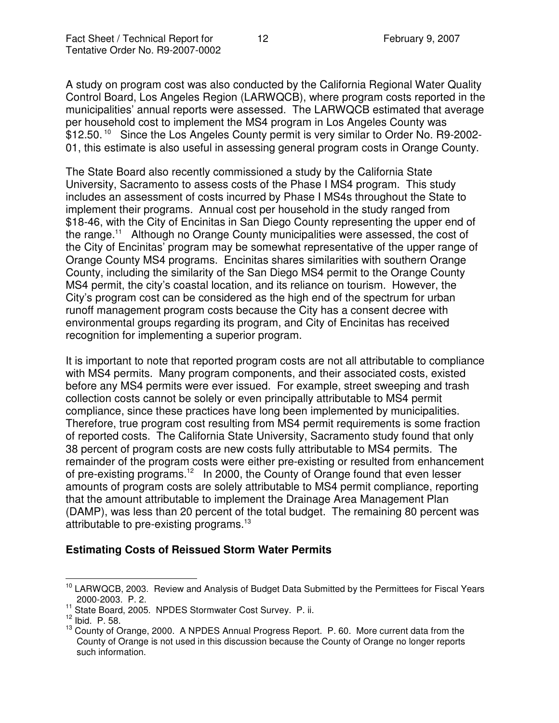A study on program cost was also conducted by the California Regional Water Quality Control Board, Los Angeles Region (LARWQCB), where program costs reported in the municipalities' annual reports were assessed. The LARWQCB estimated that average per household cost to implement the MS4 program in Los Angeles County was \$12.50.<sup>10</sup> Since the Los Angeles County permit is very similar to Order No. R9-2002-01, this estimate is also useful in assessing general program costs in Orange County.

The State Board also recently commissioned a study by the California State University, Sacramento to assess costs of the Phase I MS4 program. This study includes an assessment of costs incurred by Phase I MS4s throughout the State to implement their programs. Annual cost per household in the study ranged from \$18-46, with the City of Encinitas in San Diego County representing the upper end of the range.<sup>11</sup> Although no Orange County municipalities were assessed, the cost of the City of Encinitas' program may be somewhat representative of the upper range of Orange County MS4 programs. Encinitas shares similarities with southern Orange County, including the similarity of the San Diego MS4 permit to the Orange County MS4 permit, the city's coastal location, and its reliance on tourism. However, the City's program cost can be considered as the high end of the spectrum for urban runoff management program costs because the City has a consent decree with environmental groups regarding its program, and City of Encinitas has received recognition for implementing a superior program.

It is important to note that reported program costs are not all attributable to compliance with MS4 permits. Many program components, and their associated costs, existed before any MS4 permits were ever issued. For example, street sweeping and trash collection costs cannot be solely or even principally attributable to MS4 permit compliance, since these practices have long been implemented by municipalities. Therefore, true program cost resulting from MS4 permit requirements is some fraction of reported costs. The California State University, Sacramento study found that only 38 percent of program costs are new costs fully attributable to MS4 permits. The remainder of the program costs were either pre-existing or resulted from enhancement of pre-existing programs.<sup>12</sup> In 2000, the County of Orange found that even lesser amounts of program costs are solely attributable to MS4 permit compliance, reporting that the amount attributable to implement the Drainage Area Management Plan (DAMP), was less than 20 percent of the total budget. The remaining 80 percent was attributable to pre-existing programs.<sup>13</sup>

## **Estimating Costs of Reissued Storm Water Permits**

<sup>&</sup>lt;sup>10</sup> LARWQCB, 2003. Review and Analysis of Budget Data Submitted by the Permittees for Fiscal Years 2000-2003. P. 2.

<sup>&</sup>lt;sup>11</sup> State Board, 2005. NPDES Stormwater Cost Survey. P. ii.<br><sup>12</sup> Ibid. P. 58.

<sup>&</sup>lt;sup>13</sup> County of Orange, 2000. A NPDES Annual Progress Report. P. 60. More current data from the County of Orange is not used in this discussion because the County of Orange no longer reports such information.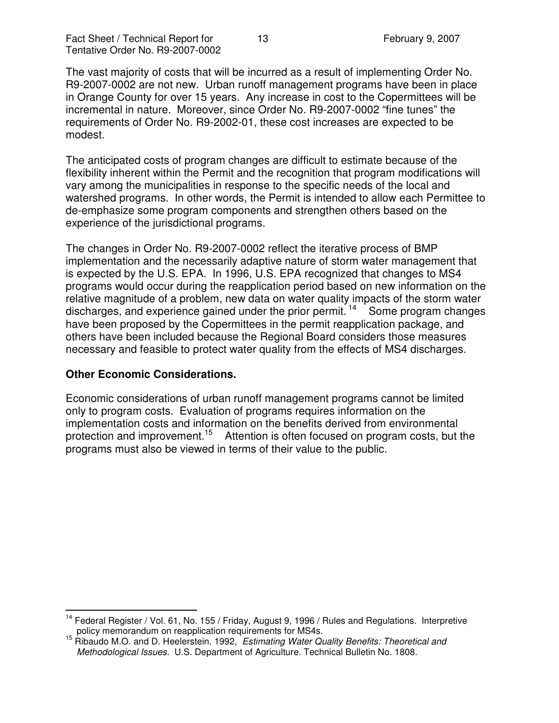The vast majority of costs that will be incurred as a result of implementing Order No. R9-2007-0002 are not new. Urban runoff management programs have been in place in Orange County for over 15 years. Any increase in cost to the Copermittees will be incremental in nature. Moreover, since Order No. R9-2007-0002 "fine tunes" the requirements of Order No. R9-2002-01, these cost increases are expected to be modest.

The anticipated costs of program changes are difficult to estimate because of the flexibility inherent within the Permit and the recognition that program modifications will vary among the municipalities in response to the specific needs of the local and watershed programs. In other words, the Permit is intended to allow each Permittee to de-emphasize some program components and strengthen others based on the experience of the jurisdictional programs.

The changes in Order No. R9-2007-0002 reflect the iterative process of BMP implementation and the necessarily adaptive nature of storm water management that is expected by the U.S. EPA. In 1996, U.S. EPA recognized that changes to MS4 programs would occur during the reapplication period based on new information on the relative magnitude of a problem, new data on water quality impacts of the storm water discharges, and experience gained under the prior permit.<sup>14</sup> Some program changes have been proposed by the Copermittees in the permit reapplication package, and others have been included because the Regional Board considers those measures necessary and feasible to protect water quality from the effects of MS4 discharges.

#### **Other Economic Considerations.**

Economic considerations of urban runoff management programs cannot be limited only to program costs. Evaluation of programs requires information on the implementation costs and information on the benefits derived from environmental protection and improvement.<sup>15</sup> Attention is often focused on program costs, but the programs must also be viewed in terms of their value to the public.

<sup>&</sup>lt;sup>14</sup> Federal Register / Vol. 61, No. 155 / Friday, August 9, 1996 / Rules and Regulations. Interpretive policy memorandum on reapplication requirements for MS4s.

<sup>15</sup> Ribaudo M.O. and D. Heelerstein. 1992, *Estimating Water Quality Benefits: Theoretical and Methodological Issues.* U.S. Department of Agriculture. Technical Bulletin No. 1808.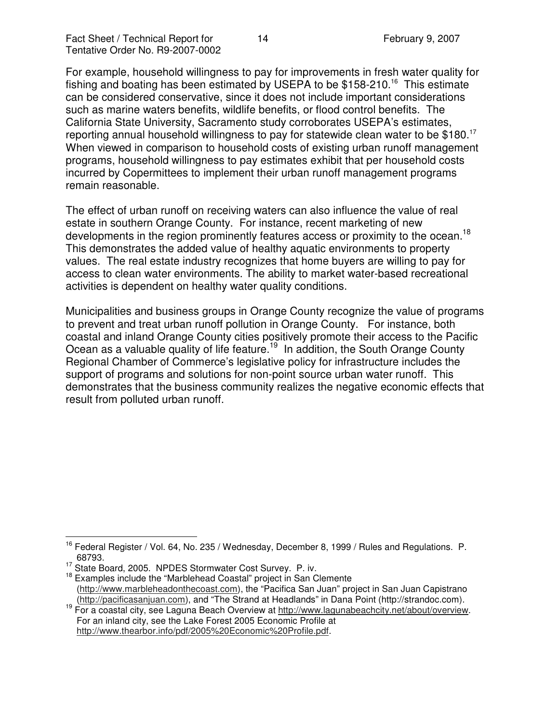For example, household willingness to pay for improvements in fresh water quality for fishing and boating has been estimated by USEPA to be \$158-210.<sup>16</sup> This estimate can be considered conservative, since it does not include important considerations such as marine waters benefits, wildlife benefits, or flood control benefits. The California State University, Sacramento study corroborates USEPA's estimates, reporting annual household willingness to pay for statewide clean water to be \$180.<sup>17</sup> When viewed in comparison to household costs of existing urban runoff management programs, household willingness to pay estimates exhibit that per household costs incurred by Copermittees to implement their urban runoff management programs remain reasonable.

The effect of urban runoff on receiving waters can also influence the value of real estate in southern Orange County. For instance, recent marketing of new developments in the region prominently features access or proximity to the ocean.<sup>18</sup> This demonstrates the added value of healthy aquatic environments to property values. The real estate industry recognizes that home buyers are willing to pay for access to clean water environments. The ability to market water-based recreational activities is dependent on healthy water quality conditions.

Municipalities and business groups in Orange County recognize the value of programs to prevent and treat urban runoff pollution in Orange County. For instance, both coastal and inland Orange County cities positively promote their access to the Pacific Ocean as a valuable quality of life feature.<sup>19</sup> In addition, the South Orange County Regional Chamber of Commerce's legislative policy for infrastructure includes the support of programs and solutions for non-point source urban water runoff. This demonstrates that the business community realizes the negative economic effects that result from polluted urban runoff.

<sup>&</sup>lt;sup>16</sup> Federal Register / Vol. 64, No. 235 / Wednesday, December 8, 1999 / Rules and Regulations. P. 68793.

<sup>&</sup>lt;sup>17</sup> State Board, 2005. NPDES Stormwater Cost Survey. P. iv.

<sup>&</sup>lt;sup>18</sup> Examples include the "Marblehead Coastal" project in San Clemente (http://www.marbleheadonthecoast.com), the "Pacifica San Juan" project in San Juan Capistrano (http://pacificasanjuan.com), and "The Strand at Headlands" in Dana Point (http://strandoc.com).

<sup>&</sup>lt;sup>19</sup> For a coastal city, see Laguna Beach Overview at http://www.lagunabeachcity.net/about/overview. For an inland city, see the Lake Forest 2005 Economic Profile at http://www.thearbor.info/pdf/2005%20Economic%20Profile.pdf.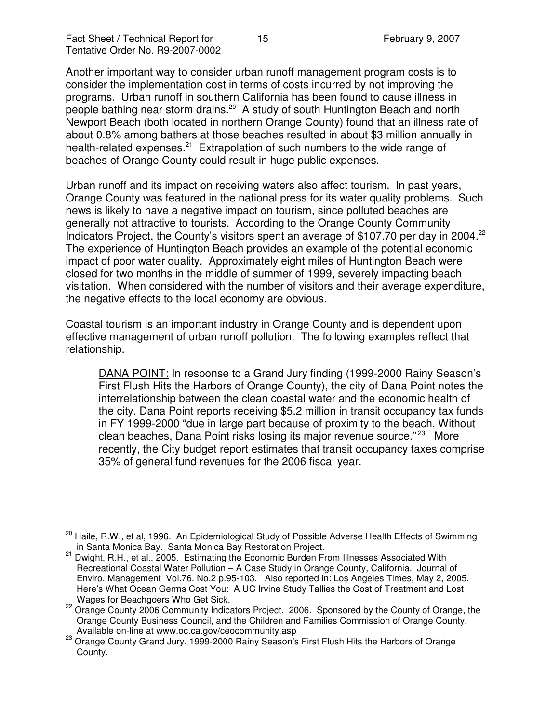Another important way to consider urban runoff management program costs is to consider the implementation cost in terms of costs incurred by not improving the programs. Urban runoff in southern California has been found to cause illness in people bathing near storm drains.<sup>20</sup> A study of south Huntington Beach and north Newport Beach (both located in northern Orange County) found that an illness rate of about 0.8% among bathers at those beaches resulted in about \$3 million annually in health-related expenses.<sup>21</sup> Extrapolation of such numbers to the wide range of beaches of Orange County could result in huge public expenses.

Urban runoff and its impact on receiving waters also affect tourism. In past years, Orange County was featured in the national press for its water quality problems. Such news is likely to have a negative impact on tourism, since polluted beaches are generally not attractive to tourists. According to the Orange County Community Indicators Project, the County's visitors spent an average of \$107.70 per day in 2004.<sup>22</sup> The experience of Huntington Beach provides an example of the potential economic impact of poor water quality. Approximately eight miles of Huntington Beach were closed for two months in the middle of summer of 1999, severely impacting beach visitation. When considered with the number of visitors and their average expenditure, the negative effects to the local economy are obvious.

Coastal tourism is an important industry in Orange County and is dependent upon effective management of urban runoff pollution. The following examples reflect that relationship.

DANA POINT: In response to a Grand Jury finding (1999-2000 Rainy Season's First Flush Hits the Harbors of Orange County), the city of Dana Point notes the interrelationship between the clean coastal water and the economic health of the city. Dana Point reports receiving \$5.2 million in transit occupancy tax funds in FY 1999-2000 "due in large part because of proximity to the beach. Without clean beaches, Dana Point risks losing its major revenue source."<sup>23</sup> More recently, the City budget report estimates that transit occupancy taxes comprise 35% of general fund revenues for the 2006 fiscal year.

<sup>&</sup>lt;sup>20</sup> Haile, R.W., et al, 1996. An Epidemiological Study of Possible Adverse Health Effects of Swimming in Santa Monica Bay. Santa Monica Bay Restoration Project.

<sup>&</sup>lt;sup>21</sup> Dwight, R.H., et al., 2005. Estimating the Economic Burden From Illnesses Associated With Recreational Coastal Water Pollution – A Case Study in Orange County, California. Journal of Enviro. Management Vol.76. No.2 p.95-103. Also reported in: Los Angeles Times, May 2, 2005. Here's What Ocean Germs Cost You: A UC Irvine Study Tallies the Cost of Treatment and Lost Wages for Beachgoers Who Get Sick.

<sup>&</sup>lt;sup>22</sup> Orange County 2006 Community Indicators Project. 2006. Sponsored by the County of Orange, the Orange County Business Council, and the Children and Families Commission of Orange County. Available on-line at www.oc.ca.gov/ceocommunity.asp

<sup>23</sup> Orange County Grand Jury. 1999-2000 Rainy Season's First Flush Hits the Harbors of Orange County.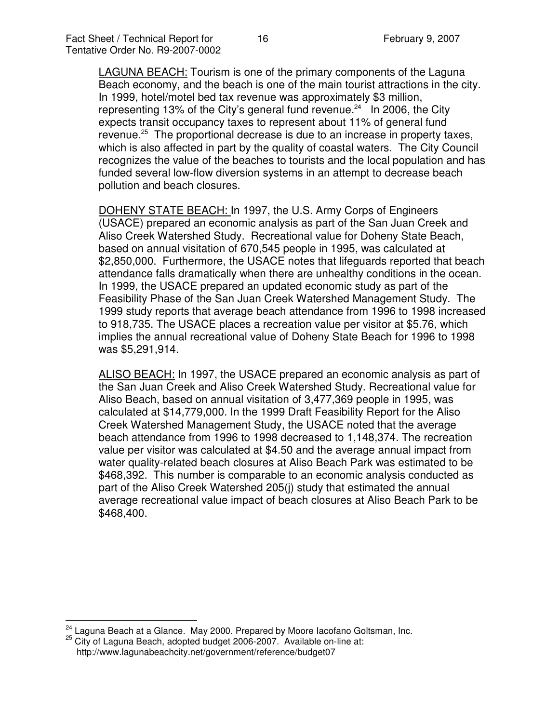LAGUNA BEACH: Tourism is one of the primary components of the Laguna Beach economy, and the beach is one of the main tourist attractions in the city. In 1999, hotel/motel bed tax revenue was approximately \$3 million, representing 13% of the City's general fund revenue.<sup>24</sup> In 2006, the City expects transit occupancy taxes to represent about 11% of general fund revenue.<sup>25</sup> The proportional decrease is due to an increase in property taxes, which is also affected in part by the quality of coastal waters. The City Council recognizes the value of the beaches to tourists and the local population and has funded several low-flow diversion systems in an attempt to decrease beach pollution and beach closures.

DOHENY STATE BEACH: In 1997, the U.S. Army Corps of Engineers (USACE) prepared an economic analysis as part of the San Juan Creek and Aliso Creek Watershed Study. Recreational value for Doheny State Beach, based on annual visitation of 670,545 people in 1995, was calculated at \$2,850,000. Furthermore, the USACE notes that lifeguards reported that beach attendance falls dramatically when there are unhealthy conditions in the ocean. In 1999, the USACE prepared an updated economic study as part of the Feasibility Phase of the San Juan Creek Watershed Management Study. The 1999 study reports that average beach attendance from 1996 to 1998 increased to 918,735. The USACE places a recreation value per visitor at \$5.76, which implies the annual recreational value of Doheny State Beach for 1996 to 1998 was \$5,291,914.

ALISO BEACH: In 1997, the USACE prepared an economic analysis as part of the San Juan Creek and Aliso Creek Watershed Study. Recreational value for Aliso Beach, based on annual visitation of 3,477,369 people in 1995, was calculated at \$14,779,000. In the 1999 Draft Feasibility Report for the Aliso Creek Watershed Management Study, the USACE noted that the average beach attendance from 1996 to 1998 decreased to 1,148,374. The recreation value per visitor was calculated at \$4.50 and the average annual impact from water quality-related beach closures at Aliso Beach Park was estimated to be \$468,392. This number is comparable to an economic analysis conducted as part of the Aliso Creek Watershed 205(j) study that estimated the annual average recreational value impact of beach closures at Aliso Beach Park to be \$468,400.

 $24$  Laguna Beach at a Glance. May 2000. Prepared by Moore lacofano Goltsman, Inc.

<sup>25</sup> City of Laguna Beach, adopted budget 2006-2007. Available on-line at: http://www.lagunabeachcity.net/government/reference/budget07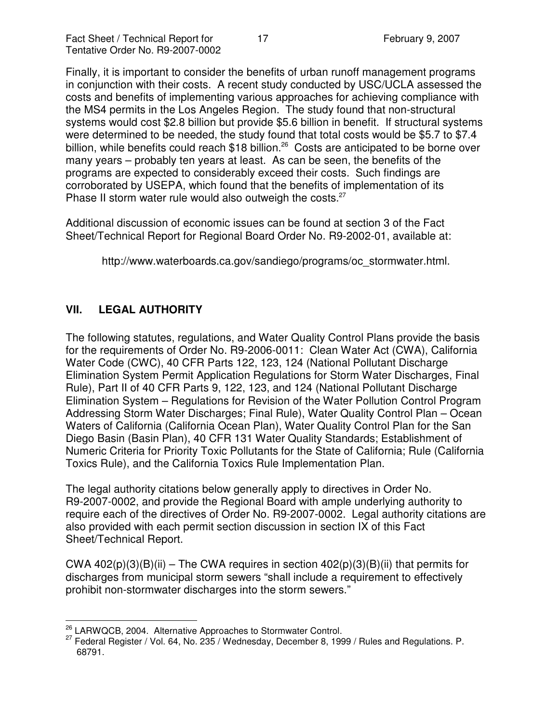Finally, it is important to consider the benefits of urban runoff management programs in conjunction with their costs. A recent study conducted by USC/UCLA assessed the costs and benefits of implementing various approaches for achieving compliance with the MS4 permits in the Los Angeles Region. The study found that non-structural systems would cost \$2.8 billion but provide \$5.6 billion in benefit. If structural systems were determined to be needed, the study found that total costs would be \$5.7 to \$7.4 billion, while benefits could reach \$18 billion.<sup>26</sup> Costs are anticipated to be borne over many years – probably ten years at least. As can be seen, the benefits of the programs are expected to considerably exceed their costs. Such findings are corroborated by USEPA, which found that the benefits of implementation of its Phase II storm water rule would also outweigh the costs.<sup>27</sup>

Additional discussion of economic issues can be found at section 3 of the Fact Sheet/Technical Report for Regional Board Order No. R9-2002-01, available at:

http://www.waterboards.ca.gov/sandiego/programs/oc\_stormwater.html.

# **VII. LEGAL AUTHORITY**

The following statutes, regulations, and Water Quality Control Plans provide the basis for the requirements of Order No. R9-2006-0011: Clean Water Act (CWA), California Water Code (CWC), 40 CFR Parts 122, 123, 124 (National Pollutant Discharge Elimination System Permit Application Regulations for Storm Water Discharges, Final Rule), Part II of 40 CFR Parts 9, 122, 123, and 124 (National Pollutant Discharge Elimination System – Regulations for Revision of the Water Pollution Control Program Addressing Storm Water Discharges; Final Rule), Water Quality Control Plan – Ocean Waters of California (California Ocean Plan), Water Quality Control Plan for the San Diego Basin (Basin Plan), 40 CFR 131 Water Quality Standards; Establishment of Numeric Criteria for Priority Toxic Pollutants for the State of California; Rule (California Toxics Rule), and the California Toxics Rule Implementation Plan.

The legal authority citations below generally apply to directives in Order No. R9-2007-0002, and provide the Regional Board with ample underlying authority to require each of the directives of Order No. R9-2007-0002. Legal authority citations are also provided with each permit section discussion in section IX of this Fact Sheet/Technical Report.

CWA  $402(p)(3)(B)(ii)$  – The CWA requires in section  $402(p)(3)(B)(ii)$  that permits for discharges from municipal storm sewers "shall include a requirement to effectively prohibit non-stormwater discharges into the storm sewers."

<sup>&</sup>lt;sup>26</sup> LARWQCB, 2004. Alternative Approaches to Stormwater Control.

 $^{27}$  Federal Register / Vol. 64, No. 235 / Wednesday, December 8, 1999 / Rules and Regulations. P. 68791.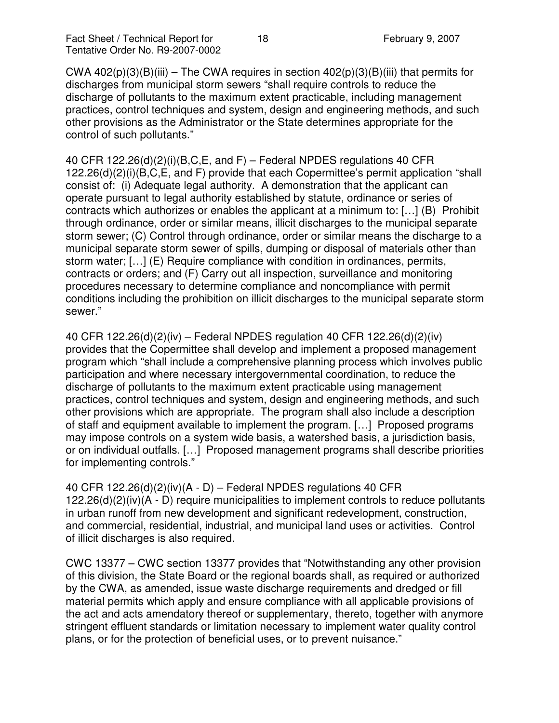CWA  $402(p)(3)(B)(iii)$  – The CWA requires in section  $402(p)(3)(B)(iii)$  that permits for discharges from municipal storm sewers "shall require controls to reduce the discharge of pollutants to the maximum extent practicable, including management practices, control techniques and system, design and engineering methods, and such other provisions as the Administrator or the State determines appropriate for the control of such pollutants."

40 CFR 122.26(d)(2)(i)(B,C,E, and F) – Federal NPDES regulations 40 CFR 122.26(d)(2)(i)(B,C,E, and F) provide that each Copermittee's permit application "shall consist of: (i) Adequate legal authority. A demonstration that the applicant can operate pursuant to legal authority established by statute, ordinance or series of contracts which authorizes or enables the applicant at a minimum to: […] (B) Prohibit through ordinance, order or similar means, illicit discharges to the municipal separate storm sewer; (C) Control through ordinance, order or similar means the discharge to a municipal separate storm sewer of spills, dumping or disposal of materials other than storm water; […] (E) Require compliance with condition in ordinances, permits, contracts or orders; and (F) Carry out all inspection, surveillance and monitoring procedures necessary to determine compliance and noncompliance with permit conditions including the prohibition on illicit discharges to the municipal separate storm sewer."

40 CFR 122.26(d)(2)(iv) – Federal NPDES regulation 40 CFR 122.26(d)(2)(iv) provides that the Copermittee shall develop and implement a proposed management program which "shall include a comprehensive planning process which involves public participation and where necessary intergovernmental coordination, to reduce the discharge of pollutants to the maximum extent practicable using management practices, control techniques and system, design and engineering methods, and such other provisions which are appropriate. The program shall also include a description of staff and equipment available to implement the program. […] Proposed programs may impose controls on a system wide basis, a watershed basis, a jurisdiction basis, or on individual outfalls. […] Proposed management programs shall describe priorities for implementing controls."

40 CFR 122.26(d)(2)(iv)(A - D) – Federal NPDES regulations 40 CFR 122.26(d)(2)(iv)(A - D) require municipalities to implement controls to reduce pollutants in urban runoff from new development and significant redevelopment, construction, and commercial, residential, industrial, and municipal land uses or activities. Control of illicit discharges is also required.

CWC 13377 – CWC section 13377 provides that "Notwithstanding any other provision of this division, the State Board or the regional boards shall, as required or authorized by the CWA, as amended, issue waste discharge requirements and dredged or fill material permits which apply and ensure compliance with all applicable provisions of the act and acts amendatory thereof or supplementary, thereto, together with anymore stringent effluent standards or limitation necessary to implement water quality control plans, or for the protection of beneficial uses, or to prevent nuisance."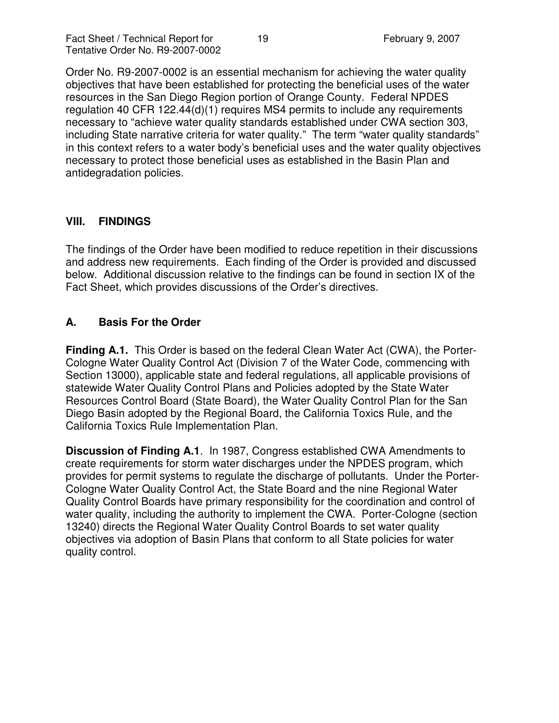Order No. R9-2007-0002 is an essential mechanism for achieving the water quality objectives that have been established for protecting the beneficial uses of the water resources in the San Diego Region portion of Orange County. Federal NPDES regulation 40 CFR 122.44(d)(1) requires MS4 permits to include any requirements necessary to "achieve water quality standards established under CWA section 303, including State narrative criteria for water quality." The term "water quality standards" in this context refers to a water body's beneficial uses and the water quality objectives necessary to protect those beneficial uses as established in the Basin Plan and antidegradation policies.

## **VIII. FINDINGS**

The findings of the Order have been modified to reduce repetition in their discussions and address new requirements. Each finding of the Order is provided and discussed below. Additional discussion relative to the findings can be found in section IX of the Fact Sheet, which provides discussions of the Order's directives.

## **A. Basis For the Order**

**Finding A.1.** This Order is based on the federal Clean Water Act (CWA), the Porter-Cologne Water Quality Control Act (Division 7 of the Water Code, commencing with Section 13000), applicable state and federal regulations, all applicable provisions of statewide Water Quality Control Plans and Policies adopted by the State Water Resources Control Board (State Board), the Water Quality Control Plan for the San Diego Basin adopted by the Regional Board, the California Toxics Rule, and the California Toxics Rule Implementation Plan.

**Discussion of Finding A.1**. In 1987, Congress established CWA Amendments to create requirements for storm water discharges under the NPDES program, which provides for permit systems to regulate the discharge of pollutants. Under the Porter-Cologne Water Quality Control Act, the State Board and the nine Regional Water Quality Control Boards have primary responsibility for the coordination and control of water quality, including the authority to implement the CWA. Porter-Cologne (section 13240) directs the Regional Water Quality Control Boards to set water quality objectives via adoption of Basin Plans that conform to all State policies for water quality control.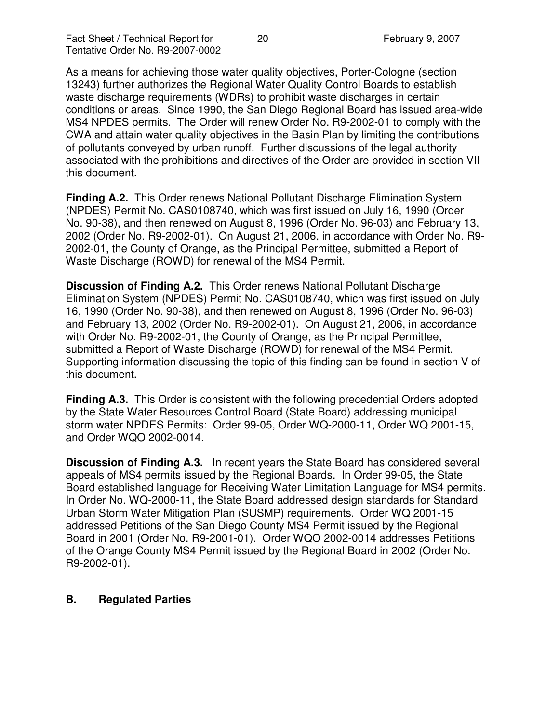As a means for achieving those water quality objectives, Porter-Cologne (section 13243) further authorizes the Regional Water Quality Control Boards to establish waste discharge requirements (WDRs) to prohibit waste discharges in certain conditions or areas. Since 1990, the San Diego Regional Board has issued area-wide MS4 NPDES permits. The Order will renew Order No. R9-2002-01 to comply with the CWA and attain water quality objectives in the Basin Plan by limiting the contributions of pollutants conveyed by urban runoff. Further discussions of the legal authority associated with the prohibitions and directives of the Order are provided in section VII this document.

**Finding A.2.** This Order renews National Pollutant Discharge Elimination System (NPDES) Permit No. CAS0108740, which was first issued on July 16, 1990 (Order No. 90-38), and then renewed on August 8, 1996 (Order No. 96-03) and February 13, 2002 (Order No. R9-2002-01). On August 21, 2006, in accordance with Order No. R9- 2002-01, the County of Orange, as the Principal Permittee, submitted a Report of Waste Discharge (ROWD) for renewal of the MS4 Permit.

**Discussion of Finding A.2.** This Order renews National Pollutant Discharge Elimination System (NPDES) Permit No. CAS0108740, which was first issued on July 16, 1990 (Order No. 90-38), and then renewed on August 8, 1996 (Order No. 96-03) and February 13, 2002 (Order No. R9-2002-01). On August 21, 2006, in accordance with Order No. R9-2002-01, the County of Orange, as the Principal Permittee, submitted a Report of Waste Discharge (ROWD) for renewal of the MS4 Permit. Supporting information discussing the topic of this finding can be found in section V of this document.

**Finding A.3.** This Order is consistent with the following precedential Orders adopted by the State Water Resources Control Board (State Board) addressing municipal storm water NPDES Permits: Order 99-05, Order WQ-2000-11, Order WQ 2001-15, and Order WQO 2002-0014.

**Discussion of Finding A.3.** In recent years the State Board has considered several appeals of MS4 permits issued by the Regional Boards. In Order 99-05, the State Board established language for Receiving Water Limitation Language for MS4 permits. In Order No. WQ-2000-11, the State Board addressed design standards for Standard Urban Storm Water Mitigation Plan (SUSMP) requirements. Order WQ 2001-15 addressed Petitions of the San Diego County MS4 Permit issued by the Regional Board in 2001 (Order No. R9-2001-01). Order WQO 2002-0014 addresses Petitions of the Orange County MS4 Permit issued by the Regional Board in 2002 (Order No. R9-2002-01).

#### **B. Regulated Parties**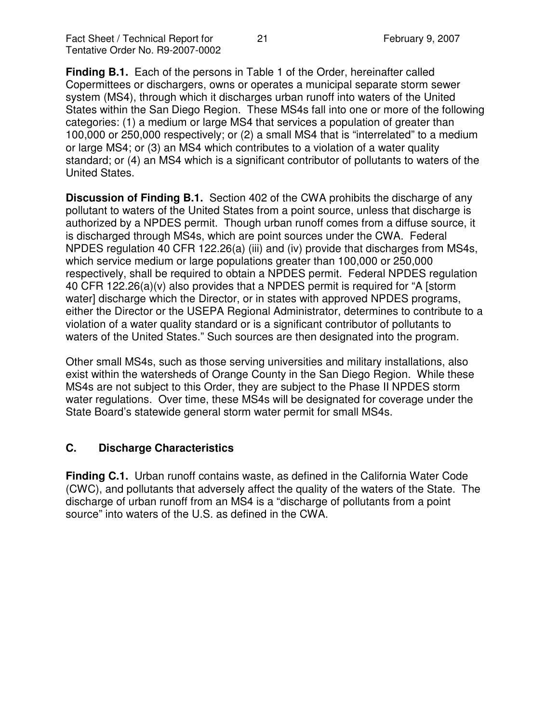**Finding B.1.** Each of the persons in Table 1 of the Order, hereinafter called Copermittees or dischargers, owns or operates a municipal separate storm sewer system (MS4), through which it discharges urban runoff into waters of the United States within the San Diego Region. These MS4s fall into one or more of the following categories: (1) a medium or large MS4 that services a population of greater than 100,000 or 250,000 respectively; or (2) a small MS4 that is "interrelated" to a medium or large MS4; or (3) an MS4 which contributes to a violation of a water quality standard; or (4) an MS4 which is a significant contributor of pollutants to waters of the United States.

**Discussion of Finding B.1.** Section 402 of the CWA prohibits the discharge of any pollutant to waters of the United States from a point source, unless that discharge is authorized by a NPDES permit. Though urban runoff comes from a diffuse source, it is discharged through MS4s, which are point sources under the CWA. Federal NPDES regulation 40 CFR 122.26(a) (iii) and (iv) provide that discharges from MS4s, which service medium or large populations greater than 100,000 or 250,000 respectively, shall be required to obtain a NPDES permit. Federal NPDES regulation 40 CFR 122.26(a)(v) also provides that a NPDES permit is required for "A [storm water] discharge which the Director, or in states with approved NPDES programs, either the Director or the USEPA Regional Administrator, determines to contribute to a violation of a water quality standard or is a significant contributor of pollutants to waters of the United States." Such sources are then designated into the program.

Other small MS4s, such as those serving universities and military installations, also exist within the watersheds of Orange County in the San Diego Region. While these MS4s are not subject to this Order, they are subject to the Phase II NPDES storm water regulations. Over time, these MS4s will be designated for coverage under the State Board's statewide general storm water permit for small MS4s.

# **C. Discharge Characteristics**

**Finding C.1.** Urban runoff contains waste, as defined in the California Water Code (CWC), and pollutants that adversely affect the quality of the waters of the State. The discharge of urban runoff from an MS4 is a "discharge of pollutants from a point source" into waters of the U.S. as defined in the CWA.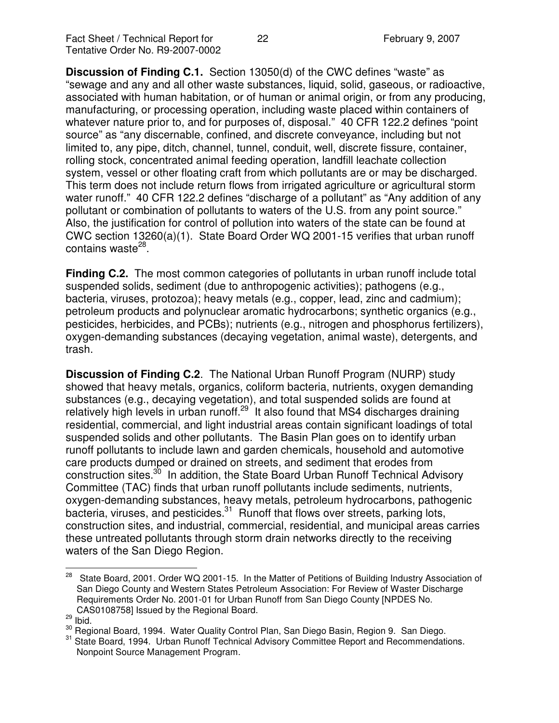**Discussion of Finding C.1.** Section 13050(d) of the CWC defines "waste" as "sewage and any and all other waste substances, liquid, solid, gaseous, or radioactive, associated with human habitation, or of human or animal origin, or from any producing, manufacturing, or processing operation, including waste placed within containers of whatever nature prior to, and for purposes of, disposal." 40 CFR 122.2 defines "point source" as "any discernable, confined, and discrete conveyance, including but not limited to, any pipe, ditch, channel, tunnel, conduit, well, discrete fissure, container, rolling stock, concentrated animal feeding operation, landfill leachate collection system, vessel or other floating craft from which pollutants are or may be discharged. This term does not include return flows from irrigated agriculture or agricultural storm water runoff." 40 CFR 122.2 defines "discharge of a pollutant" as "Any addition of any pollutant or combination of pollutants to waters of the U.S. from any point source." Also, the justification for control of pollution into waters of the state can be found at CWC section 13260(a)(1). State Board Order WQ 2001-15 verifies that urban runoff contains waste<sup>28</sup>.

**Finding C.2.** The most common categories of pollutants in urban runoff include total suspended solids, sediment (due to anthropogenic activities); pathogens (e.g., bacteria, viruses, protozoa); heavy metals (e.g., copper, lead, zinc and cadmium); petroleum products and polynuclear aromatic hydrocarbons; synthetic organics (e.g., pesticides, herbicides, and PCBs); nutrients (e.g., nitrogen and phosphorus fertilizers), oxygen-demanding substances (decaying vegetation, animal waste), detergents, and trash.

**Discussion of Finding C.2**. The National Urban Runoff Program (NURP) study showed that heavy metals, organics, coliform bacteria, nutrients, oxygen demanding substances (e.g., decaying vegetation), and total suspended solids are found at relatively high levels in urban runoff.<sup>29</sup> It also found that MS4 discharges draining residential, commercial, and light industrial areas contain significant loadings of total suspended solids and other pollutants. The Basin Plan goes on to identify urban runoff pollutants to include lawn and garden chemicals, household and automotive care products dumped or drained on streets, and sediment that erodes from construction sites.<sup>30</sup> In addition, the State Board Urban Runoff Technical Advisory Committee (TAC) finds that urban runoff pollutants include sediments, nutrients, oxygen-demanding substances, heavy metals, petroleum hydrocarbons, pathogenic bacteria, viruses, and pesticides.<sup>31</sup> Runoff that flows over streets, parking lots, construction sites, and industrial, commercial, residential, and municipal areas carries these untreated pollutants through storm drain networks directly to the receiving waters of the San Diego Region.

<sup>28</sup> State Board, 2001. Order WQ 2001-15. In the Matter of Petitions of Building Industry Association of San Diego County and Western States Petroleum Association: For Review of Waster Discharge Requirements Order No. 2001-01 for Urban Runoff from San Diego County [NPDES No. CAS0108758] Issued by the Regional Board.

 $\frac{29}{10}$  lbid.

<sup>&</sup>lt;sup>30</sup> Regional Board, 1994. Water Quality Control Plan, San Diego Basin, Region 9. San Diego.

<sup>&</sup>lt;sup>31</sup> State Board, 1994. Urban Runoff Technical Advisory Committee Report and Recommendations. Nonpoint Source Management Program.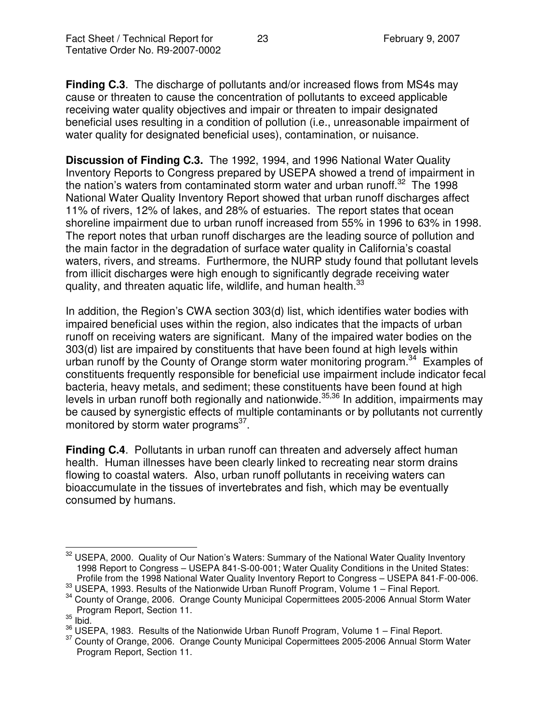**Finding C.3**. The discharge of pollutants and/or increased flows from MS4s may cause or threaten to cause the concentration of pollutants to exceed applicable receiving water quality objectives and impair or threaten to impair designated beneficial uses resulting in a condition of pollution (i.e., unreasonable impairment of water quality for designated beneficial uses), contamination, or nuisance.

**Discussion of Finding C.3.** The 1992, 1994, and 1996 National Water Quality Inventory Reports to Congress prepared by USEPA showed a trend of impairment in the nation's waters from contaminated storm water and urban runoff.<sup>32</sup> The 1998 National Water Quality Inventory Report showed that urban runoff discharges affect 11% of rivers, 12% of lakes, and 28% of estuaries. The report states that ocean shoreline impairment due to urban runoff increased from 55% in 1996 to 63% in 1998. The report notes that urban runoff discharges are the leading source of pollution and the main factor in the degradation of surface water quality in California's coastal waters, rivers, and streams. Furthermore, the NURP study found that pollutant levels from illicit discharges were high enough to significantly degrade receiving water quality, and threaten aquatic life, wildlife, and human health.<sup>33</sup>

In addition, the Region's CWA section 303(d) list, which identifies water bodies with impaired beneficial uses within the region, also indicates that the impacts of urban runoff on receiving waters are significant. Many of the impaired water bodies on the 303(d) list are impaired by constituents that have been found at high levels within urban runoff by the County of Orange storm water monitoring program.<sup>34</sup> Examples of constituents frequently responsible for beneficial use impairment include indicator fecal bacteria, heavy metals, and sediment; these constituents have been found at high levels in urban runoff both regionally and nationwide.<sup>35,36</sup> In addition, impairments may be caused by synergistic effects of multiple contaminants or by pollutants not currently monitored by storm water programs<sup>37</sup>.

**Finding C.4**. Pollutants in urban runoff can threaten and adversely affect human health. Human illnesses have been clearly linked to recreating near storm drains flowing to coastal waters. Also, urban runoff pollutants in receiving waters can bioaccumulate in the tissues of invertebrates and fish, which may be eventually consumed by humans.

<sup>&</sup>lt;sup>32</sup> USEPA, 2000. Quality of Our Nation's Waters: Summary of the National Water Quality Inventory 1998 Report to Congress – USEPA 841-S-00-001; Water Quality Conditions in the United States: Profile from the 1998 National Water Quality Inventory Report to Congress – USEPA 841-F-00-006.

<sup>33</sup> USEPA, 1993. Results of the Nationwide Urban Runoff Program, Volume 1 – Final Report.

<sup>&</sup>lt;sup>34</sup> County of Orange, 2006. Orange County Municipal Copermittees 2005-2006 Annual Storm Water Program Report, Section 11.

 $\frac{35}{1}$  lbid.

 $36$  USEPA, 1983. Results of the Nationwide Urban Runoff Program, Volume 1 – Final Report.

<sup>&</sup>lt;sup>37</sup> County of Orange, 2006. Orange County Municipal Copermittees 2005-2006 Annual Storm Water Program Report, Section 11.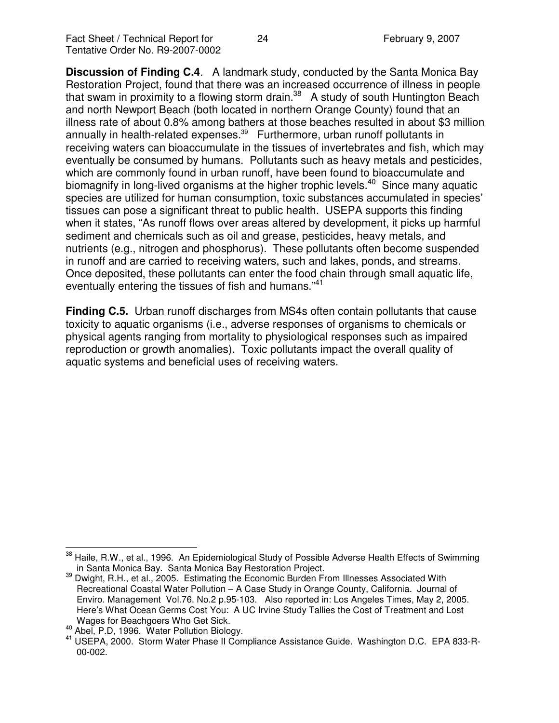**Discussion of Finding C.4**. A landmark study, conducted by the Santa Monica Bay Restoration Project, found that there was an increased occurrence of illness in people that swam in proximity to a flowing storm drain.<sup>38</sup> A study of south Huntington Beach and north Newport Beach (both located in northern Orange County) found that an illness rate of about 0.8% among bathers at those beaches resulted in about \$3 million annually in health-related expenses. <sup>39</sup> Furthermore, urban runoff pollutants in receiving waters can bioaccumulate in the tissues of invertebrates and fish, which may eventually be consumed by humans. Pollutants such as heavy metals and pesticides, which are commonly found in urban runoff, have been found to bioaccumulate and biomagnify in long-lived organisms at the higher trophic levels.<sup>40</sup> Since many aquatic species are utilized for human consumption, toxic substances accumulated in species' tissues can pose a significant threat to public health. USEPA supports this finding when it states, "As runoff flows over areas altered by development, it picks up harmful sediment and chemicals such as oil and grease, pesticides, heavy metals, and nutrients (e.g., nitrogen and phosphorus). These pollutants often become suspended in runoff and are carried to receiving waters, such and lakes, ponds, and streams. Once deposited, these pollutants can enter the food chain through small aquatic life, eventually entering the tissues of fish and humans."<sup>41</sup>

**Finding C.5.** Urban runoff discharges from MS4s often contain pollutants that cause toxicity to aquatic organisms (i.e., adverse responses of organisms to chemicals or physical agents ranging from mortality to physiological responses such as impaired reproduction or growth anomalies). Toxic pollutants impact the overall quality of aquatic systems and beneficial uses of receiving waters.

Haile, R.W., et al., 1996. An Epidemiological Study of Possible Adverse Health Effects of Swimming in Santa Monica Bay. Santa Monica Bay Restoration Project.

<sup>&</sup>lt;sup>39</sup> Dwight, R.H., et al., 2005. Estimating the Economic Burden From Illnesses Associated With Recreational Coastal Water Pollution – A Case Study in Orange County, California. Journal of Enviro. Management Vol.76. No.2 p.95-103. Also reported in: Los Angeles Times, May 2, 2005. Here's What Ocean Germs Cost You: A UC Irvine Study Tallies the Cost of Treatment and Lost Wages for Beachgoers Who Get Sick.

<sup>40</sup> Abel, P.D, 1996. Water Pollution Biology.

<sup>&</sup>lt;sup>41</sup> USEPA, 2000. Storm Water Phase II Compliance Assistance Guide. Washington D.C. EPA 833-R-00-002.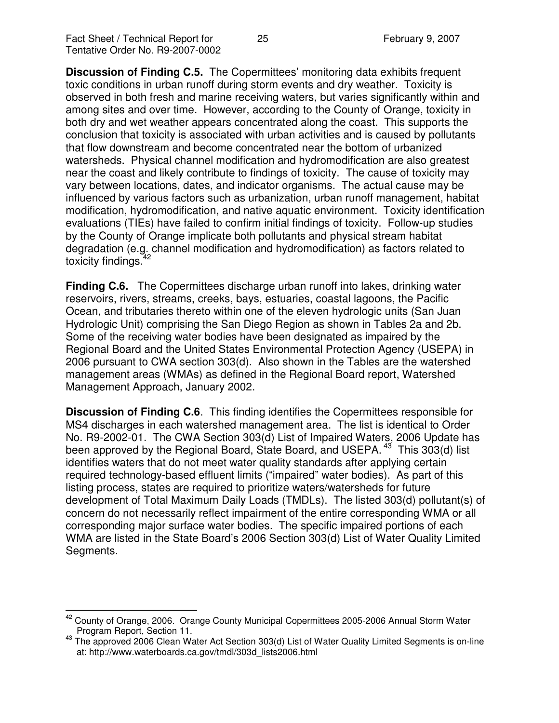**Discussion of Finding C.5.** The Copermittees' monitoring data exhibits frequent toxic conditions in urban runoff during storm events and dry weather. Toxicity is observed in both fresh and marine receiving waters, but varies significantly within and among sites and over time. However, according to the County of Orange, toxicity in both dry and wet weather appears concentrated along the coast. This supports the conclusion that toxicity is associated with urban activities and is caused by pollutants that flow downstream and become concentrated near the bottom of urbanized watersheds. Physical channel modification and hydromodification are also greatest near the coast and likely contribute to findings of toxicity. The cause of toxicity may vary between locations, dates, and indicator organisms. The actual cause may be influenced by various factors such as urbanization, urban runoff management, habitat modification, hydromodification, and native aquatic environment. Toxicity identification evaluations (TIEs) have failed to confirm initial findings of toxicity. Follow-up studies by the County of Orange implicate both pollutants and physical stream habitat degradation (e.g. channel modification and hydromodification) as factors related to toxicity findings.<sup>42</sup>

**Finding C.6.** The Copermittees discharge urban runoff into lakes, drinking water reservoirs, rivers, streams, creeks, bays, estuaries, coastal lagoons, the Pacific Ocean, and tributaries thereto within one of the eleven hydrologic units (San Juan Hydrologic Unit) comprising the San Diego Region as shown in Tables 2a and 2b. Some of the receiving water bodies have been designated as impaired by the Regional Board and the United States Environmental Protection Agency (USEPA) in 2006 pursuant to CWA section 303(d). Also shown in the Tables are the watershed management areas (WMAs) as defined in the Regional Board report, Watershed Management Approach, January 2002.

**Discussion of Finding C.6**. This finding identifies the Copermittees responsible for MS4 discharges in each watershed management area. The list is identical to Order No. R9-2002-01. The CWA Section 303(d) List of Impaired Waters, 2006 Update has been approved by the Regional Board, State Board, and USEPA.<sup>43</sup> This 303(d) list identifies waters that do not meet water quality standards after applying certain required technology-based effluent limits ("impaired" water bodies). As part of this listing process, states are required to prioritize waters/watersheds for future development of Total Maximum Daily Loads (TMDLs). The listed 303(d) pollutant(s) of concern do not necessarily reflect impairment of the entire corresponding WMA or all corresponding major surface water bodies. The specific impaired portions of each WMA are listed in the State Board's 2006 Section 303(d) List of Water Quality Limited Segments.

<sup>&</sup>lt;sup>42</sup> County of Orange, 2006. Orange County Municipal Copermittees 2005-2006 Annual Storm Water Program Report, Section 11.

<sup>&</sup>lt;sup>43</sup> The approved 2006 Clean Water Act Section 303(d) List of Water Quality Limited Segments is on-line at: http://www.waterboards.ca.gov/tmdl/303d\_lists2006.html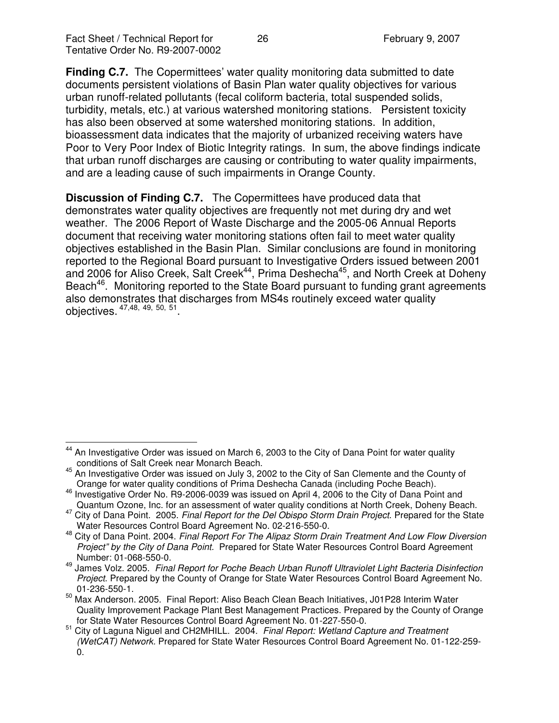**Finding C.7.** The Copermittees' water quality monitoring data submitted to date documents persistent violations of Basin Plan water quality objectives for various urban runoff-related pollutants (fecal coliform bacteria, total suspended solids, turbidity, metals, etc.) at various watershed monitoring stations. Persistent toxicity has also been observed at some watershed monitoring stations. In addition, bioassessment data indicates that the majority of urbanized receiving waters have Poor to Very Poor Index of Biotic Integrity ratings. In sum, the above findings indicate that urban runoff discharges are causing or contributing to water quality impairments, and are a leading cause of such impairments in Orange County.

**Discussion of Finding C.7.** The Copermittees have produced data that demonstrates water quality objectives are frequently not met during dry and wet weather. The 2006 Report of Waste Discharge and the 2005-06 Annual Reports document that receiving water monitoring stations often fail to meet water quality objectives established in the Basin Plan. Similar conclusions are found in monitoring reported to the Regional Board pursuant to Investigative Orders issued between 2001 and 2006 for Aliso Creek, Salt Creek<sup>44</sup>, Prima Deshecha<sup>45</sup>, and North Creek at Doheny Beach<sup>46</sup>. Monitoring reported to the State Board pursuant to funding grant agreements also demonstrates that discharges from MS4s routinely exceed water quality objectives. <sup>47,48,</sup> <sup>49, 50, 51</sup>.

<sup>44</sup> An Investigative Order was issued on March 6, 2003 to the City of Dana Point for water quality conditions of Salt Creek near Monarch Beach.

<sup>&</sup>lt;sup>45</sup> An Investigative Order was issued on July 3, 2002 to the City of San Clemente and the County of Orange for water quality conditions of Prima Deshecha Canada (including Poche Beach).

<sup>&</sup>lt;sup>46</sup> Investigative Order No. R9-2006-0039 was issued on April 4, 2006 to the City of Dana Point and Quantum Ozone, Inc. for an assessment of water quality conditions at North Creek, Doheny Beach.

<sup>47</sup> City of Dana Point. 2005. *Final Report for the Del Obispo Storm Drain Project*. Prepared for the State Water Resources Control Board Agreement No. 02-216-550-0.

<sup>48</sup> City of Dana Point. 2004. *Final Report For The Alipaz Storm Drain Treatment And Low Flow Diversion Project" by the City of Dana Point.* Prepared for State Water Resources Control Board Agreement Number: 01-068-550-0.

<sup>49</sup> James Volz. 2005. *Final Report for Poche Beach Urban Runoff Ultraviolet Light Bacteria Disinfection Project*. Prepared by the County of Orange for State Water Resources Control Board Agreement No. 01-236-550-1.

<sup>&</sup>lt;sup>50</sup> Max Anderson. 2005. Final Report: Aliso Beach Clean Beach Initiatives, J01P28 Interim Water Quality Improvement Package Plant Best Management Practices. Prepared by the County of Orange for State Water Resources Control Board Agreement No. 01-227-550-0.

<sup>51</sup> City of Laguna Niguel and CH2MHILL. 2004. *Final Report: Wetland Capture and Treatment (WetCAT) Network.* Prepared for State Water Resources Control Board Agreement No. 01-122-259- 0.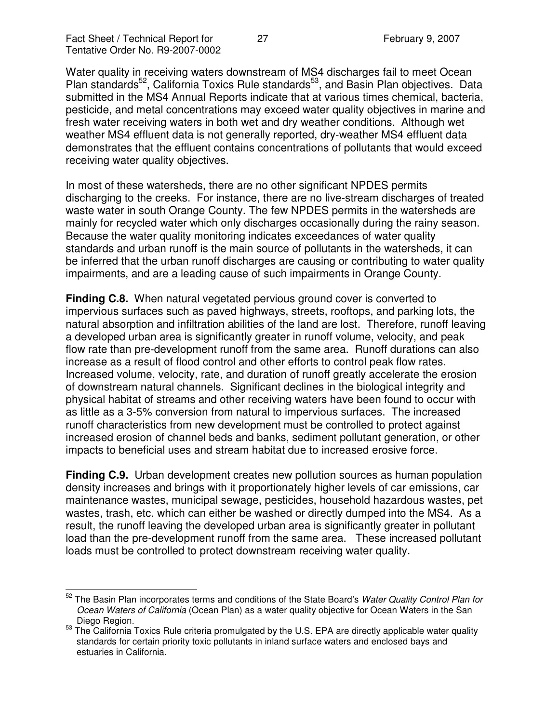Water quality in receiving waters downstream of MS4 discharges fail to meet Ocean Plan standards<sup>52</sup>, California Toxics Rule standards<sup>53</sup>, and Basin Plan objectives. Data submitted in the MS4 Annual Reports indicate that at various times chemical, bacteria, pesticide, and metal concentrations may exceed water quality objectives in marine and fresh water receiving waters in both wet and dry weather conditions. Although wet weather MS4 effluent data is not generally reported, dry-weather MS4 effluent data demonstrates that the effluent contains concentrations of pollutants that would exceed receiving water quality objectives.

In most of these watersheds, there are no other significant NPDES permits discharging to the creeks. For instance, there are no live-stream discharges of treated waste water in south Orange County. The few NPDES permits in the watersheds are mainly for recycled water which only discharges occasionally during the rainy season. Because the water quality monitoring indicates exceedances of water quality standards and urban runoff is the main source of pollutants in the watersheds, it can be inferred that the urban runoff discharges are causing or contributing to water quality impairments, and are a leading cause of such impairments in Orange County.

**Finding C.8.** When natural vegetated pervious ground cover is converted to impervious surfaces such as paved highways, streets, rooftops, and parking lots, the natural absorption and infiltration abilities of the land are lost. Therefore, runoff leaving a developed urban area is significantly greater in runoff volume, velocity, and peak flow rate than pre-development runoff from the same area. Runoff durations can also increase as a result of flood control and other efforts to control peak flow rates. Increased volume, velocity, rate, and duration of runoff greatly accelerate the erosion of downstream natural channels. Significant declines in the biological integrity and physical habitat of streams and other receiving waters have been found to occur with as little as a 3-5% conversion from natural to impervious surfaces. The increased runoff characteristics from new development must be controlled to protect against increased erosion of channel beds and banks, sediment pollutant generation, or other impacts to beneficial uses and stream habitat due to increased erosive force.

**Finding C.9.** Urban development creates new pollution sources as human population density increases and brings with it proportionately higher levels of car emissions, car maintenance wastes, municipal sewage, pesticides, household hazardous wastes, pet wastes, trash, etc. which can either be washed or directly dumped into the MS4. As a result, the runoff leaving the developed urban area is significantly greater in pollutant load than the pre-development runoff from the same area. These increased pollutant loads must be controlled to protect downstream receiving water quality.

<sup>52</sup> The Basin Plan incorporates terms and conditions of the State Board's *Water Quality Control Plan for Ocean Waters of California* (Ocean Plan) as a water quality objective for Ocean Waters in the San Diego Region.

<sup>&</sup>lt;sup>53</sup> The California Toxics Rule criteria promulgated by the U.S. EPA are directly applicable water quality standards for certain priority toxic pollutants in inland surface waters and enclosed bays and estuaries in California.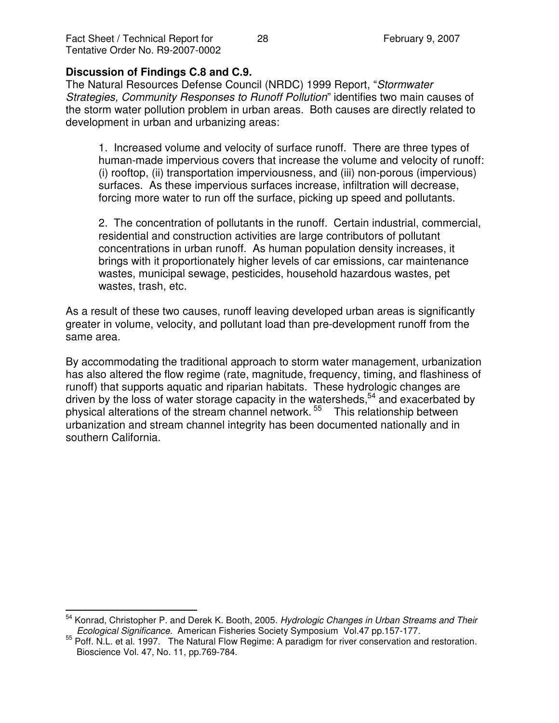#### **Discussion of Findings C.8 and C.9.**

The Natural Resources Defense Council (NRDC) 1999 Report, "*Stormwater Strategies, Community Responses to Runoff Pollution*" identifies two main causes of the storm water pollution problem in urban areas. Both causes are directly related to development in urban and urbanizing areas:

1. Increased volume and velocity of surface runoff. There are three types of human-made impervious covers that increase the volume and velocity of runoff: (i) rooftop, (ii) transportation imperviousness, and (iii) non-porous (impervious) surfaces. As these impervious surfaces increase, infiltration will decrease, forcing more water to run off the surface, picking up speed and pollutants.

2. The concentration of pollutants in the runoff. Certain industrial, commercial, residential and construction activities are large contributors of pollutant concentrations in urban runoff. As human population density increases, it brings with it proportionately higher levels of car emissions, car maintenance wastes, municipal sewage, pesticides, household hazardous wastes, pet wastes, trash, etc.

As a result of these two causes, runoff leaving developed urban areas is significantly greater in volume, velocity, and pollutant load than pre-development runoff from the same area.

By accommodating the traditional approach to storm water management, urbanization has also altered the flow regime (rate, magnitude, frequency, timing, and flashiness of runoff) that supports aquatic and riparian habitats. These hydrologic changes are driven by the loss of water storage capacity in the watersheds,<sup>54</sup> and exacerbated by physical alterations of the stream channel network. 55 This relationship between urbanization and stream channel integrity has been documented nationally and in southern California.

<sup>54</sup> Konrad, Christopher P. and Derek K. Booth, 2005. *Hydrologic Changes in Urban Streams and Their Ecological Significance.* American Fisheries Society Symposium Vol.47 pp.157-177.

<sup>&</sup>lt;sup>55</sup> Poff. N.L. et al. 1997. The Natural Flow Regime: A paradigm for river conservation and restoration. Bioscience Vol. 47, No. 11, pp.769-784.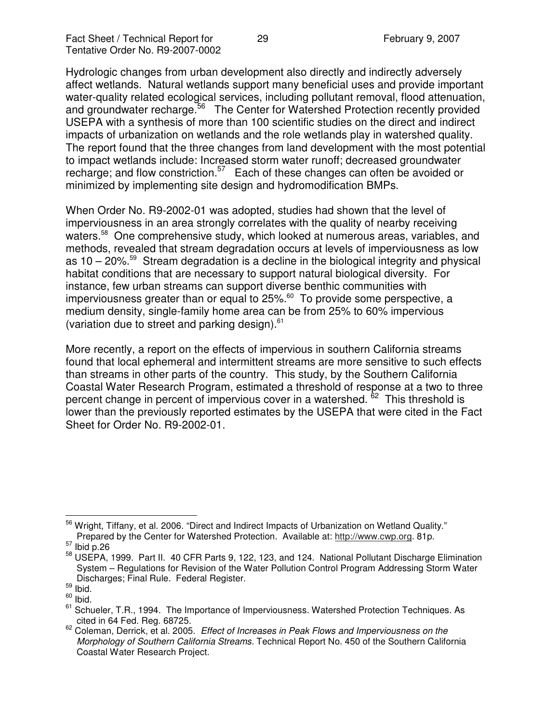Hydrologic changes from urban development also directly and indirectly adversely affect wetlands. Natural wetlands support many beneficial uses and provide important water-quality related ecological services, including pollutant removal, flood attenuation, and groundwater recharge.<sup>56</sup> The Center for Watershed Protection recently provided USEPA with a synthesis of more than 100 scientific studies on the direct and indirect impacts of urbanization on wetlands and the role wetlands play in watershed quality. The report found that the three changes from land development with the most potential to impact wetlands include: Increased storm water runoff; decreased groundwater recharge; and flow constriction.<sup>57</sup> Each of these changes can often be avoided or minimized by implementing site design and hydromodification BMPs.

When Order No. R9-2002-01 was adopted, studies had shown that the level of imperviousness in an area strongly correlates with the quality of nearby receiving waters.<sup>58</sup> One comprehensive study, which looked at numerous areas, variables, and methods, revealed that stream degradation occurs at levels of imperviousness as low as 10 – 20%. <sup>59</sup> Stream degradation is a decline in the biological integrity and physical habitat conditions that are necessary to support natural biological diversity. For instance, few urban streams can support diverse benthic communities with imperviousness greater than or equal to 25%.<sup>60</sup> To provide some perspective, a medium density, single-family home area can be from 25% to 60% impervious (variation due to street and parking design). 61

More recently, a report on the effects of impervious in southern California streams found that local ephemeral and intermittent streams are more sensitive to such effects than streams in other parts of the country. This study, by the Southern California Coastal Water Research Program, estimated a threshold of response at a two to three percent change in percent of impervious cover in a watershed. <sup>62</sup> This threshold is lower than the previously reported estimates by the USEPA that were cited in the Fact Sheet for Order No. R9-2002-01.

<sup>&</sup>lt;sup>56</sup> Wright, Tiffany, et al. 2006. "Direct and Indirect Impacts of Urbanization on Wetland Quality." Prepared by the Center for Watershed Protection. Available at: http://www.cwp.org. 81p.

 $57$  Ibid p.26

<sup>58</sup> USEPA, 1999. Part II. 40 CFR Parts 9, 122, 123, and 124. National Pollutant Discharge Elimination System – Regulations for Revision of the Water Pollution Control Program Addressing Storm Water Discharges; Final Rule. Federal Register.

 $\frac{59}{10}$  lbid.

 $60$  lbid.

<sup>61</sup> Schueler, T.R., 1994. The Importance of Imperviousness. Watershed Protection Techniques. As cited in 64 Fed. Reg. 68725.

<sup>62</sup> Coleman, Derrick, et al. 2005. *Effect of Increases in Peak Flows and Imperviousness on the Morphology of Southern California Streams.* Technical Report No. 450 of the Southern California Coastal Water Research Project.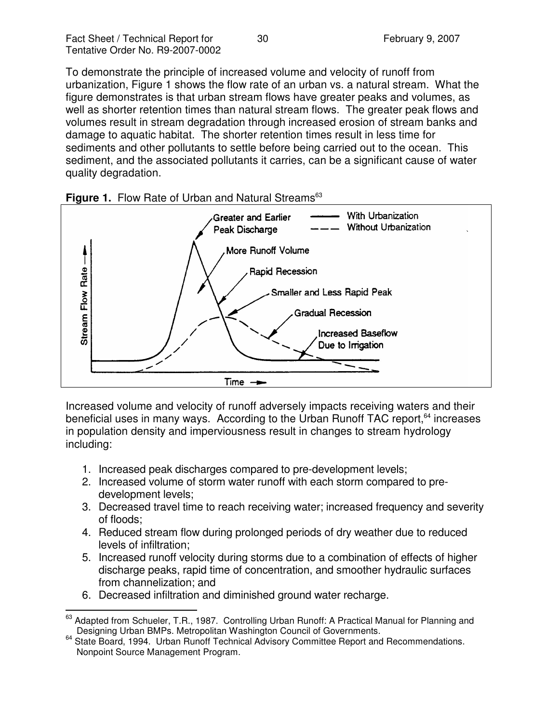To demonstrate the principle of increased volume and velocity of runoff from urbanization, Figure 1 shows the flow rate of an urban vs. a natural stream. What the figure demonstrates is that urban stream flows have greater peaks and volumes, as well as shorter retention times than natural stream flows. The greater peak flows and volumes result in stream degradation through increased erosion of stream banks and damage to aquatic habitat. The shorter retention times result in less time for sediments and other pollutants to settle before being carried out to the ocean. This sediment, and the associated pollutants it carries, can be a significant cause of water quality degradation.





Increased volume and velocity of runoff adversely impacts receiving waters and their beneficial uses in many ways. According to the Urban Runoff TAC report,<sup>64</sup> increases in population density and imperviousness result in changes to stream hydrology including:

- 1. Increased peak discharges compared to pre-development levels;
- 2. Increased volume of storm water runoff with each storm compared to predevelopment levels;
- 3. Decreased travel time to reach receiving water; increased frequency and severity of floods;
- 4. Reduced stream flow during prolonged periods of dry weather due to reduced levels of infiltration;
- 5. Increased runoff velocity during storms due to a combination of effects of higher discharge peaks, rapid time of concentration, and smoother hydraulic surfaces from channelization; and
- 6. Decreased infiltration and diminished ground water recharge.

<sup>63</sup> Adapted from Schueler, T.R., 1987. Controlling Urban Runoff: A Practical Manual for Planning and Designing Urban BMPs. Metropolitan Washington Council of Governments.

<sup>&</sup>lt;sup>64</sup> State Board, 1994. Urban Runoff Technical Advisory Committee Report and Recommendations. Nonpoint Source Management Program.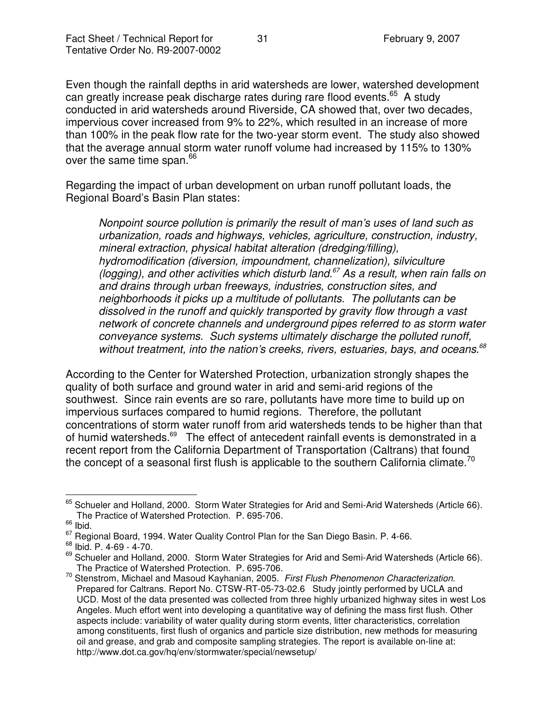Even though the rainfall depths in arid watersheds are lower, watershed development can greatly increase peak discharge rates during rare flood events.<sup>65</sup> A study conducted in arid watersheds around Riverside, CA showed that, over two decades, impervious cover increased from 9% to 22%, which resulted in an increase of more than 100% in the peak flow rate for the two-year storm event. The study also showed that the average annual storm water runoff volume had increased by 115% to 130% over the same time span.<sup>66</sup>

Regarding the impact of urban development on urban runoff pollutant loads, the Regional Board's Basin Plan states:

*Nonpoint source pollution is primarily the result of man's uses of land such as urbanization, roads and highways, vehicles, agriculture, construction, industry, mineral extraction, physical habitat alteration (dredging/filling), hydromodification (diversion, impoundment, channelization), silviculture (logging), and other activities which disturb land. <sup>67</sup> As a result, when rain falls on and drains through urban freeways, industries, construction sites, and neighborhoods it picks up a multitude of pollutants. The pollutants can be dissolved in the runoff and quickly transported by gravity flow through a vast network of concrete channels and underground pipes referred to as storm water conveyance systems. Such systems ultimately discharge the polluted runoff, without treatment, into the nation's creeks, rivers, estuaries, bays, and oceans. 68*

According to the Center for Watershed Protection, urbanization strongly shapes the quality of both surface and ground water in arid and semi-arid regions of the southwest. Since rain events are so rare, pollutants have more time to build up on impervious surfaces compared to humid regions. Therefore, the pollutant concentrations of storm water runoff from arid watersheds tends to be higher than that of humid watersheds.<sup>69</sup> The effect of antecedent rainfall events is demonstrated in a recent report from the California Department of Transportation (Caltrans) that found the concept of a seasonal first flush is applicable to the southern California climate.<sup>70</sup>

<sup>&</sup>lt;sup>65</sup> Schueler and Holland, 2000. Storm Water Strategies for Arid and Semi-Arid Watersheds (Article 66). The Practice of Watershed Protection. P. 695-706.

 $\int_{0}^{66}$  lbid.

<sup>&</sup>lt;sup>67</sup> Regional Board, 1994. Water Quality Control Plan for the San Diego Basin. P. 4-66.

<sup>68</sup> Ibid. P. 4-69 - 4-70.

<sup>&</sup>lt;sup>69</sup> Schueler and Holland, 2000. Storm Water Strategies for Arid and Semi-Arid Watersheds (Article 66). The Practice of Watershed Protection. P. 695-706.

<sup>70</sup> Stenstrom, Michael and Masoud Kayhanian, 2005. *First Flush Phenomenon Characterization.* Prepared for Caltrans. Report No. CTSW-RT-05-73-02.6 Study jointly performed by UCLA and UCD. Most of the data presented was collected from three highly urbanized highway sites in west Los Angeles. Much effort went into developing a quantitative way of defining the mass first flush. Other aspects include: variability of water quality during storm events, litter characteristics, correlation among constituents, first flush of organics and particle size distribution, new methods for measuring oil and grease, and grab and composite sampling strategies. The report is available on-line at: http://www.dot.ca.gov/hq/env/stormwater/special/newsetup/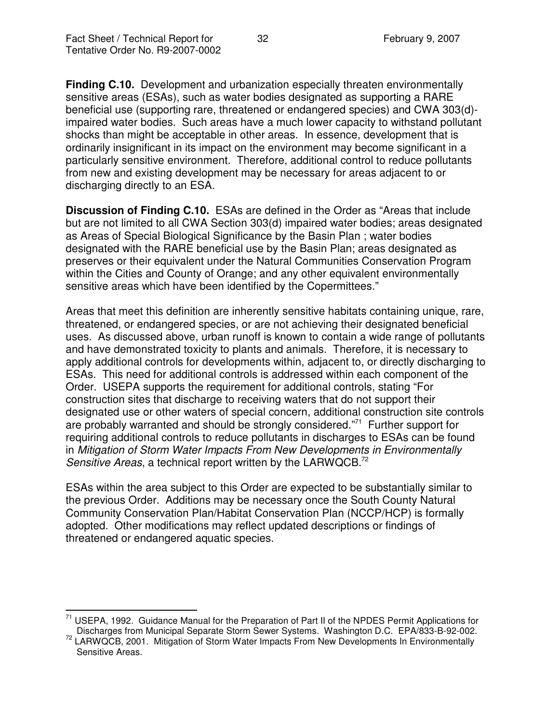**Finding C.10.** Development and urbanization especially threaten environmentally sensitive areas (ESAs), such as water bodies designated as supporting a RARE beneficial use (supporting rare, threatened or endangered species) and CWA 303(d) impaired water bodies. Such areas have a much lower capacity to withstand pollutant shocks than might be acceptable in other areas. In essence, development that is ordinarily insignificant in its impact on the environment may become significant in a particularly sensitive environment. Therefore, additional control to reduce pollutants from new and existing development may be necessary for areas adjacent to or discharging directly to an ESA.

**Discussion of Finding C.10.** ESAs are defined in the Order as "Areas that include but are not limited to all CWA Section 303(d) impaired water bodies; areas designated as Areas of Special Biological Significance by the Basin Plan ; water bodies designated with the RARE beneficial use by the Basin Plan; areas designated as preserves or their equivalent under the Natural Communities Conservation Program within the Cities and County of Orange; and any other equivalent environmentally sensitive areas which have been identified by the Copermittees."

Areas that meet this definition are inherently sensitive habitats containing unique, rare, threatened, or endangered species, or are not achieving their designated beneficial uses. As discussed above, urban runoff is known to contain a wide range of pollutants and have demonstrated toxicity to plants and animals. Therefore, it is necessary to apply additional controls for developments within, adjacent to, or directly discharging to ESAs. This need for additional controls is addressed within each component of the Order. USEPA supports the requirement for additional controls, stating "For construction sites that discharge to receiving waters that do not support their designated use or other waters of special concern, additional construction site controls are probably warranted and should be strongly considered."<sup>71</sup> Further support for requiring additional controls to reduce pollutants in discharges to ESAs can be found in *Mitigation of Storm Water Impacts From New Developments in Environmentally Sensitive Areas*, a technical report written by the LARWQCB. 72

ESAs within the area subject to this Order are expected to be substantially similar to the previous Order. Additions may be necessary once the South County Natural Community Conservation Plan/Habitat Conservation Plan (NCCP/HCP) is formally adopted. Other modifications may reflect updated descriptions or findings of threatened or endangered aquatic species.

<sup>71</sup> USEPA, 1992. Guidance Manual for the Preparation of Part II of the NPDES Permit Applications for Discharges from Municipal Separate Storm Sewer Systems. Washington D.C. EPA/833-B-92-002.

<sup>&</sup>lt;sup>72</sup> LARWQCB, 2001. Mitigation of Storm Water Impacts From New Developments In Environmentally Sensitive Areas.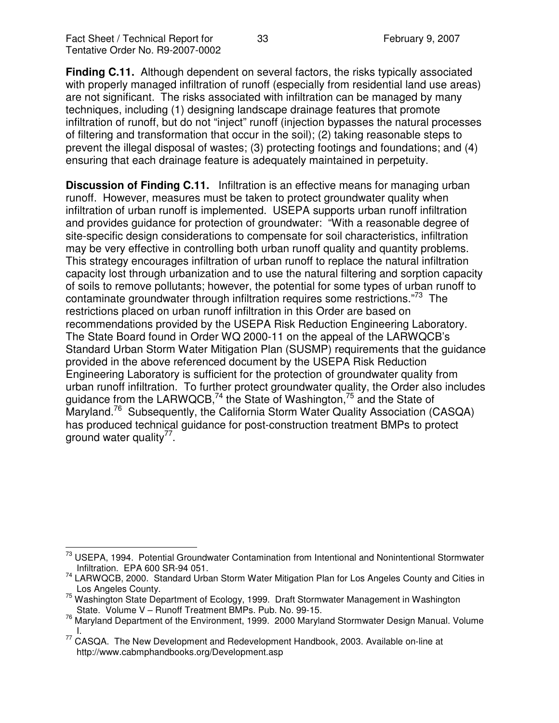**Finding C.11.** Although dependent on several factors, the risks typically associated with properly managed infiltration of runoff (especially from residential land use areas) are not significant. The risks associated with infiltration can be managed by many techniques, including (1) designing landscape drainage features that promote infiltration of runoff, but do not "inject" runoff (injection bypasses the natural processes of filtering and transformation that occur in the soil); (2) taking reasonable steps to prevent the illegal disposal of wastes; (3) protecting footings and foundations; and (4) ensuring that each drainage feature is adequately maintained in perpetuity.

**Discussion of Finding C.11.** Infiltration is an effective means for managing urban runoff. However, measures must be taken to protect groundwater quality when infiltration of urban runoff is implemented. USEPA supports urban runoff infiltration and provides guidance for protection of groundwater: "With a reasonable degree of site-specific design considerations to compensate for soil characteristics, infiltration may be very effective in controlling both urban runoff quality and quantity problems. This strategy encourages infiltration of urban runoff to replace the natural infiltration capacity lost through urbanization and to use the natural filtering and sorption capacity of soils to remove pollutants; however, the potential for some types of urban runoff to contaminate groundwater through infiltration requires some restrictions."<sup>73</sup> The restrictions placed on urban runoff infiltration in this Order are based on recommendations provided by the USEPA Risk Reduction Engineering Laboratory. The State Board found in Order WQ 2000-11 on the appeal of the LARWQCB's Standard Urban Storm Water Mitigation Plan (SUSMP) requirements that the guidance provided in the above referenced document by the USEPA Risk Reduction Engineering Laboratory is sufficient for the protection of groundwater quality from urban runoff infiltration. To further protect groundwater quality, the Order also includes guidance from the LARWQCB,<sup>74</sup> the State of Washington,<sup>75</sup> and the State of Maryland.<sup>76</sup> Subsequently, the California Storm Water Quality Association (CASQA) has produced technical guidance for post-construction treatment BMPs to protect ground water quality<sup>77</sup>.

USEPA, 1994. Potential Groundwater Contamination from Intentional and Nonintentional Stormwater Infiltration. EPA 600 SR-94 051.

<sup>&</sup>lt;sup>74</sup> LARWQCB, 2000. Standard Urban Storm Water Mitigation Plan for Los Angeles County and Cities in Los Angeles County.

 $75$  Washington State Department of Ecology, 1999. Draft Stormwater Management in Washington State. Volume V – Runoff Treatment BMPs. Pub. No. 99-15.

<sup>76</sup> Maryland Department of the Environment, 1999. 2000 Maryland Stormwater Design Manual. Volume I.

<sup>77</sup> CASQA. The New Development and Redevelopment Handbook, 2003. Available on-line at http://www.cabmphandbooks.org/Development.asp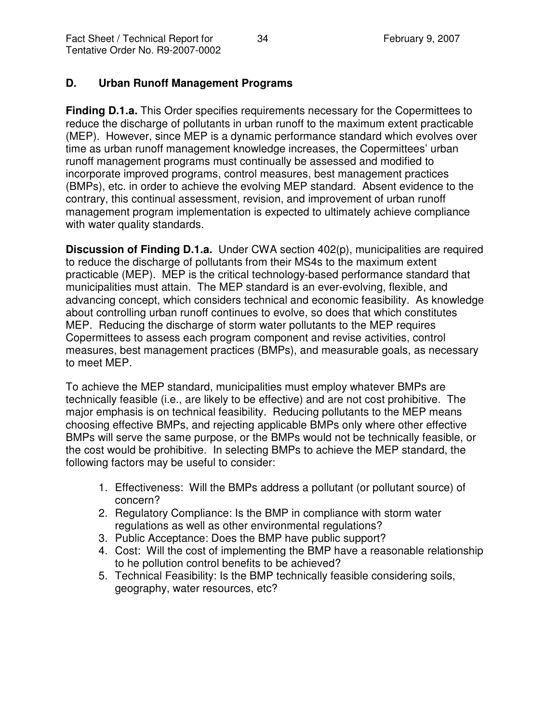## **D. Urban Runoff Management Programs**

**Finding D.1.a.** This Order specifies requirements necessary for the Copermittees to reduce the discharge of pollutants in urban runoff to the maximum extent practicable (MEP). However, since MEP is a dynamic performance standard which evolves over time as urban runoff management knowledge increases, the Copermittees' urban runoff management programs must continually be assessed and modified to incorporate improved programs, control measures, best management practices (BMPs), etc. in order to achieve the evolving MEP standard. Absent evidence to the contrary, this continual assessment, revision, and improvement of urban runoff management program implementation is expected to ultimately achieve compliance with water quality standards.

**Discussion of Finding D.1.a.** Under CWA section 402(p), municipalities are required to reduce the discharge of pollutants from their MS4s to the maximum extent practicable (MEP). MEP is the critical technology-based performance standard that municipalities must attain. The MEP standard is an ever-evolving, flexible, and advancing concept, which considers technical and economic feasibility. As knowledge about controlling urban runoff continues to evolve, so does that which constitutes MEP. Reducing the discharge of storm water pollutants to the MEP requires Copermittees to assess each program component and revise activities, control measures, best management practices (BMPs), and measurable goals, as necessary to meet MEP.

To achieve the MEP standard, municipalities must employ whatever BMPs are technically feasible (i.e., are likely to be effective) and are not cost prohibitive. The major emphasis is on technical feasibility. Reducing pollutants to the MEP means choosing effective BMPs, and rejecting applicable BMPs only where other effective BMPs will serve the same purpose, or the BMPs would not be technically feasible, or the cost would be prohibitive. In selecting BMPs to achieve the MEP standard, the following factors may be useful to consider:

- 1. Effectiveness: Will the BMPs address a pollutant (or pollutant source) of concern?
- 2. Regulatory Compliance: Is the BMP in compliance with storm water regulations as well as other environmental regulations?
- 3. Public Acceptance: Does the BMP have public support?
- 4. Cost: Will the cost of implementing the BMP have a reasonable relationship to he pollution control benefits to be achieved?
- 5. Technical Feasibility: Is the BMP technically feasible considering soils, geography, water resources, etc?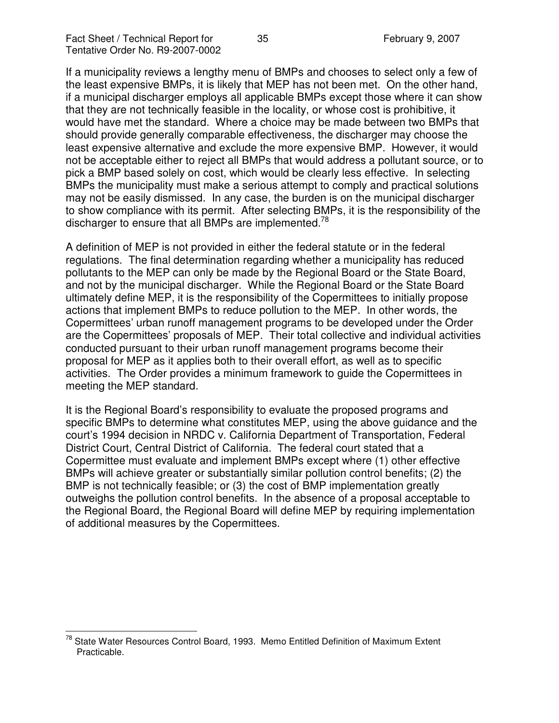If a municipality reviews a lengthy menu of BMPs and chooses to select only a few of the least expensive BMPs, it is likely that MEP has not been met. On the other hand, if a municipal discharger employs all applicable BMPs except those where it can show that they are not technically feasible in the locality, or whose cost is prohibitive, it would have met the standard. Where a choice may be made between two BMPs that should provide generally comparable effectiveness, the discharger may choose the least expensive alternative and exclude the more expensive BMP. However, it would not be acceptable either to reject all BMPs that would address a pollutant source, or to pick a BMP based solely on cost, which would be clearly less effective. In selecting BMPs the municipality must make a serious attempt to comply and practical solutions may not be easily dismissed. In any case, the burden is on the municipal discharger to show compliance with its permit. After selecting BMPs, it is the responsibility of the discharger to ensure that all BMPs are implemented.<sup>78</sup>

A definition of MEP is not provided in either the federal statute or in the federal regulations. The final determination regarding whether a municipality has reduced pollutants to the MEP can only be made by the Regional Board or the State Board, and not by the municipal discharger. While the Regional Board or the State Board ultimately define MEP, it is the responsibility of the Copermittees to initially propose actions that implement BMPs to reduce pollution to the MEP. In other words, the Copermittees' urban runoff management programs to be developed under the Order are the Copermittees' proposals of MEP. Their total collective and individual activities conducted pursuant to their urban runoff management programs become their proposal for MEP as it applies both to their overall effort, as well as to specific activities. The Order provides a minimum framework to guide the Copermittees in meeting the MEP standard.

It is the Regional Board's responsibility to evaluate the proposed programs and specific BMPs to determine what constitutes MEP, using the above guidance and the court's 1994 decision in NRDC v. California Department of Transportation, Federal District Court, Central District of California. The federal court stated that a Copermittee must evaluate and implement BMPs except where (1) other effective BMPs will achieve greater or substantially similar pollution control benefits; (2) the BMP is not technically feasible; or (3) the cost of BMP implementation greatly outweighs the pollution control benefits. In the absence of a proposal acceptable to the Regional Board, the Regional Board will define MEP by requiring implementation of additional measures by the Copermittees.

<sup>&</sup>lt;sup>78</sup> State Water Resources Control Board, 1993. Memo Entitled Definition of Maximum Extent Practicable.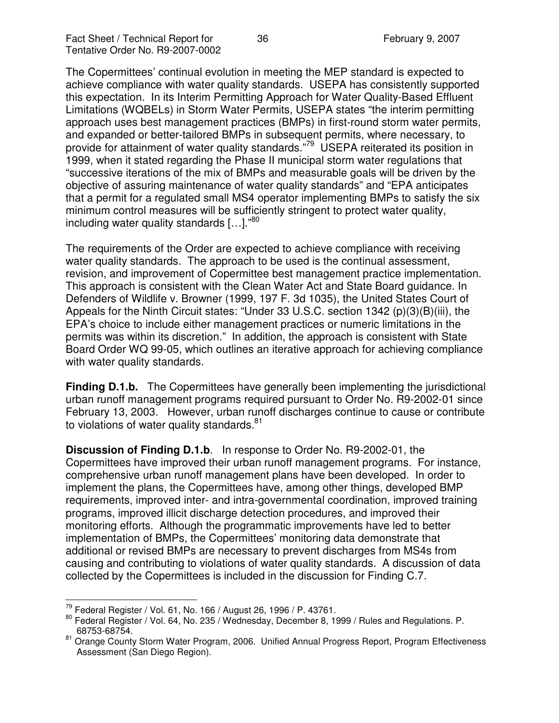The Copermittees' continual evolution in meeting the MEP standard is expected to achieve compliance with water quality standards. USEPA has consistently supported this expectation. In its Interim Permitting Approach for Water Quality-Based Effluent Limitations (WQBELs) in Storm Water Permits, USEPA states "the interim permitting approach uses best management practices (BMPs) in first-round storm water permits, and expanded or better-tailored BMPs in subsequent permits, where necessary, to provide for attainment of water quality standards."<sup>79</sup> USEPA reiterated its position in 1999, when it stated regarding the Phase II municipal storm water regulations that "successive iterations of the mix of BMPs and measurable goals will be driven by the objective of assuring maintenance of water quality standards" and "EPA anticipates that a permit for a regulated small MS4 operator implementing BMPs to satisfy the six minimum control measures will be sufficiently stringent to protect water quality, including water quality standards [...]."<sup>80</sup>

The requirements of the Order are expected to achieve compliance with receiving water quality standards. The approach to be used is the continual assessment, revision, and improvement of Copermittee best management practice implementation. This approach is consistent with the Clean Water Act and State Board guidance. In Defenders of Wildlife v. Browner (1999, 197 F. 3d 1035), the United States Court of Appeals for the Ninth Circuit states: "Under 33 U.S.C. section 1342 (p)(3)(B)(iii), the EPA's choice to include either management practices or numeric limitations in the permits was within its discretion." In addition, the approach is consistent with State Board Order WQ 99-05, which outlines an iterative approach for achieving compliance with water quality standards.

**Finding D.1.b.** The Copermittees have generally been implementing the jurisdictional urban runoff management programs required pursuant to Order No. R9-2002-01 since February 13, 2003. However, urban runoff discharges continue to cause or contribute to violations of water quality standards.<sup>81</sup>

**Discussion of Finding D.1.b**. In response to Order No. R9-2002-01, the Copermittees have improved their urban runoff management programs. For instance, comprehensive urban runoff management plans have been developed. In order to implement the plans, the Copermittees have, among other things, developed BMP requirements, improved inter- and intra-governmental coordination, improved training programs, improved illicit discharge detection procedures, and improved their monitoring efforts. Although the programmatic improvements have led to better implementation of BMPs, the Copermittees' monitoring data demonstrate that additional or revised BMPs are necessary to prevent discharges from MS4s from causing and contributing to violations of water quality standards. A discussion of data collected by the Copermittees is included in the discussion for Finding C.7.

<sup>&</sup>lt;sup>79</sup> Federal Register / Vol. 61, No. 166 / August 26, 1996 / P. 43761.

<sup>&</sup>lt;sup>80</sup> Federal Register / Vol. 64, No. 235 / Wednesday, December 8, 1999 / Rules and Regulations. P. 68753-68754.

<sup>&</sup>lt;sup>81</sup> Orange County Storm Water Program, 2006. Unified Annual Progress Report, Program Effectiveness Assessment (San Diego Region).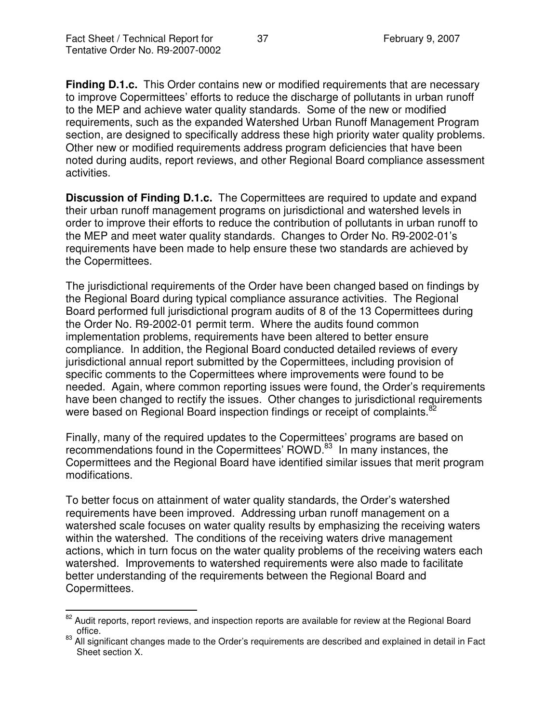**Finding D.1.c.** This Order contains new or modified requirements that are necessary to improve Copermittees' efforts to reduce the discharge of pollutants in urban runoff to the MEP and achieve water quality standards. Some of the new or modified requirements, such as the expanded Watershed Urban Runoff Management Program section, are designed to specifically address these high priority water quality problems. Other new or modified requirements address program deficiencies that have been noted during audits, report reviews, and other Regional Board compliance assessment activities.

**Discussion of Finding D.1.c.** The Copermittees are required to update and expand their urban runoff management programs on jurisdictional and watershed levels in order to improve their efforts to reduce the contribution of pollutants in urban runoff to the MEP and meet water quality standards. Changes to Order No. R9-2002-01's requirements have been made to help ensure these two standards are achieved by the Copermittees.

The jurisdictional requirements of the Order have been changed based on findings by the Regional Board during typical compliance assurance activities. The Regional Board performed full jurisdictional program audits of 8 of the 13 Copermittees during the Order No. R9-2002-01 permit term. Where the audits found common implementation problems, requirements have been altered to better ensure compliance. In addition, the Regional Board conducted detailed reviews of every jurisdictional annual report submitted by the Copermittees, including provision of specific comments to the Copermittees where improvements were found to be needed. Again, where common reporting issues were found, the Order's requirements have been changed to rectify the issues. Other changes to jurisdictional requirements were based on Regional Board inspection findings or receipt of complaints.<sup>82</sup>

Finally, many of the required updates to the Copermittees' programs are based on recommendations found in the Copermittees' ROWD.<sup>83</sup> In many instances, the Copermittees and the Regional Board have identified similar issues that merit program modifications.

To better focus on attainment of water quality standards, the Order's watershed requirements have been improved. Addressing urban runoff management on a watershed scale focuses on water quality results by emphasizing the receiving waters within the watershed. The conditions of the receiving waters drive management actions, which in turn focus on the water quality problems of the receiving waters each watershed. Improvements to watershed requirements were also made to facilitate better understanding of the requirements between the Regional Board and Copermittees.

<sup>&</sup>lt;sup>82</sup> Audit reports, report reviews, and inspection reports are available for review at the Regional Board office.

<sup>&</sup>lt;sup>83</sup> All significant changes made to the Order's requirements are described and explained in detail in Fact Sheet section X.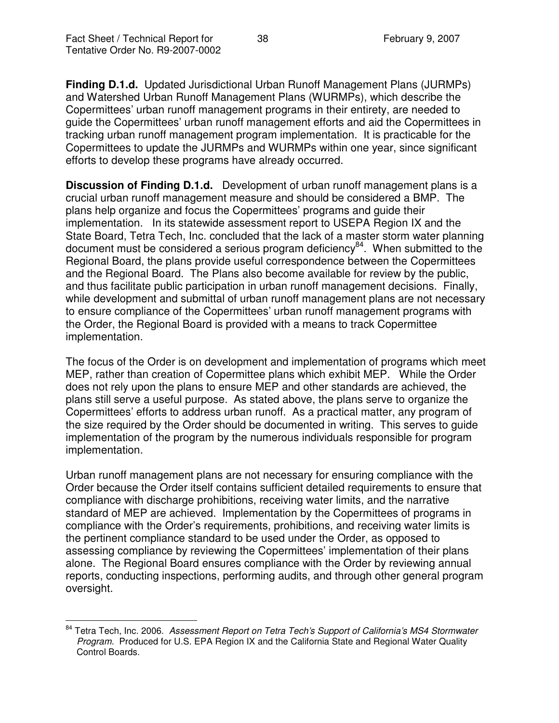**Finding D.1.d.** Updated Jurisdictional Urban Runoff Management Plans (JURMPs) and Watershed Urban Runoff Management Plans (WURMPs), which describe the Copermittees' urban runoff management programs in their entirety, are needed to guide the Copermittees' urban runoff management efforts and aid the Copermittees in tracking urban runoff management program implementation. It is practicable for the Copermittees to update the JURMPs and WURMPs within one year, since significant efforts to develop these programs have already occurred.

**Discussion of Finding D.1.d.** Development of urban runoff management plans is a crucial urban runoff management measure and should be considered a BMP. The plans help organize and focus the Copermittees' programs and guide their implementation. In its statewide assessment report to USEPA Region IX and the State Board, Tetra Tech, Inc. concluded that the lack of a master storm water planning document must be considered a serious program deficiency<sup>84</sup>. When submitted to the Regional Board, the plans provide useful correspondence between the Copermittees and the Regional Board. The Plans also become available for review by the public, and thus facilitate public participation in urban runoff management decisions. Finally, while development and submittal of urban runoff management plans are not necessary to ensure compliance of the Copermittees' urban runoff management programs with the Order, the Regional Board is provided with a means to track Copermittee implementation.

The focus of the Order is on development and implementation of programs which meet MEP, rather than creation of Copermittee plans which exhibit MEP. While the Order does not rely upon the plans to ensure MEP and other standards are achieved, the plans still serve a useful purpose. As stated above, the plans serve to organize the Copermittees' efforts to address urban runoff. As a practical matter, any program of the size required by the Order should be documented in writing. This serves to guide implementation of the program by the numerous individuals responsible for program implementation.

Urban runoff management plans are not necessary for ensuring compliance with the Order because the Order itself contains sufficient detailed requirements to ensure that compliance with discharge prohibitions, receiving water limits, and the narrative standard of MEP are achieved. Implementation by the Copermittees of programs in compliance with the Order's requirements, prohibitions, and receiving water limits is the pertinent compliance standard to be used under the Order, as opposed to assessing compliance by reviewing the Copermittees' implementation of their plans alone. The Regional Board ensures compliance with the Order by reviewing annual reports, conducting inspections, performing audits, and through other general program oversight.

<sup>84</sup> Tetra Tech, Inc. 2006. *Assessment Report on Tetra Tech's Support of California's MS4 Stormwater Program.* Produced for U.S. EPA Region IX and the California State and Regional Water Quality Control Boards.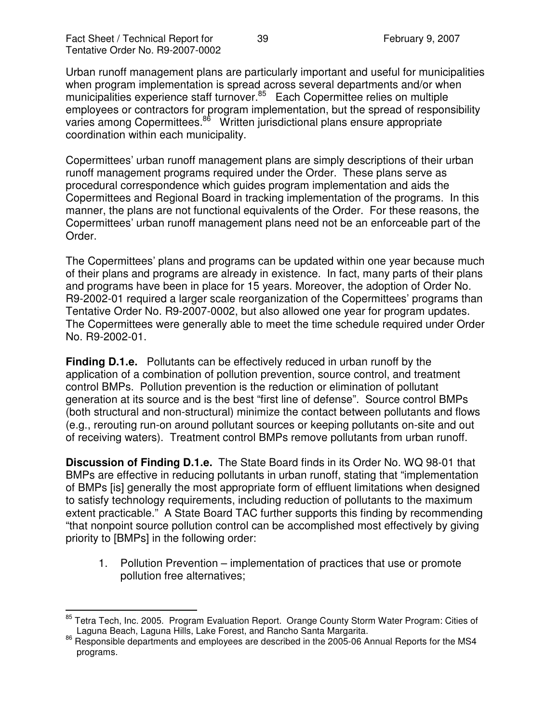Urban runoff management plans are particularly important and useful for municipalities when program implementation is spread across several departments and/or when municipalities experience staff turnover.<sup>85</sup> Each Copermittee relies on multiple employees or contractors for program implementation, but the spread of responsibility varies among Copermittees.<sup>86</sup> Written jurisdictional plans ensure appropriate coordination within each municipality.

Copermittees' urban runoff management plans are simply descriptions of their urban runoff management programs required under the Order. These plans serve as procedural correspondence which guides program implementation and aids the Copermittees and Regional Board in tracking implementation of the programs. In this manner, the plans are not functional equivalents of the Order. For these reasons, the Copermittees' urban runoff management plans need not be an enforceable part of the Order.

The Copermittees' plans and programs can be updated within one year because much of their plans and programs are already in existence. In fact, many parts of their plans and programs have been in place for 15 years. Moreover, the adoption of Order No. R9-2002-01 required a larger scale reorganization of the Copermittees' programs than Tentative Order No. R9-2007-0002, but also allowed one year for program updates. The Copermittees were generally able to meet the time schedule required under Order No. R9-2002-01.

**Finding D.1.e.** Pollutants can be effectively reduced in urban runoff by the application of a combination of pollution prevention, source control, and treatment control BMPs. Pollution prevention is the reduction or elimination of pollutant generation at its source and is the best "first line of defense". Source control BMPs (both structural and non-structural) minimize the contact between pollutants and flows (e.g., rerouting run-on around pollutant sources or keeping pollutants on-site and out of receiving waters). Treatment control BMPs remove pollutants from urban runoff.

**Discussion of Finding D.1.e.** The State Board finds in its Order No. WQ 98-01 that BMPs are effective in reducing pollutants in urban runoff, stating that "implementation of BMPs [is] generally the most appropriate form of effluent limitations when designed to satisfy technology requirements, including reduction of pollutants to the maximum extent practicable." A State Board TAC further supports this finding by recommending "that nonpoint source pollution control can be accomplished most effectively by giving priority to [BMPs] in the following order:

1. Pollution Prevention – implementation of practices that use or promote pollution free alternatives;

<sup>&</sup>lt;sup>85</sup> Tetra Tech, Inc. 2005. Program Evaluation Report. Orange County Storm Water Program: Cities of Laguna Beach, Laguna Hills, Lake Forest, and Rancho Santa Margarita.

<sup>86</sup> Responsible departments and employees are described in the 2005-06 Annual Reports for the MS4 programs.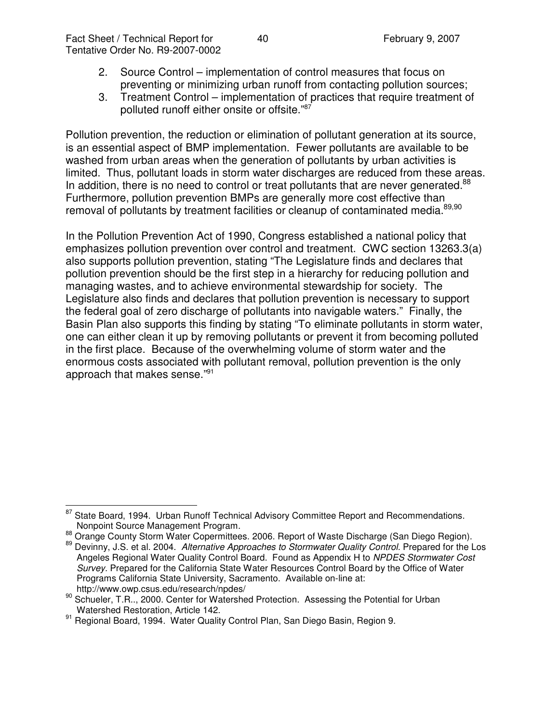- 2. Source Control implementation of control measures that focus on preventing or minimizing urban runoff from contacting pollution sources;
- 3. Treatment Control implementation of practices that require treatment of polluted runoff either onsite or offsite."<sup>87</sup>

Pollution prevention, the reduction or elimination of pollutant generation at its source, is an essential aspect of BMP implementation. Fewer pollutants are available to be washed from urban areas when the generation of pollutants by urban activities is limited. Thus, pollutant loads in storm water discharges are reduced from these areas. In addition, there is no need to control or treat pollutants that are never generated.<sup>88</sup> Furthermore, pollution prevention BMPs are generally more cost effective than removal of pollutants by treatment facilities or cleanup of contaminated media.<sup>89,90</sup>

In the Pollution Prevention Act of 1990, Congress established a national policy that emphasizes pollution prevention over control and treatment. CWC section 13263.3(a) also supports pollution prevention, stating "The Legislature finds and declares that pollution prevention should be the first step in a hierarchy for reducing pollution and managing wastes, and to achieve environmental stewardship for society. The Legislature also finds and declares that pollution prevention is necessary to support the federal goal of zero discharge of pollutants into navigable waters." Finally, the Basin Plan also supports this finding by stating "To eliminate pollutants in storm water, one can either clean it up by removing pollutants or prevent it from becoming polluted in the first place. Because of the overwhelming volume of storm water and the enormous costs associated with pollutant removal, pollution prevention is the only approach that makes sense."<sup>91</sup>

<sup>87</sup> State Board, 1994. Urban Runoff Technical Advisory Committee Report and Recommendations. Nonpoint Source Management Program.

<sup>88</sup> Orange County Storm Water Copermittees. 2006. Report of Waste Discharge (San Diego Region).

<sup>89</sup> Devinny, J.S. et al. 2004. *Alternative Approaches to Stormwater Quality Control.* Prepared for the Los Angeles Regional Water Quality Control Board. Found as Appendix H to *NPDES Stormwater Cost Survey.* Prepared for the California State Water Resources Control Board by the Office of Water Programs California State University, Sacramento. Available on-line at: http://www.owp.csus.edu/research/npdes/

<sup>&</sup>lt;sup>90</sup> Schueler, T.R.., 2000. Center for Watershed Protection. Assessing the Potential for Urban Watershed Restoration, Article 142.

<sup>91</sup> Regional Board, 1994. Water Quality Control Plan, San Diego Basin, Region 9.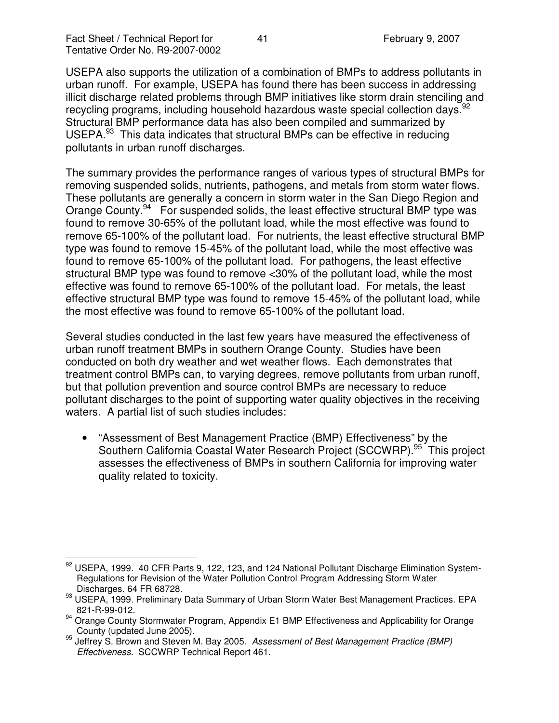USEPA also supports the utilization of a combination of BMPs to address pollutants in urban runoff. For example, USEPA has found there has been success in addressing illicit discharge related problems through BMP initiatives like storm drain stenciling and recycling programs, including household hazardous waste special collection days.<sup>92</sup> Structural BMP performance data has also been compiled and summarized by USEPA.<sup>93</sup> This data indicates that structural BMPs can be effective in reducing pollutants in urban runoff discharges.

The summary provides the performance ranges of various types of structural BMPs for removing suspended solids, nutrients, pathogens, and metals from storm water flows. These pollutants are generally a concern in storm water in the San Diego Region and Orange County.<sup>94</sup> For suspended solids, the least effective structural BMP type was found to remove 30-65% of the pollutant load, while the most effective was found to remove 65-100% of the pollutant load. For nutrients, the least effective structural BMP type was found to remove 15-45% of the pollutant load, while the most effective was found to remove 65-100% of the pollutant load. For pathogens, the least effective structural BMP type was found to remove <30% of the pollutant load, while the most effective was found to remove 65-100% of the pollutant load. For metals, the least effective structural BMP type was found to remove 15-45% of the pollutant load, while the most effective was found to remove 65-100% of the pollutant load.

Several studies conducted in the last few years have measured the effectiveness of urban runoff treatment BMPs in southern Orange County. Studies have been conducted on both dry weather and wet weather flows. Each demonstrates that treatment control BMPs can, to varying degrees, remove pollutants from urban runoff, but that pollution prevention and source control BMPs are necessary to reduce pollutant discharges to the point of supporting water quality objectives in the receiving waters. A partial list of such studies includes:

• "Assessment of Best Management Practice (BMP) Effectiveness" by the Southern California Coastal Water Research Project (SCCWRP).<sup>95</sup> This project assesses the effectiveness of BMPs in southern California for improving water quality related to toxicity.

 $92$  USEPA, 1999. 40 CFR Parts 9, 122, 123, and 124 National Pollutant Discharge Elimination System-Regulations for Revision of the Water Pollution Control Program Addressing Storm Water Discharges. 64 FR 68728.

<sup>93</sup> USEPA, 1999. Preliminary Data Summary of Urban Storm Water Best Management Practices. EPA 821-R-99-012.

<sup>94</sup> Orange County Stormwater Program, Appendix E1 BMP Effectiveness and Applicability for Orange County (updated June 2005).

<sup>95</sup> Jeffrey S. Brown and Steven M. Bay 2005. *Assessment of Best Management Practice (BMP) Effectiveness.* SCCWRP Technical Report 461.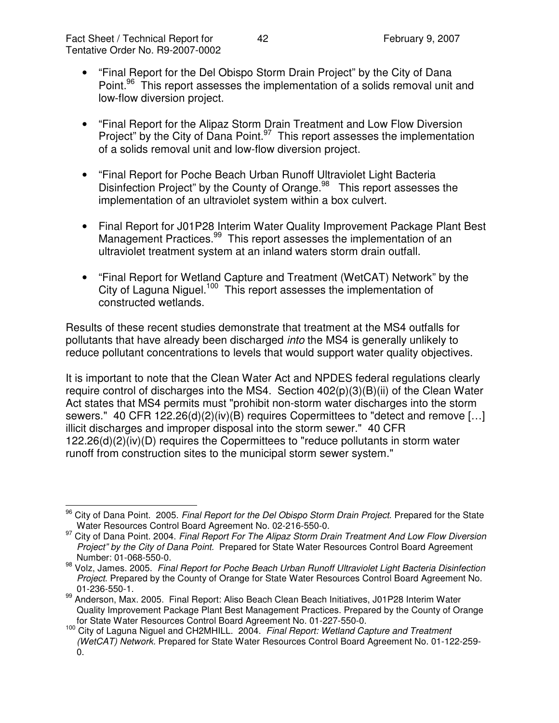- "Final Report for the Del Obispo Storm Drain Project" by the City of Dana Point.<sup>96</sup> This report assesses the implementation of a solids removal unit and low-flow diversion project.
- "Final Report for the Alipaz Storm Drain Treatment and Low Flow Diversion Project" by the City of Dana Point.<sup>97</sup> This report assesses the implementation of a solids removal unit and low-flow diversion project.
- "Final Report for Poche Beach Urban Runoff Ultraviolet Light Bacteria Disinfection Project" by the County of Orange.<sup>98</sup> This report assesses the implementation of an ultraviolet system within a box culvert.
- Final Report for J01P28 Interim Water Quality Improvement Package Plant Best Management Practices.<sup>99</sup> This report assesses the implementation of an ultraviolet treatment system at an inland waters storm drain outfall.
- "Final Report for Wetland Capture and Treatment (WetCAT) Network" by the City of Laguna Niguel.<sup>100</sup> This report assesses the implementation of constructed wetlands.

Results of these recent studies demonstrate that treatment at the MS4 outfalls for pollutants that have already been discharged *into* the MS4 is generally unlikely to reduce pollutant concentrations to levels that would support water quality objectives.

It is important to note that the Clean Water Act and NPDES federal regulations clearly require control of discharges into the MS4. Section 402(p)(3)(B)(ii) of the Clean Water Act states that MS4 permits must "prohibit non-storm water discharges into the storm sewers." 40 CFR 122.26(d)(2)(iv)(B) requires Copermittees to "detect and remove […] illicit discharges and improper disposal into the storm sewer." 40 CFR 122.26(d)(2)(iv)(D) requires the Copermittees to "reduce pollutants in storm water runoff from construction sites to the municipal storm sewer system."

<sup>96</sup> City of Dana Point. 2005. *Final Report for the Del Obispo Storm Drain Project*. Prepared for the State Water Resources Control Board Agreement No. 02-216-550-0.

<sup>97</sup> City of Dana Point. 2004. *Final Report For The Alipaz Storm Drain Treatment And Low Flow Diversion Project" by the City of Dana Point.* Prepared for State Water Resources Control Board Agreement Number: 01-068-550-0.

<sup>98</sup> Volz, James. 2005. *Final Report for Poche Beach Urban Runoff Ultraviolet Light Bacteria Disinfection Project*. Prepared by the County of Orange for State Water Resources Control Board Agreement No. 01-236-550-1.

<sup>&</sup>lt;sup>99</sup> Anderson, Max. 2005. Final Report: Aliso Beach Clean Beach Initiatives, J01P28 Interim Water Quality Improvement Package Plant Best Management Practices. Prepared by the County of Orange for State Water Resources Control Board Agreement No. 01-227-550-0.

<sup>100</sup> City of Laguna Niguel and CH2MHILL. 2004. *Final Report: Wetland Capture and Treatment (WetCAT) Network.* Prepared for State Water Resources Control Board Agreement No. 01-122-259- 0.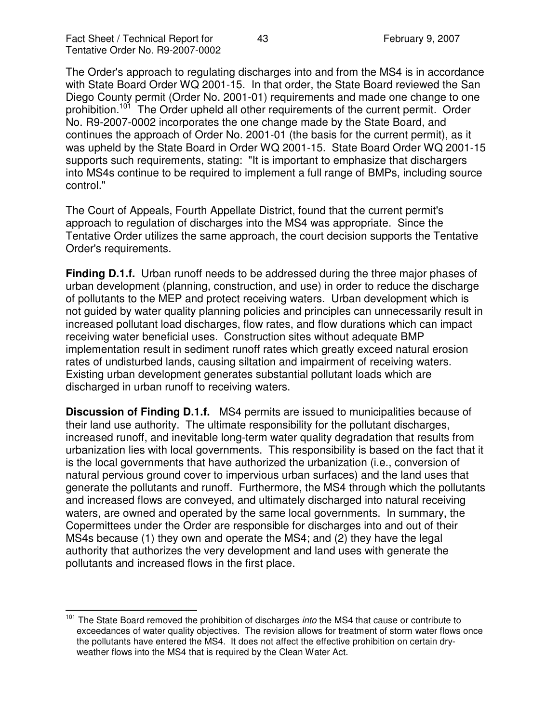The Order's approach to regulating discharges into and from the MS4 is in accordance with State Board Order WQ 2001-15. In that order, the State Board reviewed the San Diego County permit (Order No. 2001-01) requirements and made one change to one prohibition.<sup>101</sup> The Order upheld all other requirements of the current permit. Order No. R9-2007-0002 incorporates the one change made by the State Board, and continues the approach of Order No. 2001-01 (the basis for the current permit), as it was upheld by the State Board in Order WQ 2001-15. State Board Order WQ 2001-15 supports such requirements, stating: "It is important to emphasize that dischargers into MS4s continue to be required to implement a full range of BMPs, including source control."

The Court of Appeals, Fourth Appellate District, found that the current permit's approach to regulation of discharges into the MS4 was appropriate. Since the Tentative Order utilizes the same approach, the court decision supports the Tentative Order's requirements.

**Finding D.1.f.** Urban runoff needs to be addressed during the three major phases of urban development (planning, construction, and use) in order to reduce the discharge of pollutants to the MEP and protect receiving waters. Urban development which is not guided by water quality planning policies and principles can unnecessarily result in increased pollutant load discharges, flow rates, and flow durations which can impact receiving water beneficial uses. Construction sites without adequate BMP implementation result in sediment runoff rates which greatly exceed natural erosion rates of undisturbed lands, causing siltation and impairment of receiving waters. Existing urban development generates substantial pollutant loads which are discharged in urban runoff to receiving waters.

**Discussion of Finding D.1.f.** MS4 permits are issued to municipalities because of their land use authority. The ultimate responsibility for the pollutant discharges, increased runoff, and inevitable long-term water quality degradation that results from urbanization lies with local governments. This responsibility is based on the fact that it is the local governments that have authorized the urbanization (i.e., conversion of natural pervious ground cover to impervious urban surfaces) and the land uses that generate the pollutants and runoff. Furthermore, the MS4 through which the pollutants and increased flows are conveyed, and ultimately discharged into natural receiving waters, are owned and operated by the same local governments. In summary, the Copermittees under the Order are responsible for discharges into and out of their MS4s because (1) they own and operate the MS4; and (2) they have the legal authority that authorizes the very development and land uses with generate the pollutants and increased flows in the first place.

<sup>&</sup>lt;sup>101</sup> The State Board removed the prohibition of discharges *into* the MS4 that cause or contribute to exceedances of water quality objectives. The revision allows for treatment of storm water flows once the pollutants have entered the MS4. It does not affect the effective prohibition on certain dryweather flows into the MS4 that is required by the Clean Water Act.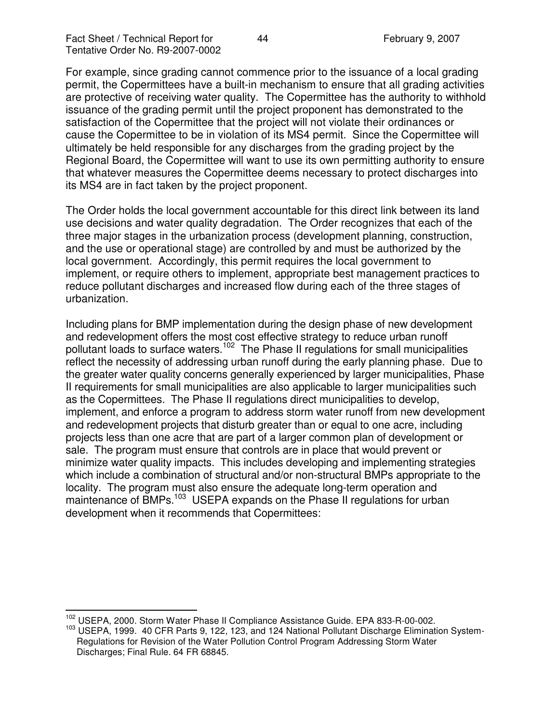For example, since grading cannot commence prior to the issuance of a local grading permit, the Copermittees have a built-in mechanism to ensure that all grading activities are protective of receiving water quality. The Copermittee has the authority to withhold issuance of the grading permit until the project proponent has demonstrated to the satisfaction of the Copermittee that the project will not violate their ordinances or cause the Copermittee to be in violation of its MS4 permit. Since the Copermittee will ultimately be held responsible for any discharges from the grading project by the Regional Board, the Copermittee will want to use its own permitting authority to ensure that whatever measures the Copermittee deems necessary to protect discharges into its MS4 are in fact taken by the project proponent.

The Order holds the local government accountable for this direct link between its land use decisions and water quality degradation. The Order recognizes that each of the three major stages in the urbanization process (development planning, construction, and the use or operational stage) are controlled by and must be authorized by the local government. Accordingly, this permit requires the local government to implement, or require others to implement, appropriate best management practices to reduce pollutant discharges and increased flow during each of the three stages of urbanization.

Including plans for BMP implementation during the design phase of new development and redevelopment offers the most cost effective strategy to reduce urban runoff pollutant loads to surface waters.<sup>102</sup> The Phase II regulations for small municipalities reflect the necessity of addressing urban runoff during the early planning phase. Due to the greater water quality concerns generally experienced by larger municipalities, Phase II requirements for small municipalities are also applicable to larger municipalities such as the Copermittees. The Phase II regulations direct municipalities to develop, implement, and enforce a program to address storm water runoff from new development and redevelopment projects that disturb greater than or equal to one acre, including projects less than one acre that are part of a larger common plan of development or sale. The program must ensure that controls are in place that would prevent or minimize water quality impacts. This includes developing and implementing strategies which include a combination of structural and/or non-structural BMPs appropriate to the locality. The program must also ensure the adequate long-term operation and maintenance of BMPs.<sup>103</sup> USEPA expands on the Phase II regulations for urban development when it recommends that Copermittees:

<sup>&</sup>lt;sup>102</sup> USEPA, 2000. Storm Water Phase II Compliance Assistance Guide. EPA 833-R-00-002.

<sup>&</sup>lt;sup>103</sup> USEPA, 1999. 40 CFR Parts 9, 122, 123, and 124 National Pollutant Discharge Elimination System-Regulations for Revision of the Water Pollution Control Program Addressing Storm Water Discharges; Final Rule. 64 FR 68845.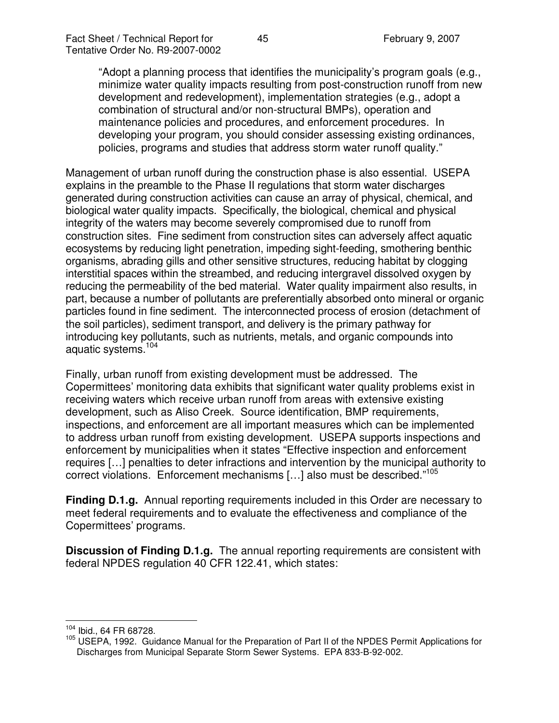"Adopt a planning process that identifies the municipality's program goals (e.g., minimize water quality impacts resulting from post-construction runoff from new development and redevelopment), implementation strategies (e.g., adopt a combination of structural and/or non-structural BMPs), operation and maintenance policies and procedures, and enforcement procedures. In developing your program, you should consider assessing existing ordinances, policies, programs and studies that address storm water runoff quality."

Management of urban runoff during the construction phase is also essential. USEPA explains in the preamble to the Phase II regulations that storm water discharges generated during construction activities can cause an array of physical, chemical, and biological water quality impacts. Specifically, the biological, chemical and physical integrity of the waters may become severely compromised due to runoff from construction sites. Fine sediment from construction sites can adversely affect aquatic ecosystems by reducing light penetration, impeding sight-feeding, smothering benthic organisms, abrading gills and other sensitive structures, reducing habitat by clogging interstitial spaces within the streambed, and reducing intergravel dissolved oxygen by reducing the permeability of the bed material. Water quality impairment also results, in part, because a number of pollutants are preferentially absorbed onto mineral or organic particles found in fine sediment. The interconnected process of erosion (detachment of the soil particles), sediment transport, and delivery is the primary pathway for introducing key pollutants, such as nutrients, metals, and organic compounds into aquatic systems. 104

Finally, urban runoff from existing development must be addressed. The Copermittees' monitoring data exhibits that significant water quality problems exist in receiving waters which receive urban runoff from areas with extensive existing development, such as Aliso Creek. Source identification, BMP requirements, inspections, and enforcement are all important measures which can be implemented to address urban runoff from existing development. USEPA supports inspections and enforcement by municipalities when it states "Effective inspection and enforcement requires […] penalties to deter infractions and intervention by the municipal authority to correct violations. Enforcement mechanisms [...] also must be described."<sup>105</sup>

**Finding D.1.g.** Annual reporting requirements included in this Order are necessary to meet federal requirements and to evaluate the effectiveness and compliance of the Copermittees' programs.

**Discussion of Finding D.1.g.** The annual reporting requirements are consistent with federal NPDES regulation 40 CFR 122.41, which states:

<sup>104</sup> Ibid., 64 FR 68728.

<sup>105</sup> USEPA, 1992. Guidance Manual for the Preparation of Part II of the NPDES Permit Applications for Discharges from Municipal Separate Storm Sewer Systems. EPA 833-B-92-002.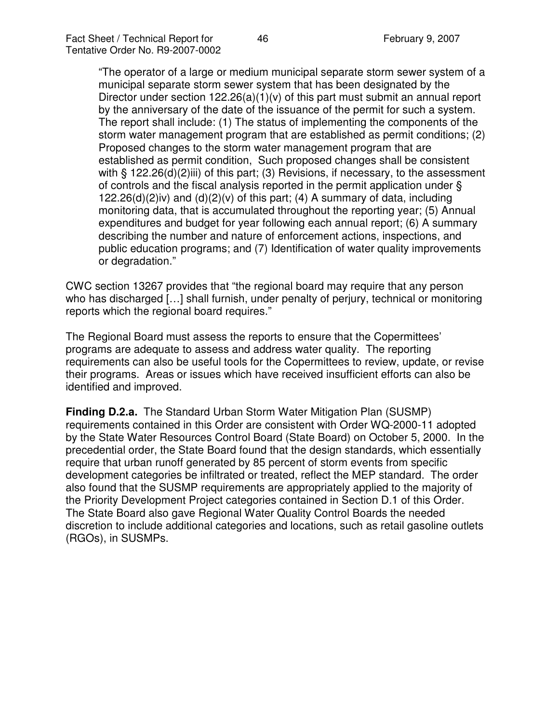"The operator of a large or medium municipal separate storm sewer system of a municipal separate storm sewer system that has been designated by the Director under section  $122.26(a)(1)(v)$  of this part must submit an annual report by the anniversary of the date of the issuance of the permit for such a system. The report shall include: (1) The status of implementing the components of the storm water management program that are established as permit conditions; (2) Proposed changes to the storm water management program that are established as permit condition, Such proposed changes shall be consistent with § 122.26(d)(2)iii) of this part; (3) Revisions, if necessary, to the assessment of controls and the fiscal analysis reported in the permit application under § 122.26(d)(2)iv) and  $(d)(2)(v)$  of this part; (4) A summary of data, including monitoring data, that is accumulated throughout the reporting year; (5) Annual expenditures and budget for year following each annual report; (6) A summary describing the number and nature of enforcement actions, inspections, and public education programs; and (7) Identification of water quality improvements or degradation."

CWC section 13267 provides that "the regional board may require that any person who has discharged […] shall furnish, under penalty of perjury, technical or monitoring reports which the regional board requires."

The Regional Board must assess the reports to ensure that the Copermittees' programs are adequate to assess and address water quality. The reporting requirements can also be useful tools for the Copermittees to review, update, or revise their programs. Areas or issues which have received insufficient efforts can also be identified and improved.

**Finding D.2.a.** The Standard Urban Storm Water Mitigation Plan (SUSMP) requirements contained in this Order are consistent with Order WQ-2000-11 adopted by the State Water Resources Control Board (State Board) on October 5, 2000. In the precedential order, the State Board found that the design standards, which essentially require that urban runoff generated by 85 percent of storm events from specific development categories be infiltrated or treated, reflect the MEP standard. The order also found that the SUSMP requirements are appropriately applied to the majority of the Priority Development Project categories contained in Section D.1 of this Order. The State Board also gave Regional Water Quality Control Boards the needed discretion to include additional categories and locations, such as retail gasoline outlets (RGOs), in SUSMPs.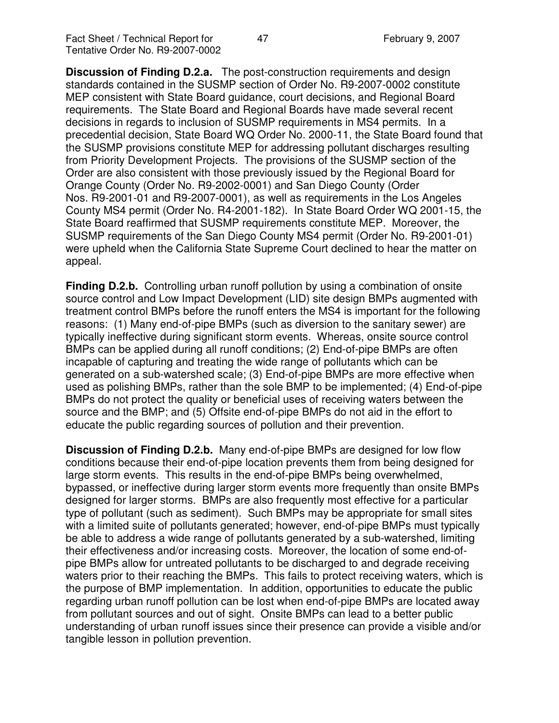**Discussion of Finding D.2.a.** The post-construction requirements and design standards contained in the SUSMP section of Order No. R9-2007-0002 constitute MEP consistent with State Board guidance, court decisions, and Regional Board requirements. The State Board and Regional Boards have made several recent decisions in regards to inclusion of SUSMP requirements in MS4 permits. In a precedential decision, State Board WQ Order No. 2000-11, the State Board found that the SUSMP provisions constitute MEP for addressing pollutant discharges resulting from Priority Development Projects. The provisions of the SUSMP section of the Order are also consistent with those previously issued by the Regional Board for Orange County (Order No. R9-2002-0001) and San Diego County (Order Nos. R9-2001-01 and R9-2007-0001), as well as requirements in the Los Angeles County MS4 permit (Order No. R4-2001-182). In State Board Order WQ 2001-15, the State Board reaffirmed that SUSMP requirements constitute MEP. Moreover, the SUSMP requirements of the San Diego County MS4 permit (Order No. R9-2001-01) were upheld when the California State Supreme Court declined to hear the matter on appeal.

**Finding D.2.b.** Controlling urban runoff pollution by using a combination of onsite source control and Low Impact Development (LID) site design BMPs augmented with treatment control BMPs before the runoff enters the MS4 is important for the following reasons: (1) Many end-of-pipe BMPs (such as diversion to the sanitary sewer) are typically ineffective during significant storm events. Whereas, onsite source control BMPs can be applied during all runoff conditions; (2) End-of-pipe BMPs are often incapable of capturing and treating the wide range of pollutants which can be generated on a sub-watershed scale; (3) End-of-pipe BMPs are more effective when used as polishing BMPs, rather than the sole BMP to be implemented; (4) End-of-pipe BMPs do not protect the quality or beneficial uses of receiving waters between the source and the BMP; and (5) Offsite end-of-pipe BMPs do not aid in the effort to educate the public regarding sources of pollution and their prevention.

**Discussion of Finding D.2.b.** Many end-of-pipe BMPs are designed for low flow conditions because their end-of-pipe location prevents them from being designed for large storm events. This results in the end-of-pipe BMPs being overwhelmed, bypassed, or ineffective during larger storm events more frequently than onsite BMPs designed for larger storms. BMPs are also frequently most effective for a particular type of pollutant (such as sediment). Such BMPs may be appropriate for small sites with a limited suite of pollutants generated; however, end-of-pipe BMPs must typically be able to address a wide range of pollutants generated by a sub-watershed, limiting their effectiveness and/or increasing costs. Moreover, the location of some end-ofpipe BMPs allow for untreated pollutants to be discharged to and degrade receiving waters prior to their reaching the BMPs. This fails to protect receiving waters, which is the purpose of BMP implementation. In addition, opportunities to educate the public regarding urban runoff pollution can be lost when end-of-pipe BMPs are located away from pollutant sources and out of sight. Onsite BMPs can lead to a better public understanding of urban runoff issues since their presence can provide a visible and/or tangible lesson in pollution prevention.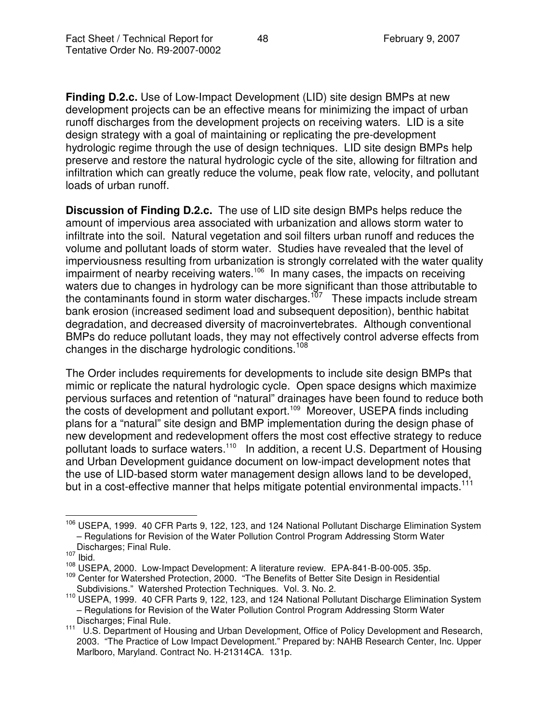**Finding D.2.c.** Use of Low-Impact Development (LID) site design BMPs at new development projects can be an effective means for minimizing the impact of urban runoff discharges from the development projects on receiving waters. LID is a site design strategy with a goal of maintaining or replicating the pre-development hydrologic regime through the use of design techniques. LID site design BMPs help preserve and restore the natural hydrologic cycle of the site, allowing for filtration and infiltration which can greatly reduce the volume, peak flow rate, velocity, and pollutant loads of urban runoff.

**Discussion of Finding D.2.c.** The use of LID site design BMPs helps reduce the amount of impervious area associated with urbanization and allows storm water to infiltrate into the soil. Natural vegetation and soil filters urban runoff and reduces the volume and pollutant loads of storm water. Studies have revealed that the level of imperviousness resulting from urbanization is strongly correlated with the water quality impairment of nearby receiving waters.<sup>106</sup> In many cases, the impacts on receiving waters due to changes in hydrology can be more significant than those attributable to the contaminants found in storm water discharges.<sup>107</sup> These impacts include stream bank erosion (increased sediment load and subsequent deposition), benthic habitat degradation, and decreased diversity of macroinvertebrates. Although conventional BMPs do reduce pollutant loads, they may not effectively control adverse effects from changes in the discharge hydrologic conditions.<sup>108</sup>

The Order includes requirements for developments to include site design BMPs that mimic or replicate the natural hydrologic cycle. Open space designs which maximize pervious surfaces and retention of "natural" drainages have been found to reduce both the costs of development and pollutant export.<sup>109</sup> Moreover, USEPA finds including plans for a "natural" site design and BMP implementation during the design phase of new development and redevelopment offers the most cost effective strategy to reduce pollutant loads to surface waters.<sup>110</sup> In addition, a recent U.S. Department of Housing and Urban Development guidance document on low-impact development notes that the use of LID-based storm water management design allows land to be developed, but in a cost-effective manner that helps mitigate potential environmental impacts.<sup>111</sup>

<sup>&</sup>lt;sup>106</sup> USEPA, 1999. 40 CFR Parts 9, 122, 123, and 124 National Pollutant Discharge Elimination System – Regulations for Revision of the Water Pollution Control Program Addressing Storm Water Discharges; Final Rule.

 $107$  Ibid.

<sup>108</sup> USEPA, 2000. Low-Impact Development: A literature review. EPA-841-B-00-005. 35p.

<sup>&</sup>lt;sup>109</sup> Center for Watershed Protection, 2000. "The Benefits of Better Site Design in Residential Subdivisions." Watershed Protection Techniques. Vol. 3. No. 2.

<sup>&</sup>lt;sup>110</sup> USEPA, 1999. 40 CFR Parts 9, 122, 123, and 124 National Pollutant Discharge Elimination System – Regulations for Revision of the Water Pollution Control Program Addressing Storm Water Discharges; Final Rule.

<sup>111</sup> U.S. Department of Housing and Urban Development, Office of Policy Development and Research, 2003. "The Practice of Low Impact Development." Prepared by: NAHB Research Center, Inc. Upper Marlboro, Maryland. Contract No. H-21314CA. 131p.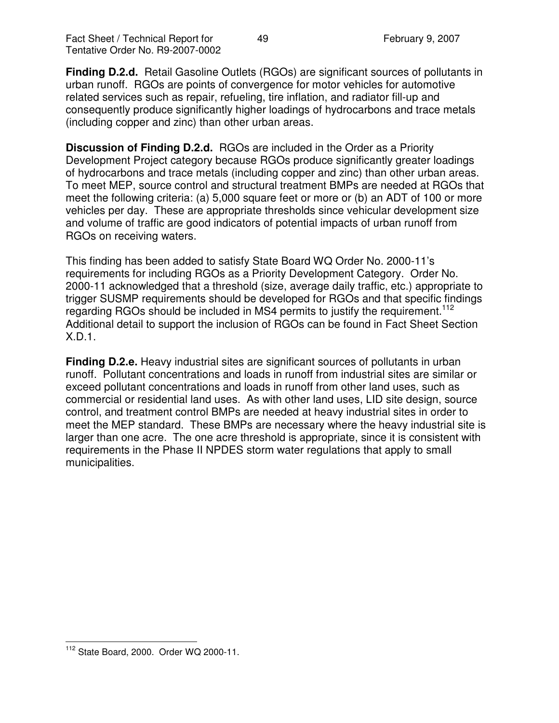**Finding D.2.d.** Retail Gasoline Outlets (RGOs) are significant sources of pollutants in urban runoff. RGOs are points of convergence for motor vehicles for automotive related services such as repair, refueling, tire inflation, and radiator fill-up and consequently produce significantly higher loadings of hydrocarbons and trace metals (including copper and zinc) than other urban areas.

**Discussion of Finding D.2.d.** RGOs are included in the Order as a Priority Development Project category because RGOs produce significantly greater loadings of hydrocarbons and trace metals (including copper and zinc) than other urban areas. To meet MEP, source control and structural treatment BMPs are needed at RGOs that meet the following criteria: (a) 5,000 square feet or more or (b) an ADT of 100 or more vehicles per day. These are appropriate thresholds since vehicular development size and volume of traffic are good indicators of potential impacts of urban runoff from RGOs on receiving waters.

This finding has been added to satisfy State Board WQ Order No. 2000-11's requirements for including RGOs as a Priority Development Category. Order No. 2000-11 acknowledged that a threshold (size, average daily traffic, etc.) appropriate to trigger SUSMP requirements should be developed for RGOs and that specific findings regarding RGOs should be included in MS4 permits to justify the requirement.<sup>112</sup> Additional detail to support the inclusion of RGOs can be found in Fact Sheet Section X.D.1.

**Finding D.2.e.** Heavy industrial sites are significant sources of pollutants in urban runoff. Pollutant concentrations and loads in runoff from industrial sites are similar or exceed pollutant concentrations and loads in runoff from other land uses, such as commercial or residential land uses. As with other land uses, LID site design, source control, and treatment control BMPs are needed at heavy industrial sites in order to meet the MEP standard. These BMPs are necessary where the heavy industrial site is larger than one acre. The one acre threshold is appropriate, since it is consistent with requirements in the Phase II NPDES storm water regulations that apply to small municipalities.

<sup>112</sup> State Board, 2000. Order WQ 2000-11.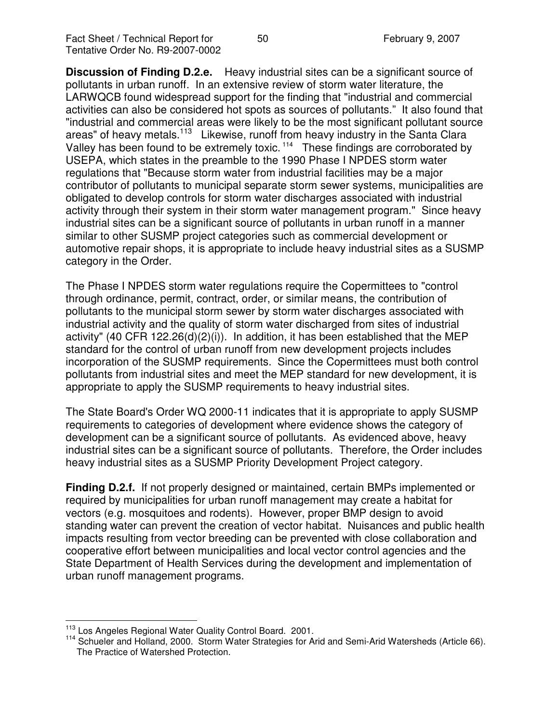**Discussion of Finding D.2.e.** Heavy industrial sites can be a significant source of pollutants in urban runoff. In an extensive review of storm water literature, the LARWQCB found widespread support for the finding that "industrial and commercial activities can also be considered hot spots as sources of pollutants." It also found that "industrial and commercial areas were likely to be the most significant pollutant source areas" of heavy metals.<sup>113</sup> Likewise, runoff from heavy industry in the Santa Clara Valley has been found to be extremely toxic.<sup>114</sup> These findings are corroborated by USEPA, which states in the preamble to the 1990 Phase I NPDES storm water regulations that "Because storm water from industrial facilities may be a major contributor of pollutants to municipal separate storm sewer systems, municipalities are obligated to develop controls for storm water discharges associated with industrial activity through their system in their storm water management program." Since heavy industrial sites can be a significant source of pollutants in urban runoff in a manner similar to other SUSMP project categories such as commercial development or automotive repair shops, it is appropriate to include heavy industrial sites as a SUSMP category in the Order.

The Phase I NPDES storm water regulations require the Copermittees to "control through ordinance, permit, contract, order, or similar means, the contribution of pollutants to the municipal storm sewer by storm water discharges associated with industrial activity and the quality of storm water discharged from sites of industrial activity" (40 CFR 122.26(d)(2)(i)). In addition, it has been established that the MEP standard for the control of urban runoff from new development projects includes incorporation of the SUSMP requirements. Since the Copermittees must both control pollutants from industrial sites and meet the MEP standard for new development, it is appropriate to apply the SUSMP requirements to heavy industrial sites.

The State Board's Order WQ 2000-11 indicates that it is appropriate to apply SUSMP requirements to categories of development where evidence shows the category of development can be a significant source of pollutants. As evidenced above, heavy industrial sites can be a significant source of pollutants. Therefore, the Order includes heavy industrial sites as a SUSMP Priority Development Project category.

**Finding D.2.f.** If not properly designed or maintained, certain BMPs implemented or required by municipalities for urban runoff management may create a habitat for vectors (e.g. mosquitoes and rodents). However, proper BMP design to avoid standing water can prevent the creation of vector habitat. Nuisances and public health impacts resulting from vector breeding can be prevented with close collaboration and cooperative effort between municipalities and local vector control agencies and the State Department of Health Services during the development and implementation of urban runoff management programs.

<sup>&</sup>lt;sup>113</sup> Los Angeles Regional Water Quality Control Board. 2001.

<sup>&</sup>lt;sup>114</sup> Schueler and Holland, 2000. Storm Water Strategies for Arid and Semi-Arid Watersheds (Article 66). The Practice of Watershed Protection.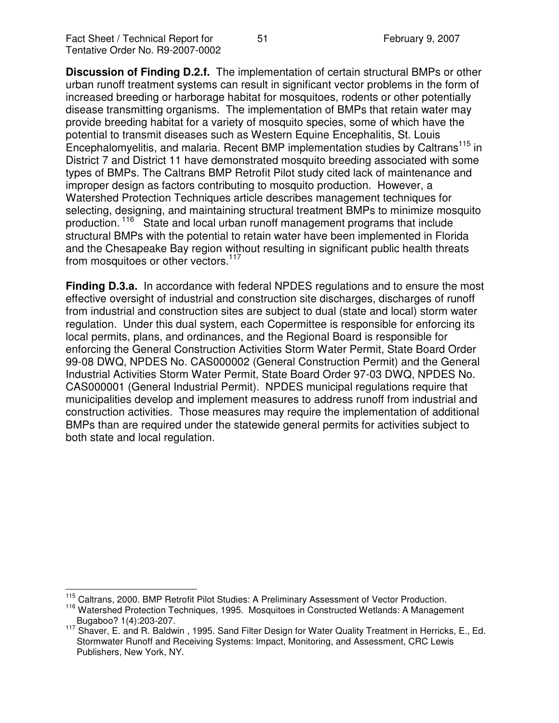**Discussion of Finding D.2.f.** The implementation of certain structural BMPs or other urban runoff treatment systems can result in significant vector problems in the form of increased breeding or harborage habitat for mosquitoes, rodents or other potentially disease transmitting organisms. The implementation of BMPs that retain water may provide breeding habitat for a variety of mosquito species, some of which have the potential to transmit diseases such as Western Equine Encephalitis, St. Louis Encephalomyelitis, and malaria. Recent BMP implementation studies by Caltrans<sup>115</sup> in District 7 and District 11 have demonstrated mosquito breeding associated with some types of BMPs. The Caltrans BMP Retrofit Pilot study cited lack of maintenance and improper design as factors contributing to mosquito production. However, a Watershed Protection Techniques article describes management techniques for selecting, designing, and maintaining structural treatment BMPs to minimize mosquito production.<sup>116</sup> State and local urban runoff management programs that include structural BMPs with the potential to retain water have been implemented in Florida and the Chesapeake Bay region without resulting in significant public health threats from mosquitoes or other vectors.<sup>117</sup>

**Finding D.3.a.** In accordance with federal NPDES regulations and to ensure the most effective oversight of industrial and construction site discharges, discharges of runoff from industrial and construction sites are subject to dual (state and local) storm water regulation. Under this dual system, each Copermittee is responsible for enforcing its local permits, plans, and ordinances, and the Regional Board is responsible for enforcing the General Construction Activities Storm Water Permit, State Board Order 99-08 DWQ, NPDES No. CAS000002 (General Construction Permit) and the General Industrial Activities Storm Water Permit, State Board Order 97-03 DWQ, NPDES No. CAS000001 (General Industrial Permit). NPDES municipal regulations require that municipalities develop and implement measures to address runoff from industrial and construction activities. Those measures may require the implementation of additional BMPs than are required under the statewide general permits for activities subject to both state and local regulation.

<sup>&</sup>lt;sup>115</sup> Caltrans, 2000. BMP Retrofit Pilot Studies: A Preliminary Assessment of Vector Production.

<sup>&</sup>lt;sup>116</sup> Watershed Protection Techniques, 1995. Mosquitoes in Constructed Wetlands: A Management Bugaboo? 1(4):203-207.

<sup>&</sup>lt;sup>117</sup> Shaver, E. and R. Baldwin, 1995. Sand Filter Design for Water Quality Treatment in Herricks, E., Ed. Stormwater Runoff and Receiving Systems: Impact, Monitoring, and Assessment, CRC Lewis Publishers, New York, NY.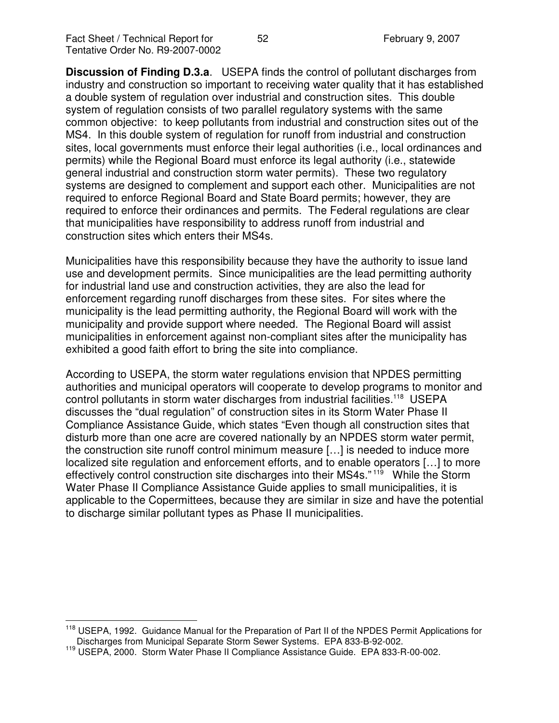**Discussion of Finding D.3.a**. USEPA finds the control of pollutant discharges from industry and construction so important to receiving water quality that it has established a double system of regulation over industrial and construction sites. This double system of regulation consists of two parallel regulatory systems with the same common objective: to keep pollutants from industrial and construction sites out of the MS4. In this double system of regulation for runoff from industrial and construction sites, local governments must enforce their legal authorities (i.e., local ordinances and permits) while the Regional Board must enforce its legal authority (i.e., statewide general industrial and construction storm water permits). These two regulatory systems are designed to complement and support each other. Municipalities are not required to enforce Regional Board and State Board permits; however, they are required to enforce their ordinances and permits. The Federal regulations are clear that municipalities have responsibility to address runoff from industrial and construction sites which enters their MS4s.

Municipalities have this responsibility because they have the authority to issue land use and development permits. Since municipalities are the lead permitting authority for industrial land use and construction activities, they are also the lead for enforcement regarding runoff discharges from these sites. For sites where the municipality is the lead permitting authority, the Regional Board will work with the municipality and provide support where needed. The Regional Board will assist municipalities in enforcement against non-compliant sites after the municipality has exhibited a good faith effort to bring the site into compliance.

According to USEPA, the storm water regulations envision that NPDES permitting authorities and municipal operators will cooperate to develop programs to monitor and control pollutants in storm water discharges from industrial facilities.<sup>118</sup> USEPA discusses the "dual regulation" of construction sites in its Storm Water Phase II Compliance Assistance Guide, which states "Even though all construction sites that disturb more than one acre are covered nationally by an NPDES storm water permit, the construction site runoff control minimum measure […] is needed to induce more localized site regulation and enforcement efforts, and to enable operators […] to more effectively control construction site discharges into their MS4s."<sup>119</sup> While the Storm Water Phase II Compliance Assistance Guide applies to small municipalities, it is applicable to the Copermittees, because they are similar in size and have the potential to discharge similar pollutant types as Phase II municipalities.

<sup>&</sup>lt;sup>118</sup> USEPA, 1992. Guidance Manual for the Preparation of Part II of the NPDES Permit Applications for Discharges from Municipal Separate Storm Sewer Systems. EPA 833-B-92-002.

<sup>119</sup> USEPA, 2000. Storm Water Phase II Compliance Assistance Guide. EPA 833-R-00-002.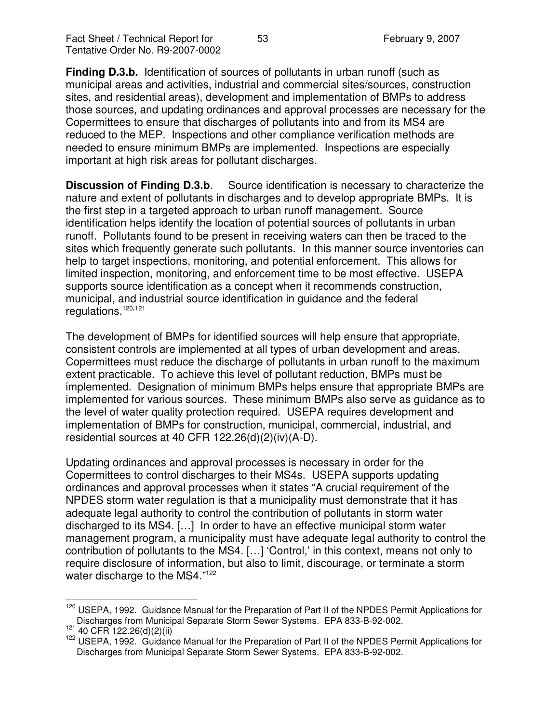**Finding D.3.b.** Identification of sources of pollutants in urban runoff (such as municipal areas and activities, industrial and commercial sites/sources, construction sites, and residential areas), development and implementation of BMPs to address those sources, and updating ordinances and approval processes are necessary for the Copermittees to ensure that discharges of pollutants into and from its MS4 are reduced to the MEP. Inspections and other compliance verification methods are needed to ensure minimum BMPs are implemented. Inspections are especially important at high risk areas for pollutant discharges.

**Discussion of Finding D.3.b**. Source identification is necessary to characterize the nature and extent of pollutants in discharges and to develop appropriate BMPs. It is the first step in a targeted approach to urban runoff management. Source identification helps identify the location of potential sources of pollutants in urban runoff. Pollutants found to be present in receiving waters can then be traced to the sites which frequently generate such pollutants. In this manner source inventories can help to target inspections, monitoring, and potential enforcement. This allows for limited inspection, monitoring, and enforcement time to be most effective. USEPA supports source identification as a concept when it recommends construction, municipal, and industrial source identification in guidance and the federal regulations. 120,121

The development of BMPs for identified sources will help ensure that appropriate, consistent controls are implemented at all types of urban development and areas. Copermittees must reduce the discharge of pollutants in urban runoff to the maximum extent practicable. To achieve this level of pollutant reduction, BMPs must be implemented. Designation of minimum BMPs helps ensure that appropriate BMPs are implemented for various sources. These minimum BMPs also serve as guidance as to the level of water quality protection required. USEPA requires development and implementation of BMPs for construction, municipal, commercial, industrial, and residential sources at 40 CFR 122.26(d)(2)(iv)(A-D).

Updating ordinances and approval processes is necessary in order for the Copermittees to control discharges to their MS4s. USEPA supports updating ordinances and approval processes when it states "A crucial requirement of the NPDES storm water regulation is that a municipality must demonstrate that it has adequate legal authority to control the contribution of pollutants in storm water discharged to its MS4. […] In order to have an effective municipal storm water management program, a municipality must have adequate legal authority to control the contribution of pollutants to the MS4. […] 'Control,' in this context, means not only to require disclosure of information, but also to limit, discourage, or terminate a storm water discharge to the MS4."<sup>122</sup>

<sup>&</sup>lt;sup>120</sup> USEPA, 1992. Guidance Manual for the Preparation of Part II of the NPDES Permit Applications for Discharges from Municipal Separate Storm Sewer Systems. EPA 833-B-92-002.

 $121$  40 CFR 122.26(d)(2)(ii)

<sup>122</sup> USEPA, 1992. Guidance Manual for the Preparation of Part II of the NPDES Permit Applications for Discharges from Municipal Separate Storm Sewer Systems. EPA 833-B-92-002.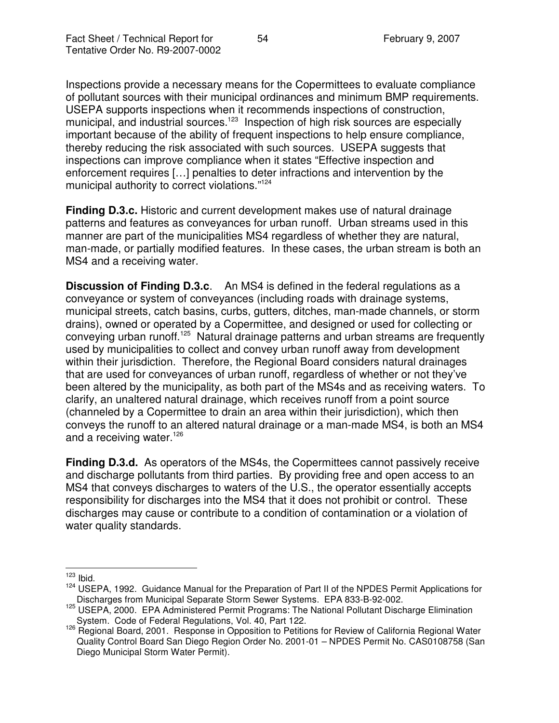Inspections provide a necessary means for the Copermittees to evaluate compliance of pollutant sources with their municipal ordinances and minimum BMP requirements. USEPA supports inspections when it recommends inspections of construction, municipal, and industrial sources.<sup>123</sup> Inspection of high risk sources are especially important because of the ability of frequent inspections to help ensure compliance, thereby reducing the risk associated with such sources. USEPA suggests that inspections can improve compliance when it states "Effective inspection and enforcement requires […] penalties to deter infractions and intervention by the municipal authority to correct violations." 124

**Finding D.3.c.** Historic and current development makes use of natural drainage patterns and features as conveyances for urban runoff. Urban streams used in this manner are part of the municipalities MS4 regardless of whether they are natural, man-made, or partially modified features. In these cases, the urban stream is both an MS4 and a receiving water.

**Discussion of Finding D.3.c**. An MS4 is defined in the federal regulations as a conveyance or system of conveyances (including roads with drainage systems, municipal streets, catch basins, curbs, gutters, ditches, man-made channels, or storm drains), owned or operated by a Copermittee, and designed or used for collecting or conveying urban runoff.<sup>125</sup> Natural drainage patterns and urban streams are frequently used by municipalities to collect and convey urban runoff away from development within their jurisdiction. Therefore, the Regional Board considers natural drainages that are used for conveyances of urban runoff, regardless of whether or not they've been altered by the municipality, as both part of the MS4s and as receiving waters. To clarify, an unaltered natural drainage, which receives runoff from a point source (channeled by a Copermittee to drain an area within their jurisdiction), which then conveys the runoff to an altered natural drainage or a man-made MS4, is both an MS4 and a receiving water.<sup>126</sup>

**Finding D.3.d.** As operators of the MS4s, the Copermittees cannot passively receive and discharge pollutants from third parties. By providing free and open access to an MS4 that conveys discharges to waters of the U.S., the operator essentially accepts responsibility for discharges into the MS4 that it does not prohibit or control. These discharges may cause or contribute to a condition of contamination or a violation of water quality standards.

 $123$  Ibid.

<sup>124</sup> USEPA, 1992. Guidance Manual for the Preparation of Part II of the NPDES Permit Applications for Discharges from Municipal Separate Storm Sewer Systems. EPA 833-B-92-002.

<sup>125</sup> USEPA, 2000. EPA Administered Permit Programs: The National Pollutant Discharge Elimination System. Code of Federal Regulations, Vol. 40, Part 122.

<sup>126</sup> Regional Board, 2001. Response in Opposition to Petitions for Review of California Regional Water Quality Control Board San Diego Region Order No. 2001-01 – NPDES Permit No. CAS0108758 (San Diego Municipal Storm Water Permit).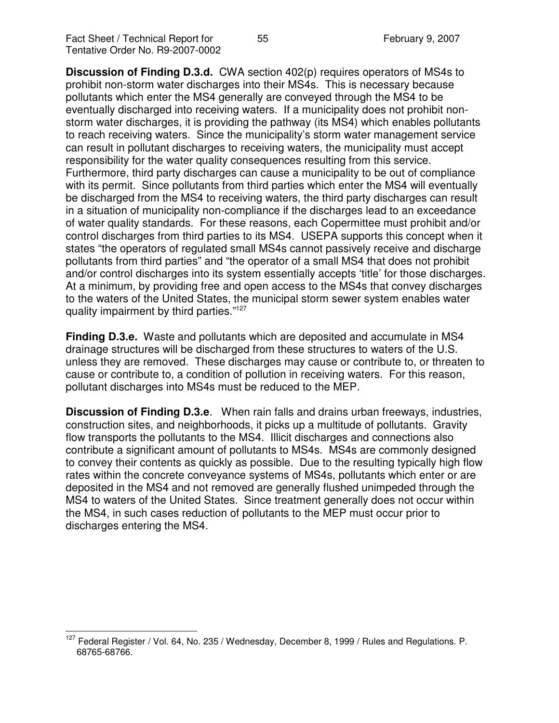**Discussion of Finding D.3.d.** CWA section 402(p) requires operators of MS4s to prohibit non-storm water discharges into their MS4s. This is necessary because pollutants which enter the MS4 generally are conveyed through the MS4 to be eventually discharged into receiving waters. If a municipality does not prohibit nonstorm water discharges, it is providing the pathway (its MS4) which enables pollutants to reach receiving waters. Since the municipality's storm water management service can result in pollutant discharges to receiving waters, the municipality must accept responsibility for the water quality consequences resulting from this service. Furthermore, third party discharges can cause a municipality to be out of compliance with its permit. Since pollutants from third parties which enter the MS4 will eventually be discharged from the MS4 to receiving waters, the third party discharges can result in a situation of municipality non-compliance if the discharges lead to an exceedance of water quality standards. For these reasons, each Copermittee must prohibit and/or control discharges from third parties to its MS4. USEPA supports this concept when it states "the operators of regulated small MS4s cannot passively receive and discharge pollutants from third parties" and "the operator of a small MS4 that does not prohibit and/or control discharges into its system essentially accepts 'title' for those discharges. At a minimum, by providing free and open access to the MS4s that convey discharges to the waters of the United States, the municipal storm sewer system enables water quality impairment by third parties."<sup>127</sup>

**Finding D.3.e.** Waste and pollutants which are deposited and accumulate in MS4 drainage structures will be discharged from these structures to waters of the U.S. unless they are removed. These discharges may cause or contribute to, or threaten to cause or contribute to, a condition of pollution in receiving waters. For this reason, pollutant discharges into MS4s must be reduced to the MEP.

**Discussion of Finding D.3.e**. When rain falls and drains urban freeways, industries, construction sites, and neighborhoods, it picks up a multitude of pollutants. Gravity flow transports the pollutants to the MS4. Illicit discharges and connections also contribute a significant amount of pollutants to MS4s. MS4s are commonly designed to convey their contents as quickly as possible. Due to the resulting typically high flow rates within the concrete conveyance systems of MS4s, pollutants which enter or are deposited in the MS4 and not removed are generally flushed unimpeded through the MS4 to waters of the United States. Since treatment generally does not occur within the MS4, in such cases reduction of pollutants to the MEP must occur prior to discharges entering the MS4.

<sup>&</sup>lt;sup>127</sup> Federal Register / Vol. 64, No. 235 / Wednesday, December 8, 1999 / Rules and Regulations. P. 68765-68766.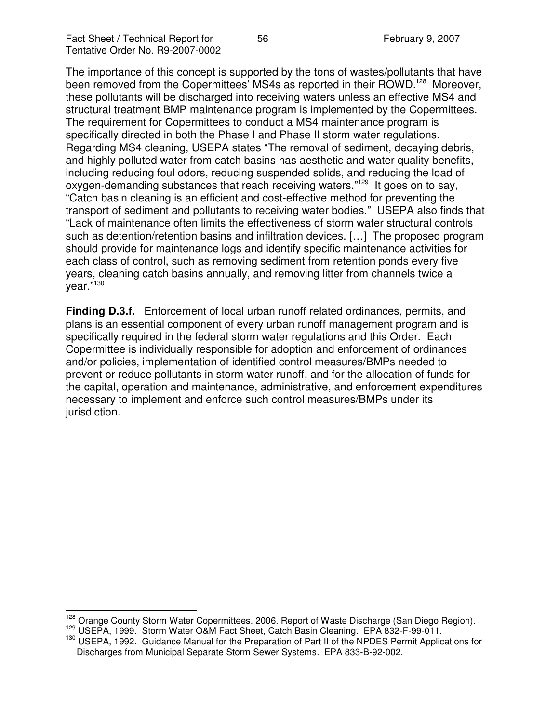The importance of this concept is supported by the tons of wastes/pollutants that have been removed from the Copermittees' MS4s as reported in their ROWD.<sup>128</sup> Moreover, these pollutants will be discharged into receiving waters unless an effective MS4 and structural treatment BMP maintenance program is implemented by the Copermittees. The requirement for Copermittees to conduct a MS4 maintenance program is specifically directed in both the Phase I and Phase II storm water regulations. Regarding MS4 cleaning, USEPA states "The removal of sediment, decaying debris, and highly polluted water from catch basins has aesthetic and water quality benefits, including reducing foul odors, reducing suspended solids, and reducing the load of oxygen-demanding substances that reach receiving waters."<sup>129</sup> It goes on to say, "Catch basin cleaning is an efficient and cost-effective method for preventing the transport of sediment and pollutants to receiving water bodies." USEPA also finds that "Lack of maintenance often limits the effectiveness of storm water structural controls such as detention/retention basins and infiltration devices. […] The proposed program should provide for maintenance logs and identify specific maintenance activities for each class of control, such as removing sediment from retention ponds every five years, cleaning catch basins annually, and removing litter from channels twice a year."<sup>130</sup>

**Finding D.3.f.** Enforcement of local urban runoff related ordinances, permits, and plans is an essential component of every urban runoff management program and is specifically required in the federal storm water regulations and this Order. Each Copermittee is individually responsible for adoption and enforcement of ordinances and/or policies, implementation of identified control measures/BMPs needed to prevent or reduce pollutants in storm water runoff, and for the allocation of funds for the capital, operation and maintenance, administrative, and enforcement expenditures necessary to implement and enforce such control measures/BMPs under its jurisdiction.

<sup>128</sup> Orange County Storm Water Copermittees. 2006. Report of Waste Discharge (San Diego Region). <sup>129</sup> USEPA, 1999. Storm Water O&M Fact Sheet, Catch Basin Cleaning. EPA 832-F-99-011.

<sup>130</sup> USEPA, 1992. Guidance Manual for the Preparation of Part II of the NPDES Permit Applications for Discharges from Municipal Separate Storm Sewer Systems. EPA 833-B-92-002.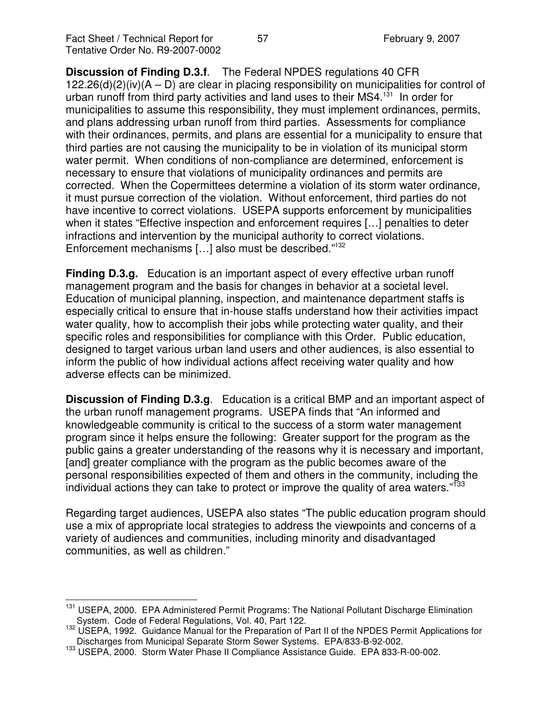**Discussion of Finding D.3.f**. The Federal NPDES regulations 40 CFR  $122.26(d)(2)(iv)(A – D)$  are clear in placing responsibility on municipalities for control of urban runoff from third party activities and land uses to their MS4.<sup>131</sup> In order for municipalities to assume this responsibility, they must implement ordinances, permits, and plans addressing urban runoff from third parties. Assessments for compliance with their ordinances, permits, and plans are essential for a municipality to ensure that third parties are not causing the municipality to be in violation of its municipal storm water permit. When conditions of non-compliance are determined, enforcement is necessary to ensure that violations of municipality ordinances and permits are corrected. When the Copermittees determine a violation of its storm water ordinance, it must pursue correction of the violation. Without enforcement, third parties do not have incentive to correct violations. USEPA supports enforcement by municipalities when it states "Effective inspection and enforcement requires […] penalties to deter infractions and intervention by the municipal authority to correct violations. Enforcement mechanisms [...] also must be described."<sup>132</sup>

**Finding D.3.g.** Education is an important aspect of every effective urban runoff management program and the basis for changes in behavior at a societal level. Education of municipal planning, inspection, and maintenance department staffs is especially critical to ensure that in-house staffs understand how their activities impact water quality, how to accomplish their jobs while protecting water quality, and their specific roles and responsibilities for compliance with this Order. Public education, designed to target various urban land users and other audiences, is also essential to inform the public of how individual actions affect receiving water quality and how adverse effects can be minimized.

**Discussion of Finding D.3.g**. Education is a critical BMP and an important aspect of the urban runoff management programs. USEPA finds that "An informed and knowledgeable community is critical to the success of a storm water management program since it helps ensure the following: Greater support for the program as the public gains a greater understanding of the reasons why it is necessary and important, [and] greater compliance with the program as the public becomes aware of the personal responsibilities expected of them and others in the community, including the individual actions they can take to protect or improve the quality of area waters."<sup>133</sup>

Regarding target audiences, USEPA also states "The public education program should use a mix of appropriate local strategies to address the viewpoints and concerns of a variety of audiences and communities, including minority and disadvantaged communities, as well as children."

<sup>&</sup>lt;sup>131</sup> USEPA, 2000. EPA Administered Permit Programs: The National Pollutant Discharge Elimination System. Code of Federal Regulations, Vol. 40, Part 122.

<sup>132</sup> USEPA, 1992. Guidance Manual for the Preparation of Part II of the NPDES Permit Applications for Discharges from Municipal Separate Storm Sewer Systems. EPA/833-B-92-002.

<sup>133</sup> USEPA, 2000. Storm Water Phase II Compliance Assistance Guide. EPA 833-R-00-002.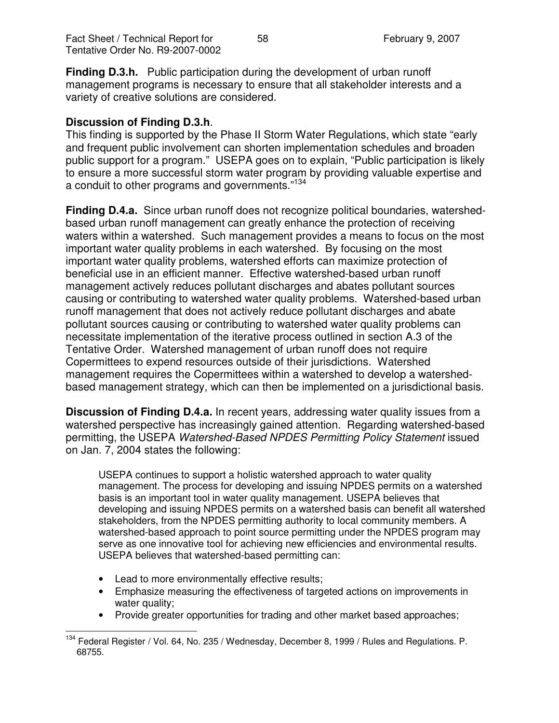**Finding D.3.h.** Public participation during the development of urban runoff management programs is necessary to ensure that all stakeholder interests and a variety of creative solutions are considered.

### **Discussion of Finding D.3.h**.

This finding is supported by the Phase II Storm Water Regulations, which state "early and frequent public involvement can shorten implementation schedules and broaden public support for a program." USEPA goes on to explain, "Public participation is likely to ensure a more successful storm water program by providing valuable expertise and a conduit to other programs and governments."<sup>134</sup>

**Finding D.4.a.** Since urban runoff does not recognize political boundaries, watershedbased urban runoff management can greatly enhance the protection of receiving waters within a watershed. Such management provides a means to focus on the most important water quality problems in each watershed. By focusing on the most important water quality problems, watershed efforts can maximize protection of beneficial use in an efficient manner. Effective watershed-based urban runoff management actively reduces pollutant discharges and abates pollutant sources causing or contributing to watershed water quality problems. Watershed-based urban runoff management that does not actively reduce pollutant discharges and abate pollutant sources causing or contributing to watershed water quality problems can necessitate implementation of the iterative process outlined in section A.3 of the Tentative Order. Watershed management of urban runoff does not require Copermittees to expend resources outside of their jurisdictions. Watershed management requires the Copermittees within a watershed to develop a watershedbased management strategy, which can then be implemented on a jurisdictional basis.

**Discussion of Finding D.4.a.** In recent years, addressing water quality issues from a watershed perspective has increasingly gained attention. Regarding watershed-based permitting, the USEPA *Watershed-Based NPDES Permitting Policy Statement* issued on Jan. 7, 2004 states the following:

USEPA continues to support a holistic watershed approach to water quality management. The process for developing and issuing NPDES permits on a watershed basis is an important tool in water quality management. USEPA believes that developing and issuing NPDES permits on a watershed basis can benefit all watershed stakeholders, from the NPDES permitting authority to local community members. A watershed-based approach to point source permitting under the NPDES program may serve as one innovative tool for achieving new efficiencies and environmental results. USEPA believes that watershed-based permitting can:

- Lead to more environmentally effective results;
- Emphasize measuring the effectiveness of targeted actions on improvements in water quality;
- Provide greater opportunities for trading and other market based approaches;

<sup>&</sup>lt;sup>134</sup> Federal Register / Vol. 64, No. 235 / Wednesday, December 8, 1999 / Rules and Regulations. P. 68755.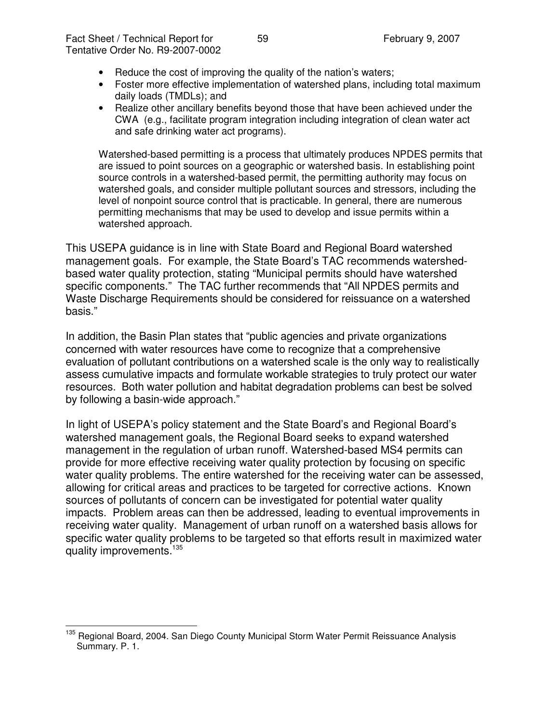- Reduce the cost of improving the quality of the nation's waters;
- Foster more effective implementation of watershed plans, including total maximum daily loads (TMDLs); and
- Realize other ancillary benefits beyond those that have been achieved under the CWA (e.g., facilitate program integration including integration of clean water act and safe drinking water act programs).

Watershed-based permitting is a process that ultimately produces NPDES permits that are issued to point sources on a geographic or watershed basis. In establishing point source controls in a watershed-based permit, the permitting authority may focus on watershed goals, and consider multiple pollutant sources and stressors, including the level of nonpoint source control that is practicable. In general, there are numerous permitting mechanisms that may be used to develop and issue permits within a watershed approach.

This USEPA guidance is in line with State Board and Regional Board watershed management goals. For example, the State Board's TAC recommends watershedbased water quality protection, stating "Municipal permits should have watershed specific components." The TAC further recommends that "All NPDES permits and Waste Discharge Requirements should be considered for reissuance on a watershed basis."

In addition, the Basin Plan states that "public agencies and private organizations concerned with water resources have come to recognize that a comprehensive evaluation of pollutant contributions on a watershed scale is the only way to realistically assess cumulative impacts and formulate workable strategies to truly protect our water resources. Both water pollution and habitat degradation problems can best be solved by following a basin-wide approach."

In light of USEPA's policy statement and the State Board's and Regional Board's watershed management goals, the Regional Board seeks to expand watershed management in the regulation of urban runoff. Watershed-based MS4 permits can provide for more effective receiving water quality protection by focusing on specific water quality problems. The entire watershed for the receiving water can be assessed, allowing for critical areas and practices to be targeted for corrective actions. Known sources of pollutants of concern can be investigated for potential water quality impacts. Problem areas can then be addressed, leading to eventual improvements in receiving water quality. Management of urban runoff on a watershed basis allows for specific water quality problems to be targeted so that efforts result in maximized water quality improvements.<sup>135</sup>

<sup>&</sup>lt;sup>135</sup> Regional Board, 2004. San Diego County Municipal Storm Water Permit Reissuance Analysis Summary. P. 1.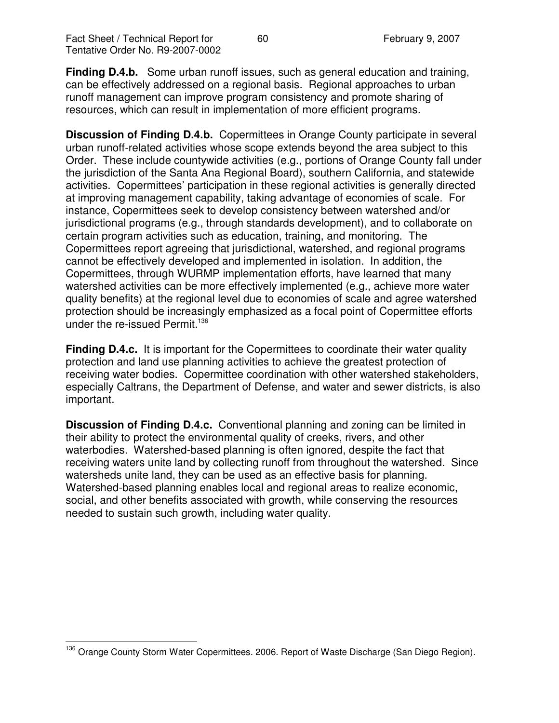**Finding D.4.b.** Some urban runoff issues, such as general education and training, can be effectively addressed on a regional basis. Regional approaches to urban runoff management can improve program consistency and promote sharing of resources, which can result in implementation of more efficient programs.

**Discussion of Finding D.4.b.** Copermittees in Orange County participate in several urban runoff-related activities whose scope extends beyond the area subject to this Order. These include countywide activities (e.g., portions of Orange County fall under the jurisdiction of the Santa Ana Regional Board), southern California, and statewide activities. Copermittees' participation in these regional activities is generally directed at improving management capability, taking advantage of economies of scale. For instance, Copermittees seek to develop consistency between watershed and/or jurisdictional programs (e.g., through standards development), and to collaborate on certain program activities such as education, training, and monitoring. The Copermittees report agreeing that jurisdictional, watershed, and regional programs cannot be effectively developed and implemented in isolation. In addition, the Copermittees, through WURMP implementation efforts, have learned that many watershed activities can be more effectively implemented (e.g., achieve more water quality benefits) at the regional level due to economies of scale and agree watershed protection should be increasingly emphasized as a focal point of Copermittee efforts under the re-issued Permit. 136

**Finding D.4.c.** It is important for the Copermittees to coordinate their water quality protection and land use planning activities to achieve the greatest protection of receiving water bodies. Copermittee coordination with other watershed stakeholders, especially Caltrans, the Department of Defense, and water and sewer districts, is also important.

**Discussion of Finding D.4.c.** Conventional planning and zoning can be limited in their ability to protect the environmental quality of creeks, rivers, and other waterbodies. Watershed-based planning is often ignored, despite the fact that receiving waters unite land by collecting runoff from throughout the watershed. Since watersheds unite land, they can be used as an effective basis for planning. Watershed-based planning enables local and regional areas to realize economic, social, and other benefits associated with growth, while conserving the resources needed to sustain such growth, including water quality.

<sup>&</sup>lt;sup>136</sup> Orange County Storm Water Copermittees. 2006. Report of Waste Discharge (San Diego Region).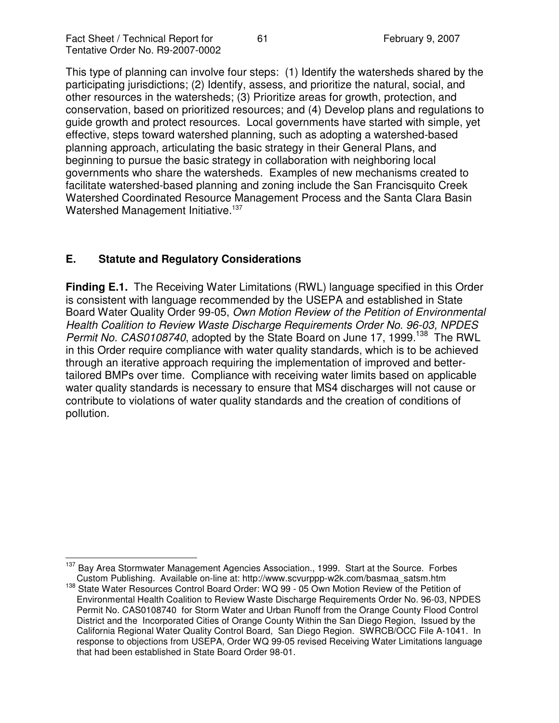This type of planning can involve four steps: (1) Identify the watersheds shared by the participating jurisdictions; (2) Identify, assess, and prioritize the natural, social, and other resources in the watersheds; (3) Prioritize areas for growth, protection, and conservation, based on prioritized resources; and (4) Develop plans and regulations to guide growth and protect resources. Local governments have started with simple, yet effective, steps toward watershed planning, such as adopting a watershed-based planning approach, articulating the basic strategy in their General Plans, and beginning to pursue the basic strategy in collaboration with neighboring local governments who share the watersheds. Examples of new mechanisms created to facilitate watershed-based planning and zoning include the San Francisquito Creek Watershed Coordinated Resource Management Process and the Santa Clara Basin Watershed Management Initiative.<sup>137</sup>

# **E. Statute and Regulatory Considerations**

**Finding E.1.** The Receiving Water Limitations (RWL) language specified in this Order is consistent with language recommended by the USEPA and established in State Board Water Quality Order 99-05, *Own Motion Review of the Petition of Environmental Health Coalition to Review Waste Discharge Requirements Order No. 96-03, NPDES* Permit No. CAS0108740, adopted by the State Board on June 17, 1999.<sup>138</sup> The RWL in this Order require compliance with water quality standards, which is to be achieved through an iterative approach requiring the implementation of improved and bettertailored BMPs over time. Compliance with receiving water limits based on applicable water quality standards is necessary to ensure that MS4 discharges will not cause or contribute to violations of water quality standards and the creation of conditions of pollution.

<sup>&</sup>lt;sup>137</sup> Bay Area Stormwater Management Agencies Association., 1999. Start at the Source. Forbes Custom Publishing. Available on-line at: http://www.scvurppp-w2k.com/basmaa\_satsm.htm

<sup>&</sup>lt;sup>138</sup> State Water Resources Control Board Order: WQ 99 - 05 Own Motion Review of the Petition of Environmental Health Coalition to Review Waste Discharge Requirements Order No. 96-03, NPDES Permit No. CAS0108740 for Storm Water and Urban Runoff from the Orange County Flood Control District and the Incorporated Cities of Orange County Within the San Diego Region, Issued by the California Regional Water Quality Control Board, San Diego Region. SWRCB/OCC File A-1041. In response to objections from USEPA, Order WQ 99-05 revised Receiving Water Limitations language that had been established in State Board Order 98-01.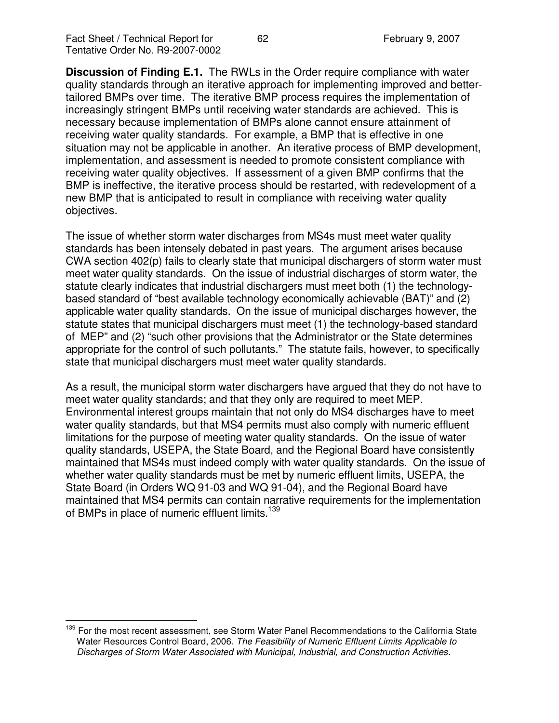**Discussion of Finding E.1.** The RWLs in the Order require compliance with water quality standards through an iterative approach for implementing improved and bettertailored BMPs over time. The iterative BMP process requires the implementation of increasingly stringent BMPs until receiving water standards are achieved. This is necessary because implementation of BMPs alone cannot ensure attainment of receiving water quality standards. For example, a BMP that is effective in one situation may not be applicable in another. An iterative process of BMP development, implementation, and assessment is needed to promote consistent compliance with receiving water quality objectives. If assessment of a given BMP confirms that the BMP is ineffective, the iterative process should be restarted, with redevelopment of a new BMP that is anticipated to result in compliance with receiving water quality objectives.

The issue of whether storm water discharges from MS4s must meet water quality standards has been intensely debated in past years. The argument arises because CWA section 402(p) fails to clearly state that municipal dischargers of storm water must meet water quality standards. On the issue of industrial discharges of storm water, the statute clearly indicates that industrial dischargers must meet both (1) the technologybased standard of "best available technology economically achievable (BAT)" and (2) applicable water quality standards. On the issue of municipal discharges however, the statute states that municipal dischargers must meet (1) the technology-based standard of MEP" and (2) "such other provisions that the Administrator or the State determines appropriate for the control of such pollutants." The statute fails, however, to specifically state that municipal dischargers must meet water quality standards.

As a result, the municipal storm water dischargers have argued that they do not have to meet water quality standards; and that they only are required to meet MEP. Environmental interest groups maintain that not only do MS4 discharges have to meet water quality standards, but that MS4 permits must also comply with numeric effluent limitations for the purpose of meeting water quality standards. On the issue of water quality standards, USEPA, the State Board, and the Regional Board have consistently maintained that MS4s must indeed comply with water quality standards. On the issue of whether water quality standards must be met by numeric effluent limits, USEPA, the State Board (in Orders WQ 91-03 and WQ 91-04), and the Regional Board have maintained that MS4 permits can contain narrative requirements for the implementation of BMPs in place of numeric effluent limits.<sup>139</sup>

<sup>&</sup>lt;sup>139</sup> For the most recent assessment, see Storm Water Panel Recommendations to the California State Water Resources Control Board, 2006. *The Feasibility of Numeric Effluent Limits Applicable to Discharges of Storm Water Associated with Municipal, Industrial, and Construction Activities.*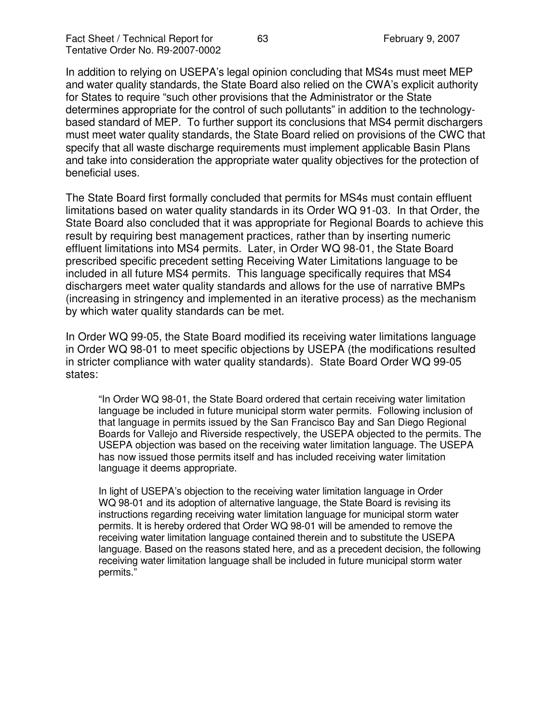In addition to relying on USEPA's legal opinion concluding that MS4s must meet MEP and water quality standards, the State Board also relied on the CWA's explicit authority for States to require "such other provisions that the Administrator or the State determines appropriate for the control of such pollutants" in addition to the technologybased standard of MEP. To further support its conclusions that MS4 permit dischargers must meet water quality standards, the State Board relied on provisions of the CWC that specify that all waste discharge requirements must implement applicable Basin Plans and take into consideration the appropriate water quality objectives for the protection of beneficial uses.

The State Board first formally concluded that permits for MS4s must contain effluent limitations based on water quality standards in its Order WQ 91-03. In that Order, the State Board also concluded that it was appropriate for Regional Boards to achieve this result by requiring best management practices, rather than by inserting numeric effluent limitations into MS4 permits. Later, in Order WQ 98-01, the State Board prescribed specific precedent setting Receiving Water Limitations language to be included in all future MS4 permits. This language specifically requires that MS4 dischargers meet water quality standards and allows for the use of narrative BMPs (increasing in stringency and implemented in an iterative process) as the mechanism by which water quality standards can be met.

In Order WQ 99-05, the State Board modified its receiving water limitations language in Order WQ 98-01 to meet specific objections by USEPA (the modifications resulted in stricter compliance with water quality standards). State Board Order WQ 99-05 states:

"In Order WQ 98-01, the State Board ordered that certain receiving water limitation language be included in future municipal storm water permits. Following inclusion of that language in permits issued by the San Francisco Bay and San Diego Regional Boards for Vallejo and Riverside respectively, the USEPA objected to the permits. The USEPA objection was based on the receiving water limitation language. The USEPA has now issued those permits itself and has included receiving water limitation language it deems appropriate.

In light of USEPA's objection to the receiving water limitation language in Order WQ 98-01 and its adoption of alternative language, the State Board is revising its instructions regarding receiving water limitation language for municipal storm water permits. It is hereby ordered that Order WQ 98-01 will be amended to remove the receiving water limitation language contained therein and to substitute the USEPA language. Based on the reasons stated here, and as a precedent decision, the following receiving water limitation language shall be included in future municipal storm water permits."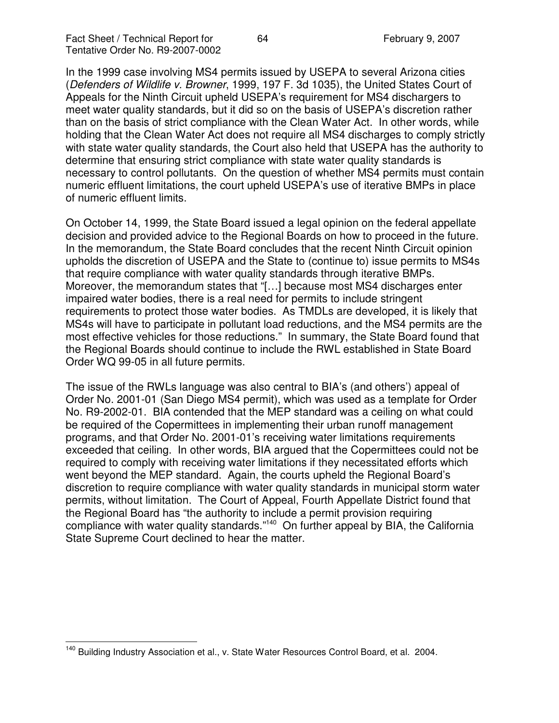In the 1999 case involving MS4 permits issued by USEPA to several Arizona cities (*Defenders of Wildlife v. Browner*, 1999, 197 F. 3d 1035), the United States Court of Appeals for the Ninth Circuit upheld USEPA's requirement for MS4 dischargers to meet water quality standards, but it did so on the basis of USEPA's discretion rather than on the basis of strict compliance with the Clean Water Act. In other words, while holding that the Clean Water Act does not require all MS4 discharges to comply strictly with state water quality standards, the Court also held that USEPA has the authority to determine that ensuring strict compliance with state water quality standards is necessary to control pollutants. On the question of whether MS4 permits must contain numeric effluent limitations, the court upheld USEPA's use of iterative BMPs in place of numeric effluent limits.

On October 14, 1999, the State Board issued a legal opinion on the federal appellate decision and provided advice to the Regional Boards on how to proceed in the future. In the memorandum, the State Board concludes that the recent Ninth Circuit opinion upholds the discretion of USEPA and the State to (continue to) issue permits to MS4s that require compliance with water quality standards through iterative BMPs. Moreover, the memorandum states that "[…] because most MS4 discharges enter impaired water bodies, there is a real need for permits to include stringent requirements to protect those water bodies. As TMDLs are developed, it is likely that MS4s will have to participate in pollutant load reductions, and the MS4 permits are the most effective vehicles for those reductions." In summary, the State Board found that the Regional Boards should continue to include the RWL established in State Board Order WQ 99-05 in all future permits.

The issue of the RWLs language was also central to BIA's (and others') appeal of Order No. 2001-01 (San Diego MS4 permit), which was used as a template for Order No. R9-2002-01. BIA contended that the MEP standard was a ceiling on what could be required of the Copermittees in implementing their urban runoff management programs, and that Order No. 2001-01's receiving water limitations requirements exceeded that ceiling. In other words, BIA argued that the Copermittees could not be required to comply with receiving water limitations if they necessitated efforts which went beyond the MEP standard. Again, the courts upheld the Regional Board's discretion to require compliance with water quality standards in municipal storm water permits, without limitation. The Court of Appeal, Fourth Appellate District found that the Regional Board has "the authority to include a permit provision requiring compliance with water quality standards."<sup>140</sup> On further appeal by BIA, the California State Supreme Court declined to hear the matter.

<sup>&</sup>lt;sup>140</sup> Building Industry Association et al., v. State Water Resources Control Board, et al. 2004.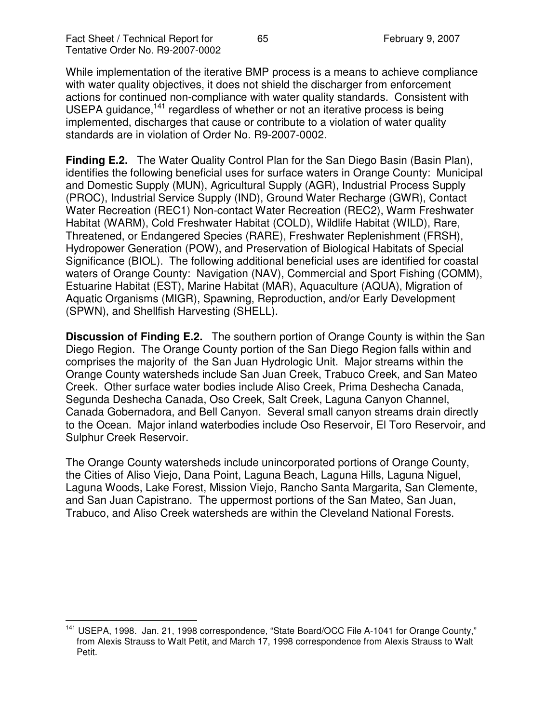While implementation of the iterative BMP process is a means to achieve compliance with water quality objectives, it does not shield the discharger from enforcement actions for continued non-compliance with water quality standards. Consistent with USEPA guidance,<sup>141</sup> regardless of whether or not an iterative process is being implemented, discharges that cause or contribute to a violation of water quality standards are in violation of Order No. R9-2007-0002.

**Finding E.2.** The Water Quality Control Plan for the San Diego Basin (Basin Plan), identifies the following beneficial uses for surface waters in Orange County: Municipal and Domestic Supply (MUN), Agricultural Supply (AGR), Industrial Process Supply (PROC), Industrial Service Supply (IND), Ground Water Recharge (GWR), Contact Water Recreation (REC1) Non-contact Water Recreation (REC2), Warm Freshwater Habitat (WARM), Cold Freshwater Habitat (COLD), Wildlife Habitat (WILD), Rare, Threatened, or Endangered Species (RARE), Freshwater Replenishment (FRSH), Hydropower Generation (POW), and Preservation of Biological Habitats of Special Significance (BIOL). The following additional beneficial uses are identified for coastal waters of Orange County: Navigation (NAV), Commercial and Sport Fishing (COMM), Estuarine Habitat (EST), Marine Habitat (MAR), Aquaculture (AQUA), Migration of Aquatic Organisms (MIGR), Spawning, Reproduction, and/or Early Development (SPWN), and Shellfish Harvesting (SHELL).

**Discussion of Finding E.2.** The southern portion of Orange County is within the San Diego Region. The Orange County portion of the San Diego Region falls within and comprises the majority of the San Juan Hydrologic Unit. Major streams within the Orange County watersheds include San Juan Creek, Trabuco Creek, and San Mateo Creek. Other surface water bodies include Aliso Creek, Prima Deshecha Canada, Segunda Deshecha Canada, Oso Creek, Salt Creek, Laguna Canyon Channel, Canada Gobernadora, and Bell Canyon. Several small canyon streams drain directly to the Ocean. Major inland waterbodies include Oso Reservoir, El Toro Reservoir, and Sulphur Creek Reservoir.

The Orange County watersheds include unincorporated portions of Orange County, the Cities of Aliso Viejo, Dana Point, Laguna Beach, Laguna Hills, Laguna Niguel, Laguna Woods, Lake Forest, Mission Viejo, Rancho Santa Margarita, San Clemente, and San Juan Capistrano. The uppermost portions of the San Mateo, San Juan, Trabuco, and Aliso Creek watersheds are within the Cleveland National Forests.

<sup>&</sup>lt;sup>141</sup> USEPA, 1998. Jan. 21, 1998 correspondence, "State Board/OCC File A-1041 for Orange County," from Alexis Strauss to Walt Petit, and March 17, 1998 correspondence from Alexis Strauss to Walt Petit.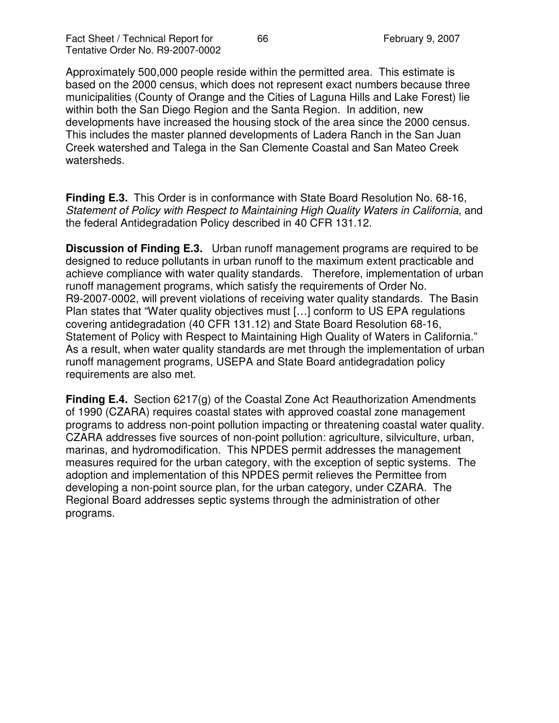Approximately 500,000 people reside within the permitted area. This estimate is based on the 2000 census, which does not represent exact numbers because three municipalities (County of Orange and the Cities of Laguna Hills and Lake Forest) lie within both the San Diego Region and the Santa Region. In addition, new developments have increased the housing stock of the area since the 2000 census. This includes the master planned developments of Ladera Ranch in the San Juan Creek watershed and Talega in the San Clemente Coastal and San Mateo Creek watersheds.

**Finding E.3.** This Order is in conformance with State Board Resolution No. 68-16, *Statement of Policy with Respect to Maintaining High Quality Waters in California*, and the federal Antidegradation Policy described in 40 CFR 131.12.

**Discussion of Finding E.3.** Urban runoff management programs are required to be designed to reduce pollutants in urban runoff to the maximum extent practicable and achieve compliance with water quality standards. Therefore, implementation of urban runoff management programs, which satisfy the requirements of Order No. R9-2007-0002, will prevent violations of receiving water quality standards. The Basin Plan states that "Water quality objectives must […] conform to US EPA regulations covering antidegradation (40 CFR 131.12) and State Board Resolution 68-16, Statement of Policy with Respect to Maintaining High Quality of Waters in California." As a result, when water quality standards are met through the implementation of urban runoff management programs, USEPA and State Board antidegradation policy requirements are also met.

**Finding E.4.** Section 6217(g) of the Coastal Zone Act Reauthorization Amendments of 1990 (CZARA) requires coastal states with approved coastal zone management programs to address non-point pollution impacting or threatening coastal water quality. CZARA addresses five sources of non-point pollution: agriculture, silviculture, urban, marinas, and hydromodification. This NPDES permit addresses the management measures required for the urban category, with the exception of septic systems. The adoption and implementation of this NPDES permit relieves the Permittee from developing a non-point source plan, for the urban category, under CZARA. The Regional Board addresses septic systems through the administration of other programs.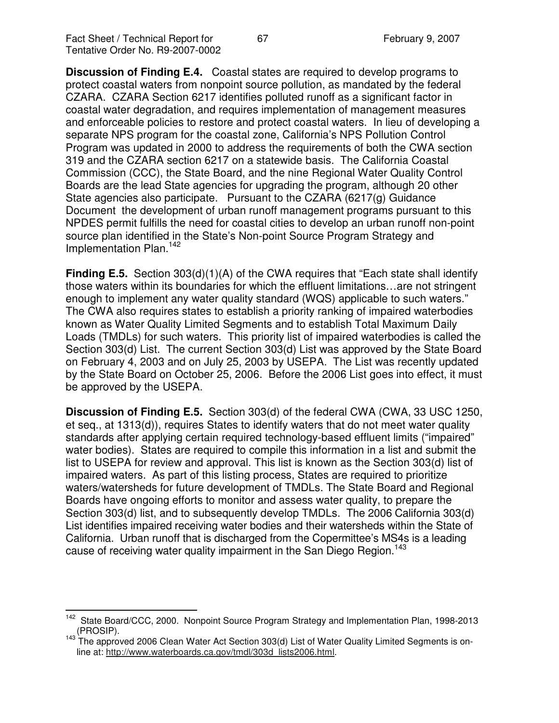**Discussion of Finding E.4.** Coastal states are required to develop programs to protect coastal waters from nonpoint source pollution, as mandated by the federal CZARA. CZARA Section 6217 identifies polluted runoff as a significant factor in coastal water degradation, and requires implementation of management measures and enforceable policies to restore and protect coastal waters. In lieu of developing a separate NPS program for the coastal zone, California's NPS Pollution Control Program was updated in 2000 to address the requirements of both the CWA section 319 and the CZARA section 6217 on a statewide basis. The California Coastal Commission (CCC), the State Board, and the nine Regional Water Quality Control Boards are the lead State agencies for upgrading the program, although 20 other State agencies also participate. Pursuant to the CZARA (6217(g) Guidance Document the development of urban runoff management programs pursuant to this NPDES permit fulfills the need for coastal cities to develop an urban runoff non-point source plan identified in the State's Non-point Source Program Strategy and Implementation Plan. 142

**Finding E.5.** Section 303(d)(1)(A) of the CWA requires that "Each state shall identify those waters within its boundaries for which the effluent limitations…are not stringent enough to implement any water quality standard (WQS) applicable to such waters." The CWA also requires states to establish a priority ranking of impaired waterbodies known as Water Quality Limited Segments and to establish Total Maximum Daily Loads (TMDLs) for such waters. This priority list of impaired waterbodies is called the Section 303(d) List. The current Section 303(d) List was approved by the State Board on February 4, 2003 and on July 25, 2003 by USEPA. The List was recently updated by the State Board on October 25, 2006. Before the 2006 List goes into effect, it must be approved by the USEPA.

**Discussion of Finding E.5.** Section 303(d) of the federal CWA (CWA, 33 USC 1250, et seq., at 1313(d)), requires States to identify waters that do not meet water quality standards after applying certain required technology-based effluent limits ("impaired" water bodies). States are required to compile this information in a list and submit the list to USEPA for review and approval. This list is known as the Section 303(d) list of impaired waters. As part of this listing process, States are required to prioritize waters/watersheds for future development of TMDLs. The State Board and Regional Boards have ongoing efforts to monitor and assess water quality, to prepare the Section 303(d) list, and to subsequently develop TMDLs. The 2006 California 303(d) List identifies impaired receiving water bodies and their watersheds within the State of California. Urban runoff that is discharged from the Copermittee's MS4s is a leading cause of receiving water quality impairment in the San Diego Region.<sup>143</sup>

<sup>142</sup> State Board/CCC, 2000. Nonpoint Source Program Strategy and Implementation Plan, 1998-2013 (PROSIP).

<sup>&</sup>lt;sup>143</sup> The approved 2006 Clean Water Act Section 303(d) List of Water Quality Limited Segments is online at: http://www.waterboards.ca.gov/tmdl/303d\_lists2006.html.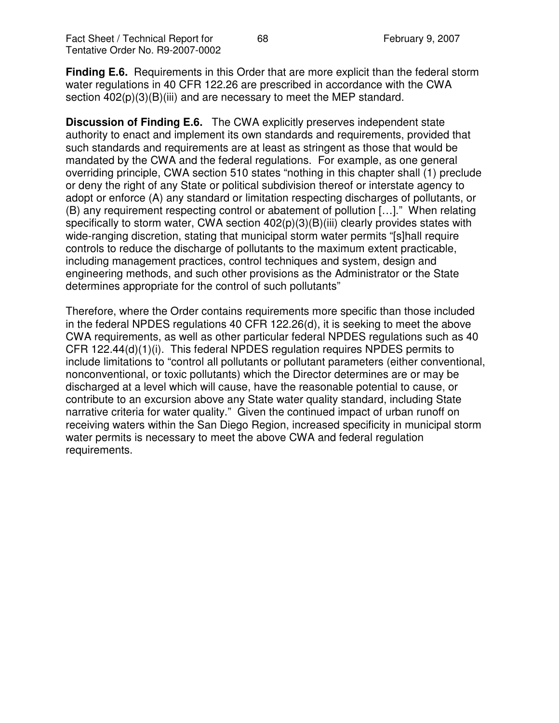**Finding E.6.** Requirements in this Order that are more explicit than the federal storm water regulations in 40 CFR 122.26 are prescribed in accordance with the CWA section  $402(p)(3)(B)(iii)$  and are necessary to meet the MEP standard.

**Discussion of Finding E.6.** The CWA explicitly preserves independent state authority to enact and implement its own standards and requirements, provided that such standards and requirements are at least as stringent as those that would be mandated by the CWA and the federal regulations. For example, as one general overriding principle, CWA section 510 states "nothing in this chapter shall (1) preclude or deny the right of any State or political subdivision thereof or interstate agency to adopt or enforce (A) any standard or limitation respecting discharges of pollutants, or (B) any requirement respecting control or abatement of pollution […]." When relating specifically to storm water, CWA section  $402(p)(3)(B)(iii)$  clearly provides states with wide-ranging discretion, stating that municipal storm water permits "[s]hall require controls to reduce the discharge of pollutants to the maximum extent practicable, including management practices, control techniques and system, design and engineering methods, and such other provisions as the Administrator or the State determines appropriate for the control of such pollutants"

Therefore, where the Order contains requirements more specific than those included in the federal NPDES regulations 40 CFR 122.26(d), it is seeking to meet the above CWA requirements, as well as other particular federal NPDES regulations such as 40 CFR 122.44(d)(1)(i). This federal NPDES regulation requires NPDES permits to include limitations to "control all pollutants or pollutant parameters (either conventional, nonconventional, or toxic pollutants) which the Director determines are or may be discharged at a level which will cause, have the reasonable potential to cause, or contribute to an excursion above any State water quality standard, including State narrative criteria for water quality." Given the continued impact of urban runoff on receiving waters within the San Diego Region, increased specificity in municipal storm water permits is necessary to meet the above CWA and federal regulation requirements.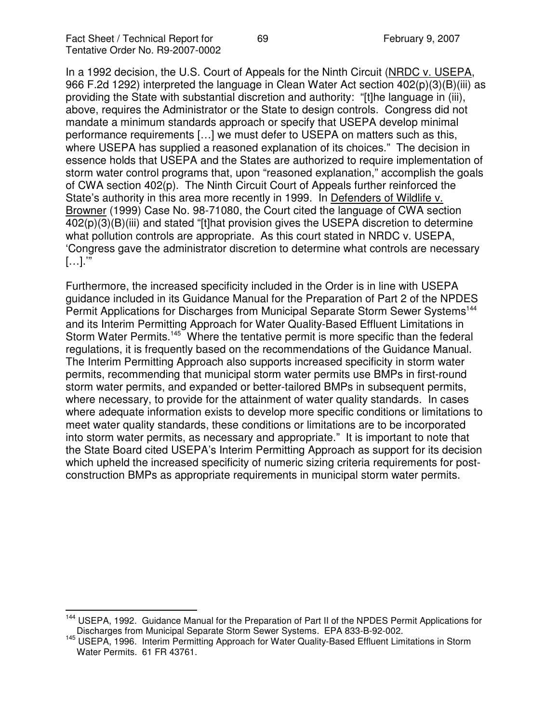In a 1992 decision, the U.S. Court of Appeals for the Ninth Circuit (NRDC v. USEPA, 966 F.2d 1292) interpreted the language in Clean Water Act section 402(p)(3)(B)(iii) as providing the State with substantial discretion and authority: "[t]he language in (iii), above, requires the Administrator or the State to design controls. Congress did not mandate a minimum standards approach or specify that USEPA develop minimal performance requirements […] we must defer to USEPA on matters such as this, where USEPA has supplied a reasoned explanation of its choices." The decision in essence holds that USEPA and the States are authorized to require implementation of storm water control programs that, upon "reasoned explanation," accomplish the goals of CWA section 402(p). The Ninth Circuit Court of Appeals further reinforced the State's authority in this area more recently in 1999. In Defenders of Wildlife v. Browner (1999) Case No. 98-71080, the Court cited the language of CWA section 402(p)(3)(B)(iii) and stated "[t]hat provision gives the USEPA discretion to determine what pollution controls are appropriate. As this court stated in NRDC v. USEPA, 'Congress gave the administrator discretion to determine what controls are necessary […].'"

Furthermore, the increased specificity included in the Order is in line with USEPA guidance included in its Guidance Manual for the Preparation of Part 2 of the NPDES Permit Applications for Discharges from Municipal Separate Storm Sewer Systems<sup>144</sup> and its Interim Permitting Approach for Water Quality-Based Effluent Limitations in Storm Water Permits.<sup>145</sup> Where the tentative permit is more specific than the federal regulations, it is frequently based on the recommendations of the Guidance Manual. The Interim Permitting Approach also supports increased specificity in storm water permits, recommending that municipal storm water permits use BMPs in first-round storm water permits, and expanded or better-tailored BMPs in subsequent permits, where necessary, to provide for the attainment of water quality standards. In cases where adequate information exists to develop more specific conditions or limitations to meet water quality standards, these conditions or limitations are to be incorporated into storm water permits, as necessary and appropriate." It is important to note that the State Board cited USEPA's Interim Permitting Approach as support for its decision which upheld the increased specificity of numeric sizing criteria requirements for postconstruction BMPs as appropriate requirements in municipal storm water permits.

<sup>&</sup>lt;sup>144</sup> USEPA, 1992. Guidance Manual for the Preparation of Part II of the NPDES Permit Applications for Discharges from Municipal Separate Storm Sewer Systems. EPA 833-B-92-002.

<sup>145</sup> USEPA, 1996. Interim Permitting Approach for Water Quality-Based Effluent Limitations in Storm Water Permits. 61 FR 43761.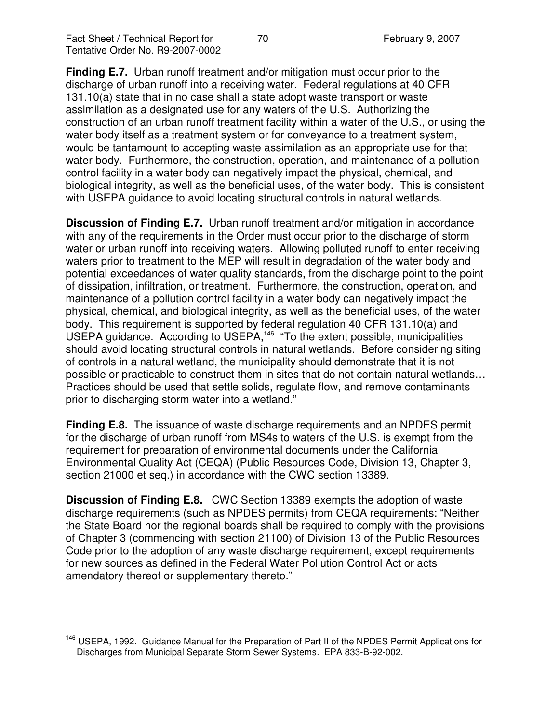**Finding E.7.** Urban runoff treatment and/or mitigation must occur prior to the discharge of urban runoff into a receiving water. Federal regulations at 40 CFR 131.10(a) state that in no case shall a state adopt waste transport or waste assimilation as a designated use for any waters of the U.S. Authorizing the construction of an urban runoff treatment facility within a water of the U.S., or using the water body itself as a treatment system or for conveyance to a treatment system, would be tantamount to accepting waste assimilation as an appropriate use for that water body. Furthermore, the construction, operation, and maintenance of a pollution control facility in a water body can negatively impact the physical, chemical, and biological integrity, as well as the beneficial uses, of the water body. This is consistent with USEPA guidance to avoid locating structural controls in natural wetlands.

**Discussion of Finding E.7.** Urban runoff treatment and/or mitigation in accordance with any of the requirements in the Order must occur prior to the discharge of storm water or urban runoff into receiving waters. Allowing polluted runoff to enter receiving waters prior to treatment to the MEP will result in degradation of the water body and potential exceedances of water quality standards, from the discharge point to the point of dissipation, infiltration, or treatment. Furthermore, the construction, operation, and maintenance of a pollution control facility in a water body can negatively impact the physical, chemical, and biological integrity, as well as the beneficial uses, of the water body. This requirement is supported by federal regulation 40 CFR 131.10(a) and USEPA guidance. According to USEPA,<sup>146</sup> "To the extent possible, municipalities should avoid locating structural controls in natural wetlands. Before considering siting of controls in a natural wetland, the municipality should demonstrate that it is not possible or practicable to construct them in sites that do not contain natural wetlands… Practices should be used that settle solids, regulate flow, and remove contaminants prior to discharging storm water into a wetland."

**Finding E.8.** The issuance of waste discharge requirements and an NPDES permit for the discharge of urban runoff from MS4s to waters of the U.S. is exempt from the requirement for preparation of environmental documents under the California Environmental Quality Act (CEQA) (Public Resources Code, Division 13, Chapter 3, section 21000 et seq.) in accordance with the CWC section 13389.

**Discussion of Finding E.8.** CWC Section 13389 exempts the adoption of waste discharge requirements (such as NPDES permits) from CEQA requirements: "Neither the State Board nor the regional boards shall be required to comply with the provisions of Chapter 3 (commencing with section 21100) of Division 13 of the Public Resources Code prior to the adoption of any waste discharge requirement, except requirements for new sources as defined in the Federal Water Pollution Control Act or acts amendatory thereof or supplementary thereto."

<sup>&</sup>lt;sup>146</sup> USEPA, 1992. Guidance Manual for the Preparation of Part II of the NPDES Permit Applications for Discharges from Municipal Separate Storm Sewer Systems. EPA 833-B-92-002.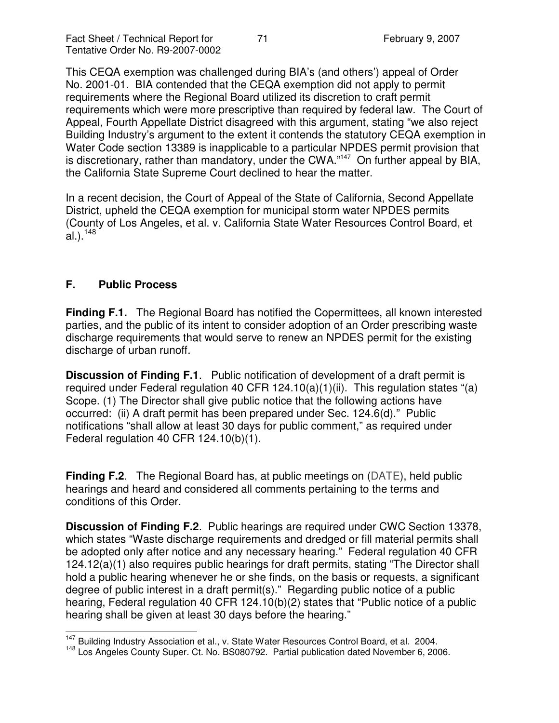This CEQA exemption was challenged during BIA's (and others') appeal of Order No. 2001-01. BIA contended that the CEQA exemption did not apply to permit requirements where the Regional Board utilized its discretion to craft permit requirements which were more prescriptive than required by federal law. The Court of Appeal, Fourth Appellate District disagreed with this argument, stating "we also reject Building Industry's argument to the extent it contends the statutory CEQA exemption in Water Code section 13389 is inapplicable to a particular NPDES permit provision that is discretionary, rather than mandatory, under the CWA."<sup>147</sup> On further appeal by BIA, the California State Supreme Court declined to hear the matter.

In a recent decision, the Court of Appeal of the State of California, Second Appellate District, upheld the CEQA exemption for municipal storm water NPDES permits (County of Los Angeles, et al. v. California State Water Resources Control Board, et al.).<sup>148</sup>

## **F. Public Process**

**Finding F.1.** The Regional Board has notified the Copermittees, all known interested parties, and the public of its intent to consider adoption of an Order prescribing waste discharge requirements that would serve to renew an NPDES permit for the existing discharge of urban runoff.

**Discussion of Finding F.1**. Public notification of development of a draft permit is required under Federal regulation 40 CFR 124.10(a)(1)(ii). This regulation states "(a) Scope. (1) The Director shall give public notice that the following actions have occurred: (ii) A draft permit has been prepared under Sec. 124.6(d)." Public notifications "shall allow at least 30 days for public comment," as required under Federal regulation 40 CFR 124.10(b)(1).

**Finding F.2**. The Regional Board has, at public meetings on (DATE), held public hearings and heard and considered all comments pertaining to the terms and conditions of this Order.

**Discussion of Finding F.2**. Public hearings are required under CWC Section 13378, which states "Waste discharge requirements and dredged or fill material permits shall be adopted only after notice and any necessary hearing." Federal regulation 40 CFR 124.12(a)(1) also requires public hearings for draft permits, stating "The Director shall hold a public hearing whenever he or she finds, on the basis or requests, a significant degree of public interest in a draft permit(s)." Regarding public notice of a public hearing, Federal regulation 40 CFR 124.10(b)(2) states that "Public notice of a public hearing shall be given at least 30 days before the hearing."

<sup>&</sup>lt;sup>147</sup> Building Industry Association et al., v. State Water Resources Control Board, et al. 2004.

<sup>&</sup>lt;sup>148</sup> Los Angeles County Super. Ct. No. BS080792. Partial publication dated November 6, 2006.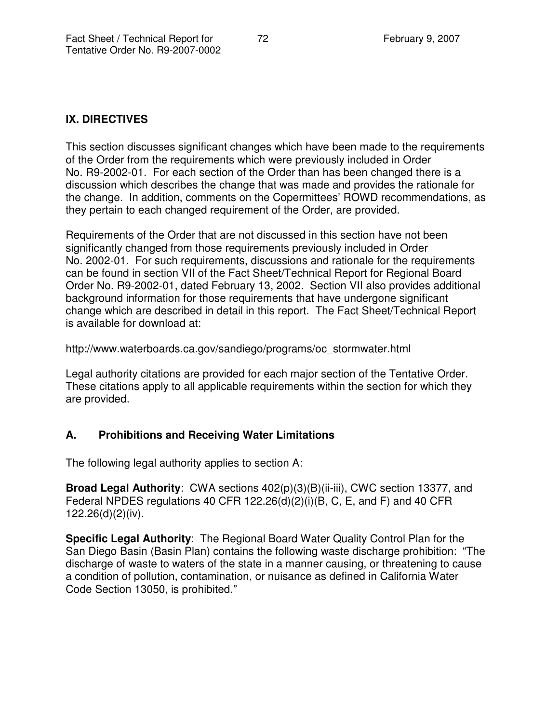## **IX. DIRECTIVES**

This section discusses significant changes which have been made to the requirements of the Order from the requirements which were previously included in Order No. R9-2002-01. For each section of the Order than has been changed there is a discussion which describes the change that was made and provides the rationale for the change. In addition, comments on the Copermittees' ROWD recommendations, as they pertain to each changed requirement of the Order, are provided.

Requirements of the Order that are not discussed in this section have not been significantly changed from those requirements previously included in Order No. 2002-01. For such requirements, discussions and rationale for the requirements can be found in section VII of the Fact Sheet/Technical Report for Regional Board Order No. R9-2002-01, dated February 13, 2002. Section VII also provides additional background information for those requirements that have undergone significant change which are described in detail in this report. The Fact Sheet/Technical Report is available for download at:

http://www.waterboards.ca.gov/sandiego/programs/oc\_stormwater.html

Legal authority citations are provided for each major section of the Tentative Order. These citations apply to all applicable requirements within the section for which they are provided.

# **A. Prohibitions and Receiving Water Limitations**

The following legal authority applies to section A:

**Broad Legal Authority**: CWA sections 402(p)(3)(B)(ii-iii), CWC section 13377, and Federal NPDES regulations 40 CFR 122.26(d)(2)(i)(B, C, E, and F) and 40 CFR 122.26(d)(2)(iv).

**Specific Legal Authority**: The Regional Board Water Quality Control Plan for the San Diego Basin (Basin Plan) contains the following waste discharge prohibition: "The discharge of waste to waters of the state in a manner causing, or threatening to cause a condition of pollution, contamination, or nuisance as defined in California Water Code Section 13050, is prohibited."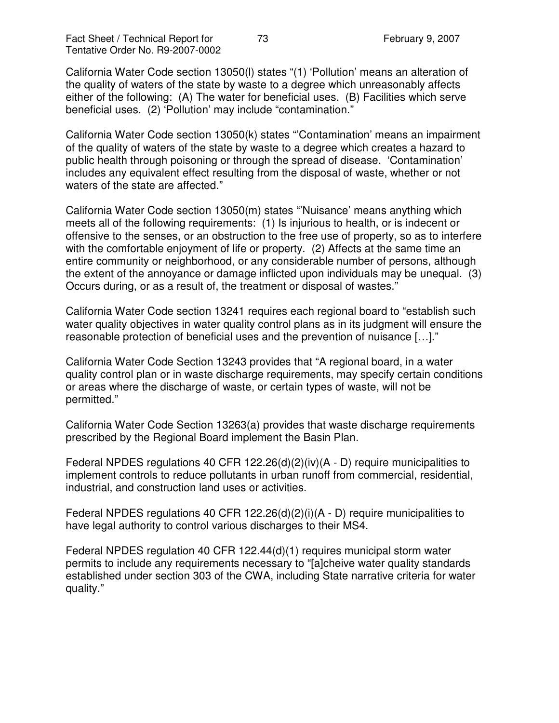California Water Code section 13050(l) states "(1) 'Pollution' means an alteration of the quality of waters of the state by waste to a degree which unreasonably affects either of the following: (A) The water for beneficial uses. (B) Facilities which serve beneficial uses. (2) 'Pollution' may include "contamination."

California Water Code section 13050(k) states "'Contamination' means an impairment of the quality of waters of the state by waste to a degree which creates a hazard to public health through poisoning or through the spread of disease. 'Contamination' includes any equivalent effect resulting from the disposal of waste, whether or not waters of the state are affected."

California Water Code section 13050(m) states "'Nuisance' means anything which meets all of the following requirements: (1) Is injurious to health, or is indecent or offensive to the senses, or an obstruction to the free use of property, so as to interfere with the comfortable enjoyment of life or property. (2) Affects at the same time an entire community or neighborhood, or any considerable number of persons, although the extent of the annoyance or damage inflicted upon individuals may be unequal. (3) Occurs during, or as a result of, the treatment or disposal of wastes."

California Water Code section 13241 requires each regional board to "establish such water quality objectives in water quality control plans as in its judgment will ensure the reasonable protection of beneficial uses and the prevention of nuisance […]."

California Water Code Section 13243 provides that "A regional board, in a water quality control plan or in waste discharge requirements, may specify certain conditions or areas where the discharge of waste, or certain types of waste, will not be permitted."

California Water Code Section 13263(a) provides that waste discharge requirements prescribed by the Regional Board implement the Basin Plan.

Federal NPDES regulations 40 CFR 122.26(d)(2)(iv)(A - D) require municipalities to implement controls to reduce pollutants in urban runoff from commercial, residential, industrial, and construction land uses or activities.

Federal NPDES regulations 40 CFR 122.26(d)(2)(i)(A - D) require municipalities to have legal authority to control various discharges to their MS4.

Federal NPDES regulation 40 CFR 122.44(d)(1) requires municipal storm water permits to include any requirements necessary to "[a]cheive water quality standards established under section 303 of the CWA, including State narrative criteria for water quality."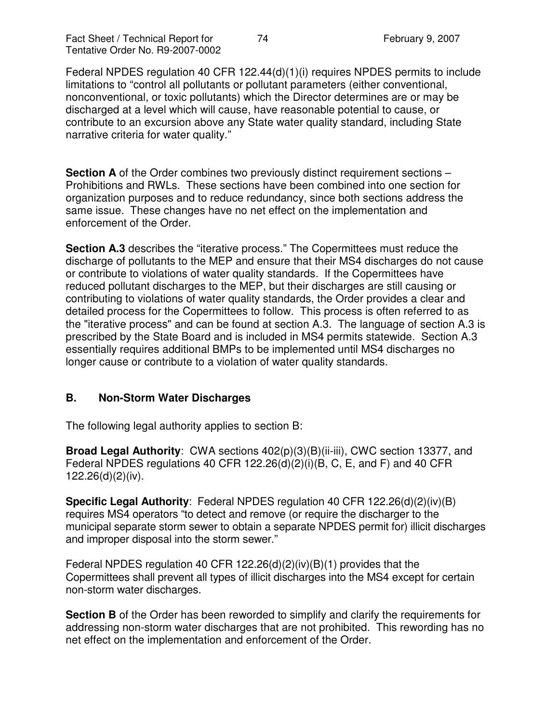Federal NPDES regulation 40 CFR 122.44(d)(1)(i) requires NPDES permits to include limitations to "control all pollutants or pollutant parameters (either conventional, nonconventional, or toxic pollutants) which the Director determines are or may be discharged at a level which will cause, have reasonable potential to cause, or contribute to an excursion above any State water quality standard, including State narrative criteria for water quality."

**Section A** of the Order combines two previously distinct requirement sections – Prohibitions and RWLs. These sections have been combined into one section for organization purposes and to reduce redundancy, since both sections address the same issue. These changes have no net effect on the implementation and enforcement of the Order.

**Section A.3** describes the "iterative process." The Copermittees must reduce the discharge of pollutants to the MEP and ensure that their MS4 discharges do not cause or contribute to violations of water quality standards. If the Copermittees have reduced pollutant discharges to the MEP, but their discharges are still causing or contributing to violations of water quality standards, the Order provides a clear and detailed process for the Copermittees to follow. This process is often referred to as the "iterative process" and can be found at section A.3. The language of section A.3 is prescribed by the State Board and is included in MS4 permits statewide. Section A.3 essentially requires additional BMPs to be implemented until MS4 discharges no longer cause or contribute to a violation of water quality standards.

# **B. Non-Storm Water Discharges**

The following legal authority applies to section B:

**Broad Legal Authority**: CWA sections 402(p)(3)(B)(ii-iii), CWC section 13377, and Federal NPDES regulations 40 CFR 122.26(d)(2)(i)(B, C, E, and F) and 40 CFR 122.26(d)(2)(iv).

**Specific Legal Authority**: Federal NPDES regulation 40 CFR 122.26(d)(2)(iv)(B) requires MS4 operators "to detect and remove (or require the discharger to the municipal separate storm sewer to obtain a separate NPDES permit for) illicit discharges and improper disposal into the storm sewer."

Federal NPDES regulation 40 CFR 122.26(d)(2)(iv)(B)(1) provides that the Copermittees shall prevent all types of illicit discharges into the MS4 except for certain non-storm water discharges.

**Section B** of the Order has been reworded to simplify and clarify the requirements for addressing non-storm water discharges that are not prohibited. This rewording has no net effect on the implementation and enforcement of the Order.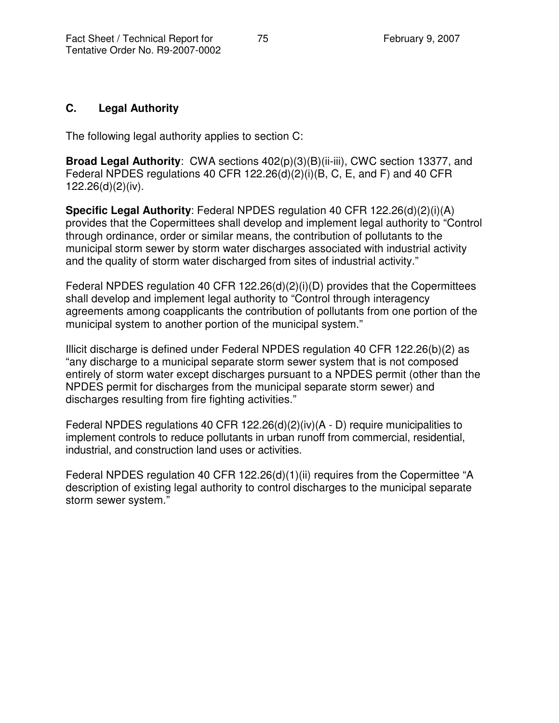### **C. Legal Authority**

The following legal authority applies to section C:

**Broad Legal Authority**: CWA sections 402(p)(3)(B)(ii-iii), CWC section 13377, and Federal NPDES regulations 40 CFR 122.26(d)(2)(i)(B, C, E, and F) and 40 CFR 122.26(d)(2)(iv).

**Specific Legal Authority**: Federal NPDES regulation 40 CFR 122.26(d)(2)(i)(A) provides that the Copermittees shall develop and implement legal authority to "Control through ordinance, order or similar means, the contribution of pollutants to the municipal storm sewer by storm water discharges associated with industrial activity and the quality of storm water discharged from sites of industrial activity."

Federal NPDES regulation 40 CFR 122.26(d)(2)(i)(D) provides that the Copermittees shall develop and implement legal authority to "Control through interagency agreements among coapplicants the contribution of pollutants from one portion of the municipal system to another portion of the municipal system."

Illicit discharge is defined under Federal NPDES regulation 40 CFR 122.26(b)(2) as "any discharge to a municipal separate storm sewer system that is not composed entirely of storm water except discharges pursuant to a NPDES permit (other than the NPDES permit for discharges from the municipal separate storm sewer) and discharges resulting from fire fighting activities."

Federal NPDES regulations 40 CFR 122.26(d)(2)(iv)(A - D) require municipalities to implement controls to reduce pollutants in urban runoff from commercial, residential, industrial, and construction land uses or activities.

Federal NPDES regulation 40 CFR 122.26(d)(1)(ii) requires from the Copermittee "A description of existing legal authority to control discharges to the municipal separate storm sewer system."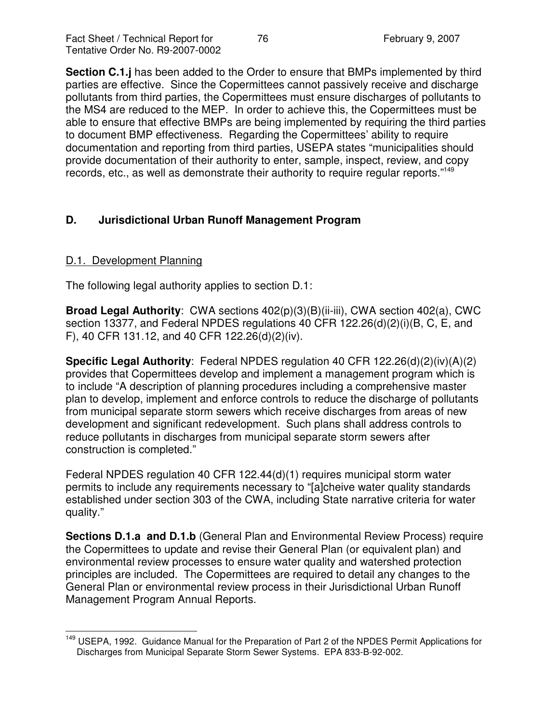**Section C.1.j** has been added to the Order to ensure that BMPs implemented by third parties are effective. Since the Copermittees cannot passively receive and discharge pollutants from third parties, the Copermittees must ensure discharges of pollutants to the MS4 are reduced to the MEP. In order to achieve this, the Copermittees must be able to ensure that effective BMPs are being implemented by requiring the third parties to document BMP effectiveness. Regarding the Copermittees' ability to require documentation and reporting from third parties, USEPA states "municipalities should provide documentation of their authority to enter, sample, inspect, review, and copy records, etc., as well as demonstrate their authority to require regular reports."<sup>149</sup>

# **D. Jurisdictional Urban Runoff Management Program**

# D.1. Development Planning

The following legal authority applies to section D.1:

**Broad Legal Authority**: CWA sections 402(p)(3)(B)(ii-iii), CWA section 402(a), CWC section 13377, and Federal NPDES regulations 40 CFR 122.26(d)(2)(i)(B, C, E, and F), 40 CFR 131.12, and 40 CFR 122.26(d)(2)(iv).

**Specific Legal Authority**: Federal NPDES regulation 40 CFR 122.26(d)(2)(iv)(A)(2) provides that Copermittees develop and implement a management program which is to include "A description of planning procedures including a comprehensive master plan to develop, implement and enforce controls to reduce the discharge of pollutants from municipal separate storm sewers which receive discharges from areas of new development and significant redevelopment. Such plans shall address controls to reduce pollutants in discharges from municipal separate storm sewers after construction is completed."

Federal NPDES regulation 40 CFR 122.44(d)(1) requires municipal storm water permits to include any requirements necessary to "[a]cheive water quality standards established under section 303 of the CWA, including State narrative criteria for water quality."

**Sections D.1.a and D.1.b** (General Plan and Environmental Review Process) require the Copermittees to update and revise their General Plan (or equivalent plan) and environmental review processes to ensure water quality and watershed protection principles are included. The Copermittees are required to detail any changes to the General Plan or environmental review process in their Jurisdictional Urban Runoff Management Program Annual Reports.

<sup>&</sup>lt;sup>149</sup> USEPA, 1992. Guidance Manual for the Preparation of Part 2 of the NPDES Permit Applications for Discharges from Municipal Separate Storm Sewer Systems. EPA 833-B-92-002.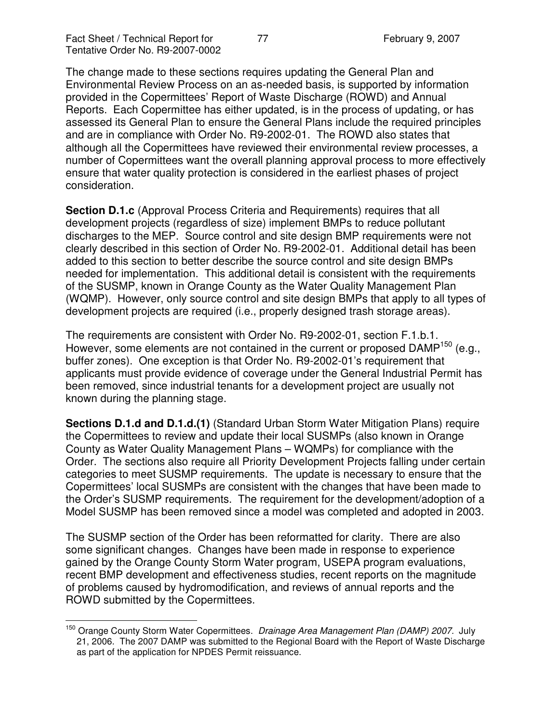The change made to these sections requires updating the General Plan and Environmental Review Process on an as-needed basis, is supported by information provided in the Copermittees' Report of Waste Discharge (ROWD) and Annual Reports. Each Copermittee has either updated, is in the process of updating, or has assessed its General Plan to ensure the General Plans include the required principles and are in compliance with Order No. R9-2002-01. The ROWD also states that although all the Copermittees have reviewed their environmental review processes, a number of Copermittees want the overall planning approval process to more effectively ensure that water quality protection is considered in the earliest phases of project consideration.

**Section D.1.c** (Approval Process Criteria and Requirements) requires that all development projects (regardless of size) implement BMPs to reduce pollutant discharges to the MEP. Source control and site design BMP requirements were not clearly described in this section of Order No. R9-2002-01. Additional detail has been added to this section to better describe the source control and site design BMPs needed for implementation. This additional detail is consistent with the requirements of the SUSMP, known in Orange County as the Water Quality Management Plan (WQMP). However, only source control and site design BMPs that apply to all types of development projects are required (i.e., properly designed trash storage areas).

The requirements are consistent with Order No. R9-2002-01, section F.1.b.1. However, some elements are not contained in the current or proposed DAMP<sup>150</sup> (e.g., buffer zones). One exception is that Order No. R9-2002-01's requirement that applicants must provide evidence of coverage under the General Industrial Permit has been removed, since industrial tenants for a development project are usually not known during the planning stage.

**Sections D.1.d and D.1.d.(1)** (Standard Urban Storm Water Mitigation Plans) require the Copermittees to review and update their local SUSMPs (also known in Orange County as Water Quality Management Plans – WQMPs) for compliance with the Order. The sections also require all Priority Development Projects falling under certain categories to meet SUSMP requirements. The update is necessary to ensure that the Copermittees' local SUSMPs are consistent with the changes that have been made to the Order's SUSMP requirements. The requirement for the development/adoption of a Model SUSMP has been removed since a model was completed and adopted in 2003.

The SUSMP section of the Order has been reformatted for clarity. There are also some significant changes. Changes have been made in response to experience gained by the Orange County Storm Water program, USEPA program evaluations, recent BMP development and effectiveness studies, recent reports on the magnitude of problems caused by hydromodification, and reviews of annual reports and the ROWD submitted by the Copermittees.

<sup>150</sup> Orange County Storm Water Copermittees. *Drainage Area Management Plan (DAMP) 2007.* July 21, 2006. The 2007 DAMP was submitted to the Regional Board with the Report of Waste Discharge as part of the application for NPDES Permit reissuance.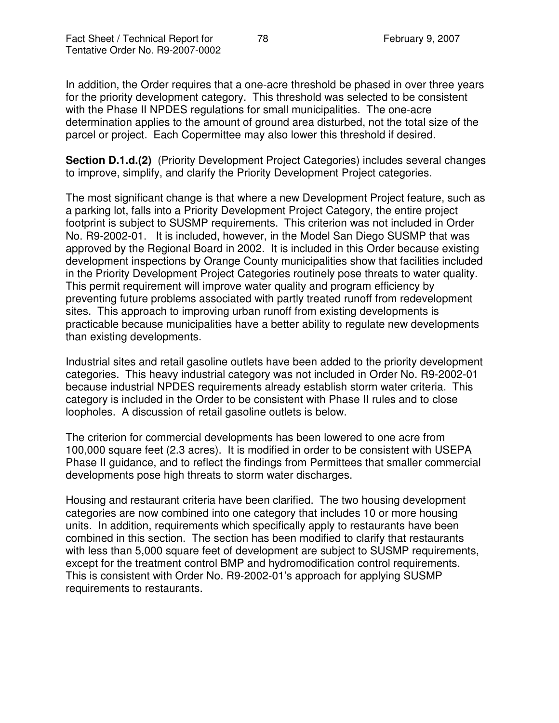In addition, the Order requires that a one-acre threshold be phased in over three years for the priority development category. This threshold was selected to be consistent with the Phase II NPDES regulations for small municipalities. The one-acre determination applies to the amount of ground area disturbed, not the total size of the parcel or project. Each Copermittee may also lower this threshold if desired.

**Section D.1.d.(2)** (Priority Development Project Categories) includes several changes to improve, simplify, and clarify the Priority Development Project categories.

The most significant change is that where a new Development Project feature, such as a parking lot, falls into a Priority Development Project Category, the entire project footprint is subject to SUSMP requirements. This criterion was not included in Order No. R9-2002-01. It is included, however, in the Model San Diego SUSMP that was approved by the Regional Board in 2002. It is included in this Order because existing development inspections by Orange County municipalities show that facilities included in the Priority Development Project Categories routinely pose threats to water quality. This permit requirement will improve water quality and program efficiency by preventing future problems associated with partly treated runoff from redevelopment sites. This approach to improving urban runoff from existing developments is practicable because municipalities have a better ability to regulate new developments than existing developments.

Industrial sites and retail gasoline outlets have been added to the priority development categories. This heavy industrial category was not included in Order No. R9-2002-01 because industrial NPDES requirements already establish storm water criteria. This category is included in the Order to be consistent with Phase II rules and to close loopholes. A discussion of retail gasoline outlets is below.

The criterion for commercial developments has been lowered to one acre from 100,000 square feet (2.3 acres). It is modified in order to be consistent with USEPA Phase II guidance, and to reflect the findings from Permittees that smaller commercial developments pose high threats to storm water discharges.

Housing and restaurant criteria have been clarified. The two housing development categories are now combined into one category that includes 10 or more housing units. In addition, requirements which specifically apply to restaurants have been combined in this section. The section has been modified to clarify that restaurants with less than 5,000 square feet of development are subject to SUSMP requirements, except for the treatment control BMP and hydromodification control requirements. This is consistent with Order No. R9-2002-01's approach for applying SUSMP requirements to restaurants.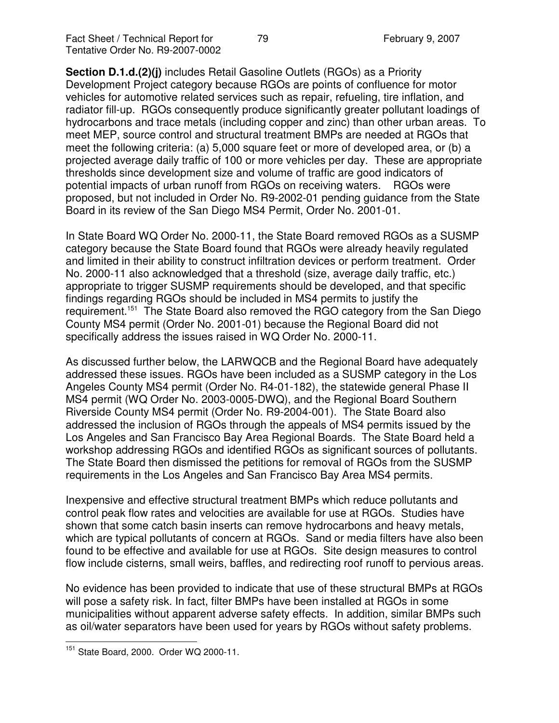**Section D.1.d.(2)(j)** includes Retail Gasoline Outlets (RGOs) as a Priority Development Project category because RGOs are points of confluence for motor vehicles for automotive related services such as repair, refueling, tire inflation, and radiator fill-up. RGOs consequently produce significantly greater pollutant loadings of hydrocarbons and trace metals (including copper and zinc) than other urban areas. To meet MEP, source control and structural treatment BMPs are needed at RGOs that meet the following criteria: (a) 5,000 square feet or more of developed area, or (b) a projected average daily traffic of 100 or more vehicles per day. These are appropriate thresholds since development size and volume of traffic are good indicators of potential impacts of urban runoff from RGOs on receiving waters. RGOs were proposed, but not included in Order No. R9-2002-01 pending guidance from the State Board in its review of the San Diego MS4 Permit, Order No. 2001-01.

In State Board WQ Order No. 2000-11, the State Board removed RGOs as a SUSMP category because the State Board found that RGOs were already heavily regulated and limited in their ability to construct infiltration devices or perform treatment. Order No. 2000-11 also acknowledged that a threshold (size, average daily traffic, etc.) appropriate to trigger SUSMP requirements should be developed, and that specific findings regarding RGOs should be included in MS4 permits to justify the requirement.<sup>151</sup> The State Board also removed the RGO category from the San Diego County MS4 permit (Order No. 2001-01) because the Regional Board did not specifically address the issues raised in WQ Order No. 2000-11.

As discussed further below, the LARWQCB and the Regional Board have adequately addressed these issues. RGOs have been included as a SUSMP category in the Los Angeles County MS4 permit (Order No. R4-01-182), the statewide general Phase II MS4 permit (WQ Order No. 2003-0005-DWQ), and the Regional Board Southern Riverside County MS4 permit (Order No. R9-2004-001). The State Board also addressed the inclusion of RGOs through the appeals of MS4 permits issued by the Los Angeles and San Francisco Bay Area Regional Boards. The State Board held a workshop addressing RGOs and identified RGOs as significant sources of pollutants. The State Board then dismissed the petitions for removal of RGOs from the SUSMP requirements in the Los Angeles and San Francisco Bay Area MS4 permits.

Inexpensive and effective structural treatment BMPs which reduce pollutants and control peak flow rates and velocities are available for use at RGOs. Studies have shown that some catch basin inserts can remove hydrocarbons and heavy metals, which are typical pollutants of concern at RGOs. Sand or media filters have also been found to be effective and available for use at RGOs. Site design measures to control flow include cisterns, small weirs, baffles, and redirecting roof runoff to pervious areas.

No evidence has been provided to indicate that use of these structural BMPs at RGOs will pose a safety risk. In fact, filter BMPs have been installed at RGOs in some municipalities without apparent adverse safety effects. In addition, similar BMPs such as oil/water separators have been used for years by RGOs without safety problems.

<sup>&</sup>lt;sup>151</sup> State Board, 2000. Order WQ 2000-11.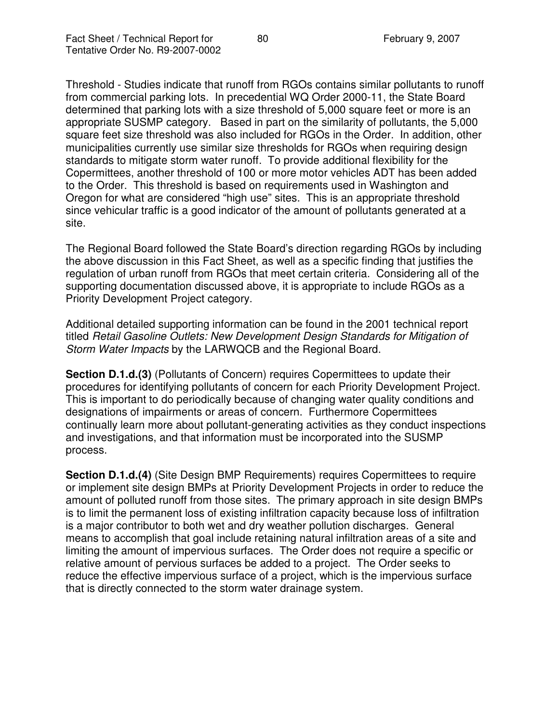Threshold - Studies indicate that runoff from RGOs contains similar pollutants to runoff from commercial parking lots. In precedential WQ Order 2000-11, the State Board determined that parking lots with a size threshold of 5,000 square feet or more is an appropriate SUSMP category. Based in part on the similarity of pollutants, the 5,000 square feet size threshold was also included for RGOs in the Order. In addition, other municipalities currently use similar size thresholds for RGOs when requiring design standards to mitigate storm water runoff. To provide additional flexibility for the Copermittees, another threshold of 100 or more motor vehicles ADT has been added to the Order. This threshold is based on requirements used in Washington and Oregon for what are considered "high use" sites. This is an appropriate threshold since vehicular traffic is a good indicator of the amount of pollutants generated at a site.

The Regional Board followed the State Board's direction regarding RGOs by including the above discussion in this Fact Sheet, as well as a specific finding that justifies the regulation of urban runoff from RGOs that meet certain criteria. Considering all of the supporting documentation discussed above, it is appropriate to include RGOs as a Priority Development Project category.

Additional detailed supporting information can be found in the 2001 technical report titled *Retail Gasoline Outlets: New Development Design Standards for Mitigation of Storm Water Impacts* by the LARWQCB and the Regional Board.

**Section D.1.d.(3)** (Pollutants of Concern) requires Copermittees to update their procedures for identifying pollutants of concern for each Priority Development Project. This is important to do periodically because of changing water quality conditions and designations of impairments or areas of concern. Furthermore Copermittees continually learn more about pollutant-generating activities as they conduct inspections and investigations, and that information must be incorporated into the SUSMP process.

**Section D.1.d.(4)** (Site Design BMP Requirements) requires Copermittees to require or implement site design BMPs at Priority Development Projects in order to reduce the amount of polluted runoff from those sites. The primary approach in site design BMPs is to limit the permanent loss of existing infiltration capacity because loss of infiltration is a major contributor to both wet and dry weather pollution discharges. General means to accomplish that goal include retaining natural infiltration areas of a site and limiting the amount of impervious surfaces. The Order does not require a specific or relative amount of pervious surfaces be added to a project. The Order seeks to reduce the effective impervious surface of a project, which is the impervious surface that is directly connected to the storm water drainage system.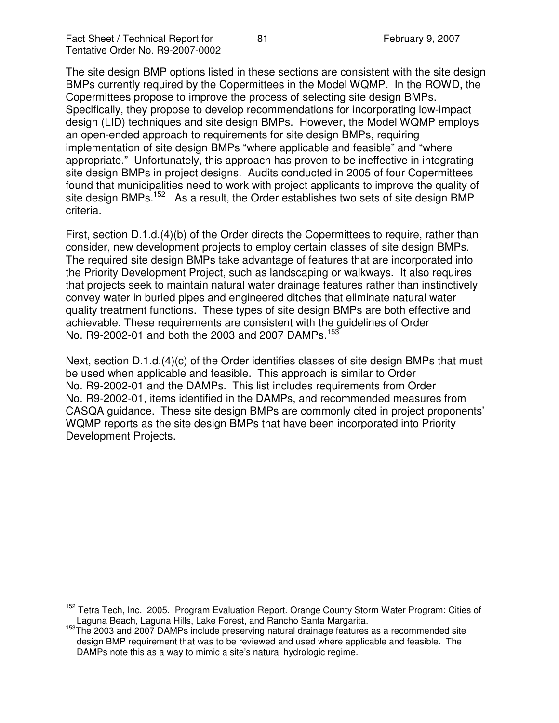The site design BMP options listed in these sections are consistent with the site design BMPs currently required by the Copermittees in the Model WQMP. In the ROWD, the Copermittees propose to improve the process of selecting site design BMPs. Specifically, they propose to develop recommendations for incorporating low-impact design (LID) techniques and site design BMPs. However, the Model WQMP employs an open-ended approach to requirements for site design BMPs, requiring implementation of site design BMPs "where applicable and feasible" and "where appropriate." Unfortunately, this approach has proven to be ineffective in integrating site design BMPs in project designs. Audits conducted in 2005 of four Copermittees found that municipalities need to work with project applicants to improve the quality of site design BMPs.<sup>152</sup> As a result, the Order establishes two sets of site design BMP criteria.

First, section D.1.d.(4)(b) of the Order directs the Copermittees to require, rather than consider, new development projects to employ certain classes of site design BMPs. The required site design BMPs take advantage of features that are incorporated into the Priority Development Project, such as landscaping or walkways. It also requires that projects seek to maintain natural water drainage features rather than instinctively convey water in buried pipes and engineered ditches that eliminate natural water quality treatment functions. These types of site design BMPs are both effective and achievable. These requirements are consistent with the guidelines of Order No. R9-2002-01 and both the 2003 and 2007 DAMPs.<sup>153</sup>

Next, section D.1.d.(4)(c) of the Order identifies classes of site design BMPs that must be used when applicable and feasible. This approach is similar to Order No. R9-2002-01 and the DAMPs. This list includes requirements from Order No. R9-2002-01, items identified in the DAMPs, and recommended measures from CASQA guidance. These site design BMPs are commonly cited in project proponents' WQMP reports as the site design BMPs that have been incorporated into Priority Development Projects.

<sup>&</sup>lt;sup>152</sup> Tetra Tech, Inc. 2005. Program Evaluation Report. Orange County Storm Water Program: Cities of Laguna Beach, Laguna Hills, Lake Forest, and Rancho Santa Margarita.

<sup>&</sup>lt;sup>153</sup>The 2003 and 2007 DAMPs include preserving natural drainage features as a recommended site design BMP requirement that was to be reviewed and used where applicable and feasible. The DAMPs note this as a way to mimic a site's natural hydrologic regime.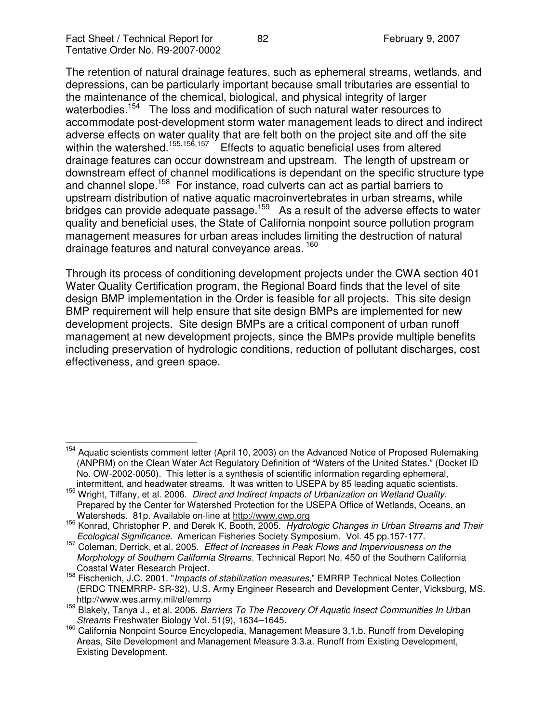The retention of natural drainage features, such as ephemeral streams, wetlands, and depressions, can be particularly important because small tributaries are essential to the maintenance of the chemical, biological, and physical integrity of larger waterbodies.<sup>154</sup> The loss and modification of such natural water resources to accommodate post-development storm water management leads to direct and indirect adverse effects on water quality that are felt both on the project site and off the site within the watershed.<sup>155,156,157</sup> Effects to aquatic beneficial uses from altered drainage features can occur downstream and upstream. The length of upstream or downstream effect of channel modifications is dependant on the specific structure type and channel slope.<sup>158</sup> For instance, road culverts can act as partial barriers to upstream distribution of native aquatic macroinvertebrates in urban streams, while bridges can provide adequate passage.<sup>159</sup> As a result of the adverse effects to water quality and beneficial uses, the State of California nonpoint source pollution program management measures for urban areas includes limiting the destruction of natural drainage features and natural conveyance areas. <sup>160</sup>

Through its process of conditioning development projects under the CWA section 401 Water Quality Certification program, the Regional Board finds that the level of site design BMP implementation in the Order is feasible for all projects. This site design BMP requirement will help ensure that site design BMPs are implemented for new development projects. Site design BMPs are a critical component of urban runoff management at new development projects, since the BMPs provide multiple benefits including preservation of hydrologic conditions, reduction of pollutant discharges, cost effectiveness, and green space.

<sup>&</sup>lt;sup>154</sup> Aquatic scientists comment letter (April 10, 2003) on the Advanced Notice of Proposed Rulemaking (ANPRM) on the Clean Water Act Regulatory Definition of "Waters of the United States." (Docket ID No. OW-2002-0050). This letter is a synthesis of scientific information regarding ephemeral, intermittent, and headwater streams. It was written to USEPA by 85 leading aquatic scientists.

<sup>155</sup> Wright, Tiffany, et al. 2006. *Direct and Indirect Impacts of Urbanization on Wetland Quality.* Prepared by the Center for Watershed Protection for the USEPA Office of Wetlands, Oceans, an Watersheds. 81p. Available on-line at http://www.cwp.org

<sup>156</sup> Konrad, Christopher P. and Derek K. Booth, 2005. *Hydrologic Changes in Urban Streams and Their Ecological Significance.* American Fisheries Society Symposium. Vol. 45 pp.157-177.

<sup>157</sup> Coleman, Derrick, et al. 2005. *Effect of Increases in Peak Flows and Imperviousness on the Morphology of Southern California Streams*. Technical Report No. 450 of the Southern California Coastal Water Research Project.

<sup>158</sup> Fischenich, J.C. 2001. "*Impacts of stabilization measures*," EMRRP Technical Notes Collection (ERDC TNEMRRP- SR-32), U.S. Army Engineer Research and Development Center, Vicksburg, MS. http://www.wes.army.mil/el/emrrp

<sup>159</sup> Blakely, Tanya J., et al. 2006. *Barriers To The Recovery Of Aquatic Insect Communities In Urban Streams* Freshwater Biology Vol. 51(9), 1634–1645.

<sup>160</sup> California Nonpoint Source Encyclopedia, Management Measure 3.1.b. Runoff from Developing Areas, Site Development and Management Measure 3.3.a. Runoff from Existing Development, Existing Development.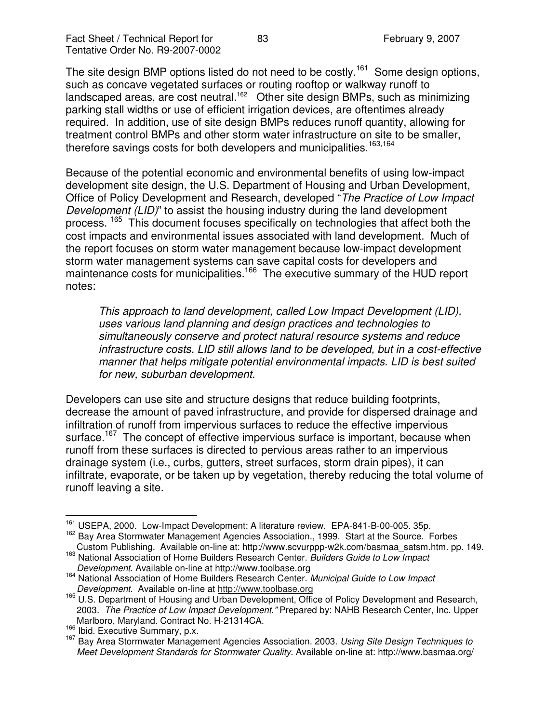The site design BMP options listed do not need to be costly.<sup>161</sup> Some design options, such as concave vegetated surfaces or routing rooftop or walkway runoff to landscaped areas, are cost neutral.<sup>162</sup> Other site design BMPs, such as minimizing parking stall widths or use of efficient irrigation devices, are oftentimes already required. In addition, use of site design BMPs reduces runoff quantity, allowing for treatment control BMPs and other storm water infrastructure on site to be smaller, therefore savings costs for both developers and municipalities.<sup>163,164</sup>

Because of the potential economic and environmental benefits of using low-impact development site design, the U.S. Department of Housing and Urban Development, Office of Policy Development and Research, developed "*The Practice of Low Impact Development (LID)*" to assist the housing industry during the land development process. <sup>165</sup> This document focuses specifically on technologies that affect both the cost impacts and environmental issues associated with land development. Much of the report focuses on storm water management because low-impact development storm water management systems can save capital costs for developers and maintenance costs for municipalities.<sup>166</sup> The executive summary of the HUD report notes:

*This approach to land development, called Low Impact Development (LID), uses various land planning and design practices and technologies to simultaneously conserve and protect natural resource systems and reduce infrastructure costs. LID still allows land to be developed, but in a cost-effective manner that helps mitigate potential environmental impacts. LID is best suited for new, suburban development.*

Developers can use site and structure designs that reduce building footprints, decrease the amount of paved infrastructure, and provide for dispersed drainage and infiltration of runoff from impervious surfaces to reduce the effective impervious surface.<sup>167</sup> The concept of effective impervious surface is important, because when runoff from these surfaces is directed to pervious areas rather to an impervious drainage system (i.e., curbs, gutters, street surfaces, storm drain pipes), it can infiltrate, evaporate, or be taken up by vegetation, thereby reducing the total volume of runoff leaving a site.

<sup>&</sup>lt;sup>161</sup> USEPA, 2000. Low-Impact Development: A literature review. EPA-841-B-00-005. 35p.

<sup>&</sup>lt;sup>162</sup> Bay Area Stormwater Management Agencies Association., 1999. Start at the Source. Forbes Custom Publishing. Available on-line at: http://www.scvurppp-w2k.com/basmaa\_satsm.htm. pp. 149.

<sup>163</sup> National Association of Home Builders Research Center. *Builders Guide to Low Impact Development.* Available on-line at http://www.toolbase.org

<sup>164</sup> National Association of Home Builders Research Center. *Municipal Guide to Low Impact Development.* Available on-line at http://www.toolbase.org

<sup>&</sup>lt;sup>165</sup> U.S. Department of Housing and Urban Development, Office of Policy Development and Research, 2003. *The Practice of Low Impact Development."* Prepared by: NAHB Research Center, Inc. Upper Marlboro, Maryland. Contract No. H-21314CA.

<sup>&</sup>lt;sup>166</sup> Ibid. Executive Summary, p.x.

<sup>167</sup> Bay Area Stormwater Management Agencies Association. 2003. *Using Site Design Techniques to Meet Development Standards for Stormwater Quality*. Available on-line at: http://www.basmaa.org/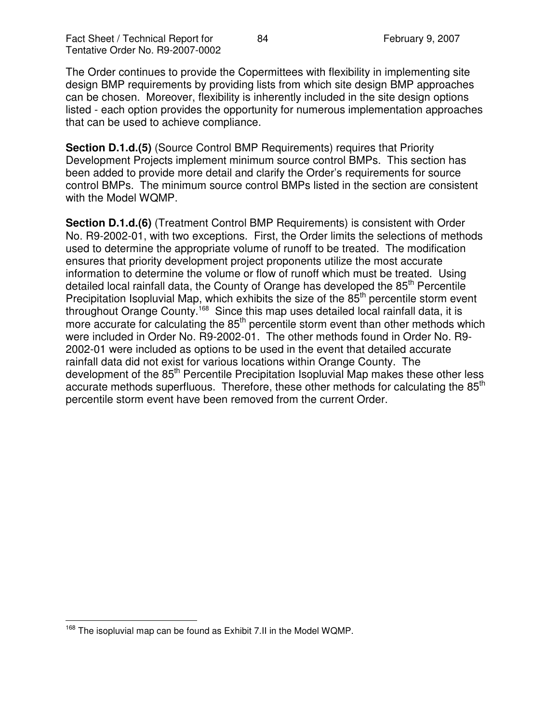The Order continues to provide the Copermittees with flexibility in implementing site design BMP requirements by providing lists from which site design BMP approaches can be chosen. Moreover, flexibility is inherently included in the site design options listed - each option provides the opportunity for numerous implementation approaches that can be used to achieve compliance.

**Section D.1.d.(5)** (Source Control BMP Requirements) requires that Priority Development Projects implement minimum source control BMPs. This section has been added to provide more detail and clarify the Order's requirements for source control BMPs. The minimum source control BMPs listed in the section are consistent with the Model WQMP.

**Section D.1.d.(6)** (Treatment Control BMP Requirements) is consistent with Order No. R9-2002-01, with two exceptions. First, the Order limits the selections of methods used to determine the appropriate volume of runoff to be treated. The modification ensures that priority development project proponents utilize the most accurate information to determine the volume or flow of runoff which must be treated. Using detailed local rainfall data, the County of Orange has developed the 85<sup>th</sup> Percentile Precipitation Isopluvial Map, which exhibits the size of the  $85<sup>th</sup>$  percentile storm event throughout Orange County.<sup>168</sup> Since this map uses detailed local rainfall data, it is more accurate for calculating the 85<sup>th</sup> percentile storm event than other methods which were included in Order No. R9-2002-01. The other methods found in Order No. R9- 2002-01 were included as options to be used in the event that detailed accurate rainfall data did not exist for various locations within Orange County. The development of the 85<sup>th</sup> Percentile Precipitation Isopluvial Map makes these other less accurate methods superfluous. Therefore, these other methods for calculating the 85<sup>th</sup> percentile storm event have been removed from the current Order.

<sup>&</sup>lt;sup>168</sup> The isopluvial map can be found as Exhibit 7.II in the Model WQMP.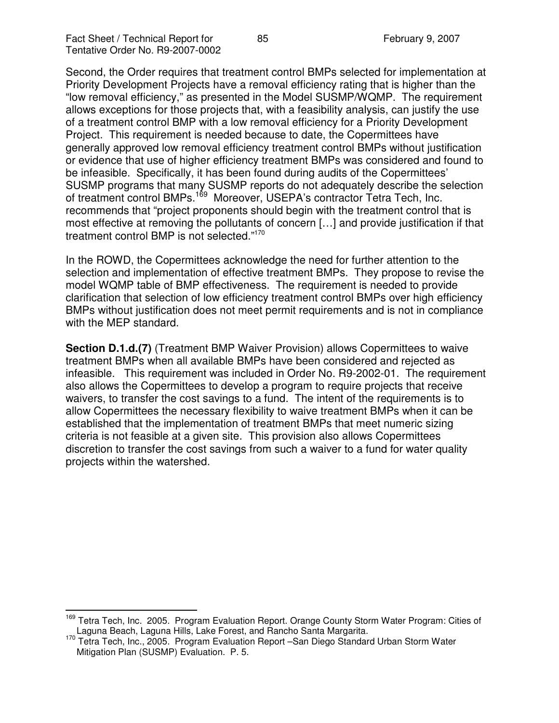Second, the Order requires that treatment control BMPs selected for implementation at Priority Development Projects have a removal efficiency rating that is higher than the "low removal efficiency," as presented in the Model SUSMP/WQMP. The requirement allows exceptions for those projects that, with a feasibility analysis, can justify the use of a treatment control BMP with a low removal efficiency for a Priority Development Project. This requirement is needed because to date, the Copermittees have generally approved low removal efficiency treatment control BMPs without justification or evidence that use of higher efficiency treatment BMPs was considered and found to be infeasible. Specifically, it has been found during audits of the Copermittees' SUSMP programs that many SUSMP reports do not adequately describe the selection of treatment control BMPs.<sup>169</sup> Moreover, USEPA's contractor Tetra Tech, Inc. recommends that "project proponents should begin with the treatment control that is most effective at removing the pollutants of concern […] and provide justification if that treatment control BMP is not selected."<sup>170</sup>

In the ROWD, the Copermittees acknowledge the need for further attention to the selection and implementation of effective treatment BMPs. They propose to revise the model WQMP table of BMP effectiveness. The requirement is needed to provide clarification that selection of low efficiency treatment control BMPs over high efficiency BMPs without justification does not meet permit requirements and is not in compliance with the MEP standard.

**Section D.1.d.(7)** (Treatment BMP Waiver Provision) allows Copermittees to waive treatment BMPs when all available BMPs have been considered and rejected as infeasible. This requirement was included in Order No. R9-2002-01. The requirement also allows the Copermittees to develop a program to require projects that receive waivers, to transfer the cost savings to a fund. The intent of the requirements is to allow Copermittees the necessary flexibility to waive treatment BMPs when it can be established that the implementation of treatment BMPs that meet numeric sizing criteria is not feasible at a given site. This provision also allows Copermittees discretion to transfer the cost savings from such a waiver to a fund for water quality projects within the watershed.

<sup>&</sup>lt;sup>169</sup> Tetra Tech, Inc. 2005. Program Evaluation Report. Orange County Storm Water Program: Cities of Laguna Beach, Laguna Hills, Lake Forest, and Rancho Santa Margarita.

<sup>&</sup>lt;sup>170</sup> Tetra Tech, Inc., 2005. Program Evaluation Report -San Diego Standard Urban Storm Water Mitigation Plan (SUSMP) Evaluation. P. 5.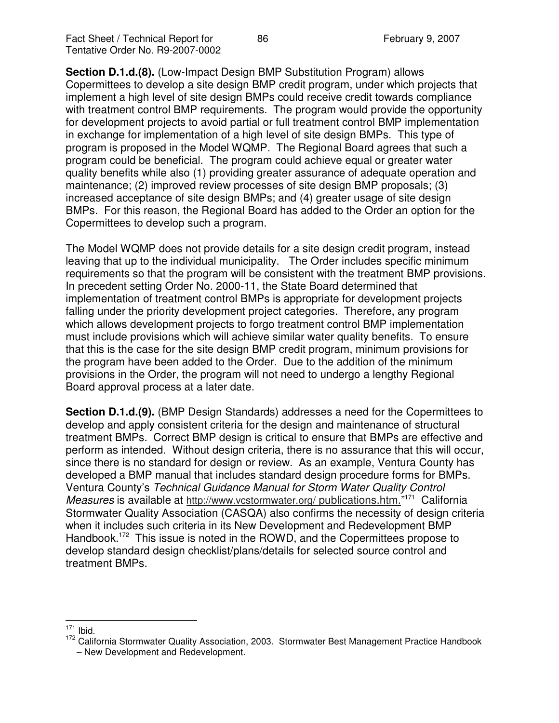**Section D.1.d.(8).** (Low-Impact Design BMP Substitution Program) allows Copermittees to develop a site design BMP credit program, under which projects that implement a high level of site design BMPs could receive credit towards compliance with treatment control BMP requirements. The program would provide the opportunity for development projects to avoid partial or full treatment control BMP implementation in exchange for implementation of a high level of site design BMPs. This type of program is proposed in the Model WQMP. The Regional Board agrees that such a program could be beneficial. The program could achieve equal or greater water quality benefits while also (1) providing greater assurance of adequate operation and maintenance; (2) improved review processes of site design BMP proposals; (3) increased acceptance of site design BMPs; and (4) greater usage of site design BMPs. For this reason, the Regional Board has added to the Order an option for the Copermittees to develop such a program.

The Model WQMP does not provide details for a site design credit program, instead leaving that up to the individual municipality. The Order includes specific minimum requirements so that the program will be consistent with the treatment BMP provisions. In precedent setting Order No. 2000-11, the State Board determined that implementation of treatment control BMPs is appropriate for development projects falling under the priority development project categories. Therefore, any program which allows development projects to forgo treatment control BMP implementation must include provisions which will achieve similar water quality benefits. To ensure that this is the case for the site design BMP credit program, minimum provisions for the program have been added to the Order. Due to the addition of the minimum provisions in the Order, the program will not need to undergo a lengthy Regional Board approval process at a later date.

**Section D.1.d.(9).** (BMP Design Standards) addresses a need for the Copermittees to develop and apply consistent criteria for the design and maintenance of structural treatment BMPs. Correct BMP design is critical to ensure that BMPs are effective and perform as intended. Without design criteria, there is no assurance that this will occur, since there is no standard for design or review. As an example, Ventura County has developed a BMP manual that includes standard design procedure forms for BMPs. Ventura County's *Technical Guidance Manual for Storm Water Quality Control* Measures is available at http://www.vcstormwater.org/ publications.htm."<sup>171</sup> California Stormwater Quality Association (CASQA) also confirms the necessity of design criteria when it includes such criteria in its New Development and Redevelopment BMP Handbook.<sup>172</sup> This issue is noted in the ROWD, and the Copermittees propose to develop standard design checklist/plans/details for selected source control and treatment BMPs.

 $171$  Ibid.

<sup>&</sup>lt;sup>172</sup> California Stormwater Quality Association, 2003. Stormwater Best Management Practice Handbook

<sup>–</sup> New Development and Redevelopment.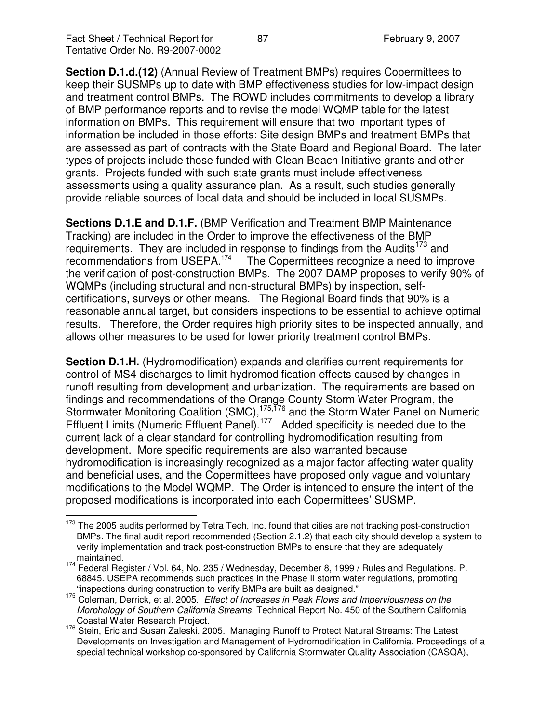**Section D.1.d.(12)** (Annual Review of Treatment BMPs) requires Copermittees to keep their SUSMPs up to date with BMP effectiveness studies for low-impact design and treatment control BMPs. The ROWD includes commitments to develop a library of BMP performance reports and to revise the model WQMP table for the latest information on BMPs. This requirement will ensure that two important types of information be included in those efforts: Site design BMPs and treatment BMPs that are assessed as part of contracts with the State Board and Regional Board. The later types of projects include those funded with Clean Beach Initiative grants and other grants. Projects funded with such state grants must include effectiveness assessments using a quality assurance plan. As a result, such studies generally provide reliable sources of local data and should be included in local SUSMPs.

**Sections D.1.E and D.1.F.** (BMP Verification and Treatment BMP Maintenance Tracking) are included in the Order to improve the effectiveness of the BMP requirements. They are included in response to findings from the Audits<sup>173</sup> and recommendations from USEPA.<sup>174</sup> The Copermittees recognize a need to improve the verification of post-construction BMPs. The 2007 DAMP proposes to verify 90% of WQMPs (including structural and non-structural BMPs) by inspection, selfcertifications, surveys or other means. The Regional Board finds that 90% is a reasonable annual target, but considers inspections to be essential to achieve optimal results. Therefore, the Order requires high priority sites to be inspected annually, and allows other measures to be used for lower priority treatment control BMPs.

**Section D.1.H.** (Hydromodification) expands and clarifies current requirements for control of MS4 discharges to limit hydromodification effects caused by changes in runoff resulting from development and urbanization. The requirements are based on findings and recommendations of the Orange County Storm Water Program, the Stormwater Monitoring Coalition (SMC),<sup>175,176</sup> and the Storm Water Panel on Numeric Effluent Limits (Numeric Effluent Panel).<sup>177</sup> Added specificity is needed due to the current lack of a clear standard for controlling hydromodification resulting from development. More specific requirements are also warranted because hydromodification is increasingly recognized as a major factor affecting water quality and beneficial uses, and the Copermittees have proposed only vague and voluntary modifications to the Model WQMP. The Order is intended to ensure the intent of the proposed modifications is incorporated into each Copermittees' SUSMP.

<sup>&</sup>lt;sup>173</sup> The 2005 audits performed by Tetra Tech, Inc. found that cities are not tracking post-construction BMPs. The final audit report recommended (Section 2.1.2) that each city should develop a system to verify implementation and track post-construction BMPs to ensure that they are adequately maintained.

<sup>&</sup>lt;sup>174</sup> Federal Register / Vol. 64, No. 235 / Wednesday, December 8, 1999 / Rules and Regulations. P. 68845. USEPA recommends such practices in the Phase II storm water regulations, promoting "inspections during construction to verify BMPs are built as designed."

<sup>175</sup> Coleman, Derrick, et al. 2005. *Effect of Increases in Peak Flows and Imperviousness on the Morphology of Southern California Streams.* Technical Report No. 450 of the Southern California Coastal Water Research Project.

<sup>&</sup>lt;sup>176</sup> Stein, Eric and Susan Zaleski. 2005. Managing Runoff to Protect Natural Streams: The Latest Developments on Investigation and Management of Hydromodification in California. Proceedings of a special technical workshop co-sponsored by California Stormwater Quality Association (CASQA),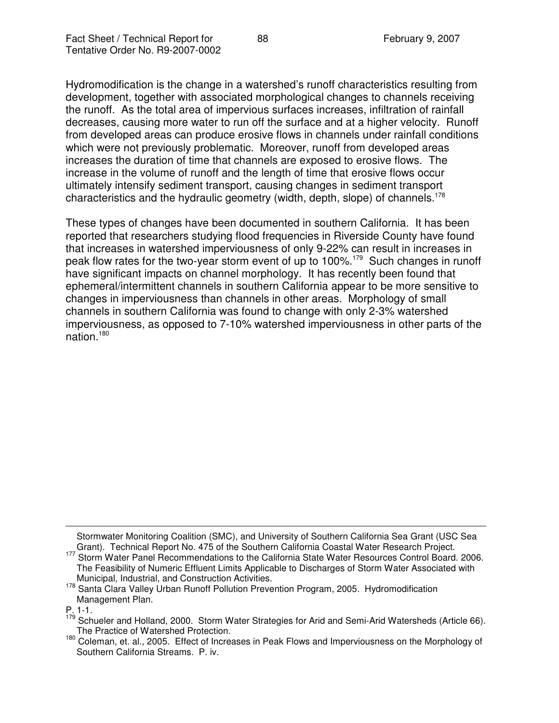Hydromodification is the change in a watershed's runoff characteristics resulting from development, together with associated morphological changes to channels receiving the runoff. As the total area of impervious surfaces increases, infiltration of rainfall decreases, causing more water to run off the surface and at a higher velocity. Runoff from developed areas can produce erosive flows in channels under rainfall conditions which were not previously problematic. Moreover, runoff from developed areas increases the duration of time that channels are exposed to erosive flows. The increase in the volume of runoff and the length of time that erosive flows occur ultimately intensify sediment transport, causing changes in sediment transport characteristics and the hydraulic geometry (width, depth, slope) of channels. 178

These types of changes have been documented in southern California. It has been reported that researchers studying flood frequencies in Riverside County have found that increases in watershed imperviousness of only 9-22% can result in increases in peak flow rates for the two-year storm event of up to 100%.<sup>179</sup> Such changes in runoff have significant impacts on channel morphology. It has recently been found that ephemeral/intermittent channels in southern California appear to be more sensitive to changes in imperviousness than channels in other areas. Morphology of small channels in southern California was found to change with only 2-3% watershed imperviousness, as opposed to 7-10% watershed imperviousness in other parts of the nation. 180

Stormwater Monitoring Coalition (SMC), and University of Southern California Sea Grant (USC Sea

Grant). Technical Report No. 475 of the Southern California Coastal Water Research Project. 177 Storm Water Panel Recommendations to the California State Water Resources Control Board. 2006. The Feasibility of Numeric Effluent Limits Applicable to Discharges of Storm Water Associated with Municipal, Industrial, and Construction Activities.

<sup>&</sup>lt;sup>178</sup> Santa Clara Valley Urban Runoff Pollution Prevention Program, 2005. Hydromodification Management Plan.

P. 1-1.<br><sup>179</sup> Schueler and Holland, 2000. Storm Water Strategies for Arid and Semi-Arid Watersheds (Article 66). The Practice of Watershed Protection.

<sup>180</sup> Coleman, et. al., 2005. Effect of Increases in Peak Flows and Imperviousness on the Morphology of Southern California Streams. P. iv.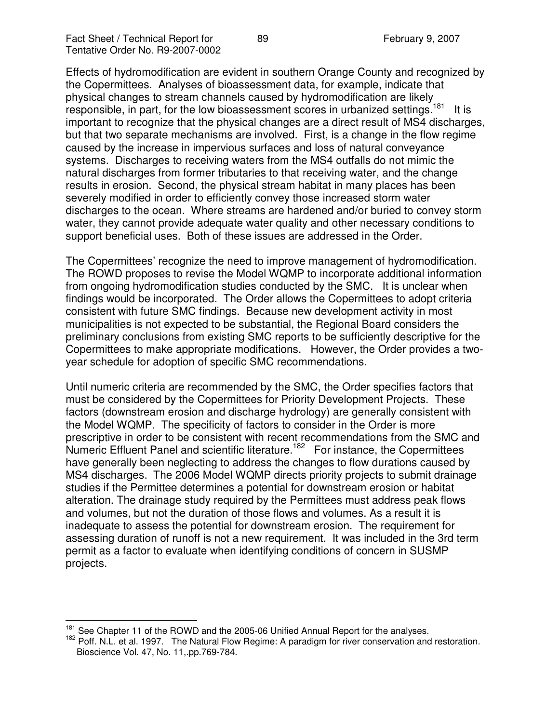Effects of hydromodification are evident in southern Orange County and recognized by the Copermittees. Analyses of bioassessment data, for example, indicate that physical changes to stream channels caused by hydromodification are likely responsible, in part, for the low bioassessment scores in urbanized settings.<sup>181</sup> It is important to recognize that the physical changes are a direct result of MS4 discharges, but that two separate mechanisms are involved. First, is a change in the flow regime caused by the increase in impervious surfaces and loss of natural conveyance systems. Discharges to receiving waters from the MS4 outfalls do not mimic the natural discharges from former tributaries to that receiving water, and the change results in erosion. Second, the physical stream habitat in many places has been severely modified in order to efficiently convey those increased storm water discharges to the ocean. Where streams are hardened and/or buried to convey storm water, they cannot provide adequate water quality and other necessary conditions to support beneficial uses. Both of these issues are addressed in the Order.

The Copermittees' recognize the need to improve management of hydromodification. The ROWD proposes to revise the Model WQMP to incorporate additional information from ongoing hydromodification studies conducted by the SMC. It is unclear when findings would be incorporated. The Order allows the Copermittees to adopt criteria consistent with future SMC findings. Because new development activity in most municipalities is not expected to be substantial, the Regional Board considers the preliminary conclusions from existing SMC reports to be sufficiently descriptive for the Copermittees to make appropriate modifications. However, the Order provides a twoyear schedule for adoption of specific SMC recommendations.

Until numeric criteria are recommended by the SMC, the Order specifies factors that must be considered by the Copermittees for Priority Development Projects. These factors (downstream erosion and discharge hydrology) are generally consistent with the Model WQMP. The specificity of factors to consider in the Order is more prescriptive in order to be consistent with recent recommendations from the SMC and Numeric Effluent Panel and scientific literature.<sup>182</sup> For instance, the Copermittees have generally been neglecting to address the changes to flow durations caused by MS4 discharges. The 2006 Model WQMP directs priority projects to submit drainage studies if the Permittee determines a potential for downstream erosion or habitat alteration. The drainage study required by the Permittees must address peak flows and volumes, but not the duration of those flows and volumes. As a result it is inadequate to assess the potential for downstream erosion. The requirement for assessing duration of runoff is not a new requirement. It was included in the 3rd term permit as a factor to evaluate when identifying conditions of concern in SUSMP projects.

<sup>&</sup>lt;sup>181</sup> See Chapter 11 of the ROWD and the 2005-06 Unified Annual Report for the analyses.

<sup>&</sup>lt;sup>182</sup> Poff. N.L. et al. 1997. The Natural Flow Regime: A paradigm for river conservation and restoration. Bioscience Vol. 47, No. 11,.pp.769-784.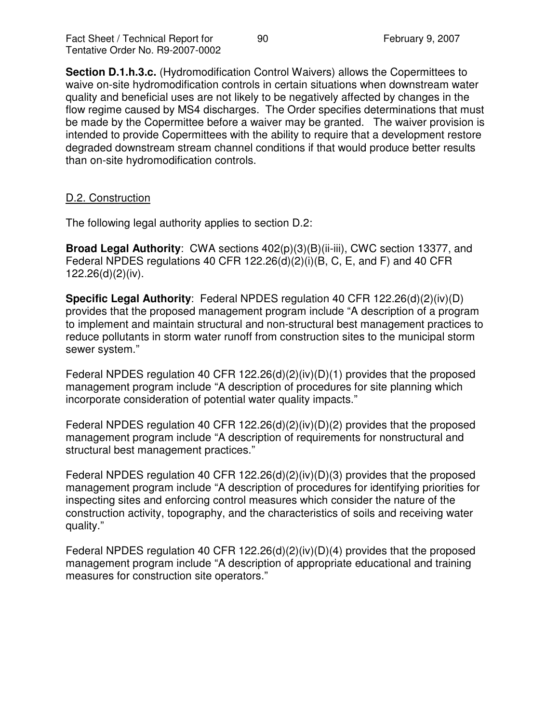**Section D.1.h.3.c.** (Hydromodification Control Waivers) allows the Copermittees to waive on-site hydromodification controls in certain situations when downstream water quality and beneficial uses are not likely to be negatively affected by changes in the flow regime caused by MS4 discharges. The Order specifies determinations that must be made by the Copermittee before a waiver may be granted. The waiver provision is intended to provide Copermittees with the ability to require that a development restore degraded downstream stream channel conditions if that would produce better results than on-site hydromodification controls.

### D.2. Construction

The following legal authority applies to section D.2:

**Broad Legal Authority**: CWA sections 402(p)(3)(B)(ii-iii), CWC section 13377, and Federal NPDES regulations 40 CFR 122.26(d)(2)(i)(B, C, E, and F) and 40 CFR 122.26(d)(2)(iv).

**Specific Legal Authority**: Federal NPDES regulation 40 CFR 122.26(d)(2)(iv)(D) provides that the proposed management program include "A description of a program to implement and maintain structural and non-structural best management practices to reduce pollutants in storm water runoff from construction sites to the municipal storm sewer system."

Federal NPDES regulation 40 CFR 122.26(d)(2)(iv)(D)(1) provides that the proposed management program include "A description of procedures for site planning which incorporate consideration of potential water quality impacts."

Federal NPDES regulation 40 CFR 122.26(d)(2)(iv)(D)(2) provides that the proposed management program include "A description of requirements for nonstructural and structural best management practices."

Federal NPDES regulation 40 CFR 122.26(d)(2)(iv)(D)(3) provides that the proposed management program include "A description of procedures for identifying priorities for inspecting sites and enforcing control measures which consider the nature of the construction activity, topography, and the characteristics of soils and receiving water quality."

Federal NPDES regulation 40 CFR 122.26(d)(2)(iv)(D)(4) provides that the proposed management program include "A description of appropriate educational and training measures for construction site operators."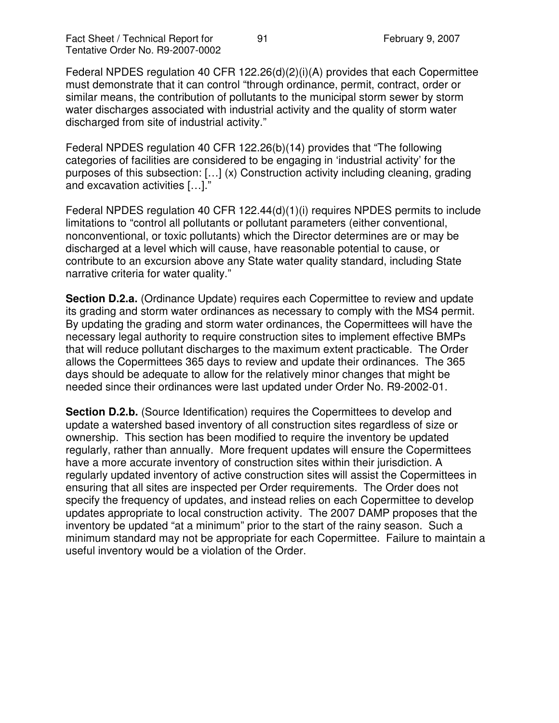Federal NPDES regulation 40 CFR 122.26(d)(2)(i)(A) provides that each Copermittee must demonstrate that it can control "through ordinance, permit, contract, order or similar means, the contribution of pollutants to the municipal storm sewer by storm water discharges associated with industrial activity and the quality of storm water discharged from site of industrial activity."

Federal NPDES regulation 40 CFR 122.26(b)(14) provides that "The following categories of facilities are considered to be engaging in 'industrial activity' for the purposes of this subsection: […] (x) Construction activity including cleaning, grading and excavation activities […]."

Federal NPDES regulation 40 CFR 122.44(d)(1)(i) requires NPDES permits to include limitations to "control all pollutants or pollutant parameters (either conventional, nonconventional, or toxic pollutants) which the Director determines are or may be discharged at a level which will cause, have reasonable potential to cause, or contribute to an excursion above any State water quality standard, including State narrative criteria for water quality."

**Section D.2.a.** (Ordinance Update) requires each Copermittee to review and update its grading and storm water ordinances as necessary to comply with the MS4 permit. By updating the grading and storm water ordinances, the Copermittees will have the necessary legal authority to require construction sites to implement effective BMPs that will reduce pollutant discharges to the maximum extent practicable. The Order allows the Copermittees 365 days to review and update their ordinances. The 365 days should be adequate to allow for the relatively minor changes that might be needed since their ordinances were last updated under Order No. R9-2002-01.

**Section D.2.b.** (Source Identification) requires the Copermittees to develop and update a watershed based inventory of all construction sites regardless of size or ownership. This section has been modified to require the inventory be updated regularly, rather than annually. More frequent updates will ensure the Copermittees have a more accurate inventory of construction sites within their jurisdiction. A regularly updated inventory of active construction sites will assist the Copermittees in ensuring that all sites are inspected per Order requirements. The Order does not specify the frequency of updates, and instead relies on each Copermittee to develop updates appropriate to local construction activity. The 2007 DAMP proposes that the inventory be updated "at a minimum" prior to the start of the rainy season. Such a minimum standard may not be appropriate for each Copermittee. Failure to maintain a useful inventory would be a violation of the Order.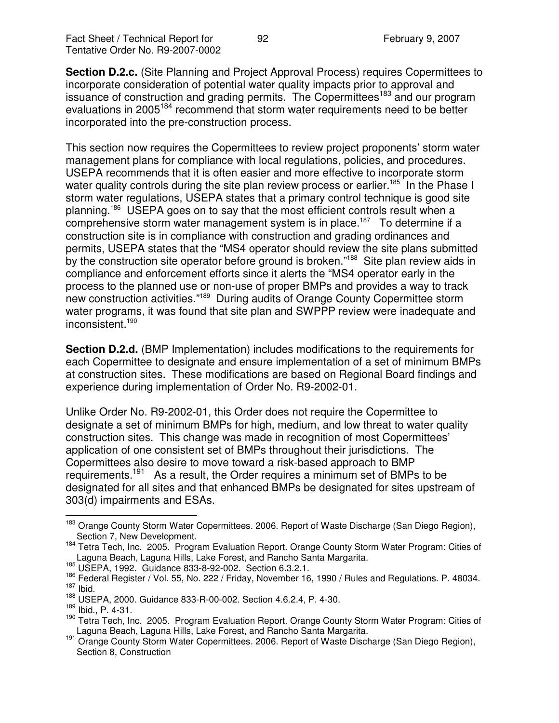**Section D.2.c.** (Site Planning and Project Approval Process) requires Copermittees to incorporate consideration of potential water quality impacts prior to approval and issuance of construction and grading permits. The Copermittees<sup>183</sup> and our program evaluations in 2005<sup>184</sup> recommend that storm water requirements need to be better incorporated into the pre-construction process.

This section now requires the Copermittees to review project proponents' storm water management plans for compliance with local regulations, policies, and procedures. USEPA recommends that it is often easier and more effective to incorporate storm water quality controls during the site plan review process or earlier.<sup>185</sup> In the Phase I storm water regulations, USEPA states that a primary control technique is good site planning. <sup>186</sup> USEPA goes on to say that the most efficient controls result when a comprehensive storm water management system is in place.<sup>187</sup> To determine if a construction site is in compliance with construction and grading ordinances and permits, USEPA states that the "MS4 operator should review the site plans submitted by the construction site operator before ground is broken."<sup>188</sup> Site plan review aids in compliance and enforcement efforts since it alerts the "MS4 operator early in the process to the planned use or non-use of proper BMPs and provides a way to track new construction activities."<sup>189</sup> During audits of Orange County Copermittee storm water programs, it was found that site plan and SWPPP review were inadequate and inconsistent. 190

**Section D.2.d.** (BMP Implementation) includes modifications to the requirements for each Copermittee to designate and ensure implementation of a set of minimum BMPs at construction sites. These modifications are based on Regional Board findings and experience during implementation of Order No. R9-2002-01.

Unlike Order No. R9-2002-01, this Order does not require the Copermittee to designate a set of minimum BMPs for high, medium, and low threat to water quality construction sites. This change was made in recognition of most Copermittees' application of one consistent set of BMPs throughout their jurisdictions. The Copermittees also desire to move toward a risk-based approach to BMP requirements.<sup>191</sup> As a result, the Order requires a minimum set of BMPs to be designated for all sites and that enhanced BMPs be designated for sites upstream of 303(d) impairments and ESAs.

<sup>&</sup>lt;sup>183</sup> Orange County Storm Water Copermittees. 2006. Report of Waste Discharge (San Diego Region), Section 7, New Development.

<sup>&</sup>lt;sup>184</sup> Tetra Tech, Inc. 2005. Program Evaluation Report. Orange County Storm Water Program: Cities of Laguna Beach, Laguna Hills, Lake Forest, and Rancho Santa Margarita.

<sup>185</sup> USEPA, 1992. Guidance 833-8-92-002. Section 6.3.2.1.

<sup>&</sup>lt;sup>186</sup> Federal Register / Vol. 55, No. 222 / Friday, November 16, 1990 / Rules and Regulations. P. 48034.  $187$  Ibid.

<sup>188</sup> USEPA, 2000. Guidance 833-R-00-002. Section 4.6.2.4, P. 4-30.

<sup>189</sup> Ibid., P. 4-31.

<sup>&</sup>lt;sup>190</sup> Tetra Tech, Inc. 2005. Program Evaluation Report. Orange County Storm Water Program: Cities of Laguna Beach, Laguna Hills, Lake Forest, and Rancho Santa Margarita.

<sup>191</sup> Orange County Storm Water Copermittees. 2006. Report of Waste Discharge (San Diego Region), Section 8, Construction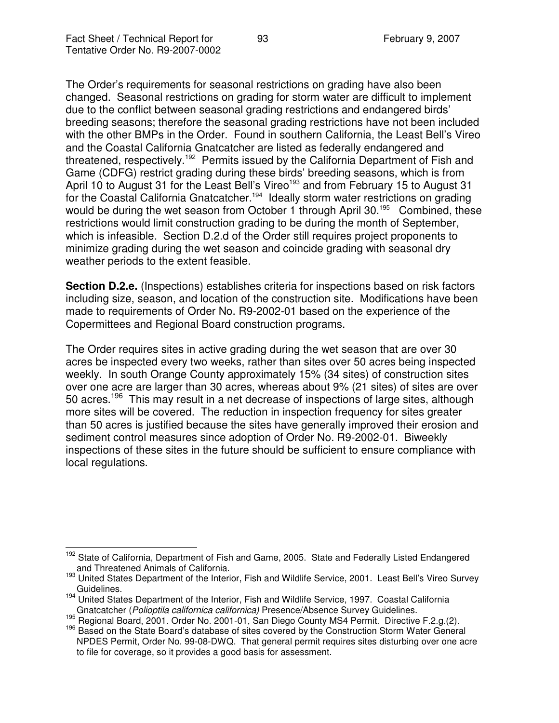The Order's requirements for seasonal restrictions on grading have also been changed. Seasonal restrictions on grading for storm water are difficult to implement due to the conflict between seasonal grading restrictions and endangered birds' breeding seasons; therefore the seasonal grading restrictions have not been included with the other BMPs in the Order. Found in southern California, the Least Bell's Vireo and the Coastal California Gnatcatcher are listed as federally endangered and threatened, respectively.<sup>192</sup> Permits issued by the California Department of Fish and Game (CDFG) restrict grading during these birds' breeding seasons, which is from April 10 to August 31 for the Least Bell's Vireo<sup>193</sup> and from February 15 to August 31 for the Coastal California Gnatcatcher.<sup>194</sup> Ideally storm water restrictions on grading would be during the wet season from October 1 through April 30.<sup>195</sup> Combined, these restrictions would limit construction grading to be during the month of September, which is infeasible. Section D.2.d of the Order still requires project proponents to minimize grading during the wet season and coincide grading with seasonal dry weather periods to the extent feasible.

**Section D.2.e.** (Inspections) establishes criteria for inspections based on risk factors including size, season, and location of the construction site. Modifications have been made to requirements of Order No. R9-2002-01 based on the experience of the Copermittees and Regional Board construction programs.

The Order requires sites in active grading during the wet season that are over 30 acres be inspected every two weeks, rather than sites over 50 acres being inspected weekly. In south Orange County approximately 15% (34 sites) of construction sites over one acre are larger than 30 acres, whereas about 9% (21 sites) of sites are over 50 acres.<sup>196</sup> This may result in a net decrease of inspections of large sites, although more sites will be covered. The reduction in inspection frequency for sites greater than 50 acres is justified because the sites have generally improved their erosion and sediment control measures since adoption of Order No. R9-2002-01. Biweekly inspections of these sites in the future should be sufficient to ensure compliance with local regulations.

<sup>&</sup>lt;sup>192</sup> State of California, Department of Fish and Game, 2005. State and Federally Listed Endangered and Threatened Animals of California.

<sup>193</sup> United States Department of the Interior, Fish and Wildlife Service, 2001. Least Bell's Vireo Survey Guidelines.

<sup>&</sup>lt;sup>194</sup> United States Department of the Interior, Fish and Wildlife Service, 1997. Coastal California Gnatcatcher (*Polioptila californica californica)* Presence/Absence Survey Guidelines.

<sup>195</sup> Regional Board, 2001. Order No. 2001-01, San Diego County MS4 Permit. Directive F.2.g.(2).

<sup>&</sup>lt;sup>196</sup> Based on the State Board's database of sites covered by the Construction Storm Water General NPDES Permit, Order No. 99-08-DWQ. That general permit requires sites disturbing over one acre to file for coverage, so it provides a good basis for assessment.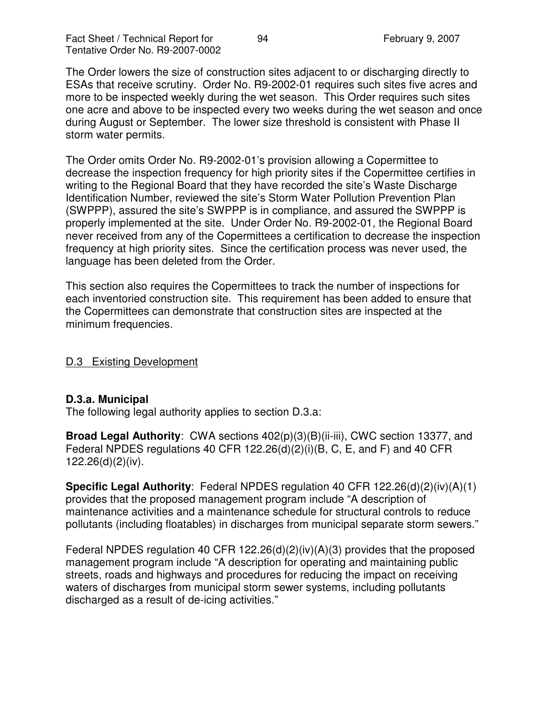The Order lowers the size of construction sites adjacent to or discharging directly to ESAs that receive scrutiny. Order No. R9-2002-01 requires such sites five acres and more to be inspected weekly during the wet season. This Order requires such sites one acre and above to be inspected every two weeks during the wet season and once during August or September. The lower size threshold is consistent with Phase II storm water permits.

The Order omits Order No. R9-2002-01's provision allowing a Copermittee to decrease the inspection frequency for high priority sites if the Copermittee certifies in writing to the Regional Board that they have recorded the site's Waste Discharge Identification Number, reviewed the site's Storm Water Pollution Prevention Plan (SWPPP), assured the site's SWPPP is in compliance, and assured the SWPPP is properly implemented at the site. Under Order No. R9-2002-01, the Regional Board never received from any of the Copermittees a certification to decrease the inspection frequency at high priority sites. Since the certification process was never used, the language has been deleted from the Order.

This section also requires the Copermittees to track the number of inspections for each inventoried construction site. This requirement has been added to ensure that the Copermittees can demonstrate that construction sites are inspected at the minimum frequencies.

D.3 Existing Development

### **D.3.a. Municipal**

The following legal authority applies to section D.3.a:

**Broad Legal Authority**: CWA sections 402(p)(3)(B)(ii-iii), CWC section 13377, and Federal NPDES regulations 40 CFR 122.26(d)(2)(i)(B, C, E, and F) and 40 CFR 122.26(d)(2)(iv).

**Specific Legal Authority**: Federal NPDES regulation 40 CFR 122.26(d)(2)(iv)(A)(1) provides that the proposed management program include "A description of maintenance activities and a maintenance schedule for structural controls to reduce pollutants (including floatables) in discharges from municipal separate storm sewers."

Federal NPDES regulation 40 CFR 122.26(d)(2)(iv)(A)(3) provides that the proposed management program include "A description for operating and maintaining public streets, roads and highways and procedures for reducing the impact on receiving waters of discharges from municipal storm sewer systems, including pollutants discharged as a result of de-icing activities."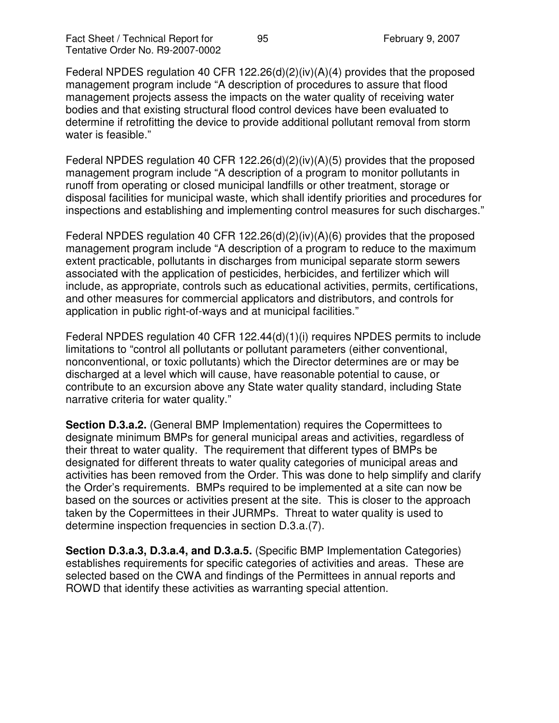Federal NPDES regulation 40 CFR 122.26(d)(2)(iv)(A)(4) provides that the proposed management program include "A description of procedures to assure that flood management projects assess the impacts on the water quality of receiving water bodies and that existing structural flood control devices have been evaluated to determine if retrofitting the device to provide additional pollutant removal from storm water is feasible."

Federal NPDES regulation 40 CFR 122.26(d)(2)(iv)(A)(5) provides that the proposed management program include "A description of a program to monitor pollutants in runoff from operating or closed municipal landfills or other treatment, storage or disposal facilities for municipal waste, which shall identify priorities and procedures for inspections and establishing and implementing control measures for such discharges."

Federal NPDES regulation 40 CFR 122.26(d)(2)(iv)(A)(6) provides that the proposed management program include "A description of a program to reduce to the maximum extent practicable, pollutants in discharges from municipal separate storm sewers associated with the application of pesticides, herbicides, and fertilizer which will include, as appropriate, controls such as educational activities, permits, certifications, and other measures for commercial applicators and distributors, and controls for application in public right-of-ways and at municipal facilities."

Federal NPDES regulation 40 CFR 122.44(d)(1)(i) requires NPDES permits to include limitations to "control all pollutants or pollutant parameters (either conventional, nonconventional, or toxic pollutants) which the Director determines are or may be discharged at a level which will cause, have reasonable potential to cause, or contribute to an excursion above any State water quality standard, including State narrative criteria for water quality."

**Section D.3.a.2.** (General BMP Implementation) requires the Copermittees to designate minimum BMPs for general municipal areas and activities, regardless of their threat to water quality. The requirement that different types of BMPs be designated for different threats to water quality categories of municipal areas and activities has been removed from the Order. This was done to help simplify and clarify the Order's requirements. BMPs required to be implemented at a site can now be based on the sources or activities present at the site. This is closer to the approach taken by the Copermittees in their JURMPs. Threat to water quality is used to determine inspection frequencies in section D.3.a.(7).

**Section D.3.a.3, D.3.a.4, and D.3.a.5.** (Specific BMP Implementation Categories) establishes requirements for specific categories of activities and areas. These are selected based on the CWA and findings of the Permittees in annual reports and ROWD that identify these activities as warranting special attention.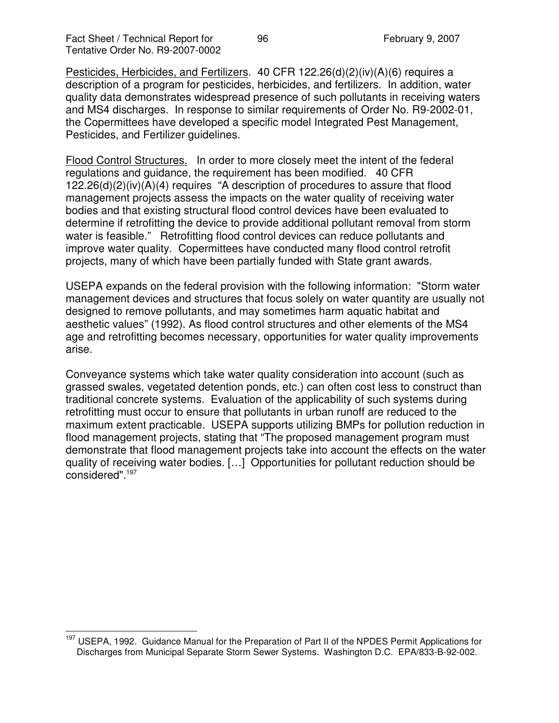Pesticides, Herbicides, and Fertilizers. 40 CFR 122.26(d)(2)(iv)(A)(6) requires a description of a program for pesticides, herbicides, and fertilizers. In addition, water quality data demonstrates widespread presence of such pollutants in receiving waters and MS4 discharges. In response to similar requirements of Order No. R9-2002-01, the Copermittees have developed a specific model Integrated Pest Management, Pesticides, and Fertilizer guidelines.

Flood Control Structures. In order to more closely meet the intent of the federal regulations and guidance, the requirement has been modified. 40 CFR 122.26(d)(2)(iv)(A)(4) requires "A description of procedures to assure that flood management projects assess the impacts on the water quality of receiving water bodies and that existing structural flood control devices have been evaluated to determine if retrofitting the device to provide additional pollutant removal from storm water is feasible." Retrofitting flood control devices can reduce pollutants and improve water quality. Copermittees have conducted many flood control retrofit projects, many of which have been partially funded with State grant awards.

USEPA expands on the federal provision with the following information: "Storm water management devices and structures that focus solely on water quantity are usually not designed to remove pollutants, and may sometimes harm aquatic habitat and aesthetic values" (1992). As flood control structures and other elements of the MS4 age and retrofitting becomes necessary, opportunities for water quality improvements arise.

Conveyance systems which take water quality consideration into account (such as grassed swales, vegetated detention ponds, etc.) can often cost less to construct than traditional concrete systems. Evaluation of the applicability of such systems during retrofitting must occur to ensure that pollutants in urban runoff are reduced to the maximum extent practicable. USEPA supports utilizing BMPs for pollution reduction in flood management projects, stating that "The proposed management program must demonstrate that flood management projects take into account the effects on the water quality of receiving water bodies. […] Opportunities for pollutant reduction should be considered". 197

<sup>&</sup>lt;sup>197</sup> USEPA, 1992. Guidance Manual for the Preparation of Part II of the NPDES Permit Applications for Discharges from Municipal Separate Storm Sewer Systems. Washington D.C. EPA/833-B-92-002.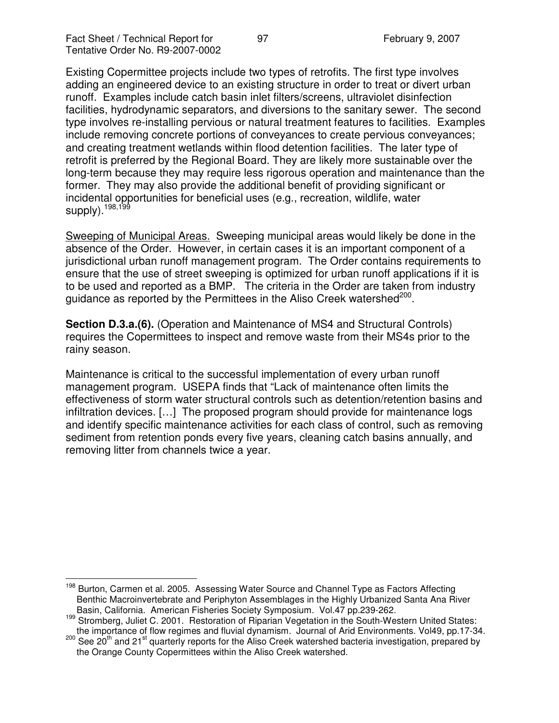Existing Copermittee projects include two types of retrofits. The first type involves adding an engineered device to an existing structure in order to treat or divert urban runoff. Examples include catch basin inlet filters/screens, ultraviolet disinfection facilities, hydrodynamic separators, and diversions to the sanitary sewer. The second type involves re-installing pervious or natural treatment features to facilities. Examples include removing concrete portions of conveyances to create pervious conveyances; and creating treatment wetlands within flood detention facilities. The later type of retrofit is preferred by the Regional Board. They are likely more sustainable over the long-term because they may require less rigorous operation and maintenance than the former. They may also provide the additional benefit of providing significant or incidental opportunities for beneficial uses (e.g., recreation, wildlife, water supply).<sup>198,199</sup>

Sweeping of Municipal Areas. Sweeping municipal areas would likely be done in the absence of the Order. However, in certain cases it is an important component of a jurisdictional urban runoff management program. The Order contains requirements to ensure that the use of street sweeping is optimized for urban runoff applications if it is to be used and reported as a BMP. The criteria in the Order are taken from industry guidance as reported by the Permittees in the Aliso Creek watershed<sup>200</sup>.

**Section D.3.a.(6).** (Operation and Maintenance of MS4 and Structural Controls) requires the Copermittees to inspect and remove waste from their MS4s prior to the rainy season.

Maintenance is critical to the successful implementation of every urban runoff management program. USEPA finds that "Lack of maintenance often limits the effectiveness of storm water structural controls such as detention/retention basins and infiltration devices. […] The proposed program should provide for maintenance logs and identify specific maintenance activities for each class of control, such as removing sediment from retention ponds every five years, cleaning catch basins annually, and removing litter from channels twice a year.

<sup>&</sup>lt;sup>198</sup> Burton, Carmen et al. 2005. Assessing Water Source and Channel Type as Factors Affecting Benthic Macroinvertebrate and Periphyton Assemblages in the Highly Urbanized Santa Ana River Basin, California. American Fisheries Society Symposium. Vol.47 pp.239-262.

<sup>&</sup>lt;sup>199</sup> Stromberg, Juliet C. 2001. Restoration of Riparian Vegetation in the South-Western United States: the importance of flow regimes and fluvial dynamism. Journal of Arid Environments. Vol49, pp.17-34.

<sup>&</sup>lt;sup>200</sup> See 20<sup>th</sup> and 21<sup>st</sup> quarterly reports for the Aliso Creek watershed bacteria investigation, prepared by the Orange County Copermittees within the Aliso Creek watershed.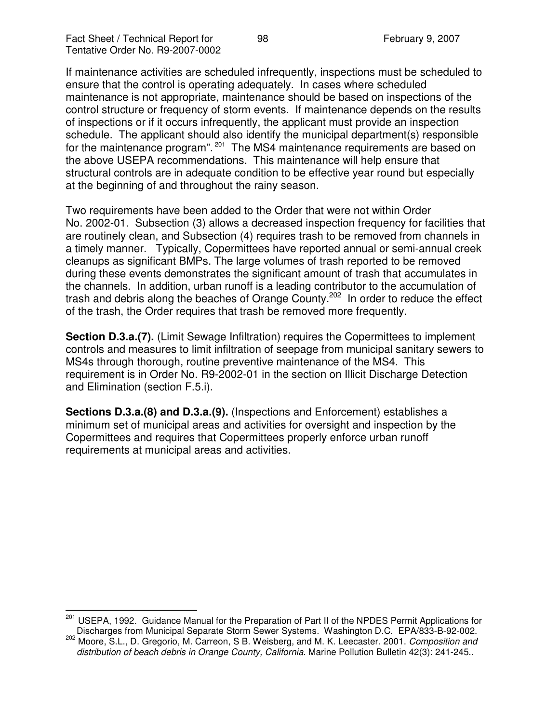If maintenance activities are scheduled infrequently, inspections must be scheduled to ensure that the control is operating adequately. In cases where scheduled maintenance is not appropriate, maintenance should be based on inspections of the control structure or frequency of storm events. If maintenance depends on the results of inspections or if it occurs infrequently, the applicant must provide an inspection schedule. The applicant should also identify the municipal department(s) responsible for the maintenance program". <sup>201</sup> The MS4 maintenance requirements are based on the above USEPA recommendations. This maintenance will help ensure that structural controls are in adequate condition to be effective year round but especially at the beginning of and throughout the rainy season.

Two requirements have been added to the Order that were not within Order No. 2002-01. Subsection (3) allows a decreased inspection frequency for facilities that are routinely clean, and Subsection (4) requires trash to be removed from channels in a timely manner. Typically, Copermittees have reported annual or semi-annual creek cleanups as significant BMPs. The large volumes of trash reported to be removed during these events demonstrates the significant amount of trash that accumulates in the channels. In addition, urban runoff is a leading contributor to the accumulation of trash and debris along the beaches of Orange County.<sup>202</sup> In order to reduce the effect of the trash, the Order requires that trash be removed more frequently.

**Section D.3.a.(7).** (Limit Sewage Infiltration) requires the Copermittees to implement controls and measures to limit infiltration of seepage from municipal sanitary sewers to MS4s through thorough, routine preventive maintenance of the MS4. This requirement is in Order No. R9-2002-01 in the section on Illicit Discharge Detection and Elimination (section F.5.i).

**Sections D.3.a.(8) and D.3.a.(9).** (Inspections and Enforcement) establishes a minimum set of municipal areas and activities for oversight and inspection by the Copermittees and requires that Copermittees properly enforce urban runoff requirements at municipal areas and activities.

<sup>&</sup>lt;sup>201</sup> USEPA, 1992. Guidance Manual for the Preparation of Part II of the NPDES Permit Applications for Discharges from Municipal Separate Storm Sewer Systems. Washington D.C. EPA/833-B-92-002.

<sup>202</sup> Moore, S.L., D. Gregorio, M. Carreon, S B. Weisberg, and M. K. Leecaster. 2001. *Composition and distribution of beach debris in Orange County, California*. Marine Pollution Bulletin 42(3): 241-245..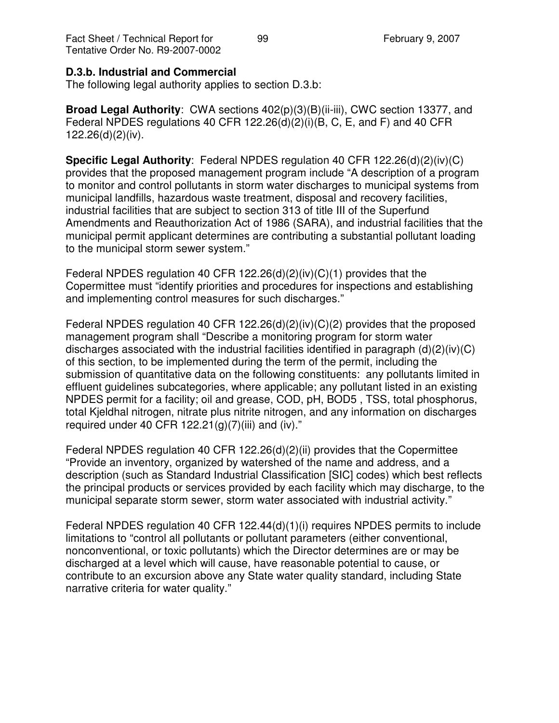#### **D.3.b. Industrial and Commercial**

The following legal authority applies to section D.3.b:

**Broad Legal Authority**: CWA sections 402(p)(3)(B)(ii-iii), CWC section 13377, and Federal NPDES regulations 40 CFR 122.26(d)(2)(i)(B, C, E, and F) and 40 CFR 122.26(d)(2)(iv).

**Specific Legal Authority**: Federal NPDES regulation 40 CFR 122.26(d)(2)(iv)(C) provides that the proposed management program include "A description of a program to monitor and control pollutants in storm water discharges to municipal systems from municipal landfills, hazardous waste treatment, disposal and recovery facilities, industrial facilities that are subject to section 313 of title III of the Superfund Amendments and Reauthorization Act of 1986 (SARA), and industrial facilities that the municipal permit applicant determines are contributing a substantial pollutant loading to the municipal storm sewer system."

Federal NPDES regulation 40 CFR 122.26(d)(2)(iv)(C)(1) provides that the Copermittee must "identify priorities and procedures for inspections and establishing and implementing control measures for such discharges."

Federal NPDES regulation 40 CFR 122.26(d)(2)(iv)(C)(2) provides that the proposed management program shall "Describe a monitoring program for storm water discharges associated with the industrial facilities identified in paragraph (d)(2)(iv)(C) of this section, to be implemented during the term of the permit, including the submission of quantitative data on the following constituents: any pollutants limited in effluent guidelines subcategories, where applicable; any pollutant listed in an existing NPDES permit for a facility; oil and grease, COD, pH, BOD5 , TSS, total phosphorus, total Kjeldhal nitrogen, nitrate plus nitrite nitrogen, and any information on discharges required under 40 CFR  $122.21(g)(7)(iii)$  and (iv)."

Federal NPDES regulation 40 CFR 122.26(d)(2)(ii) provides that the Copermittee "Provide an inventory, organized by watershed of the name and address, and a description (such as Standard Industrial Classification [SIC] codes) which best reflects the principal products or services provided by each facility which may discharge, to the municipal separate storm sewer, storm water associated with industrial activity."

Federal NPDES regulation 40 CFR 122.44(d)(1)(i) requires NPDES permits to include limitations to "control all pollutants or pollutant parameters (either conventional, nonconventional, or toxic pollutants) which the Director determines are or may be discharged at a level which will cause, have reasonable potential to cause, or contribute to an excursion above any State water quality standard, including State narrative criteria for water quality."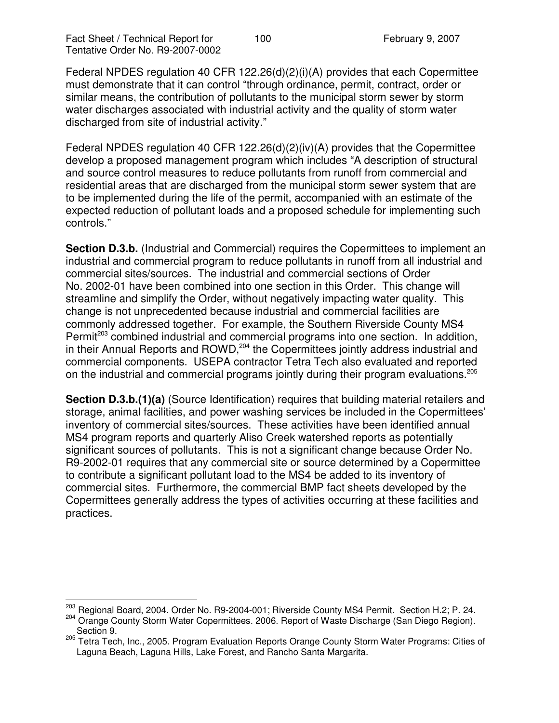Federal NPDES regulation 40 CFR 122.26(d)(2)(i)(A) provides that each Copermittee must demonstrate that it can control "through ordinance, permit, contract, order or similar means, the contribution of pollutants to the municipal storm sewer by storm water discharges associated with industrial activity and the quality of storm water discharged from site of industrial activity."

Federal NPDES regulation 40 CFR 122.26(d)(2)(iv)(A) provides that the Copermittee develop a proposed management program which includes "A description of structural and source control measures to reduce pollutants from runoff from commercial and residential areas that are discharged from the municipal storm sewer system that are to be implemented during the life of the permit, accompanied with an estimate of the expected reduction of pollutant loads and a proposed schedule for implementing such controls."

**Section D.3.b.** (Industrial and Commercial) requires the Copermittees to implement an industrial and commercial program to reduce pollutants in runoff from all industrial and commercial sites/sources. The industrial and commercial sections of Order No. 2002-01 have been combined into one section in this Order. This change will streamline and simplify the Order, without negatively impacting water quality. This change is not unprecedented because industrial and commercial facilities are commonly addressed together. For example, the Southern Riverside County MS4 Permit<sup>203</sup> combined industrial and commercial programs into one section. In addition, in their Annual Reports and ROWD,<sup>204</sup> the Copermittees jointly address industrial and commercial components. USEPA contractor Tetra Tech also evaluated and reported on the industrial and commercial programs jointly during their program evaluations.<sup>205</sup>

**Section D.3.b.(1)(a)** (Source Identification) requires that building material retailers and storage, animal facilities, and power washing services be included in the Copermittees' inventory of commercial sites/sources. These activities have been identified annual MS4 program reports and quarterly Aliso Creek watershed reports as potentially significant sources of pollutants. This is not a significant change because Order No. R9-2002-01 requires that any commercial site or source determined by a Copermittee to contribute a significant pollutant load to the MS4 be added to its inventory of commercial sites. Furthermore, the commercial BMP fact sheets developed by the Copermittees generally address the types of activities occurring at these facilities and practices.

<sup>&</sup>lt;sup>203</sup> Regional Board, 2004. Order No. R9-2004-001; Riverside County MS4 Permit. Section H.2; P. 24. <sup>204</sup> Orange County Storm Water Copermittees. 2006. Report of Waste Discharge (San Diego Region). Section 9.

<sup>&</sup>lt;sup>205</sup> Tetra Tech, Inc., 2005. Program Evaluation Reports Orange County Storm Water Programs: Cities of Laguna Beach, Laguna Hills, Lake Forest, and Rancho Santa Margarita.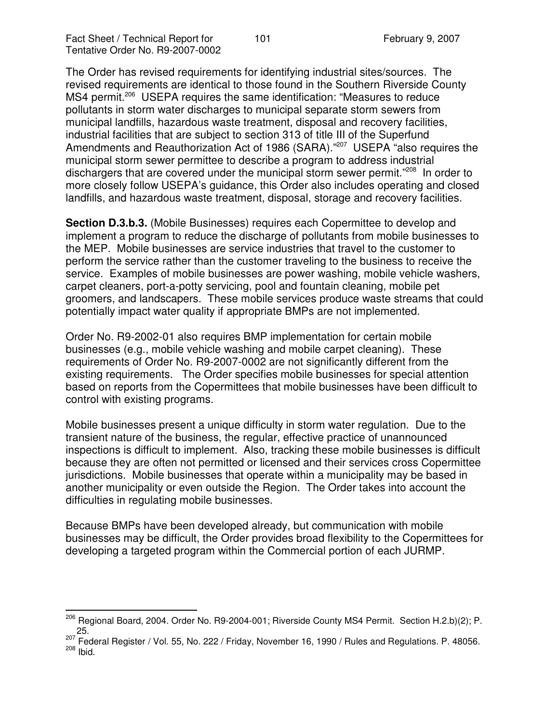The Order has revised requirements for identifying industrial sites/sources. The revised requirements are identical to those found in the Southern Riverside County MS4 permit.<sup>206</sup> USEPA requires the same identification: "Measures to reduce pollutants in storm water discharges to municipal separate storm sewers from municipal landfills, hazardous waste treatment, disposal and recovery facilities, industrial facilities that are subject to section 313 of title III of the Superfund Amendments and Reauthorization Act of 1986 (SARA)."<sup>207</sup> USEPA "also requires the municipal storm sewer permittee to describe a program to address industrial dischargers that are covered under the municipal storm sewer permit."<sup>208</sup> In order to more closely follow USEPA's guidance, this Order also includes operating and closed landfills, and hazardous waste treatment, disposal, storage and recovery facilities.

**Section D.3.b.3.** (Mobile Businesses) requires each Copermittee to develop and implement a program to reduce the discharge of pollutants from mobile businesses to the MEP. Mobile businesses are service industries that travel to the customer to perform the service rather than the customer traveling to the business to receive the service. Examples of mobile businesses are power washing, mobile vehicle washers, carpet cleaners, port-a-potty servicing, pool and fountain cleaning, mobile pet groomers, and landscapers. These mobile services produce waste streams that could potentially impact water quality if appropriate BMPs are not implemented.

Order No. R9-2002-01 also requires BMP implementation for certain mobile businesses (e.g., mobile vehicle washing and mobile carpet cleaning). These requirements of Order No. R9-2007-0002 are not significantly different from the existing requirements. The Order specifies mobile businesses for special attention based on reports from the Copermittees that mobile businesses have been difficult to control with existing programs.

Mobile businesses present a unique difficulty in storm water regulation. Due to the transient nature of the business, the regular, effective practice of unannounced inspections is difficult to implement. Also, tracking these mobile businesses is difficult because they are often not permitted or licensed and their services cross Copermittee jurisdictions. Mobile businesses that operate within a municipality may be based in another municipality or even outside the Region. The Order takes into account the difficulties in regulating mobile businesses.

Because BMPs have been developed already, but communication with mobile businesses may be difficult, the Order provides broad flexibility to the Copermittees for developing a targeted program within the Commercial portion of each JURMP.

<sup>&</sup>lt;sup>206</sup> Regional Board, 2004. Order No. R9-2004-001; Riverside County MS4 Permit. Section H.2.b)(2); P. 25.<br><sup>207</sup> Federal Register / Vol. 55, No. 222 / Friday, November 16, 1990 / Rules and Regulations. P. 48056.

<sup>&</sup>lt;sup>208</sup> Ibid.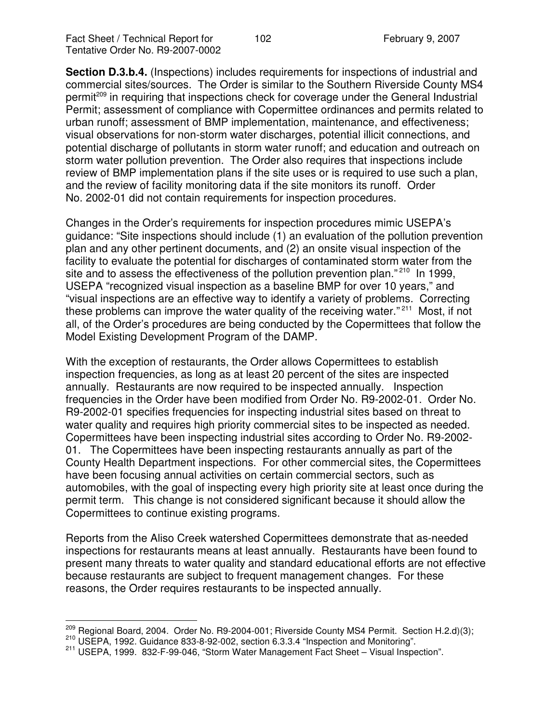Fact Sheet / Technical Report for 102 February 9, 2007 Tentative Order No. R9-2007-0002

**Section D.3.b.4.** (Inspections) includes requirements for inspections of industrial and commercial sites/sources. The Order is similar to the Southern Riverside County MS4 permit<sup>209</sup> in requiring that inspections check for coverage under the General Industrial Permit; assessment of compliance with Copermittee ordinances and permits related to urban runoff; assessment of BMP implementation, maintenance, and effectiveness; visual observations for non-storm water discharges, potential illicit connections, and potential discharge of pollutants in storm water runoff; and education and outreach on storm water pollution prevention. The Order also requires that inspections include review of BMP implementation plans if the site uses or is required to use such a plan, and the review of facility monitoring data if the site monitors its runoff. Order No. 2002-01 did not contain requirements for inspection procedures.

Changes in the Order's requirements for inspection procedures mimic USEPA's guidance: "Site inspections should include (1) an evaluation of the pollution prevention plan and any other pertinent documents, and (2) an onsite visual inspection of the facility to evaluate the potential for discharges of contaminated storm water from the site and to assess the effectiveness of the pollution prevention plan."<sup>210</sup> In 1999, USEPA "recognized visual inspection as a baseline BMP for over 10 years," and "visual inspections are an effective way to identify a variety of problems. Correcting these problems can improve the water quality of the receiving water."<sup>211</sup> Most, if not all, of the Order's procedures are being conducted by the Copermittees that follow the Model Existing Development Program of the DAMP.

With the exception of restaurants, the Order allows Copermittees to establish inspection frequencies, as long as at least 20 percent of the sites are inspected annually. Restaurants are now required to be inspected annually. Inspection frequencies in the Order have been modified from Order No. R9-2002-01. Order No. R9-2002-01 specifies frequencies for inspecting industrial sites based on threat to water quality and requires high priority commercial sites to be inspected as needed. Copermittees have been inspecting industrial sites according to Order No. R9-2002- 01. The Copermittees have been inspecting restaurants annually as part of the County Health Department inspections. For other commercial sites, the Copermittees have been focusing annual activities on certain commercial sectors, such as automobiles, with the goal of inspecting every high priority site at least once during the permit term. This change is not considered significant because it should allow the Copermittees to continue existing programs.

Reports from the Aliso Creek watershed Copermittees demonstrate that as-needed inspections for restaurants means at least annually. Restaurants have been found to present many threats to water quality and standard educational efforts are not effective because restaurants are subject to frequent management changes. For these reasons, the Order requires restaurants to be inspected annually.

 $^{209}$  Regional Board, 2004. Order No. R9-2004-001; Riverside County MS4 Permit. Section H.2.d)(3);

<sup>210</sup> USEPA, 1992. Guidance 833-8-92-002, section 6.3.3.4 "Inspection and Monitoring".

<sup>211</sup> USEPA, 1999. 832-F-99-046, "Storm Water Management Fact Sheet – Visual Inspection".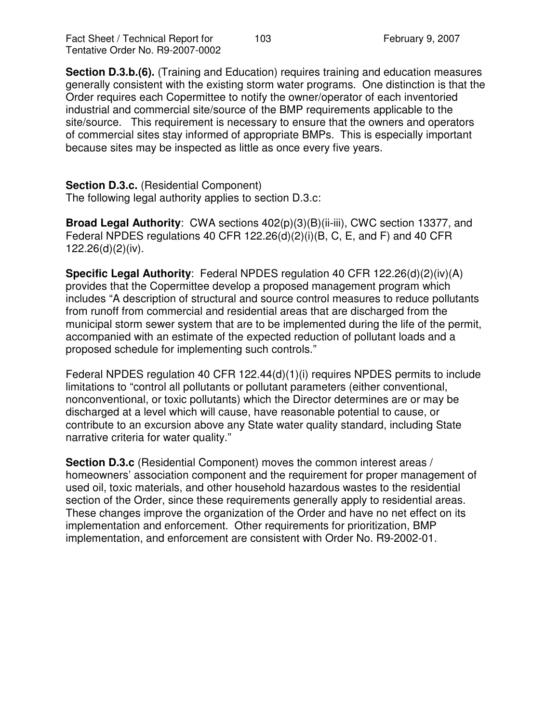Fact Sheet / Technical Report for 103 February 9, 2007 Tentative Order No. R9-2007-0002

**Section D.3.b.(6).** (Training and Education) requires training and education measures generally consistent with the existing storm water programs. One distinction is that the Order requires each Copermittee to notify the owner/operator of each inventoried industrial and commercial site/source of the BMP requirements applicable to the site/source. This requirement is necessary to ensure that the owners and operators of commercial sites stay informed of appropriate BMPs. This is especially important because sites may be inspected as little as once every five years.

#### **Section D.3.c.** (Residential Component)

The following legal authority applies to section D.3.c:

**Broad Legal Authority**: CWA sections 402(p)(3)(B)(ii-iii), CWC section 13377, and Federal NPDES regulations 40 CFR 122.26(d)(2)(i)(B, C, E, and F) and 40 CFR 122.26(d)(2)(iv).

**Specific Legal Authority**: Federal NPDES regulation 40 CFR 122.26(d)(2)(iv)(A) provides that the Copermittee develop a proposed management program which includes "A description of structural and source control measures to reduce pollutants from runoff from commercial and residential areas that are discharged from the municipal storm sewer system that are to be implemented during the life of the permit, accompanied with an estimate of the expected reduction of pollutant loads and a proposed schedule for implementing such controls."

Federal NPDES regulation 40 CFR 122.44(d)(1)(i) requires NPDES permits to include limitations to "control all pollutants or pollutant parameters (either conventional, nonconventional, or toxic pollutants) which the Director determines are or may be discharged at a level which will cause, have reasonable potential to cause, or contribute to an excursion above any State water quality standard, including State narrative criteria for water quality."

**Section D.3.c** (Residential Component) moves the common interest areas / homeowners' association component and the requirement for proper management of used oil, toxic materials, and other household hazardous wastes to the residential section of the Order, since these requirements generally apply to residential areas. These changes improve the organization of the Order and have no net effect on its implementation and enforcement. Other requirements for prioritization, BMP implementation, and enforcement are consistent with Order No. R9-2002-01.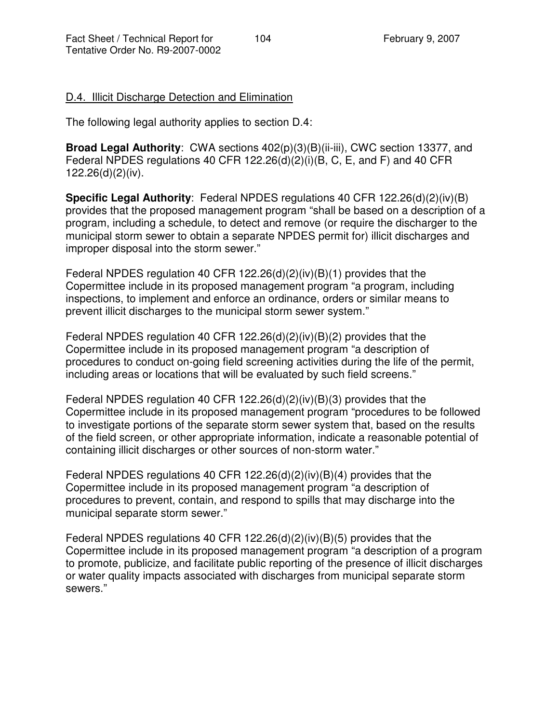# D.4. Illicit Discharge Detection and Elimination

The following legal authority applies to section D.4:

**Broad Legal Authority**: CWA sections 402(p)(3)(B)(ii-iii), CWC section 13377, and Federal NPDES regulations 40 CFR 122.26(d)(2)(i)(B, C, E, and F) and 40 CFR 122.26(d)(2)(iv).

**Specific Legal Authority**: Federal NPDES regulations 40 CFR 122.26(d)(2)(iv)(B) provides that the proposed management program "shall be based on a description of a program, including a schedule, to detect and remove (or require the discharger to the municipal storm sewer to obtain a separate NPDES permit for) illicit discharges and improper disposal into the storm sewer."

Federal NPDES regulation 40 CFR 122.26(d)(2)(iv)(B)(1) provides that the Copermittee include in its proposed management program "a program, including inspections, to implement and enforce an ordinance, orders or similar means to prevent illicit discharges to the municipal storm sewer system."

Federal NPDES regulation 40 CFR 122.26(d)(2)(iv)(B)(2) provides that the Copermittee include in its proposed management program "a description of procedures to conduct on-going field screening activities during the life of the permit, including areas or locations that will be evaluated by such field screens."

Federal NPDES regulation 40 CFR 122.26(d)(2)(iv)(B)(3) provides that the Copermittee include in its proposed management program "procedures to be followed to investigate portions of the separate storm sewer system that, based on the results of the field screen, or other appropriate information, indicate a reasonable potential of containing illicit discharges or other sources of non-storm water."

Federal NPDES regulations 40 CFR 122.26(d)(2)(iv)(B)(4) provides that the Copermittee include in its proposed management program "a description of procedures to prevent, contain, and respond to spills that may discharge into the municipal separate storm sewer."

Federal NPDES regulations 40 CFR 122.26(d)(2)(iv)(B)(5) provides that the Copermittee include in its proposed management program "a description of a program to promote, publicize, and facilitate public reporting of the presence of illicit discharges or water quality impacts associated with discharges from municipal separate storm sewers."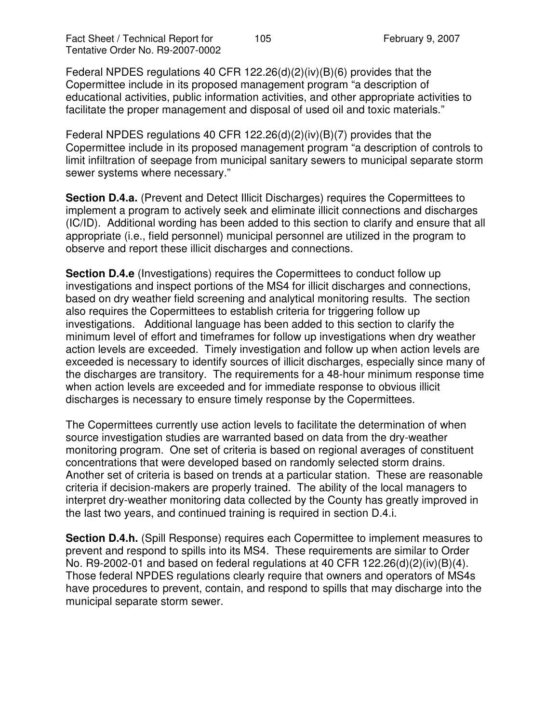Federal NPDES regulations 40 CFR 122.26(d)(2)(iv)(B)(6) provides that the Copermittee include in its proposed management program "a description of educational activities, public information activities, and other appropriate activities to facilitate the proper management and disposal of used oil and toxic materials."

Federal NPDES regulations 40 CFR 122.26(d)(2)(iv)(B)(7) provides that the Copermittee include in its proposed management program "a description of controls to limit infiltration of seepage from municipal sanitary sewers to municipal separate storm sewer systems where necessary."

**Section D.4.a.** (Prevent and Detect Illicit Discharges) requires the Copermittees to implement a program to actively seek and eliminate illicit connections and discharges (IC/ID). Additional wording has been added to this section to clarify and ensure that all appropriate (i.e., field personnel) municipal personnel are utilized in the program to observe and report these illicit discharges and connections.

**Section D.4.e** (Investigations) requires the Copermittees to conduct follow up investigations and inspect portions of the MS4 for illicit discharges and connections, based on dry weather field screening and analytical monitoring results. The section also requires the Copermittees to establish criteria for triggering follow up investigations. Additional language has been added to this section to clarify the minimum level of effort and timeframes for follow up investigations when dry weather action levels are exceeded. Timely investigation and follow up when action levels are exceeded is necessary to identify sources of illicit discharges, especially since many of the discharges are transitory. The requirements for a 48-hour minimum response time when action levels are exceeded and for immediate response to obvious illicit discharges is necessary to ensure timely response by the Copermittees.

The Copermittees currently use action levels to facilitate the determination of when source investigation studies are warranted based on data from the dry-weather monitoring program. One set of criteria is based on regional averages of constituent concentrations that were developed based on randomly selected storm drains. Another set of criteria is based on trends at a particular station. These are reasonable criteria if decision-makers are properly trained. The ability of the local managers to interpret dry-weather monitoring data collected by the County has greatly improved in the last two years, and continued training is required in section D.4.i.

**Section D.4.h.** (Spill Response) requires each Copermittee to implement measures to prevent and respond to spills into its MS4. These requirements are similar to Order No. R9-2002-01 and based on federal regulations at 40 CFR 122.26(d)(2)(iv)(B)(4). Those federal NPDES regulations clearly require that owners and operators of MS4s have procedures to prevent, contain, and respond to spills that may discharge into the municipal separate storm sewer.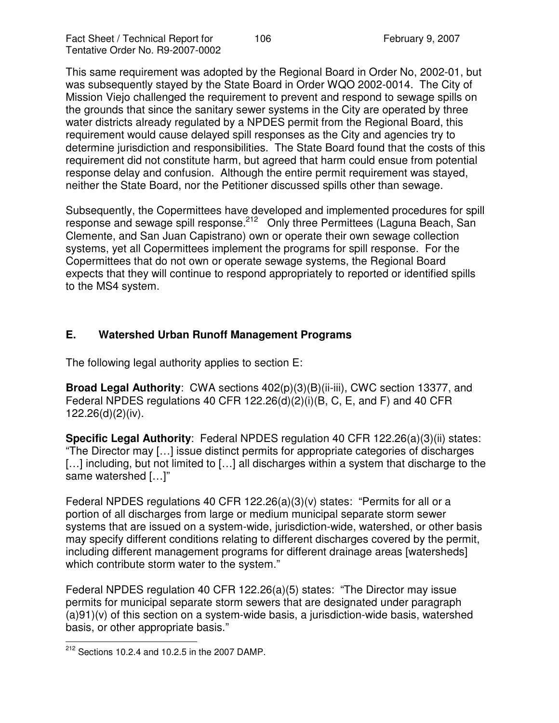This same requirement was adopted by the Regional Board in Order No, 2002-01, but was subsequently stayed by the State Board in Order WQO 2002-0014. The City of Mission Viejo challenged the requirement to prevent and respond to sewage spills on the grounds that since the sanitary sewer systems in the City are operated by three water districts already regulated by a NPDES permit from the Regional Board, this requirement would cause delayed spill responses as the City and agencies try to determine jurisdiction and responsibilities. The State Board found that the costs of this requirement did not constitute harm, but agreed that harm could ensue from potential response delay and confusion. Although the entire permit requirement was stayed, neither the State Board, nor the Petitioner discussed spills other than sewage.

Subsequently, the Copermittees have developed and implemented procedures for spill response and sewage spill response.<sup>212</sup> Only three Permittees (Laguna Beach, San Clemente, and San Juan Capistrano) own or operate their own sewage collection systems, yet all Copermittees implement the programs for spill response. For the Copermittees that do not own or operate sewage systems, the Regional Board expects that they will continue to respond appropriately to reported or identified spills to the MS4 system.

# **E. Watershed Urban Runoff Management Programs**

The following legal authority applies to section E:

**Broad Legal Authority**: CWA sections 402(p)(3)(B)(ii-iii), CWC section 13377, and Federal NPDES regulations 40 CFR 122.26(d)(2)(i)(B, C, E, and F) and 40 CFR 122.26(d)(2)(iv).

**Specific Legal Authority**: Federal NPDES regulation 40 CFR 122.26(a)(3)(ii) states: "The Director may […] issue distinct permits for appropriate categories of discharges [...] including, but not limited to [...] all discharges within a system that discharge to the same watershed […]"

Federal NPDES regulations 40 CFR 122.26(a)(3)(v) states: "Permits for all or a portion of all discharges from large or medium municipal separate storm sewer systems that are issued on a system-wide, jurisdiction-wide, watershed, or other basis may specify different conditions relating to different discharges covered by the permit, including different management programs for different drainage areas [watersheds] which contribute storm water to the system."

Federal NPDES regulation 40 CFR 122.26(a)(5) states: "The Director may issue permits for municipal separate storm sewers that are designated under paragraph (a)91)(v) of this section on a system-wide basis, a jurisdiction-wide basis, watershed basis, or other appropriate basis."

 $212$  Sections 10.2.4 and 10.2.5 in the 2007 DAMP.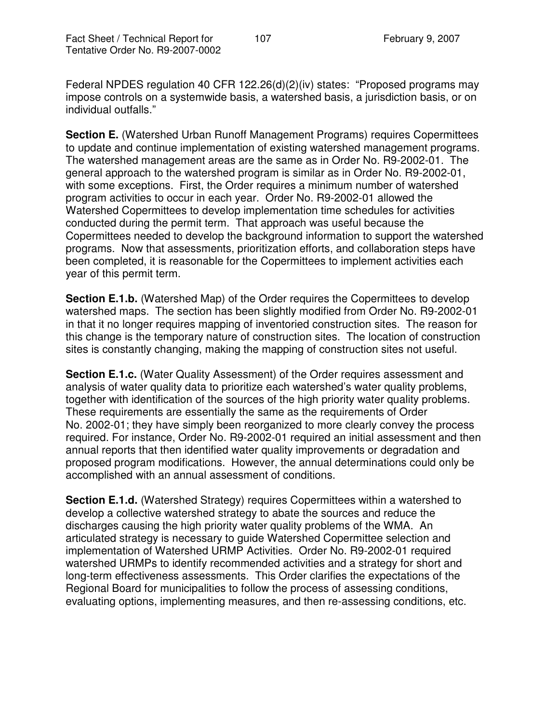Federal NPDES regulation 40 CFR 122.26(d)(2)(iv) states: "Proposed programs may impose controls on a systemwide basis, a watershed basis, a jurisdiction basis, or on individual outfalls."

**Section E.** (Watershed Urban Runoff Management Programs) requires Copermittees to update and continue implementation of existing watershed management programs. The watershed management areas are the same as in Order No. R9-2002-01. The general approach to the watershed program is similar as in Order No. R9-2002-01, with some exceptions. First, the Order requires a minimum number of watershed program activities to occur in each year. Order No. R9-2002-01 allowed the Watershed Copermittees to develop implementation time schedules for activities conducted during the permit term. That approach was useful because the Copermittees needed to develop the background information to support the watershed programs. Now that assessments, prioritization efforts, and collaboration steps have been completed, it is reasonable for the Copermittees to implement activities each year of this permit term.

**Section E.1.b.** (Watershed Map) of the Order requires the Copermittees to develop watershed maps. The section has been slightly modified from Order No. R9-2002-01 in that it no longer requires mapping of inventoried construction sites. The reason for this change is the temporary nature of construction sites. The location of construction sites is constantly changing, making the mapping of construction sites not useful.

**Section E.1.c.** (Water Quality Assessment) of the Order requires assessment and analysis of water quality data to prioritize each watershed's water quality problems, together with identification of the sources of the high priority water quality problems. These requirements are essentially the same as the requirements of Order No. 2002-01; they have simply been reorganized to more clearly convey the process required. For instance, Order No. R9-2002-01 required an initial assessment and then annual reports that then identified water quality improvements or degradation and proposed program modifications. However, the annual determinations could only be accomplished with an annual assessment of conditions.

**Section E.1.d.** (Watershed Strategy) requires Copermittees within a watershed to develop a collective watershed strategy to abate the sources and reduce the discharges causing the high priority water quality problems of the WMA. An articulated strategy is necessary to guide Watershed Copermittee selection and implementation of Watershed URMP Activities. Order No. R9-2002-01 required watershed URMPs to identify recommended activities and a strategy for short and long-term effectiveness assessments. This Order clarifies the expectations of the Regional Board for municipalities to follow the process of assessing conditions, evaluating options, implementing measures, and then re-assessing conditions, etc.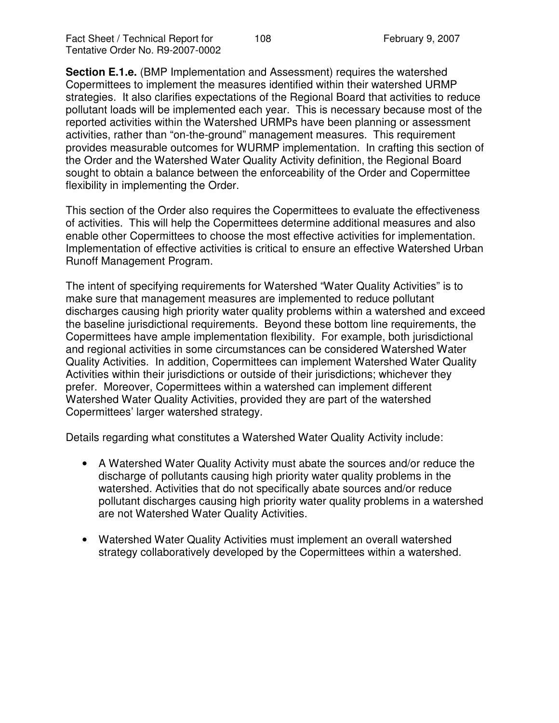**Section E.1.e.** (BMP Implementation and Assessment) requires the watershed Copermittees to implement the measures identified within their watershed URMP strategies. It also clarifies expectations of the Regional Board that activities to reduce pollutant loads will be implemented each year. This is necessary because most of the reported activities within the Watershed URMPs have been planning or assessment activities, rather than "on-the-ground" management measures. This requirement provides measurable outcomes for WURMP implementation. In crafting this section of the Order and the Watershed Water Quality Activity definition, the Regional Board sought to obtain a balance between the enforceability of the Order and Copermittee flexibility in implementing the Order.

This section of the Order also requires the Copermittees to evaluate the effectiveness of activities. This will help the Copermittees determine additional measures and also enable other Copermittees to choose the most effective activities for implementation. Implementation of effective activities is critical to ensure an effective Watershed Urban Runoff Management Program.

The intent of specifying requirements for Watershed "Water Quality Activities" is to make sure that management measures are implemented to reduce pollutant discharges causing high priority water quality problems within a watershed and exceed the baseline jurisdictional requirements. Beyond these bottom line requirements, the Copermittees have ample implementation flexibility. For example, both jurisdictional and regional activities in some circumstances can be considered Watershed Water Quality Activities. In addition, Copermittees can implement Watershed Water Quality Activities within their jurisdictions or outside of their jurisdictions; whichever they prefer. Moreover, Copermittees within a watershed can implement different Watershed Water Quality Activities, provided they are part of the watershed Copermittees' larger watershed strategy.

Details regarding what constitutes a Watershed Water Quality Activity include:

- A Watershed Water Quality Activity must abate the sources and/or reduce the discharge of pollutants causing high priority water quality problems in the watershed. Activities that do not specifically abate sources and/or reduce pollutant discharges causing high priority water quality problems in a watershed are not Watershed Water Quality Activities.
- Watershed Water Quality Activities must implement an overall watershed strategy collaboratively developed by the Copermittees within a watershed.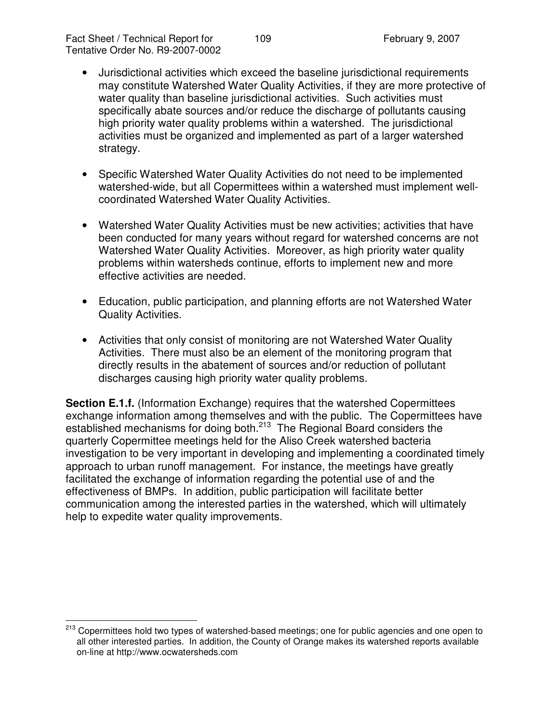- Jurisdictional activities which exceed the baseline jurisdictional requirements may constitute Watershed Water Quality Activities, if they are more protective of water quality than baseline jurisdictional activities. Such activities must specifically abate sources and/or reduce the discharge of pollutants causing high priority water quality problems within a watershed. The jurisdictional activities must be organized and implemented as part of a larger watershed strategy.
- Specific Watershed Water Quality Activities do not need to be implemented watershed-wide, but all Copermittees within a watershed must implement wellcoordinated Watershed Water Quality Activities.
- Watershed Water Quality Activities must be new activities; activities that have been conducted for many years without regard for watershed concerns are not Watershed Water Quality Activities. Moreover, as high priority water quality problems within watersheds continue, efforts to implement new and more effective activities are needed.
- Education, public participation, and planning efforts are not Watershed Water Quality Activities.
- Activities that only consist of monitoring are not Watershed Water Quality Activities. There must also be an element of the monitoring program that directly results in the abatement of sources and/or reduction of pollutant discharges causing high priority water quality problems.

**Section E.1.f.** (Information Exchange) requires that the watershed Copermittees exchange information among themselves and with the public. The Copermittees have established mechanisms for doing both.<sup>213</sup> The Regional Board considers the quarterly Copermittee meetings held for the Aliso Creek watershed bacteria investigation to be very important in developing and implementing a coordinated timely approach to urban runoff management. For instance, the meetings have greatly facilitated the exchange of information regarding the potential use of and the effectiveness of BMPs. In addition, public participation will facilitate better communication among the interested parties in the watershed, which will ultimately help to expedite water quality improvements.

<sup>&</sup>lt;sup>213</sup> Copermittees hold two types of watershed-based meetings; one for public agencies and one open to all other interested parties. In addition, the County of Orange makes its watershed reports available on-line at http://www.ocwatersheds.com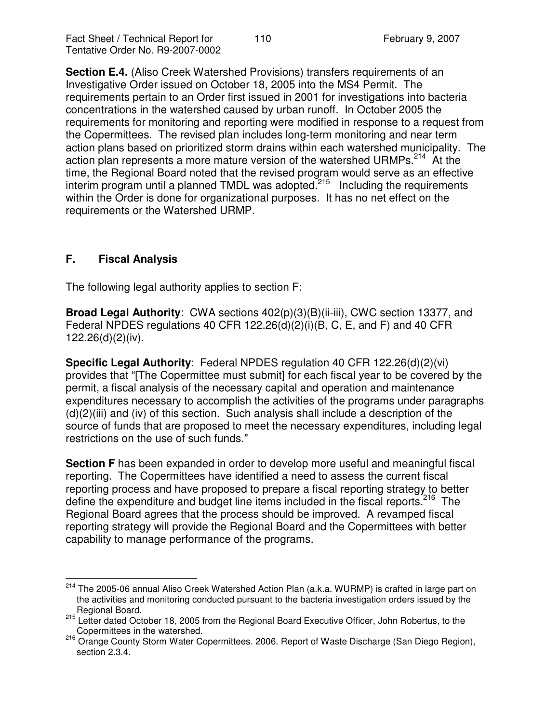**Section E.4.** (Aliso Creek Watershed Provisions) transfers requirements of an Investigative Order issued on October 18, 2005 into the MS4 Permit. The requirements pertain to an Order first issued in 2001 for investigations into bacteria concentrations in the watershed caused by urban runoff. In October 2005 the requirements for monitoring and reporting were modified in response to a request from the Copermittees. The revised plan includes long-term monitoring and near term action plans based on prioritized storm drains within each watershed municipality. The action plan represents a more mature version of the watershed URMPs.<sup>214</sup> At the time, the Regional Board noted that the revised program would serve as an effective interim program until a planned TMDL was adopted.<sup>215</sup> Including the requirements within the Order is done for organizational purposes. It has no net effect on the requirements or the Watershed URMP.

# **F. Fiscal Analysis**

The following legal authority applies to section F:

**Broad Legal Authority**: CWA sections 402(p)(3)(B)(ii-iii), CWC section 13377, and Federal NPDES regulations 40 CFR 122.26(d)(2)(i)(B, C, E, and F) and 40 CFR 122.26(d)(2)(iv).

**Specific Legal Authority**: Federal NPDES regulation 40 CFR 122.26(d)(2)(vi) provides that "[The Copermittee must submit] for each fiscal year to be covered by the permit, a fiscal analysis of the necessary capital and operation and maintenance expenditures necessary to accomplish the activities of the programs under paragraphs  $(d)(2)(iii)$  and (iv) of this section. Such analysis shall include a description of the source of funds that are proposed to meet the necessary expenditures, including legal restrictions on the use of such funds."

**Section F** has been expanded in order to develop more useful and meaningful fiscal reporting. The Copermittees have identified a need to assess the current fiscal reporting process and have proposed to prepare a fiscal reporting strategy to better define the expenditure and budget line items included in the fiscal reports.<sup>216</sup> The Regional Board agrees that the process should be improved. A revamped fiscal reporting strategy will provide the Regional Board and the Copermittees with better capability to manage performance of the programs.

<sup>&</sup>lt;sup>214</sup> The 2005-06 annual Aliso Creek Watershed Action Plan (a.k.a. WURMP) is crafted in large part on the activities and monitoring conducted pursuant to the bacteria investigation orders issued by the

Regional Board. 215 Letter dated October 18, 2005 from the Regional Board Executive Officer, John Robertus, to the Copermittees in the watershed.

<sup>216</sup> Orange County Storm Water Copermittees. 2006. Report of Waste Discharge (San Diego Region), section 2.3.4.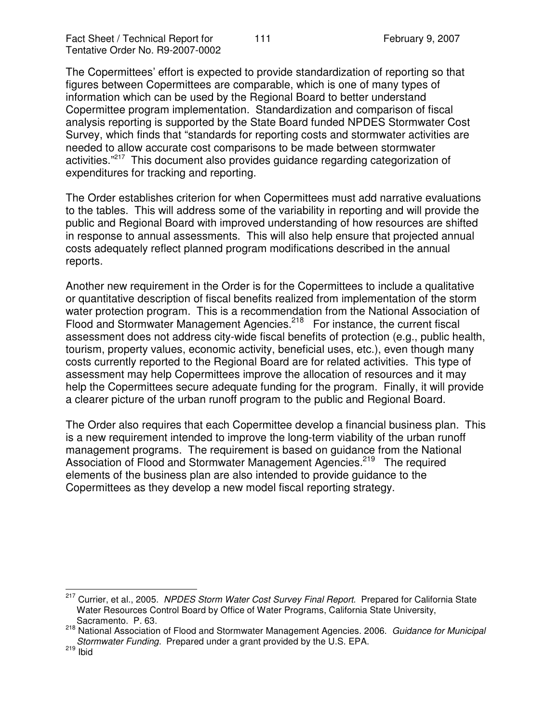The Copermittees' effort is expected to provide standardization of reporting so that figures between Copermittees are comparable, which is one of many types of information which can be used by the Regional Board to better understand Copermittee program implementation. Standardization and comparison of fiscal analysis reporting is supported by the State Board funded NPDES Stormwater Cost Survey, which finds that "standards for reporting costs and stormwater activities are needed to allow accurate cost comparisons to be made between stormwater activities."<sup>217</sup> This document also provides guidance regarding categorization of expenditures for tracking and reporting.

The Order establishes criterion for when Copermittees must add narrative evaluations to the tables. This will address some of the variability in reporting and will provide the public and Regional Board with improved understanding of how resources are shifted in response to annual assessments. This will also help ensure that projected annual costs adequately reflect planned program modifications described in the annual reports.

Another new requirement in the Order is for the Copermittees to include a qualitative or quantitative description of fiscal benefits realized from implementation of the storm water protection program. This is a recommendation from the National Association of Flood and Stormwater Management Agencies.<sup>218</sup> For instance, the current fiscal assessment does not address city-wide fiscal benefits of protection (e.g., public health, tourism, property values, economic activity, beneficial uses, etc.), even though many costs currently reported to the Regional Board are for related activities. This type of assessment may help Copermittees improve the allocation of resources and it may help the Copermittees secure adequate funding for the program. Finally, it will provide a clearer picture of the urban runoff program to the public and Regional Board.

The Order also requires that each Copermittee develop a financial business plan. This is a new requirement intended to improve the long-term viability of the urban runoff management programs. The requirement is based on guidance from the National Association of Flood and Stormwater Management Agencies.<sup>219</sup> The required elements of the business plan are also intended to provide guidance to the Copermittees as they develop a new model fiscal reporting strategy.

<sup>217</sup> Currier, et al., 2005. *NPDES Storm Water Cost Survey Final Report*. Prepared for California State Water Resources Control Board by Office of Water Programs, California State University, Sacramento. P. 63.

<sup>218</sup> National Association of Flood and Stormwater Management Agencies. 2006. *Guidance for Municipal Stormwater Funding.* Prepared under a grant provided by the U.S. EPA.

<sup>&</sup>lt;sup>219</sup> Ibid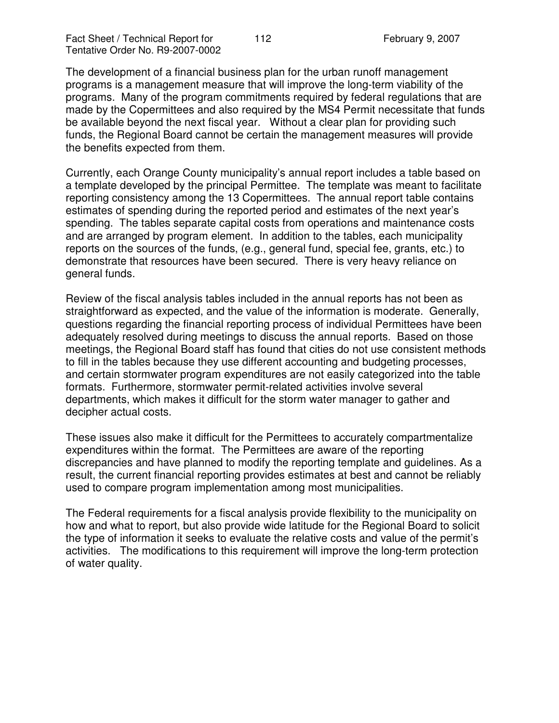The development of a financial business plan for the urban runoff management programs is a management measure that will improve the long-term viability of the programs. Many of the program commitments required by federal regulations that are made by the Copermittees and also required by the MS4 Permit necessitate that funds be available beyond the next fiscal year. Without a clear plan for providing such funds, the Regional Board cannot be certain the management measures will provide the benefits expected from them.

Currently, each Orange County municipality's annual report includes a table based on a template developed by the principal Permittee. The template was meant to facilitate reporting consistency among the 13 Copermittees. The annual report table contains estimates of spending during the reported period and estimates of the next year's spending. The tables separate capital costs from operations and maintenance costs and are arranged by program element. In addition to the tables, each municipality reports on the sources of the funds, (e.g., general fund, special fee, grants, etc.) to demonstrate that resources have been secured. There is very heavy reliance on general funds.

Review of the fiscal analysis tables included in the annual reports has not been as straightforward as expected, and the value of the information is moderate. Generally, questions regarding the financial reporting process of individual Permittees have been adequately resolved during meetings to discuss the annual reports. Based on those meetings, the Regional Board staff has found that cities do not use consistent methods to fill in the tables because they use different accounting and budgeting processes, and certain stormwater program expenditures are not easily categorized into the table formats. Furthermore, stormwater permit-related activities involve several departments, which makes it difficult for the storm water manager to gather and decipher actual costs.

These issues also make it difficult for the Permittees to accurately compartmentalize expenditures within the format. The Permittees are aware of the reporting discrepancies and have planned to modify the reporting template and guidelines. As a result, the current financial reporting provides estimates at best and cannot be reliably used to compare program implementation among most municipalities.

The Federal requirements for a fiscal analysis provide flexibility to the municipality on how and what to report, but also provide wide latitude for the Regional Board to solicit the type of information it seeks to evaluate the relative costs and value of the permit's activities. The modifications to this requirement will improve the long-term protection of water quality.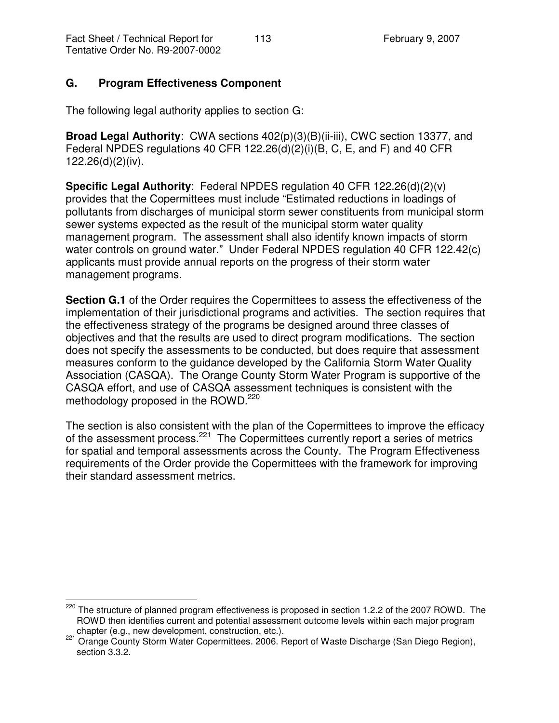# **G. Program Effectiveness Component**

The following legal authority applies to section G:

**Broad Legal Authority**: CWA sections 402(p)(3)(B)(ii-iii), CWC section 13377, and Federal NPDES regulations 40 CFR 122.26(d)(2)(i)(B, C, E, and F) and 40 CFR 122.26(d)(2)(iv).

**Specific Legal Authority**: Federal NPDES regulation 40 CFR 122.26(d)(2)(v) provides that the Copermittees must include "Estimated reductions in loadings of pollutants from discharges of municipal storm sewer constituents from municipal storm sewer systems expected as the result of the municipal storm water quality management program. The assessment shall also identify known impacts of storm water controls on ground water." Under Federal NPDES regulation 40 CFR 122.42(c) applicants must provide annual reports on the progress of their storm water management programs.

**Section G.1** of the Order requires the Copermittees to assess the effectiveness of the implementation of their jurisdictional programs and activities. The section requires that the effectiveness strategy of the programs be designed around three classes of objectives and that the results are used to direct program modifications. The section does not specify the assessments to be conducted, but does require that assessment measures conform to the guidance developed by the California Storm Water Quality Association (CASQA). The Orange County Storm Water Program is supportive of the CASQA effort, and use of CASQA assessment techniques is consistent with the methodology proposed in the ROWD.<sup>220</sup>

The section is also consistent with the plan of the Copermittees to improve the efficacy of the assessment process.<sup>221</sup> The Copermittees currently report a series of metrics for spatial and temporal assessments across the County. The Program Effectiveness requirements of the Order provide the Copermittees with the framework for improving their standard assessment metrics.

<sup>&</sup>lt;sup>220</sup> The structure of planned program effectiveness is proposed in section 1.2.2 of the 2007 ROWD. The ROWD then identifies current and potential assessment outcome levels within each major program chapter (e.g., new development, construction, etc.).

<sup>221</sup> Orange County Storm Water Copermittees. 2006. Report of Waste Discharge (San Diego Region), section 3.3.2.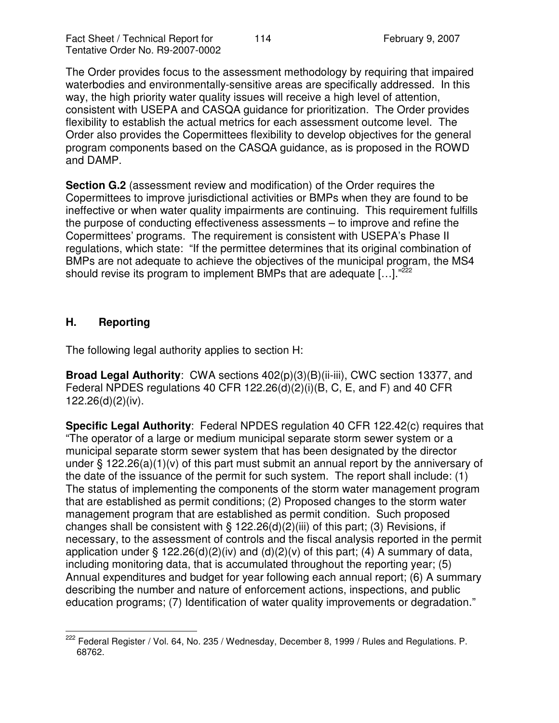The Order provides focus to the assessment methodology by requiring that impaired waterbodies and environmentally-sensitive areas are specifically addressed. In this way, the high priority water quality issues will receive a high level of attention, consistent with USEPA and CASQA guidance for prioritization. The Order provides flexibility to establish the actual metrics for each assessment outcome level. The Order also provides the Copermittees flexibility to develop objectives for the general program components based on the CASQA guidance, as is proposed in the ROWD and DAMP.

**Section G.2** (assessment review and modification) of the Order requires the Copermittees to improve jurisdictional activities or BMPs when they are found to be ineffective or when water quality impairments are continuing. This requirement fulfills the purpose of conducting effectiveness assessments – to improve and refine the Copermittees' programs. The requirement is consistent with USEPA's Phase II regulations, which state: "If the permittee determines that its original combination of BMPs are not adequate to achieve the objectives of the municipal program, the MS4 should revise its program to implement BMPs that are adequate [...]."<sup>222</sup>

#### **H. Reporting**

The following legal authority applies to section H:

**Broad Legal Authority**: CWA sections 402(p)(3)(B)(ii-iii), CWC section 13377, and Federal NPDES regulations 40 CFR 122.26(d)(2)(i)(B, C, E, and F) and 40 CFR 122.26(d)(2)(iv).

**Specific Legal Authority**: Federal NPDES regulation 40 CFR 122.42(c) requires that "The operator of a large or medium municipal separate storm sewer system or a municipal separate storm sewer system that has been designated by the director under § 122.26(a)(1)(v) of this part must submit an annual report by the anniversary of the date of the issuance of the permit for such system. The report shall include: (1) The status of implementing the components of the storm water management program that are established as permit conditions; (2) Proposed changes to the storm water management program that are established as permit condition. Such proposed changes shall be consistent with  $\S$  122.26(d)(2)(iii) of this part; (3) Revisions, if necessary, to the assessment of controls and the fiscal analysis reported in the permit application under § 122.26(d)(2)(iv) and (d)(2)(v) of this part; (4) A summary of data, including monitoring data, that is accumulated throughout the reporting year; (5) Annual expenditures and budget for year following each annual report; (6) A summary describing the number and nature of enforcement actions, inspections, and public education programs; (7) Identification of water quality improvements or degradation."

<sup>&</sup>lt;sup>222</sup> Federal Register / Vol. 64, No. 235 / Wednesday, December 8, 1999 / Rules and Regulations. P. 68762.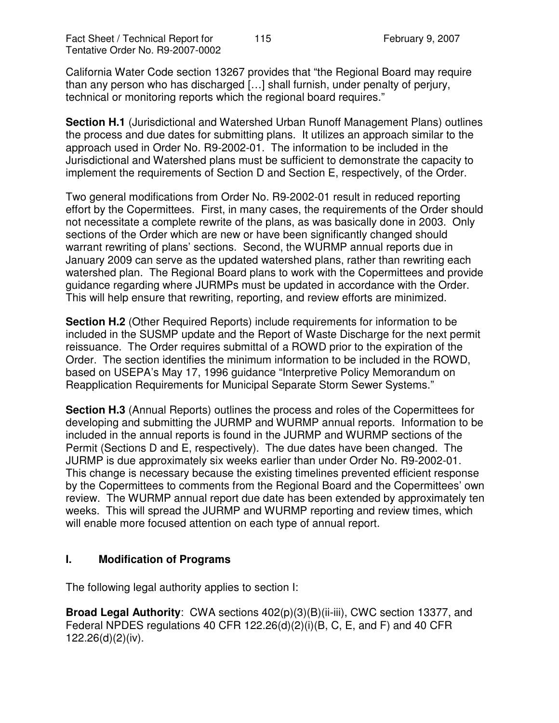California Water Code section 13267 provides that "the Regional Board may require than any person who has discharged […] shall furnish, under penalty of perjury, technical or monitoring reports which the regional board requires."

**Section H.1** (Jurisdictional and Watershed Urban Runoff Management Plans) outlines the process and due dates for submitting plans. It utilizes an approach similar to the approach used in Order No. R9-2002-01. The information to be included in the Jurisdictional and Watershed plans must be sufficient to demonstrate the capacity to implement the requirements of Section D and Section E, respectively, of the Order.

Two general modifications from Order No. R9-2002-01 result in reduced reporting effort by the Copermittees. First, in many cases, the requirements of the Order should not necessitate a complete rewrite of the plans, as was basically done in 2003. Only sections of the Order which are new or have been significantly changed should warrant rewriting of plans' sections. Second, the WURMP annual reports due in January 2009 can serve as the updated watershed plans, rather than rewriting each watershed plan. The Regional Board plans to work with the Copermittees and provide guidance regarding where JURMPs must be updated in accordance with the Order. This will help ensure that rewriting, reporting, and review efforts are minimized.

**Section H.2** (Other Required Reports) include requirements for information to be included in the SUSMP update and the Report of Waste Discharge for the next permit reissuance. The Order requires submittal of a ROWD prior to the expiration of the Order. The section identifies the minimum information to be included in the ROWD, based on USEPA's May 17, 1996 guidance "Interpretive Policy Memorandum on Reapplication Requirements for Municipal Separate Storm Sewer Systems."

**Section H.3** (Annual Reports) outlines the process and roles of the Copermittees for developing and submitting the JURMP and WURMP annual reports. Information to be included in the annual reports is found in the JURMP and WURMP sections of the Permit (Sections D and E, respectively). The due dates have been changed. The JURMP is due approximately six weeks earlier than under Order No. R9-2002-01. This change is necessary because the existing timelines prevented efficient response by the Copermittees to comments from the Regional Board and the Copermittees' own review. The WURMP annual report due date has been extended by approximately ten weeks. This will spread the JURMP and WURMP reporting and review times, which will enable more focused attention on each type of annual report.

#### **I. Modification of Programs**

The following legal authority applies to section I:

**Broad Legal Authority**: CWA sections 402(p)(3)(B)(ii-iii), CWC section 13377, and Federal NPDES regulations 40 CFR 122.26(d)(2)(i)(B, C, E, and F) and 40 CFR 122.26(d)(2)(iv).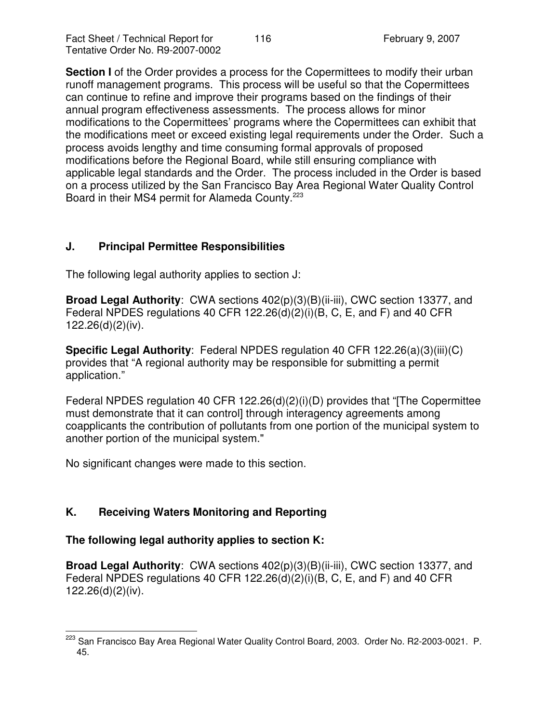**Section I** of the Order provides a process for the Copermittees to modify their urban runoff management programs. This process will be useful so that the Copermittees can continue to refine and improve their programs based on the findings of their annual program effectiveness assessments. The process allows for minor modifications to the Copermittees' programs where the Copermittees can exhibit that the modifications meet or exceed existing legal requirements under the Order. Such a process avoids lengthy and time consuming formal approvals of proposed modifications before the Regional Board, while still ensuring compliance with applicable legal standards and the Order. The process included in the Order is based on a process utilized by the San Francisco Bay Area Regional Water Quality Control Board in their MS4 permit for Alameda County. 223

# **J. Principal Permittee Responsibilities**

The following legal authority applies to section J:

**Broad Legal Authority**: CWA sections 402(p)(3)(B)(ii-iii), CWC section 13377, and Federal NPDES regulations 40 CFR 122.26(d)(2)(i)(B, C, E, and F) and 40 CFR 122.26(d)(2)(iv).

**Specific Legal Authority**: Federal NPDES regulation 40 CFR 122.26(a)(3)(iii)(C) provides that "A regional authority may be responsible for submitting a permit application."

Federal NPDES regulation 40 CFR 122.26(d)(2)(i)(D) provides that "[The Copermittee must demonstrate that it can control] through interagency agreements among coapplicants the contribution of pollutants from one portion of the municipal system to another portion of the municipal system."

No significant changes were made to this section.

# **K. Receiving Waters Monitoring and Reporting**

#### **The following legal authority applies to section K:**

**Broad Legal Authority**: CWA sections 402(p)(3)(B)(ii-iii), CWC section 13377, and Federal NPDES regulations 40 CFR 122.26(d)(2)(i)(B, C, E, and F) and 40 CFR 122.26(d)(2)(iv).

<sup>&</sup>lt;sup>223</sup> San Francisco Bay Area Regional Water Quality Control Board, 2003. Order No. R2-2003-0021. P. 45.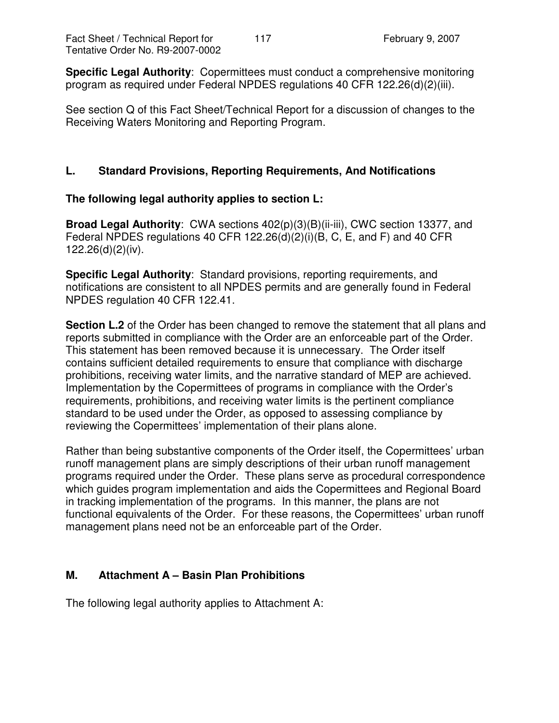**Specific Legal Authority**: Copermittees must conduct a comprehensive monitoring program as required under Federal NPDES regulations 40 CFR 122.26(d)(2)(iii).

See section Q of this Fact Sheet/Technical Report for a discussion of changes to the Receiving Waters Monitoring and Reporting Program.

## **L. Standard Provisions, Reporting Requirements, And Notifications**

#### **The following legal authority applies to section L:**

**Broad Legal Authority**: CWA sections 402(p)(3)(B)(ii-iii), CWC section 13377, and Federal NPDES regulations 40 CFR 122.26(d)(2)(i)(B, C, E, and F) and 40 CFR 122.26(d)(2)(iv).

**Specific Legal Authority**: Standard provisions, reporting requirements, and notifications are consistent to all NPDES permits and are generally found in Federal NPDES regulation 40 CFR 122.41.

**Section L.2** of the Order has been changed to remove the statement that all plans and reports submitted in compliance with the Order are an enforceable part of the Order. This statement has been removed because it is unnecessary. The Order itself contains sufficient detailed requirements to ensure that compliance with discharge prohibitions, receiving water limits, and the narrative standard of MEP are achieved. Implementation by the Copermittees of programs in compliance with the Order's requirements, prohibitions, and receiving water limits is the pertinent compliance standard to be used under the Order, as opposed to assessing compliance by reviewing the Copermittees' implementation of their plans alone.

Rather than being substantive components of the Order itself, the Copermittees' urban runoff management plans are simply descriptions of their urban runoff management programs required under the Order. These plans serve as procedural correspondence which guides program implementation and aids the Copermittees and Regional Board in tracking implementation of the programs. In this manner, the plans are not functional equivalents of the Order. For these reasons, the Copermittees' urban runoff management plans need not be an enforceable part of the Order.

#### **M. Attachment A – Basin Plan Prohibitions**

The following legal authority applies to Attachment A: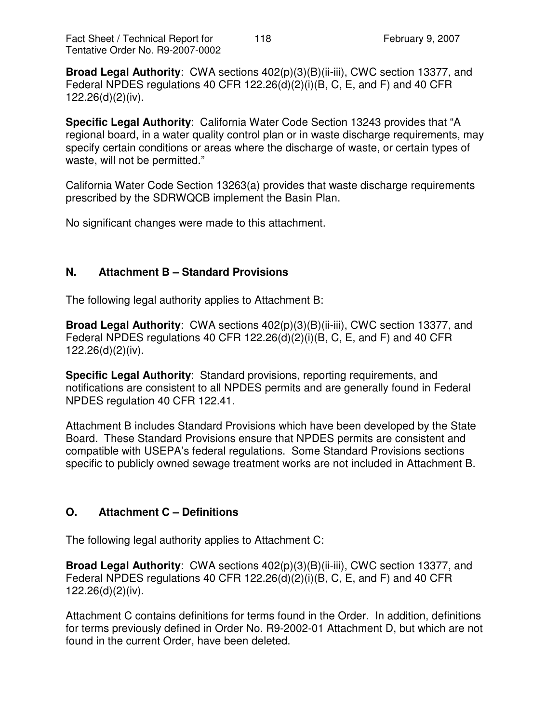**Broad Legal Authority**: CWA sections 402(p)(3)(B)(ii-iii), CWC section 13377, and Federal NPDES regulations 40 CFR 122.26(d)(2)(i)(B, C, E, and F) and 40 CFR 122.26(d)(2)(iv).

**Specific Legal Authority**: California Water Code Section 13243 provides that "A regional board, in a water quality control plan or in waste discharge requirements, may specify certain conditions or areas where the discharge of waste, or certain types of waste, will not be permitted."

California Water Code Section 13263(a) provides that waste discharge requirements prescribed by the SDRWQCB implement the Basin Plan.

No significant changes were made to this attachment.

## **N. Attachment B – Standard Provisions**

The following legal authority applies to Attachment B:

**Broad Legal Authority**: CWA sections 402(p)(3)(B)(ii-iii), CWC section 13377, and Federal NPDES regulations 40 CFR 122.26(d)(2)(i)(B, C, E, and F) and 40 CFR 122.26(d)(2)(iv).

**Specific Legal Authority**: Standard provisions, reporting requirements, and notifications are consistent to all NPDES permits and are generally found in Federal NPDES regulation 40 CFR 122.41.

Attachment B includes Standard Provisions which have been developed by the State Board. These Standard Provisions ensure that NPDES permits are consistent and compatible with USEPA's federal regulations. Some Standard Provisions sections specific to publicly owned sewage treatment works are not included in Attachment B.

# **O. Attachment C – Definitions**

The following legal authority applies to Attachment C:

**Broad Legal Authority**: CWA sections 402(p)(3)(B)(ii-iii), CWC section 13377, and Federal NPDES regulations 40 CFR 122.26(d)(2)(i)(B, C, E, and F) and 40 CFR 122.26(d)(2)(iv).

Attachment C contains definitions for terms found in the Order. In addition, definitions for terms previously defined in Order No. R9-2002-01 Attachment D, but which are not found in the current Order, have been deleted.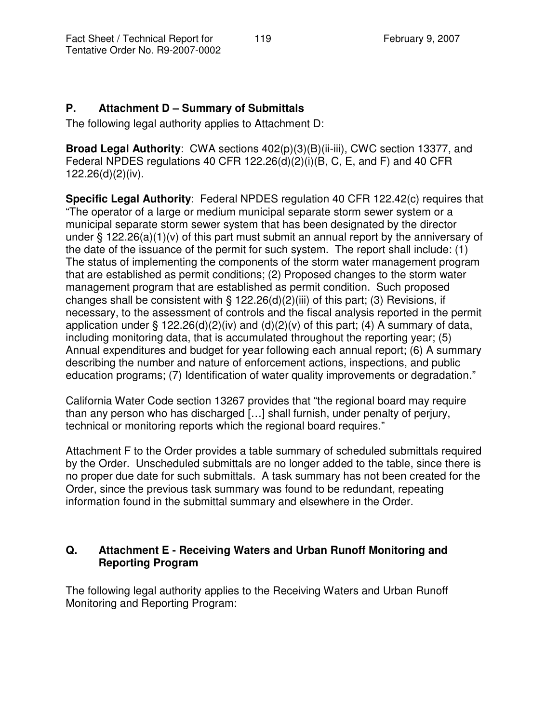## **P. Attachment D – Summary of Submittals**

The following legal authority applies to Attachment D:

**Broad Legal Authority**: CWA sections 402(p)(3)(B)(ii-iii), CWC section 13377, and Federal NPDES regulations 40 CFR 122.26(d)(2)(i)(B, C, E, and F) and 40 CFR 122.26(d)(2)(iv).

**Specific Legal Authority**: Federal NPDES regulation 40 CFR 122.42(c) requires that "The operator of a large or medium municipal separate storm sewer system or a municipal separate storm sewer system that has been designated by the director under § 122.26(a)(1)(v) of this part must submit an annual report by the anniversary of the date of the issuance of the permit for such system. The report shall include: (1) The status of implementing the components of the storm water management program that are established as permit conditions; (2) Proposed changes to the storm water management program that are established as permit condition. Such proposed changes shall be consistent with  $\S$  122.26(d)(2)(iii) of this part; (3) Revisions, if necessary, to the assessment of controls and the fiscal analysis reported in the permit application under § 122.26(d)(2)(iv) and (d)(2)(v) of this part; (4) A summary of data, including monitoring data, that is accumulated throughout the reporting year; (5) Annual expenditures and budget for year following each annual report; (6) A summary describing the number and nature of enforcement actions, inspections, and public education programs; (7) Identification of water quality improvements or degradation."

California Water Code section 13267 provides that "the regional board may require than any person who has discharged […] shall furnish, under penalty of perjury, technical or monitoring reports which the regional board requires."

Attachment F to the Order provides a table summary of scheduled submittals required by the Order. Unscheduled submittals are no longer added to the table, since there is no proper due date for such submittals. A task summary has not been created for the Order, since the previous task summary was found to be redundant, repeating information found in the submittal summary and elsewhere in the Order.

# **Q. Attachment E - Receiving Waters and Urban Runoff Monitoring and Reporting Program**

The following legal authority applies to the Receiving Waters and Urban Runoff Monitoring and Reporting Program: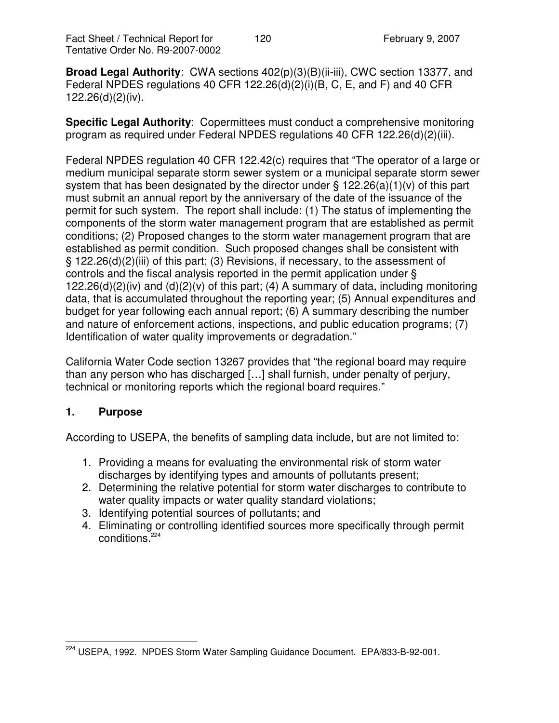**Broad Legal Authority**: CWA sections 402(p)(3)(B)(ii-iii), CWC section 13377, and Federal NPDES regulations 40 CFR 122.26(d)(2)(i)(B, C, E, and F) and 40 CFR 122.26(d)(2)(iv).

**Specific Legal Authority**: Copermittees must conduct a comprehensive monitoring program as required under Federal NPDES regulations 40 CFR 122.26(d)(2)(iii).

Federal NPDES regulation 40 CFR 122.42(c) requires that "The operator of a large or medium municipal separate storm sewer system or a municipal separate storm sewer system that has been designated by the director under § 122.26(a)(1)(v) of this part must submit an annual report by the anniversary of the date of the issuance of the permit for such system. The report shall include: (1) The status of implementing the components of the storm water management program that are established as permit conditions; (2) Proposed changes to the storm water management program that are established as permit condition. Such proposed changes shall be consistent with § 122.26(d)(2)(iii) of this part; (3) Revisions, if necessary, to the assessment of controls and the fiscal analysis reported in the permit application under § 122.26(d)(2)(iv) and (d)(2)(v) of this part; (4) A summary of data, including monitoring data, that is accumulated throughout the reporting year; (5) Annual expenditures and budget for year following each annual report; (6) A summary describing the number and nature of enforcement actions, inspections, and public education programs; (7) Identification of water quality improvements or degradation."

California Water Code section 13267 provides that "the regional board may require than any person who has discharged […] shall furnish, under penalty of perjury, technical or monitoring reports which the regional board requires."

#### **1. Purpose**

According to USEPA, the benefits of sampling data include, but are not limited to:

- 1. Providing a means for evaluating the environmental risk of storm water discharges by identifying types and amounts of pollutants present;
- 2. Determining the relative potential for storm water discharges to contribute to water quality impacts or water quality standard violations;
- 3. Identifying potential sources of pollutants; and
- 4. Eliminating or controlling identified sources more specifically through permit conditions. 224

<sup>&</sup>lt;sup>224</sup> USEPA, 1992. NPDES Storm Water Sampling Guidance Document. EPA/833-B-92-001.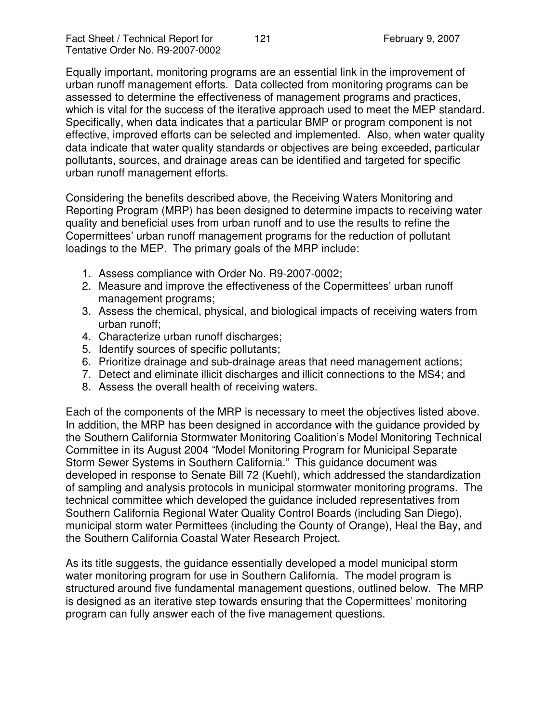Equally important, monitoring programs are an essential link in the improvement of urban runoff management efforts. Data collected from monitoring programs can be assessed to determine the effectiveness of management programs and practices, which is vital for the success of the iterative approach used to meet the MEP standard. Specifically, when data indicates that a particular BMP or program component is not effective, improved efforts can be selected and implemented. Also, when water quality data indicate that water quality standards or objectives are being exceeded, particular pollutants, sources, and drainage areas can be identified and targeted for specific urban runoff management efforts.

Considering the benefits described above, the Receiving Waters Monitoring and Reporting Program (MRP) has been designed to determine impacts to receiving water quality and beneficial uses from urban runoff and to use the results to refine the Copermittees' urban runoff management programs for the reduction of pollutant loadings to the MEP. The primary goals of the MRP include:

- 1. Assess compliance with Order No. R9-2007-0002;
- 2. Measure and improve the effectiveness of the Copermittees' urban runoff management programs;
- 3. Assess the chemical, physical, and biological impacts of receiving waters from urban runoff;
- 4. Characterize urban runoff discharges;
- 5. Identify sources of specific pollutants;
- 6. Prioritize drainage and sub-drainage areas that need management actions;
- 7. Detect and eliminate illicit discharges and illicit connections to the MS4; and
- 8. Assess the overall health of receiving waters.

Each of the components of the MRP is necessary to meet the objectives listed above. In addition, the MRP has been designed in accordance with the guidance provided by the Southern California Stormwater Monitoring Coalition's Model Monitoring Technical Committee in its August 2004 "Model Monitoring Program for Municipal Separate Storm Sewer Systems in Southern California." This guidance document was developed in response to Senate Bill 72 (Kuehl), which addressed the standardization of sampling and analysis protocols in municipal stormwater monitoring programs. The technical committee which developed the guidance included representatives from Southern California Regional Water Quality Control Boards (including San Diego), municipal storm water Permittees (including the County of Orange), Heal the Bay, and the Southern California Coastal Water Research Project.

As its title suggests, the guidance essentially developed a model municipal storm water monitoring program for use in Southern California. The model program is structured around five fundamental management questions, outlined below. The MRP is designed as an iterative step towards ensuring that the Copermittees' monitoring program can fully answer each of the five management questions.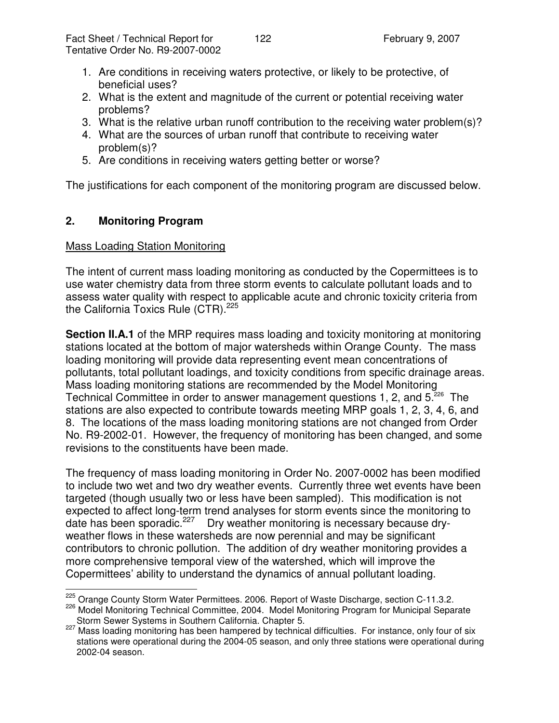- 1. Are conditions in receiving waters protective, or likely to be protective, of beneficial uses?
- 2. What is the extent and magnitude of the current or potential receiving water problems?
- 3. What is the relative urban runoff contribution to the receiving water problem(s)?
- 4. What are the sources of urban runoff that contribute to receiving water problem(s)?
- 5. Are conditions in receiving waters getting better or worse?

The justifications for each component of the monitoring program are discussed below.

# **2. Monitoring Program**

## Mass Loading Station Monitoring

The intent of current mass loading monitoring as conducted by the Copermittees is to use water chemistry data from three storm events to calculate pollutant loads and to assess water quality with respect to applicable acute and chronic toxicity criteria from the California Toxics Rule (CTR).<sup>225</sup>

**Section II.A.1** of the MRP requires mass loading and toxicity monitoring at monitoring stations located at the bottom of major watersheds within Orange County. The mass loading monitoring will provide data representing event mean concentrations of pollutants, total pollutant loadings, and toxicity conditions from specific drainage areas. Mass loading monitoring stations are recommended by the Model Monitoring Technical Committee in order to answer management questions 1, 2, and 5.<sup>226</sup> The stations are also expected to contribute towards meeting MRP goals 1, 2, 3, 4, 6, and 8. The locations of the mass loading monitoring stations are not changed from Order No. R9-2002-01. However, the frequency of monitoring has been changed, and some revisions to the constituents have been made.

The frequency of mass loading monitoring in Order No. 2007-0002 has been modified to include two wet and two dry weather events. Currently three wet events have been targeted (though usually two or less have been sampled). This modification is not expected to affect long-term trend analyses for storm events since the monitoring to date has been sporadic.<sup>227</sup> Dry weather monitoring is necessary because dryweather flows in these watersheds are now perennial and may be significant contributors to chronic pollution. The addition of dry weather monitoring provides a more comprehensive temporal view of the watershed, which will improve the Copermittees' ability to understand the dynamics of annual pollutant loading.

<sup>&</sup>lt;sup>225</sup> Orange County Storm Water Permittees. 2006. Report of Waste Discharge, section C-11.3.2.

<sup>226</sup> Model Monitoring Technical Committee, 2004. Model Monitoring Program for Municipal Separate Storm Sewer Systems in Southern California. Chapter 5.

<sup>227</sup> Mass loading monitoring has been hampered by technical difficulties. For instance, only four of six stations were operational during the 2004-05 season, and only three stations were operational during 2002-04 season.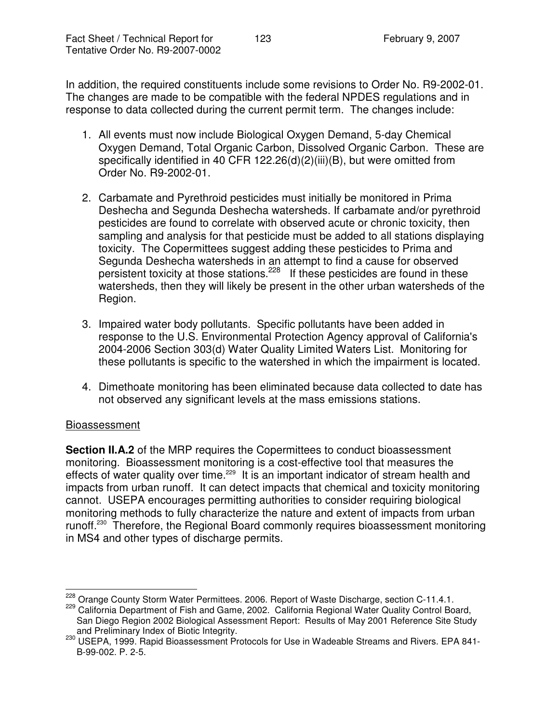In addition, the required constituents include some revisions to Order No. R9-2002-01. The changes are made to be compatible with the federal NPDES regulations and in response to data collected during the current permit term. The changes include:

- 1. All events must now include Biological Oxygen Demand, 5-day Chemical Oxygen Demand, Total Organic Carbon, Dissolved Organic Carbon. These are specifically identified in 40 CFR 122.26(d)(2)(iii)(B), but were omitted from Order No. R9-2002-01.
- 2. Carbamate and Pyrethroid pesticides must initially be monitored in Prima Deshecha and Segunda Deshecha watersheds. If carbamate and/or pyrethroid pesticides are found to correlate with observed acute or chronic toxicity, then sampling and analysis for that pesticide must be added to all stations displaying toxicity. The Copermittees suggest adding these pesticides to Prima and Segunda Deshecha watersheds in an attempt to find a cause for observed persistent toxicity at those stations.<sup>228</sup> If these pesticides are found in these watersheds, then they will likely be present in the other urban watersheds of the Region.
- 3. Impaired water body pollutants. Specific pollutants have been added in response to the U.S. Environmental Protection Agency approval of California's 2004-2006 Section 303(d) Water Quality Limited Waters List. Monitoring for these pollutants is specific to the watershed in which the impairment is located.
- 4. Dimethoate monitoring has been eliminated because data collected to date has not observed any significant levels at the mass emissions stations.

#### Bioassessment

**Section II.A.2** of the MRP requires the Copermittees to conduct bioassessment monitoring. Bioassessment monitoring is a cost-effective tool that measures the effects of water quality over time.<sup>229</sup> It is an important indicator of stream health and impacts from urban runoff. It can detect impacts that chemical and toxicity monitoring cannot. USEPA encourages permitting authorities to consider requiring biological monitoring methods to fully characterize the nature and extent of impacts from urban runoff.<sup>230</sup> Therefore, the Regional Board commonly requires bioassessment monitoring in MS4 and other types of discharge permits.

<sup>&</sup>lt;sup>228</sup> Orange County Storm Water Permittees. 2006. Report of Waste Discharge, section C-11.4.1.

<sup>229</sup> California Department of Fish and Game, 2002. California Regional Water Quality Control Board, San Diego Region 2002 Biological Assessment Report: Results of May 2001 Reference Site Study and Preliminary Index of Biotic Integrity.

<sup>230</sup> USEPA, 1999. Rapid Bioassessment Protocols for Use in Wadeable Streams and Rivers. EPA 841-B-99-002. P. 2-5.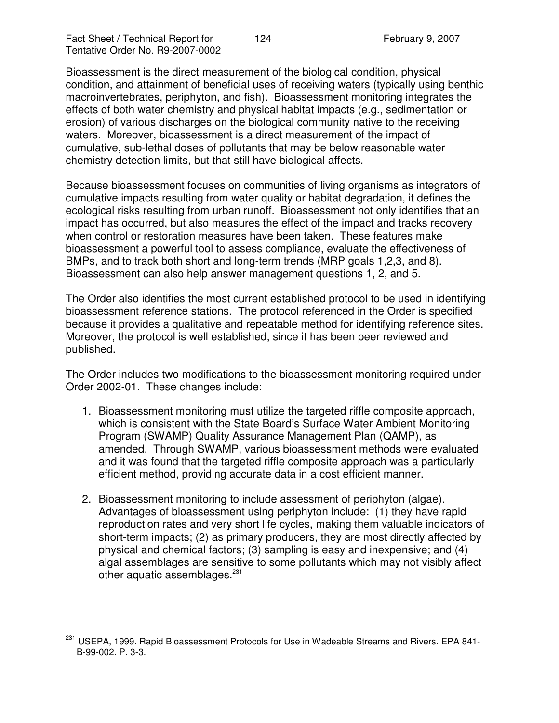Bioassessment is the direct measurement of the biological condition, physical condition, and attainment of beneficial uses of receiving waters (typically using benthic macroinvertebrates, periphyton, and fish). Bioassessment monitoring integrates the effects of both water chemistry and physical habitat impacts (e.g., sedimentation or erosion) of various discharges on the biological community native to the receiving waters. Moreover, bioassessment is a direct measurement of the impact of cumulative, sub-lethal doses of pollutants that may be below reasonable water chemistry detection limits, but that still have biological affects.

Because bioassessment focuses on communities of living organisms as integrators of cumulative impacts resulting from water quality or habitat degradation, it defines the ecological risks resulting from urban runoff. Bioassessment not only identifies that an impact has occurred, but also measures the effect of the impact and tracks recovery when control or restoration measures have been taken. These features make bioassessment a powerful tool to assess compliance, evaluate the effectiveness of BMPs, and to track both short and long-term trends (MRP goals 1,2,3, and 8). Bioassessment can also help answer management questions 1, 2, and 5.

The Order also identifies the most current established protocol to be used in identifying bioassessment reference stations. The protocol referenced in the Order is specified because it provides a qualitative and repeatable method for identifying reference sites. Moreover, the protocol is well established, since it has been peer reviewed and published.

The Order includes two modifications to the bioassessment monitoring required under Order 2002-01. These changes include:

- 1. Bioassessment monitoring must utilize the targeted riffle composite approach, which is consistent with the State Board's Surface Water Ambient Monitoring Program (SWAMP) Quality Assurance Management Plan (QAMP), as amended. Through SWAMP, various bioassessment methods were evaluated and it was found that the targeted riffle composite approach was a particularly efficient method, providing accurate data in a cost efficient manner.
- 2. Bioassessment monitoring to include assessment of periphyton (algae). Advantages of bioassessment using periphyton include: (1) they have rapid reproduction rates and very short life cycles, making them valuable indicators of short-term impacts; (2) as primary producers, they are most directly affected by physical and chemical factors; (3) sampling is easy and inexpensive; and (4) algal assemblages are sensitive to some pollutants which may not visibly affect other aquatic assemblages.<sup>231</sup>

<sup>&</sup>lt;sup>231</sup> USEPA, 1999. Rapid Bioassessment Protocols for Use in Wadeable Streams and Rivers. EPA 841-B-99-002. P. 3-3.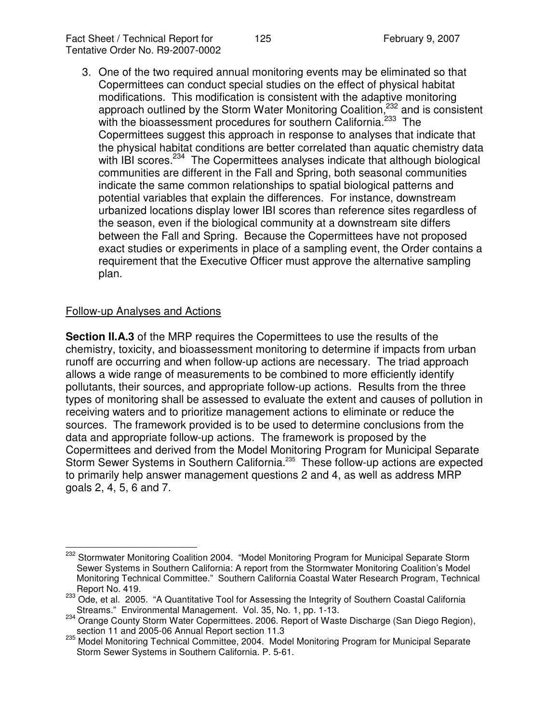3. One of the two required annual monitoring events may be eliminated so that Copermittees can conduct special studies on the effect of physical habitat modifications. This modification is consistent with the adaptive monitoring approach outlined by the Storm Water Monitoring Coalition,<sup>232</sup> and is consistent with the bioassessment procedures for southern California.<sup>233</sup> The Copermittees suggest this approach in response to analyses that indicate that the physical habitat conditions are better correlated than aquatic chemistry data with IBI scores.<sup>234</sup> The Copermittees analyses indicate that although biological communities are different in the Fall and Spring, both seasonal communities indicate the same common relationships to spatial biological patterns and potential variables that explain the differences. For instance, downstream urbanized locations display lower IBI scores than reference sites regardless of the season, even if the biological community at a downstream site differs between the Fall and Spring. Because the Copermittees have not proposed exact studies or experiments in place of a sampling event, the Order contains a requirement that the Executive Officer must approve the alternative sampling plan.

## Follow-up Analyses and Actions

**Section II.A.3** of the MRP requires the Copermittees to use the results of the chemistry, toxicity, and bioassessment monitoring to determine if impacts from urban runoff are occurring and when follow-up actions are necessary. The triad approach allows a wide range of measurements to be combined to more efficiently identify pollutants, their sources, and appropriate follow-up actions. Results from the three types of monitoring shall be assessed to evaluate the extent and causes of pollution in receiving waters and to prioritize management actions to eliminate or reduce the sources. The framework provided is to be used to determine conclusions from the data and appropriate follow-up actions. The framework is proposed by the Copermittees and derived from the Model Monitoring Program for Municipal Separate Storm Sewer Systems in Southern California.<sup>235</sup> These follow-up actions are expected to primarily help answer management questions 2 and 4, as well as address MRP goals 2, 4, 5, 6 and 7.

<sup>&</sup>lt;sup>232</sup> Stormwater Monitoring Coalition 2004. "Model Monitoring Program for Municipal Separate Storm Sewer Systems in Southern California: A report from the Stormwater Monitoring Coalition's Model Monitoring Technical Committee." Southern California Coastal Water Research Program, Technical Report No. 419.

<sup>&</sup>lt;sup>233</sup> Ode, et al. 2005. "A Quantitative Tool for Assessing the Integrity of Southern Coastal California Streams." Environmental Management. Vol. 35, No. 1, pp. 1-13.

<sup>234</sup> Orange County Storm Water Copermittees. 2006. Report of Waste Discharge (San Diego Region), section 11 and 2005-06 Annual Report section 11.3

<sup>235</sup> Model Monitoring Technical Committee, 2004. Model Monitoring Program for Municipal Separate Storm Sewer Systems in Southern California. P. 5-61.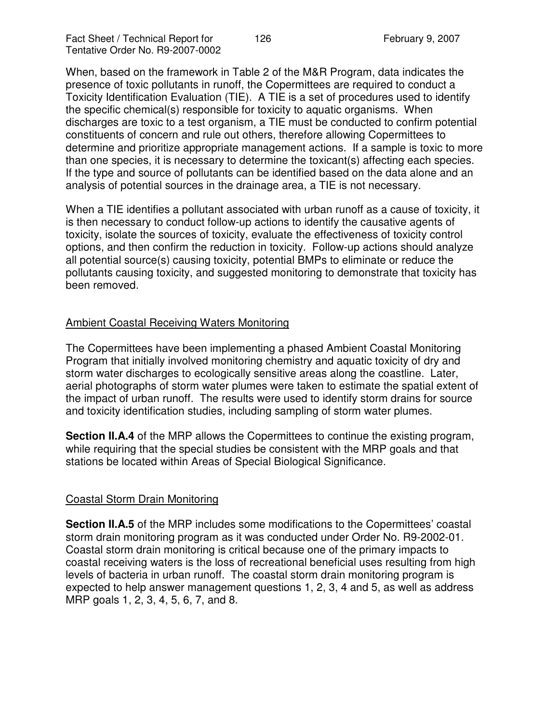When, based on the framework in Table 2 of the M&R Program, data indicates the presence of toxic pollutants in runoff, the Copermittees are required to conduct a Toxicity Identification Evaluation (TIE). A TIE is a set of procedures used to identify the specific chemical(s) responsible for toxicity to aquatic organisms. When discharges are toxic to a test organism, a TIE must be conducted to confirm potential constituents of concern and rule out others, therefore allowing Copermittees to determine and prioritize appropriate management actions. If a sample is toxic to more than one species, it is necessary to determine the toxicant(s) affecting each species. If the type and source of pollutants can be identified based on the data alone and an analysis of potential sources in the drainage area, a TIE is not necessary.

When a TIE identifies a pollutant associated with urban runoff as a cause of toxicity, it is then necessary to conduct follow-up actions to identify the causative agents of toxicity, isolate the sources of toxicity, evaluate the effectiveness of toxicity control options, and then confirm the reduction in toxicity. Follow-up actions should analyze all potential source(s) causing toxicity, potential BMPs to eliminate or reduce the pollutants causing toxicity, and suggested monitoring to demonstrate that toxicity has been removed.

## Ambient Coastal Receiving Waters Monitoring

The Copermittees have been implementing a phased Ambient Coastal Monitoring Program that initially involved monitoring chemistry and aquatic toxicity of dry and storm water discharges to ecologically sensitive areas along the coastline. Later, aerial photographs of storm water plumes were taken to estimate the spatial extent of the impact of urban runoff. The results were used to identify storm drains for source and toxicity identification studies, including sampling of storm water plumes.

**Section II.A.4** of the MRP allows the Copermittees to continue the existing program, while requiring that the special studies be consistent with the MRP goals and that stations be located within Areas of Special Biological Significance.

# Coastal Storm Drain Monitoring

**Section II.A.5** of the MRP includes some modifications to the Copermittees' coastal storm drain monitoring program as it was conducted under Order No. R9-2002-01. Coastal storm drain monitoring is critical because one of the primary impacts to coastal receiving waters is the loss of recreational beneficial uses resulting from high levels of bacteria in urban runoff. The coastal storm drain monitoring program is expected to help answer management questions 1, 2, 3, 4 and 5, as well as address MRP goals 1, 2, 3, 4, 5, 6, 7, and 8.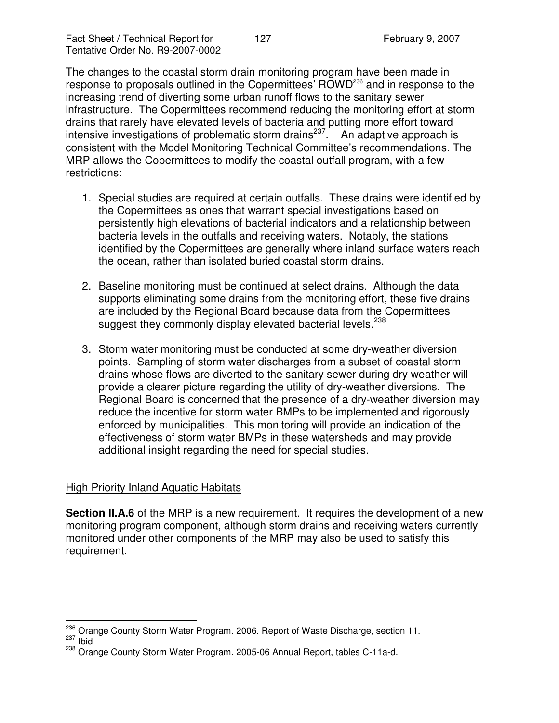The changes to the coastal storm drain monitoring program have been made in response to proposals outlined in the Copermittees' ROWD<sup>236</sup> and in response to the increasing trend of diverting some urban runoff flows to the sanitary sewer infrastructure. The Copermittees recommend reducing the monitoring effort at storm drains that rarely have elevated levels of bacteria and putting more effort toward intensive investigations of problematic storm drains<sup>237</sup>. An adaptive approach is consistent with the Model Monitoring Technical Committee's recommendations. The MRP allows the Copermittees to modify the coastal outfall program, with a few restrictions:

- 1. Special studies are required at certain outfalls. These drains were identified by the Copermittees as ones that warrant special investigations based on persistently high elevations of bacterial indicators and a relationship between bacteria levels in the outfalls and receiving waters. Notably, the stations identified by the Copermittees are generally where inland surface waters reach the ocean, rather than isolated buried coastal storm drains.
- 2. Baseline monitoring must be continued at select drains. Although the data supports eliminating some drains from the monitoring effort, these five drains are included by the Regional Board because data from the Copermittees suggest they commonly display elevated bacterial levels.<sup>238</sup>
- 3. Storm water monitoring must be conducted at some dry-weather diversion points. Sampling of storm water discharges from a subset of coastal storm drains whose flows are diverted to the sanitary sewer during dry weather will provide a clearer picture regarding the utility of dry-weather diversions. The Regional Board is concerned that the presence of a dry-weather diversion may reduce the incentive for storm water BMPs to be implemented and rigorously enforced by municipalities. This monitoring will provide an indication of the effectiveness of storm water BMPs in these watersheds and may provide additional insight regarding the need for special studies.

#### High Priority Inland Aquatic Habitats

**Section II.A.6** of the MRP is a new requirement. It requires the development of a new monitoring program component, although storm drains and receiving waters currently monitored under other components of the MRP may also be used to satisfy this requirement.

<sup>&</sup>lt;sup>236</sup> Orange County Storm Water Program. 2006. Report of Waste Discharge, section 11.  $\frac{237}{12}$  lbid

<sup>238</sup> Orange County Storm Water Program. 2005-06 Annual Report, tables C-11a-d.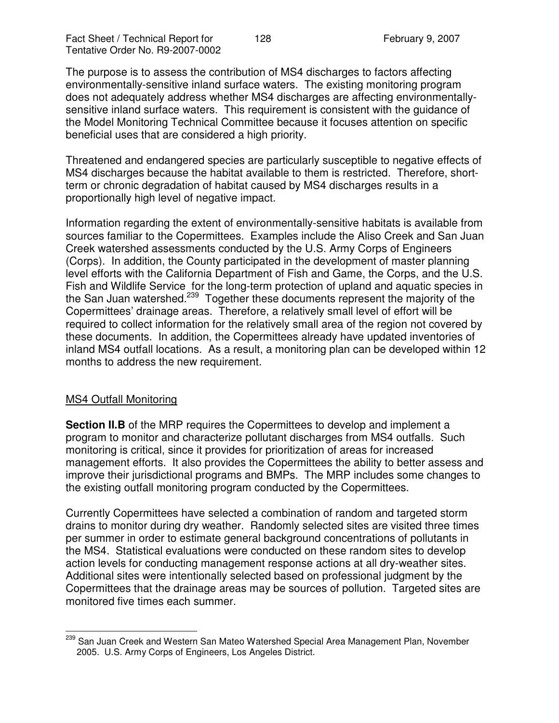The purpose is to assess the contribution of MS4 discharges to factors affecting environmentally-sensitive inland surface waters. The existing monitoring program does not adequately address whether MS4 discharges are affecting environmentallysensitive inland surface waters. This requirement is consistent with the guidance of the Model Monitoring Technical Committee because it focuses attention on specific beneficial uses that are considered a high priority.

Threatened and endangered species are particularly susceptible to negative effects of MS4 discharges because the habitat available to them is restricted. Therefore, shortterm or chronic degradation of habitat caused by MS4 discharges results in a proportionally high level of negative impact.

Information regarding the extent of environmentally-sensitive habitats is available from sources familiar to the Copermittees. Examples include the Aliso Creek and San Juan Creek watershed assessments conducted by the U.S. Army Corps of Engineers (Corps). In addition, the County participated in the development of master planning level efforts with the California Department of Fish and Game, the Corps, and the U.S. Fish and Wildlife Service for the long-term protection of upland and aquatic species in the San Juan watershed.<sup>239</sup> Together these documents represent the majority of the Copermittees' drainage areas. Therefore, a relatively small level of effort will be required to collect information for the relatively small area of the region not covered by these documents. In addition, the Copermittees already have updated inventories of inland MS4 outfall locations. As a result, a monitoring plan can be developed within 12 months to address the new requirement.

#### MS4 Outfall Monitoring

**Section II.B** of the MRP requires the Copermittees to develop and implement a program to monitor and characterize pollutant discharges from MS4 outfalls. Such monitoring is critical, since it provides for prioritization of areas for increased management efforts. It also provides the Copermittees the ability to better assess and improve their jurisdictional programs and BMPs. The MRP includes some changes to the existing outfall monitoring program conducted by the Copermittees.

Currently Copermittees have selected a combination of random and targeted storm drains to monitor during dry weather. Randomly selected sites are visited three times per summer in order to estimate general background concentrations of pollutants in the MS4. Statistical evaluations were conducted on these random sites to develop action levels for conducting management response actions at all dry-weather sites. Additional sites were intentionally selected based on professional judgment by the Copermittees that the drainage areas may be sources of pollution. Targeted sites are monitored five times each summer.

<sup>&</sup>lt;sup>239</sup> San Juan Creek and Western San Mateo Watershed Special Area Management Plan, November 2005. U.S. Army Corps of Engineers, Los Angeles District.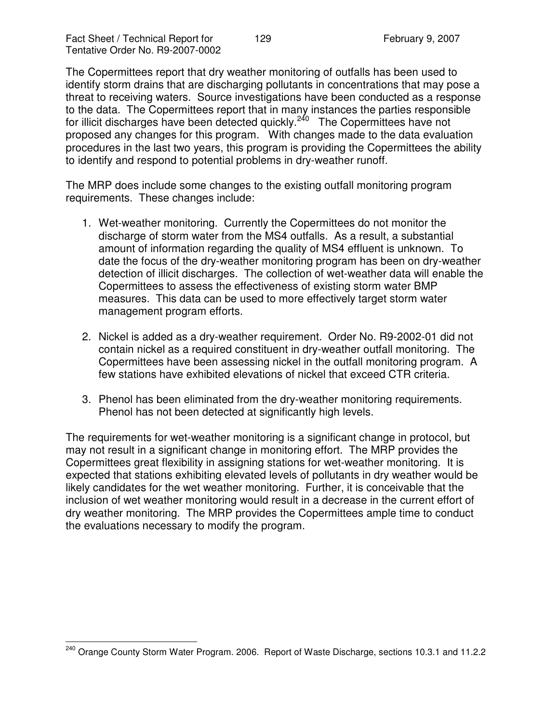The Copermittees report that dry weather monitoring of outfalls has been used to identify storm drains that are discharging pollutants in concentrations that may pose a threat to receiving waters. Source investigations have been conducted as a response to the data. The Copermittees report that in many instances the parties responsible for illicit discharges have been detected quickly.<sup>240</sup> The Copermittees have not proposed any changes for this program. With changes made to the data evaluation procedures in the last two years, this program is providing the Copermittees the ability to identify and respond to potential problems in dry-weather runoff.

The MRP does include some changes to the existing outfall monitoring program requirements. These changes include:

- 1. Wet-weather monitoring. Currently the Copermittees do not monitor the discharge of storm water from the MS4 outfalls. As a result, a substantial amount of information regarding the quality of MS4 effluent is unknown. To date the focus of the dry-weather monitoring program has been on dry-weather detection of illicit discharges. The collection of wet-weather data will enable the Copermittees to assess the effectiveness of existing storm water BMP measures. This data can be used to more effectively target storm water management program efforts.
- 2. Nickel is added as a dry-weather requirement. Order No. R9-2002-01 did not contain nickel as a required constituent in dry-weather outfall monitoring. The Copermittees have been assessing nickel in the outfall monitoring program. A few stations have exhibited elevations of nickel that exceed CTR criteria.
- 3. Phenol has been eliminated from the dry-weather monitoring requirements. Phenol has not been detected at significantly high levels.

The requirements for wet-weather monitoring is a significant change in protocol, but may not result in a significant change in monitoring effort. The MRP provides the Copermittees great flexibility in assigning stations for wet-weather monitoring. It is expected that stations exhibiting elevated levels of pollutants in dry weather would be likely candidates for the wet weather monitoring. Further, it is conceivable that the inclusion of wet weather monitoring would result in a decrease in the current effort of dry weather monitoring. The MRP provides the Copermittees ample time to conduct the evaluations necessary to modify the program.

<sup>&</sup>lt;sup>240</sup> Orange County Storm Water Program. 2006. Report of Waste Discharge, sections 10.3.1 and 11.2.2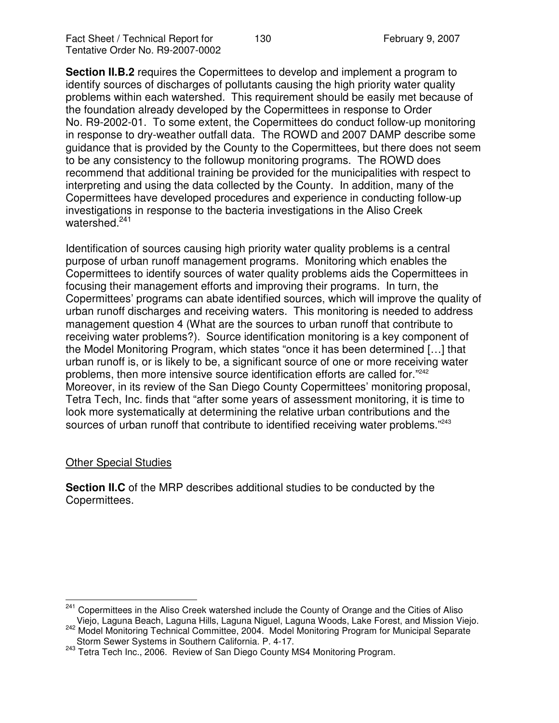**Section II.B.2** requires the Copermittees to develop and implement a program to identify sources of discharges of pollutants causing the high priority water quality problems within each watershed. This requirement should be easily met because of the foundation already developed by the Copermittees in response to Order No. R9-2002-01. To some extent, the Copermittees do conduct follow-up monitoring in response to dry-weather outfall data. The ROWD and 2007 DAMP describe some guidance that is provided by the County to the Copermittees, but there does not seem to be any consistency to the followup monitoring programs. The ROWD does recommend that additional training be provided for the municipalities with respect to interpreting and using the data collected by the County. In addition, many of the Copermittees have developed procedures and experience in conducting follow-up investigations in response to the bacteria investigations in the Aliso Creek watershed. 241

Identification of sources causing high priority water quality problems is a central purpose of urban runoff management programs. Monitoring which enables the Copermittees to identify sources of water quality problems aids the Copermittees in focusing their management efforts and improving their programs. In turn, the Copermittees' programs can abate identified sources, which will improve the quality of urban runoff discharges and receiving waters. This monitoring is needed to address management question 4 (What are the sources to urban runoff that contribute to receiving water problems?). Source identification monitoring is a key component of the Model Monitoring Program, which states "once it has been determined […] that urban runoff is, or is likely to be, a significant source of one or more receiving water problems, then more intensive source identification efforts are called for."<sup>242</sup> Moreover, in its review of the San Diego County Copermittees' monitoring proposal, Tetra Tech, Inc. finds that "after some years of assessment monitoring, it is time to look more systematically at determining the relative urban contributions and the sources of urban runoff that contribute to identified receiving water problems."<sup>243</sup>

#### Other Special Studies

**Section II.C** of the MRP describes additional studies to be conducted by the Copermittees.

<sup>&</sup>lt;sup>241</sup> Copermittees in the Aliso Creek watershed include the County of Orange and the Cities of Aliso Viejo, Laguna Beach, Laguna Hills, Laguna Niguel, Laguna Woods, Lake Forest, and Mission Viejo.

<sup>242</sup> Model Monitoring Technical Committee, 2004. Model Monitoring Program for Municipal Separate Storm Sewer Systems in Southern California. P. 4-17.

<sup>&</sup>lt;sup>243</sup> Tetra Tech Inc., 2006. Review of San Diego County MS4 Monitoring Program.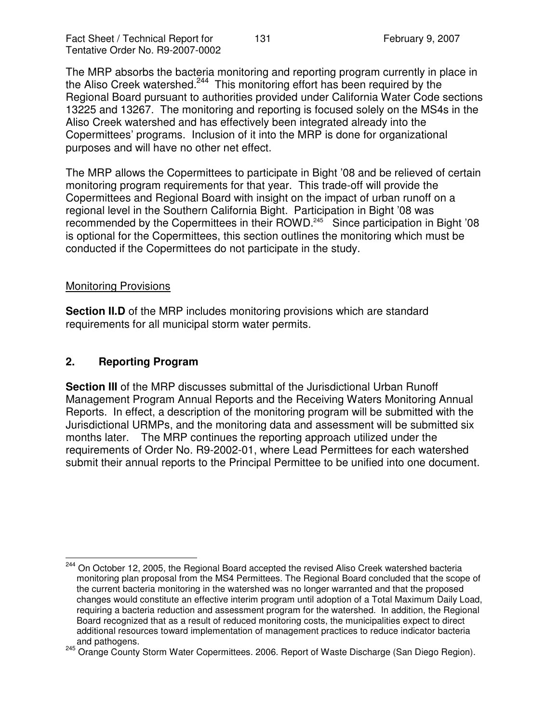Fact Sheet / Technical Report for 131 February 9, 2007 Tentative Order No. R9-2007-0002

The MRP absorbs the bacteria monitoring and reporting program currently in place in the Aliso Creek watershed.<sup>244</sup> This monitoring effort has been required by the Regional Board pursuant to authorities provided under California Water Code sections 13225 and 13267. The monitoring and reporting is focused solely on the MS4s in the Aliso Creek watershed and has effectively been integrated already into the Copermittees' programs. Inclusion of it into the MRP is done for organizational purposes and will have no other net effect.

The MRP allows the Copermittees to participate in Bight '08 and be relieved of certain monitoring program requirements for that year. This trade-off will provide the Copermittees and Regional Board with insight on the impact of urban runoff on a regional level in the Southern California Bight. Participation in Bight '08 was recommended by the Copermittees in their ROWD.<sup>245</sup> Since participation in Bight '08 is optional for the Copermittees, this section outlines the monitoring which must be conducted if the Copermittees do not participate in the study.

#### Monitoring Provisions

**Section II.D** of the MRP includes monitoring provisions which are standard requirements for all municipal storm water permits.

# **2. Reporting Program**

**Section III** of the MRP discusses submittal of the Jurisdictional Urban Runoff Management Program Annual Reports and the Receiving Waters Monitoring Annual Reports. In effect, a description of the monitoring program will be submitted with the Jurisdictional URMPs, and the monitoring data and assessment will be submitted six months later. The MRP continues the reporting approach utilized under the requirements of Order No. R9-2002-01, where Lead Permittees for each watershed submit their annual reports to the Principal Permittee to be unified into one document.

<sup>&</sup>lt;sup>244</sup> On October 12, 2005, the Regional Board accepted the revised Aliso Creek watershed bacteria monitoring plan proposal from the MS4 Permittees. The Regional Board concluded that the scope of the current bacteria monitoring in the watershed was no longer warranted and that the proposed changes would constitute an effective interim program until adoption of a Total Maximum Daily Load, requiring a bacteria reduction and assessment program for the watershed. In addition, the Regional Board recognized that as a result of reduced monitoring costs, the municipalities expect to direct additional resources toward implementation of management practices to reduce indicator bacteria and pathogens.

<sup>245</sup> Orange County Storm Water Copermittees. 2006. Report of Waste Discharge (San Diego Region).